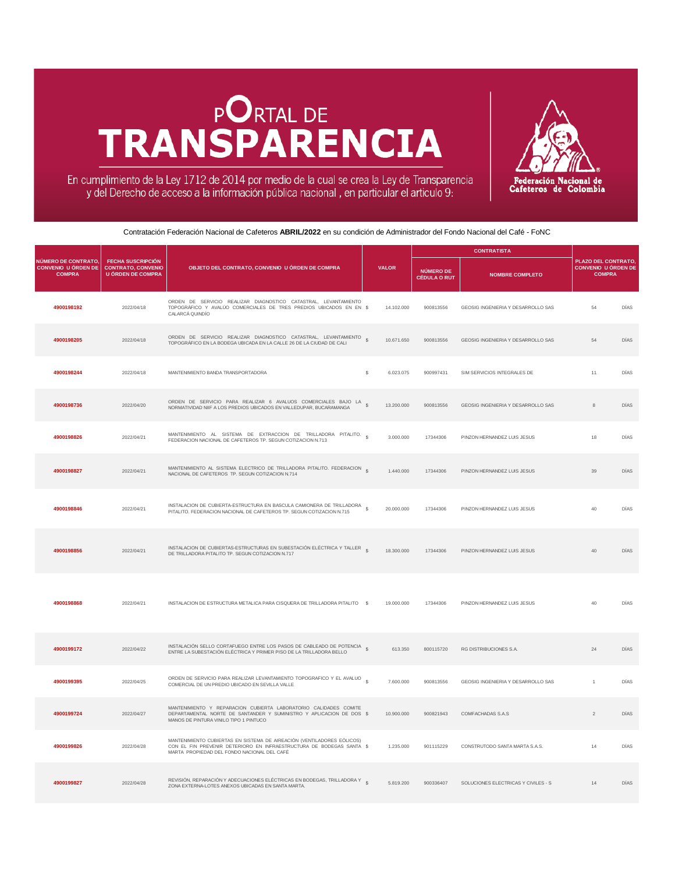## **PORTAL DE TRANSPARENCIA**



En cumplimiento de la Ley 1712 de 2014 por medio de la cual se crea la Ley de Transparencia y del Derecho de acceso a la información pública nacional, en particular el articulo 9:

Contratación Federación Nacional de Cafeteros **ABRIL/2022** en su condición de Administrador del Fondo Nacional del Café - FoNC

|                                                                    |                                                                                   |                                                                                                                                                                                               |                            |                                         | <b>CONTRATISTA</b>                  |                                                                           |             |
|--------------------------------------------------------------------|-----------------------------------------------------------------------------------|-----------------------------------------------------------------------------------------------------------------------------------------------------------------------------------------------|----------------------------|-----------------------------------------|-------------------------------------|---------------------------------------------------------------------------|-------------|
| NÚMERO DE CONTRATO.<br><b>CONVENIO U ÓRDEN DE</b><br><b>COMPRA</b> | <b>FECHA SUSCRIPCIÓN</b><br><b>CONTRATO, CONVENIO</b><br><b>U ÓRDEN DE COMPRA</b> | OBJETO DEL CONTRATO, CONVENIO U ÓRDEN DE COMPRA                                                                                                                                               | <b>VALOR</b>               | <b>NÚMERO DE</b><br><b>CÉDULA O RUT</b> | <b>NOMBRE COMPLETO</b>              | <b>PLAZO DEL CONTRATO.</b><br><b>CONVENIO U ÓRDEN DE</b><br><b>COMPRA</b> |             |
| 4900198192                                                         | 2022/04/18                                                                        | ORDEN DE SERVICIO REALIZAR DIAGNOSTICO CATASTRAL. LEVANTAMIENTO<br>TOPOGRÁFICO Y AVALÚO COMERCIALES DE TRES PREDIOS UBICADOS EN EN \$<br>CALARCÁ QUINDÍO                                      | 14.102.000                 | 900813556                               | GEOSIG INGENIERIA Y DESARROLLO SAS  | 54                                                                        | DÍAS        |
| 4900198205                                                         | 2022/04/18                                                                        | ORDEN DE SERVICIO REALIZAR DIAGNOSTICO CATASTRAL, LEVANTAMIENTO<br>TOPOGRÁFICO EN LA BODEGA UBICADA EN LA CALLE 26 DE LA CIUDAD DE CALI                                                       | $\mathbf{s}$<br>10.671.650 | 900813556                               | GEOSIG INGENIERIA Y DESARROLLO SAS  | 54                                                                        | <b>DÍAS</b> |
| 4900198244                                                         | 2022/04/18                                                                        | MANTENIMIENTO BANDA TRANSPORTADORA                                                                                                                                                            | 6.023.075<br>s             | 900997431                               | SIM SERVICIOS INTEGRALES DE         | 11                                                                        | DÍAS        |
| 4900198736                                                         | 2022/04/20                                                                        | ORDEN DE SERVICIO PARA REALIZAR 6 AVALUOS COMERCIALES BAJO LA \$<br>NORMATIVIDAD NIIF A LOS PREDIOS UBICADOS EN VALLEDUPAR, BUCARAMANGA                                                       | 13,200,000                 | 900813556                               | GEOSIG INGENIERIA Y DESARROLLO SAS  | 8                                                                         | DÍAS        |
| 4900198826                                                         | 2022/04/21                                                                        | MANTENIMIENTO AL SISTEMA DE EXTRACCION DE TRILLADORA PITALITO.<br>FEDERACION NACIONAL DE CAFETEROS TP. SEGUN COTIZACION N.713                                                                 | s<br>3.000.000             | 17344306                                | PINZON HERNANDEZ LUIS JESUS         | 18                                                                        | DÍAS        |
| 4900198827                                                         | 2022/04/21                                                                        | MANTENIMIENTO AL SISTEMA ELECTRICO DE TRILLADORA PITALITO. FEDERACION S<br>NACIONAL DE CAFETEROS TP. SEGUN COTIZACION N.714                                                                   | 1.440.000                  | 17344306                                | PINZON HERNANDEZ LUIS JESUS         | $39\,$                                                                    | DÍAS        |
| 4900198846                                                         | 2022/04/21                                                                        | INSTALACION DE CUBIERTA-ESTRUCTURA EN BASCULA CAMIONERA DE TRILLADORA<br>PITALITO. FEDERACION NACIONAL DE CAFETEROS TP. SEGUN COTIZACION N.715                                                | 20,000,000                 | 17344306                                | PINZON HERNANDEZ LUIS JESUS         | 40                                                                        | DÍAS        |
| 4900198856                                                         | 2022/04/21                                                                        | INSTALACION DE CUBIERTAS-ESTRUCTURAS EN SUBESTACIÓN ELÉCTRICA Y TALLER &<br>DE TRILLADORA PITALITO TP. SEGUN COTIZACION N.717                                                                 | 18.300.000                 | 17344306                                | PINZON HERNANDEZ LUIS JESUS         | 40                                                                        | <b>DÍAS</b> |
| 4900198868                                                         | 2022/04/21                                                                        | INSTALACION DE ESTRUCTURA METALICA PARA CISQUERA DE TRILLADORA PITALITO \$                                                                                                                    | 19.000.000                 | 17344306                                | PINZON HERNANDEZ LUIS JESUS         | 40                                                                        | DÍAS        |
| 4900199172                                                         | 2022/04/22                                                                        | INSTALACIÓN SELLO CORTAFUEGO ENTRE LOS PASOS DE CABLEADO DE POTENCIA \$<br>ENTRE LA SUBESTACIÓN ELÉCTRICA Y PRIMER PISO DE LA TRILLADORA BELLO                                                | 613.350                    | 800115720                               | RG DISTRIBUCIONES S.A.              | 24                                                                        | <b>DÍAS</b> |
| 4900199395                                                         | 2022/04/25                                                                        | ORDEN DE SERVICIO PARA REALIZAR LEVANTAMIENTO TOPOGRAFICO Y EL AVALUO \$<br>COMERCIAL DE UN PREDIO UBICADO EN SEVILLA VALLE                                                                   | 7.600.000                  | 900813556                               | GEOSIG INGENIERIA Y DESARROLLO SAS  | $\overline{1}$                                                            | DÍAS        |
| 4900199724                                                         | 2022/04/27                                                                        | MANTENIMIENTO Y REPARACION CUBIERTA LABORATORIO CALIDADES COMITE<br>DEPARTAMENTAL NORTE DE SANTANDER Y SUMINISTRO Y APLICACION DE DOS \$<br>MANOS DE PINTURA VINILO TIPO 1 PINTUCO            | 10.900.000                 | 900821943                               | COMFACHADAS S.A.S                   | $\mathcal{P}$                                                             | DÍAS        |
| 4900199826                                                         | 2022/04/28                                                                        | MANTENIMIENTO CUBIERTAS EN SISTEMA DE AIREACIÓN (VENTILADORES EÓLICOS)<br>CON EL FIN PREVENIR DETERIORO EN INFRAESTRUCTURA DE BODEGAS SANTA \$<br>MARTA PROPIEDAD DEL FONDO NACIONAL DEL CAFÉ | 1.235.000                  | 901115229                               | CONSTRUTODO SANTA MARTA S.A.S.      | 14                                                                        | DÍAS        |
| 4900199827                                                         | 2022/04/28                                                                        | REVISIÓN, REPARACIÓN Y ADECUACIONES ELÉCTRICAS EN BODEGAS, TRILLADORA Y S<br>ZONA EXTERNA-LOTES ANEXOS UBICADAS EN SANTA MARTA.                                                               | 5.819.200                  | 900336407                               | SOLUCIONES ELECTRICAS Y CIVILES - S | 14                                                                        | <b>DÍAS</b> |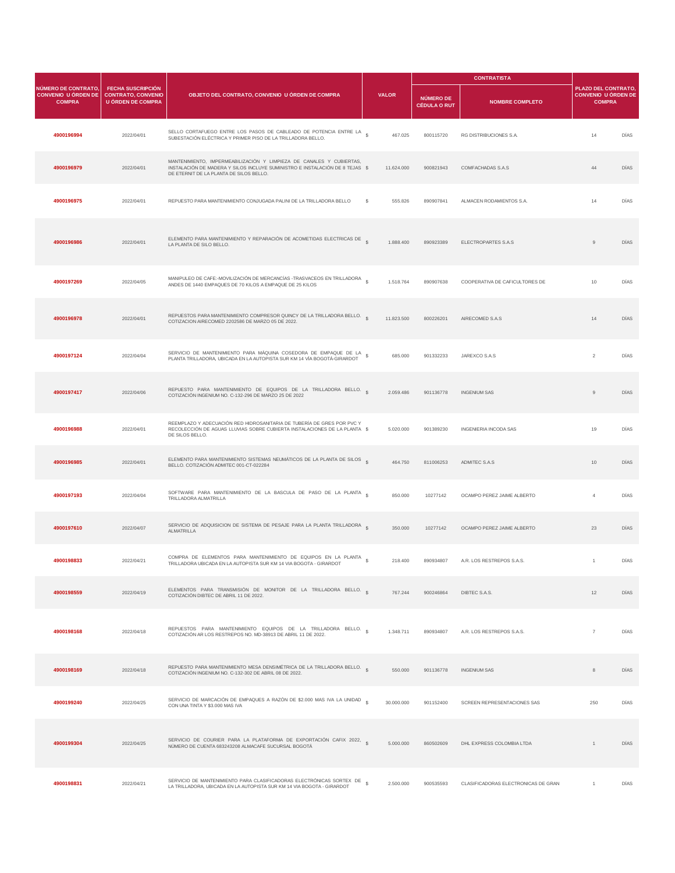|                                                                    |                                                                                   |                                                                                                                                                                                                 |                               |                                  | <b>CONTRATISTA</b>                  |                                                                    |             |
|--------------------------------------------------------------------|-----------------------------------------------------------------------------------|-------------------------------------------------------------------------------------------------------------------------------------------------------------------------------------------------|-------------------------------|----------------------------------|-------------------------------------|--------------------------------------------------------------------|-------------|
| NÚMERO DE CONTRATO.<br><b>CONVENIO U ÓRDEN DE</b><br><b>COMPRA</b> | <b>FECHA SUSCRIPCIÓN</b><br><b>CONTRATO, CONVENIO</b><br><b>U ÓRDEN DE COMPRA</b> | OBJETO DEL CONTRATO, CONVENIO U ÓRDEN DE COMPRA                                                                                                                                                 | <b>VALOR</b>                  | NÚMERO DE<br><b>CÉDULA O RUT</b> | <b>NOMBRE COMPLETO</b>              | PLAZO DEL CONTRATO.<br><b>CONVENIO U ÓRDEN DE</b><br><b>COMPRA</b> |             |
| 4900196994                                                         | 2022/04/01                                                                        | SELLO CORTAFUEGO ENTRE LOS PASOS DE CABLEADO DE POTENCIA ENTRE LA \$<br>SUBESTACIÓN ELÉCTRICA Y PRIMER PISO DE LA TRILLADORA BELLO.                                                             | 467.025                       | 800115720                        | RG DISTRIBUCIONES S.A.              | 14                                                                 | DÍAS        |
| 4900196979                                                         | 2022/04/01                                                                        | MANTENIMIENTO, IMPERMEABILIZACIÓN Y LIMPIEZA DE CANALES Y CUBIERTAS,<br>INSTALACIÓN DE MADERA Y SILOS INCLUYE SUMINISTRO E INSTALACIÓN DE 8 TEJAS \$<br>DE ETERNIT DE LA PLANTA DE SILOS BELLO. | 11.624.000                    | 900821943                        | COMFACHADAS S.A.S                   | 44                                                                 | DÍAS        |
| 4900196975                                                         | 2022/04/01                                                                        | REPUESTO PARA MANTENIMIENTO CONJUGADA PALINI DE LA TRILLADORA BELLO                                                                                                                             | s<br>555.826                  | 890907841                        | ALMACEN RODAMIENTOS S.A.            | 14                                                                 | DÍAS        |
| 4900196986                                                         | 2022/04/01                                                                        | ELEMENTO PARA MANTENIMIENTO Y REPARACIÓN DE ACOMETIDAS ELECTRICAS DE \$<br>LA PLANTA DE SILO BELLO.                                                                                             | 1.888.400                     | 890923389                        | ELECTROPARTES S.A.S                 | $\mathsf g$                                                        | DÍAS        |
| 4900197269                                                         | 2022/04/05                                                                        | MANIPULEO DE CAFE:-MOVILIZACIÓN DE MERCANCÍAS -TRASVACEOS EN TRILLADORA<br>ANDES DE 1440 EMPAQUES DE 70 KILOS A EMPAQUE DE 25 KILOS                                                             | 1.518.764                     | 890907638                        | COOPERATIVA DE CAFICULTORES DE      | 10                                                                 | DÍAS        |
| 4900196978                                                         | 2022/04/01                                                                        | REPUESTOS PARA MANTENIMIENTO COMPRESOR QUINCY DE LA TRILLADORA BELLO.<br>COTIZACION AIRECOMED 2202586 DE MARZO 05 DE 2022.                                                                      | 11.823.500                    | 800226201                        | AIRECOMED S.A.S.                    | 14                                                                 | <b>DÍAS</b> |
| 4900197124                                                         | 2022/04/04                                                                        | SERVICIO DE MANTENIMIENTO PARA MÁQUINA COSEDORA DE EMPAQUE DE LA<br>PLANTA TRILLADORA, UBICADA EN LA AUTOPISTA SUR KM 14 VÍA BOGOTÁ-GIRARDOT                                                    | 685.000                       | 901332233                        | JAREXCO S.A.S                       | $\overline{c}$                                                     | DÍAS        |
| 4900197417                                                         | 2022/04/06                                                                        | REPUESTO PARA MANTENIMIENTO DE EQUIPOS DE LA TRILLADORA BELLO.<br>COTIZACIÓN INGENIUM NO. C-132-296 DE MARZO 25 DE 2022                                                                         | 2.059.486                     | 901136778                        | <b>INGENIUM SAS</b>                 | $\,9$                                                              | DÍAS        |
| 4900196988                                                         | 2022/04/01                                                                        | REEMPLAZO Y ADECUACIÓN RED HIDROSANITARIA DE TUBERÍA DE GRES POR PVC Y<br>RECOLECCIÓN DE AGUAS LLUVIAS SOBRE CUBIERTA INSTALACIONES DE LA PLANTA \$<br>DE SILOS BELLO.                          | 5.020.000                     | 901389230                        | INGENIERIA INCODA SAS               | 19                                                                 | DÍAS        |
| 4900196985                                                         | 2022/04/01                                                                        | ELEMENTO PARA MANTENIMIENTO SISTEMAS NEUMÁTICOS DE LA PLANTA DE SILOS §<br>BELLO. COTIZACIÓN ADMITEC 001-CT-022284                                                                              | 464.750                       | 811006253                        | ADMITEC S.A.S                       | 10                                                                 | <b>DÍAS</b> |
| 4900197193                                                         | 2022/04/04                                                                        | SOFTWARE PARA MANTENIMIENTO DE LA BASCULA DE PASO DE LA PLANTA \$<br>TRILLADORA ALMATRILLA                                                                                                      | 850.000                       | 10277142                         | OCAMPO PEREZ JAIME ALBERTO          | $\overline{4}$                                                     | DÍAS        |
| 4900197610                                                         | 2022/04/07                                                                        | SERVICIO DE ADQUISICION DE SISTEMA DE PESAJE PARA LA PLANTA TRILLADORA<br>ALMATRILLA                                                                                                            | $\hat{\mathbf{S}}$<br>350.000 | 10277142                         | OCAMPO PEREZ JAIME ALBERTO          | 23                                                                 | <b>DÍAS</b> |
| 4900198833                                                         | 2022/04/21                                                                        | COMPRA DE ELEMENTOS PARA MANTENIMIENTO DE EQUIPOS EN LA PLANTA \$<br>TRILLADORA UBICADA EN LA AUTOPISTA SUR KM 14 VIA BOGOTA - GIRARDOT                                                         | 218.400                       | 890934807                        | A.R. LOS RESTREPOS S.A.S.           | $\overline{1}$                                                     | DÍAS        |
| 4900198559                                                         | 2022/04/19                                                                        | ELEMENTOS PARA TRANSMISIÓN DE MONITOR DE LA TRILLADORA BELLO.<br>COTIZACIÓN DIBTEC DE ABRIL 11 DE 2022.                                                                                         | 767.244                       | 900246864                        | DIBTEC S.A.S.                       | 12                                                                 | DÍAS        |
| 4900198168                                                         | 2022/04/18                                                                        | REPUESTOS PARA MANTENIMIENTO EQUIPOS DE LA TRILLADORA BELLO.<br>COTIZACIÓN AR LOS RESTREPOS NO. MD-38913 DE ABRIL 11 DE 2022.                                                                   | 1.348.711                     | 890934807                        | A.R. LOS RESTREPOS S.A.S.           | $\overline{7}$                                                     | DÍAS        |
| 4900198169                                                         | 2022/04/18                                                                        | REPUESTO PARA MANTENIMIENTO MESA DENSIMÉTRICA DE LA TRILLADORA BELLO.<br>COTIZACIÓN INGENIUM NO. C-132-302 DE ABRIL 08 DE 2022.                                                                 | 550.000                       | 901136778                        | <b>INGENIUM SAS</b>                 | $\,$ 8                                                             | DÍAS        |
| 4900199240                                                         | 2022/04/25                                                                        | SERVICIO DE MARCACIÓN DE EMPAQUES A RAZÓN DE \$2.000 MAS IVA LA UNIDAD §<br>CON UNA TINTA Y \$3,000 MAS IVA                                                                                     | 30.000.000                    | 901152400                        | SCREEN REPRESENTACIONES SAS         | 250                                                                | DÍAS        |
| 4900199304                                                         | 2022/04/25                                                                        | SERVICIO DE COURIER PARA LA PLATAFORMA DE EXPORTACIÓN CAFIX 2022,<br>NÚMERO DE CUENTA 683243208 ALMACAFE SUCURSAL BOGOTÁ                                                                        | 5.000.000                     | 860502609                        | DHL EXPRESS COLOMBIA LTDA           | 1                                                                  | <b>DÍAS</b> |
| 4900198831                                                         | 2022/04/21                                                                        | SERVICIO DE MANTENIMIENTO PARA CLASIFICADORAS ELECTRÓNICAS SORTEX DE<br>LA TRILLADORA, UBICADA EN LA AUTOPISTA SUR KM 14 VIA BOGOTA - GIRARDOT                                                  | 2.500.000                     | 900535593                        | CLASIFICADORAS ELECTRONICAS DE GRAN | $\overline{1}$                                                     | DÍAS        |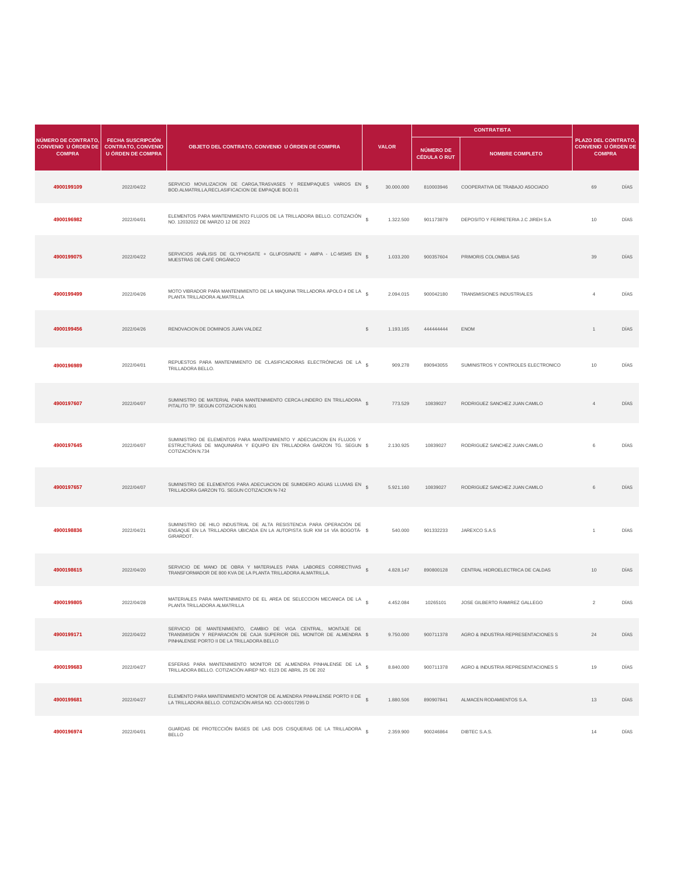|                                                                    |                                                                                   |                                                                                                                                                                                     |                 |           |                                         | <b>CONTRATISTA</b>                  |                                                                    |             |  |
|--------------------------------------------------------------------|-----------------------------------------------------------------------------------|-------------------------------------------------------------------------------------------------------------------------------------------------------------------------------------|-----------------|-----------|-----------------------------------------|-------------------------------------|--------------------------------------------------------------------|-------------|--|
| NÚMERO DE CONTRATO,<br><b>CONVENIO U ÓRDEN DE</b><br><b>COMPRA</b> | <b>FECHA SUSCRIPCIÓN</b><br><b>CONTRATO, CONVENIO</b><br><b>U ÓRDEN DE COMPRA</b> | OBJETO DEL CONTRATO, CONVENIO U ÓRDEN DE COMPRA                                                                                                                                     | <b>VALOR</b>    |           | <b>NÚMERO DE</b><br><b>CÉDULA O RUT</b> | <b>NOMBRE COMPLETO</b>              | PLAZO DEL CONTRATO,<br><b>CONVENIO U ÓRDEN DE</b><br><b>COMPRA</b> |             |  |
| 4900199109                                                         | 2022/04/22                                                                        | SERVICIO MOVILIZACION DE CARGA, TRASVASES Y REEMPAQUES VARIOS EN<br>BOD.ALMATRILLA, RECLASIFICACION DE EMPAQUE BOD.01                                                               | s<br>30.000.000 |           | 810003946                               | COOPERATIVA DE TRABAJO ASOCIADO     | 69                                                                 | DÍAS        |  |
| 4900196982                                                         | 2022/04/01                                                                        | ELEMENTOS PARA MANTENIMIENTO FLUJOS DE LA TRILLADORA BELLO. COTIZACIÓN \$<br>NO. 12032022 DE MARZO 12 DE 2022                                                                       |                 | 1.322.500 | 901173879                               | DEPOSITO Y FERRETERIA J.C JIREH S.A | 10                                                                 | DÍAS        |  |
| 4900199075                                                         | 2022/04/22                                                                        | SERVICIOS ANÁLISIS DE GLYPHOSATE + GLUFOSINATE + AMPA - LC-MSMS EN \$<br>MUESTRAS DE CAFÉ ORGÁNICO                                                                                  |                 | 1.033.200 | 900357604                               | PRIMORIS COLOMBIA SAS               | 39                                                                 | DÍAS        |  |
| 4900199499                                                         | 2022/04/26                                                                        | MOTO VIBRADOR PARA MANTENIMIENTO DE LA MAQUINA TRILLADORA APOLO 4 DE LA 8<br>PLANTA TRILLADORA ALMATRILLA                                                                           |                 | 2.094.015 | 900042180                               | TRANSMISIONES INDUSTRIALES          | $\overline{4}$                                                     | DÍAS        |  |
| 4900199456                                                         | 2022/04/26                                                                        | RENOVACION DE DOMINIOS JUAN VALDEZ                                                                                                                                                  | \$              | 1.193.165 | 44444444                                | <b>ENOM</b>                         | $\mathbf{1}$                                                       | DÍAS        |  |
| 4900196989                                                         | 2022/04/01                                                                        | REPUESTOS PARA MANTENIMIENTO DE CLASIFICADORAS ELECTRÓNICAS DE LA S<br>TRILLADORA BELLO.                                                                                            |                 | 909.278   | 890943055                               | SUMINISTROS Y CONTROLES ELECTRONICO | 10                                                                 | DÍAS        |  |
| 4900197607                                                         | 2022/04/07                                                                        | SUMINISTRO DE MATERIAL PARA MANTENIMIENTO CERCA-LINDERO EN TRILLADORA $_{\,S}$<br>PITALITO TP. SEGUN COTIZACION N.801                                                               |                 | 773.529   | 10839027                                | RODRIGUEZ SANCHEZ JUAN CAMILO       | $\overline{4}$                                                     | DÍAS        |  |
| 4900197645                                                         | 2022/04/07                                                                        | SUMINISTRO DE ELEMENTOS PARA MANTENIMIENTO Y ADECUACION EN FLUJOS Y<br>ESTRUCTURAS DE MAQUINARIA Y EQUIPO EN TRILLADORA GARZON TG. SEGUN \$<br>COTIZACIÓN N.734                     |                 | 2.130.925 | 10839027                                | RODRIGUEZ SANCHEZ JUAN CAMILO       | 6                                                                  | DÍAS        |  |
| 4900197657                                                         | 2022/04/07                                                                        | SUMINISTRO DE ELEMENTOS PARA ADECUACION DE SUMIDERO AGUAS LLUVIAS EN «<br>TRILLADORA GARZON TG. SEGUN COTIZACION N-742                                                              |                 | 5.921.160 | 10839027                                | RODRIGUEZ SANCHEZ JUAN CAMILO       | 6                                                                  | <b>DÍAS</b> |  |
| 4900198836                                                         | 2022/04/21                                                                        | SUMINISTRO DE HILO INDUSTRIAL DE ALTA RESISTENCIA PARA OPERACIÓN DE<br>ENSAQUE EN LA TRILLADORA UBICADA EN LA AUTOPISTA SUR KM 14 VÍA BOGOTÁ- \$<br>GIRARDOT.                       |                 | 540,000   | 901332233                               | JAREXCO S.A.S                       | $\overline{1}$                                                     | DÍAS        |  |
| 4900198615                                                         | 2022/04/20                                                                        | SERVICIO DE MANO DE OBRA Y MATERIALES PARA LABORES CORRECTIVAS S<br>TRANSFORMADOR DE 800 KVA DE LA PLANTA TRILLADORA ALMATRILLA.                                                    |                 | 4.828.147 | 890800128                               | CENTRAL HIDROELECTRICA DE CALDAS    | 10                                                                 | <b>DÍAS</b> |  |
| 4900199805                                                         | 2022/04/28                                                                        | MATERIALES PARA MANTENIMIENTO DE EL AREA DE SELECCION MECANICA DE LA S<br>PLANTA TRILLADORA ALMATRILLA                                                                              |                 | 4.452.084 | 10265101                                | JOSE GILBERTO RAMIREZ GALLEGO       | $\mathcal{P}$                                                      | DÍAS        |  |
| 4900199171                                                         | 2022/04/22                                                                        | SERVICIO DE MANTENIMIENTO, CAMBIO DE VIGA CENTRAL, MONTAJE DE<br>TRANSMISIÓN Y REPARACIÓN DE CAJA SUPERIOR DEL MONITOR DE ALMENDRA \$<br>PINHALENSE PORTO II DE LA TRILLADORA BELLO |                 | 9.750.000 | 900711378                               | AGRO & INDUSTRIA REPRESENTACIONES S | 24                                                                 | DIAS        |  |
| 4900199683                                                         | 2022/04/27                                                                        | ESFERAS PARA MANTENIMIENTO MONITOR DE ALMENDRA PINHALENSE DE LA \$<br>TRILLADORA BELLO. COTIZACIÓN AIREP NO. 0123 DE ABRIL 25 DE 202                                                |                 | 8.840.000 | 900711378                               | AGRO & INDUSTRIA REPRESENTACIONES S | 19                                                                 | DÍAS        |  |
| 4900199681                                                         | 2022/04/27                                                                        | ELEMENTO PARA MANTENIMIENTO MONITOR DE ALMENDRA PINHALENSE PORTO II DE<br>LA TRILLADORA BELLO. COTIZACIÓN ARSA NO. CCI-00017295 D                                                   |                 | 1.880.506 | 890907841                               | ALMACEN RODAMIENTOS S.A.            | 13                                                                 | DÍAS        |  |
| 4900196974                                                         | 2022/04/01                                                                        | GUARDAS DE PROTECCIÓN BASES DE LAS DOS CISQUERAS DE LA TRILLADORA §<br><b>BELLO</b>                                                                                                 |                 | 2.359.900 | 900246864                               | DIBTEC S.A.S.                       | 14                                                                 | DÍAS        |  |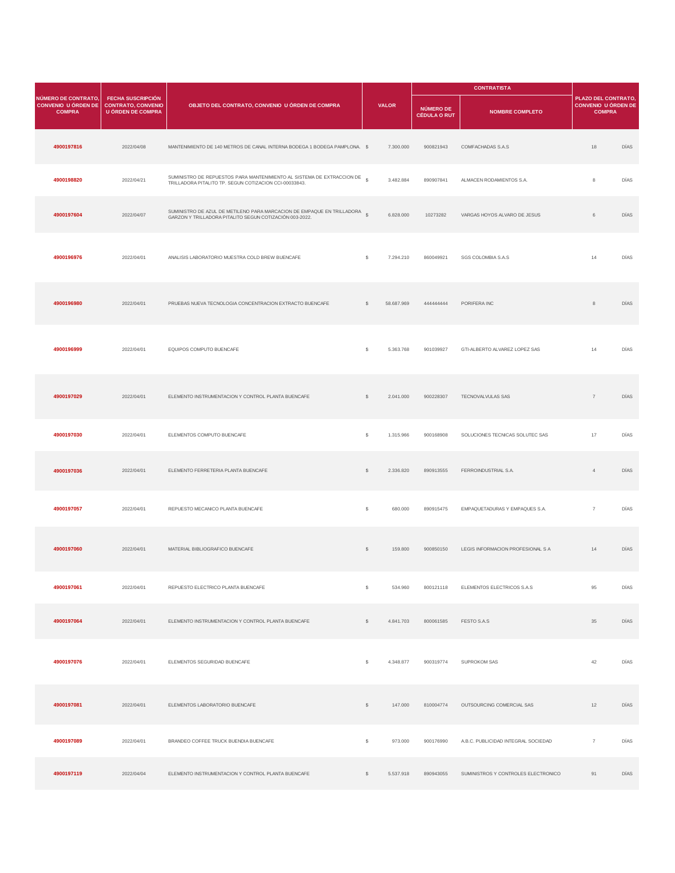|                                                                    |                                                                                   |                                                                                                                                      |              |              |                                         | <b>CONTRATISTA</b>                   |                                                             |      |
|--------------------------------------------------------------------|-----------------------------------------------------------------------------------|--------------------------------------------------------------------------------------------------------------------------------------|--------------|--------------|-----------------------------------------|--------------------------------------|-------------------------------------------------------------|------|
| NÚMERO DE CONTRATO,<br><b>CONVENIO U ÓRDEN DE</b><br><b>COMPRA</b> | <b>FECHA SUSCRIPCIÓN</b><br><b>CONTRATO, CONVENIO</b><br><b>U ÓRDEN DE COMPRA</b> | OBJETO DEL CONTRATO, CONVENIO U ÓRDEN DE COMPRA                                                                                      |              | <b>VALOR</b> | <b>NÚMERO DE</b><br><b>CÉDULA O RUT</b> | <b>NOMBRE COMPLETO</b>               | PLAZO DEL CONTRATO,<br>CONVENIO U ÓRDEN DE<br><b>COMPRA</b> |      |
| 4900197816                                                         | 2022/04/08                                                                        | MANTENIMIENTO DE 140 METROS DE CANAL INTERNA BODEGA 1 BODEGA PAMPLONA. \$                                                            |              | 7.300.000    | 900821943                               | COMFACHADAS S.A.S                    | 18                                                          | DÍAS |
| 4900198820                                                         | 2022/04/21                                                                        | SUMINISTRO DE REPUESTOS PARA MANTENIMIENTO AL SISTEMA DE EXTRACCION DE<br>TRILLADORA PITALITO TP. SEGUN COTIZACION CCI-00033843.     |              | 3.482.884    | 890907841                               | ALMACEN RODAMIENTOS S.A.             | $\bf8$                                                      | DÍAS |
| 4900197604                                                         | 2022/04/07                                                                        | SUMINISTRO DE AZUL DE METILENO PARA MARCACION DE EMPAQUE EN TRILLADORA \$<br>GARZON Y TRILLADORA PITALITO SEGUN COTIZACIÓN 003-2022. |              | 6.828.000    | 10273282                                | VARGAS HOYOS ALVARO DE JESUS         | $\,6\,$                                                     | DÍAS |
| 4900196976                                                         | 2022/04/01                                                                        | ANALISIS LABORATORIO MUESTRA COLD BREW BUENCAFE                                                                                      | s            | 7.294.210    | 860049921                               | SGS COLOMBIA S.A.S                   | 14                                                          | DÍAS |
| 4900196980                                                         | 2022/04/01                                                                        | PRUEBAS NUEVA TECNOLOGIA CONCENTRACION EXTRACTO BUENCAFE                                                                             | s            | 58.687.969   | 444444444                               | PORIFERA INC                         | 8                                                           | DÍAS |
| 4900196999                                                         | 2022/04/01                                                                        | EQUIPOS COMPUTO BUENCAFE                                                                                                             | s            | 5.363.768    | 901039927                               | GTI-ALBERTO ALVAREZ LOPEZ SAS        | 14                                                          | DÍAS |
| 4900197029                                                         | 2022/04/01                                                                        | ELEMENTO INSTRUMENTACION Y CONTROL PLANTA BUENCAFE                                                                                   | s            | 2.041.000    | 900228307                               | TECNOVALVULAS SAS                    | $\overline{7}$                                              | DÍAS |
| 4900197030                                                         | 2022/04/01                                                                        | ELEMENTOS COMPUTO BUENCAFE                                                                                                           | s            | 1.315.966    | 900168908                               | SOLUCIONES TECNICAS SOLUTEC SAS      | 17                                                          | DÍAS |
| 4900197036                                                         | 2022/04/01                                                                        | ELEMENTO FERRETERIA PLANTA BUENCAFE                                                                                                  | s            | 2.336.820    | 890913555                               | FERROINDUSTRIAL S.A.                 | $\overline{4}$                                              | DÍAS |
| 4900197057                                                         | 2022/04/01                                                                        | REPUESTO MECANICO PLANTA BUENCAFE                                                                                                    | s            | 680.000      | 890915475                               | EMPAQUETADURAS Y EMPAQUES S.A.       | $\overline{7}$                                              | DÍAS |
| 4900197060                                                         | 2022/04/01                                                                        | MATERIAL BIBLIOGRAFICO BUENCAFE                                                                                                      | $\mathbb{S}$ | 159.800      | 900850150                               | LEGIS INFORMACION PROFESIONAL S A    | 14                                                          | DÍAS |
| 4900197061                                                         | 2022/04/01                                                                        | REPUESTO ELECTRICO PLANTA BUENCAFE                                                                                                   | $\mathbb{S}$ | 534.960      |                                         | 800121118 ELEMENTOS ELECTRICOS S.A.S | 95                                                          | DÍAS |
| 4900197064                                                         | 2022/04/01                                                                        | ELEMENTO INSTRUMENTACION Y CONTROL PLANTA BUENCAFE                                                                                   | $\mathbb{S}$ | 4.841.703    | 800061585                               | FESTO S.A.S                          | 35                                                          | DÍAS |
| 4900197076                                                         | 2022/04/01                                                                        | ELEMENTOS SEGURIDAD BUENCAFE                                                                                                         | \$           | 4.348.877    | 900319774                               | SUPROKOM SAS                         | 42                                                          | DÍAS |
| 4900197081                                                         | 2022/04/01                                                                        | ELEMENTOS LABORATORIO BUENCAFE                                                                                                       | $\mathbb{S}$ | 147.000      | 810004774                               | OUTSOURCING COMERCIAL SAS            | 12                                                          | DÍAS |
| 4900197089                                                         | 2022/04/01                                                                        | BRANDEO COFFEE TRUCK BUENDIA BUENCAFE                                                                                                | \$           | 973.000      | 900176990                               | A.B.C. PUBLICIDAD INTEGRAL SOCIEDAD  | $\overline{7}$                                              | DÍAS |
| 4900197119                                                         | 2022/04/04                                                                        | ELEMENTO INSTRUMENTACION Y CONTROL PLANTA BUENCAFE                                                                                   | \$           | 5.537.918    | 890943055                               | SUMINISTROS Y CONTROLES ELECTRONICO  | 91                                                          | DÍAS |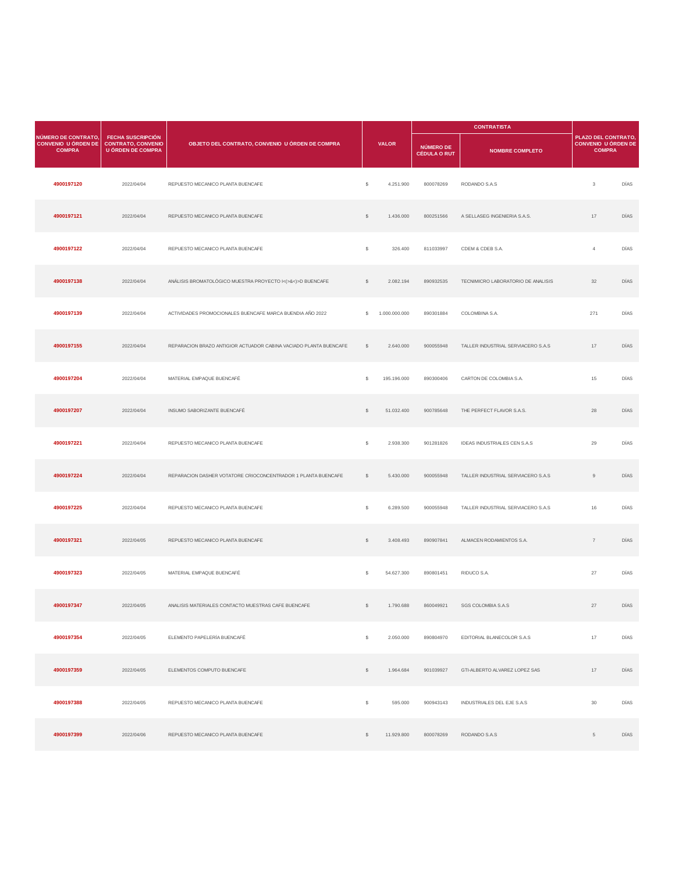|                                                                    |                                                                                   |                                                                   |              |               | <b>CONTRATISTA</b>                      |                                    |                                                                    |             |
|--------------------------------------------------------------------|-----------------------------------------------------------------------------------|-------------------------------------------------------------------|--------------|---------------|-----------------------------------------|------------------------------------|--------------------------------------------------------------------|-------------|
| NÚMERO DE CONTRATO,<br><b>CONVENIO U ÓRDEN DE</b><br><b>COMPRA</b> | <b>FECHA SUSCRIPCIÓN</b><br><b>CONTRATO, CONVENIO</b><br><b>U ÓRDEN DE COMPRA</b> | OBJETO DEL CONTRATO, CONVENIO U ÓRDEN DE COMPRA                   |              | <b>VALOR</b>  | <b>NÚMERO DE</b><br><b>CÉDULA O RUT</b> | <b>NOMBRE COMPLETO</b>             | PLAZO DEL CONTRATO,<br><b>CONVENIO U ÓRDEN DE</b><br><b>COMPRA</b> |             |
| 4900197120                                                         | 2022/04/04                                                                        | REPUESTO MECANICO PLANTA BUENCAFE                                 | s            | 4.251.900     | 800078269                               | RODANDO S.A.S                      | $_{3}$                                                             | DÍAS        |
| 4900197121                                                         | 2022/04/04                                                                        | REPUESTO MECANICO PLANTA BUENCAFE                                 | \$           | 1.436.000     | 800251566                               | A SELLASEG INGENIERIA S.A.S.       | 17                                                                 | DÍAS        |
| 4900197122                                                         | 2022/04/04                                                                        | REPUESTO MECANICO PLANTA BUENCAFE                                 | \$           | 326.400       | 811033997                               | CDEM & CDEB S.A.                   | $\overline{4}$                                                     | DÍAS        |
| 4900197138                                                         | 2022/04/04                                                                        | ANÁLISIS BROMATOLÓGICO MUESTRA PROYECTO I<(>&<)>D BUENCAFE        | $\mathbb{S}$ | 2.082.194     | 890932535                               | TECNIMICRO LABORATORIO DE ANALISIS | 32                                                                 | DÍAS        |
| 4900197139                                                         | 2022/04/04                                                                        | ACTIVIDADES PROMOCIONALES BUENCAFE MARCA BUENDIA AÑO 2022         | s            | 1.000.000.000 | 890301884                               | COLOMBINA S.A.                     | 271                                                                | DÍAS        |
| 4900197155                                                         | 2022/04/04                                                                        | REPARACION BRAZO ANTIGIOR ACTUADOR CABINA VACIADO PLANTA BUENCAFE | $\mathbb{S}$ | 2.640.000     | 900055948                               | TALLER INDUSTRIAL SERVIACERO S.A.S | 17                                                                 | <b>DÍAS</b> |
| 4900197204                                                         | 2022/04/04                                                                        | MATERIAL EMPAQUE BUENCAFÉ                                         | \$           | 195.196.000   | 890300406                               | CARTON DE COLOMBIA S.A.            | 15                                                                 | DÍAS        |
| 4900197207                                                         | 2022/04/04                                                                        | INSUMO SABORIZANTE BUENCAFÉ                                       | $\mathbb{S}$ | 51.032.400    | 900785648                               | THE PERFECT FLAVOR S.A.S.          | 28                                                                 | DÍAS        |
| 4900197221                                                         | 2022/04/04                                                                        | REPUESTO MECANICO PLANTA BUENCAFE                                 | \$           | 2.938.300     | 901281826                               | IDEAS INDUSTRIALES CEN S.A.S       | 29                                                                 | DÍAS        |
| 4900197224                                                         | 2022/04/04                                                                        | REPARACION DASHER VOTATORE CRIOCONCENTRADOR 1 PLANTA BUENCAFE     | $\mathbb{S}$ | 5.430.000     | 900055948                               | TALLER INDUSTRIAL SERVIACERO S.A.S | $\,9$                                                              | DÍAS        |
| 4900197225                                                         | 2022/04/04                                                                        | REPUESTO MECANICO PLANTA BUENCAFE                                 | s            | 6.289.500     | 900055948                               | TALLER INDUSTRIAL SERVIACERO S.A.S | 16                                                                 | DÍAS        |
| 4900197321                                                         | 2022/04/05                                                                        | REPUESTO MECANICO PLANTA BUENCAFE                                 | \$           | 3.408.493     | 890907841                               | ALMACEN RODAMIENTOS S.A.           | $\scriptstyle{7}$                                                  | DÍAS        |
| 4900197323                                                         | 2022/04/05                                                                        | MATERIAL EMPAQUE BUENCAFÉ                                         | -S           | 54.627.300    | 890801451                               | RIDUCO S.A.                        | $27\,$                                                             | DÍAS        |
| 4900197347                                                         | 2022/04/05                                                                        | ANALISIS MATERIALES CONTACTO MUESTRAS CAFE BUENCAFE               | $\mathbb{S}$ | 1.790.688     | 860049921                               | SGS COLOMBIA S.A.S                 | 27                                                                 | DÍAS        |
| 4900197354                                                         | 2022/04/05                                                                        | ELEMENTO PAPELERÍA BUENCAFÉ                                       | \$           | 2.050.000     | 890804970                               | EDITORIAL BLANECOLOR S.A.S         | 17                                                                 | DÍAS        |
| 4900197359                                                         | 2022/04/05                                                                        | ELEMENTOS COMPUTO BUENCAFE                                        | S            | 1.964.684     | 901039927                               | GTI-ALBERTO ALVAREZ LOPEZ SAS      | 17                                                                 | DÍAS        |
| 4900197388                                                         | 2022/04/05                                                                        | REPUESTO MECANICO PLANTA BUENCAFE                                 | \$           | 595.000       | 900943143                               | INDUSTRIALES DEL EJE S.A.S         | 30                                                                 | DÍAS        |
| 4900197399                                                         | 2022/04/06                                                                        | REPUESTO MECANICO PLANTA BUENCAFE                                 | $\mathbb{S}$ | 11.929.800    | 800078269                               | RODANDO S.A.S                      | $5\phantom{.0}$                                                    | DÍAS        |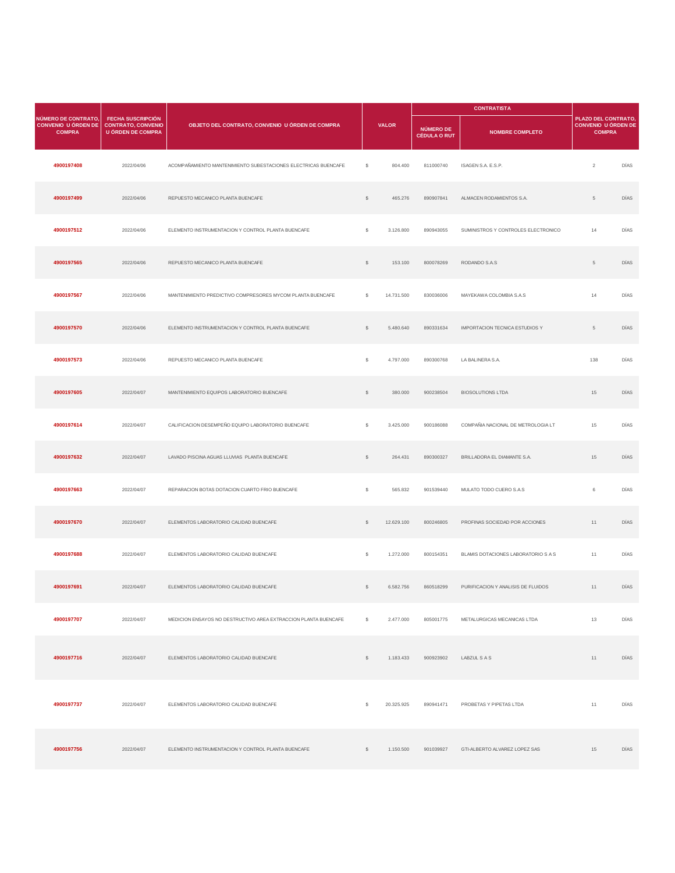|                                                             |                                                                                   |                                                                 |              |              |                                         | <b>CONTRATISTA</b>                  |                                                                    |      |
|-------------------------------------------------------------|-----------------------------------------------------------------------------------|-----------------------------------------------------------------|--------------|--------------|-----------------------------------------|-------------------------------------|--------------------------------------------------------------------|------|
| NÚMERO DE CONTRATO,<br>CONVENIO U ÓRDEN DE<br><b>COMPRA</b> | <b>FECHA SUSCRIPCIÓN</b><br><b>CONTRATO, CONVENIO</b><br><b>U ÓRDEN DE COMPRA</b> | OBJETO DEL CONTRATO, CONVENIO U ÓRDEN DE COMPRA                 |              | <b>VALOR</b> | <b>NÚMERO DE</b><br><b>CÉDULA O RUT</b> | <b>NOMBRE COMPLETO</b>              | PLAZO DEL CONTRATO,<br><b>CONVENIO U ÓRDEN DE</b><br><b>COMPRA</b> |      |
| 4900197408                                                  | 2022/04/06                                                                        | ACOMPAÑAMIENTO MANTENIMIENTO SUBESTACIONES ELECTRICAS BUENCAFE  | s            | 804.400      | 811000740                               | ISAGEN S.A. E.S.P.                  | $\sqrt{2}$                                                         | DÍAS |
| 4900197499                                                  | 2022/04/06                                                                        | REPUESTO MECANICO PLANTA BUENCAFE                               | $\mathbb{S}$ | 465.276      | 890907841                               | ALMACEN RODAMIENTOS S.A.            | $\overline{5}$                                                     | DÍAS |
| 4900197512                                                  | 2022/04/06                                                                        | ELEMENTO INSTRUMENTACION Y CONTROL PLANTA BUENCAFE              | \$           | 3.126.800    | 890943055                               | SUMINISTROS Y CONTROLES ELECTRONICO | 14                                                                 | DÍAS |
| 4900197565                                                  | 2022/04/06                                                                        | REPUESTO MECANICO PLANTA BUENCAFE                               | $\mathbb{S}$ | 153.100      | 800078269                               | RODANDO S.A.S                       | $5\phantom{.0}$                                                    | DÍAS |
| 4900197567                                                  | 2022/04/06                                                                        | MANTENIMIENTO PREDICTIVO COMPRESORES MYCOM PLANTA BUENCAFE      | \$           | 14.731.500   | 830036006                               | MAYEKAWA COLOMBIA S.A.S             | 14                                                                 | DÍAS |
| 4900197570                                                  | 2022/04/06                                                                        | ELEMENTO INSTRUMENTACION Y CONTROL PLANTA BUENCAFE              | $\mathbb{S}$ | 5.480.640    | 890331634                               | IMPORTACION TECNICA ESTUDIOS Y      | $\,$ 5 $\,$                                                        | DÍAS |
| 4900197573                                                  | 2022/04/06                                                                        | REPUESTO MECANICO PLANTA BUENCAFE                               | \$           | 4.797.000    | 890300768                               | LA BALINERA S.A.                    | 138                                                                | DÍAS |
| 4900197605                                                  | 2022/04/07                                                                        | MANTENIMIENTO EQUIPOS LABORATORIO BUENCAFE                      | $\mathbb{S}$ | 380.000      | 900238504                               | <b>BIOSOLUTIONS LTDA</b>            | 15                                                                 | DÍAS |
| 4900197614                                                  | 2022/04/07                                                                        | CALIFICACION DESEMPEÑO EQUIPO LABORATORIO BUENCAFE              | s            | 3.425.000    | 900186088                               | COMPAÑIA NACIONAL DE METROLOGIA LT  | 15                                                                 | DÍAS |
| 4900197632                                                  | 2022/04/07                                                                        | LAVADO PISCINA AGUAS LLUVIAS PLANTA BUENCAFE                    | $\mathbb{S}$ | 264.431      | 890300327                               | BRILLADORA EL DIAMANTE S.A.         | 15                                                                 | DÍAS |
| 4900197663                                                  | 2022/04/07                                                                        | REPARACION BOTAS DOTACION CUARTO FRIO BUENCAFE                  | s            | 565.832      | 901539440                               | MULATO TODO CUERO S.A.S             | $_{\rm 6}$                                                         | DÍAS |
| 4900197670                                                  | 2022/04/07                                                                        | ELEMENTOS LABORATORIO CALIDAD BUENCAFE                          | \$           | 12.629.100   | 800246805                               | PROFINAS SOCIEDAD POR ACCIONES      | 11                                                                 | DÍAS |
| 4900197688                                                  | 2022/04/07                                                                        | ELEMENTOS LABORATORIO CALIDAD BUENCAFE                          | s            | 1.272.000    | 800154351                               | BLAMIS DOTACIONES LABORATORIO S A S | 11                                                                 | DÍAS |
| 4900197691                                                  | 2022/04/07                                                                        | ELEMENTOS LABORATORIO CALIDAD BUENCAFE                          | \$           | 6.582.756    | 860518299                               | PURIFICACION Y ANALISIS DE FLUIDOS  | 11                                                                 | DÍAS |
| 4900197707                                                  | 2022/04/07                                                                        | MEDICION ENSAYOS NO DESTRUCTIVO AREA EXTRACCION PLANTA BUENCAFE | -S           | 2.477.000    | 805001775                               | METALURGICAS MECANICAS LTDA         | 13                                                                 | DÍAS |
| 4900197716                                                  | 2022/04/07                                                                        | ELEMENTOS LABORATORIO CALIDAD BUENCAFE                          | $\mathbb{S}$ | 1.183.433    | 900923902                               | LABZUL S A S                        | 11                                                                 | DÍAS |
| 4900197737                                                  | 2022/04/07                                                                        | ELEMENTOS LABORATORIO CALIDAD BUENCAFE                          | \$           | 20.325.925   | 890941471                               | PROBETAS Y PIPETAS LTDA             | 11                                                                 | DÍAS |
| 4900197756                                                  | 2022/04/07                                                                        | ELEMENTO INSTRUMENTACION Y CONTROL PLANTA BUENCAFE              | $\mathbb{S}$ | 1.150.500    | 901039927                               | GTI-ALBERTO ALVAREZ LOPEZ SAS       | 15                                                                 | DÍAS |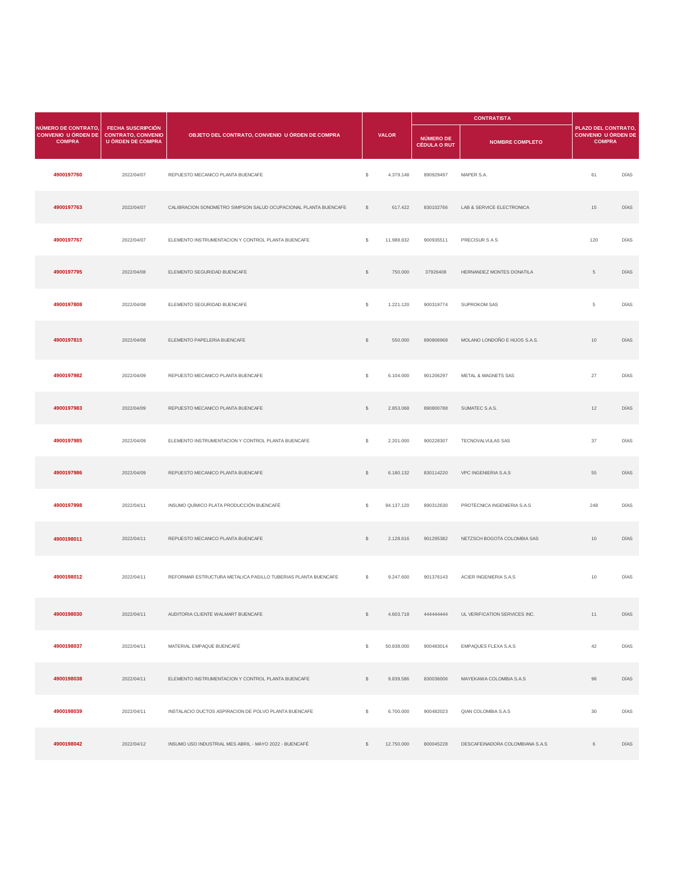|                                                                    |                                                                                   |                                                                 |              |              |                                  | <b>CONTRATISTA</b>              |                                                                    |      |
|--------------------------------------------------------------------|-----------------------------------------------------------------------------------|-----------------------------------------------------------------|--------------|--------------|----------------------------------|---------------------------------|--------------------------------------------------------------------|------|
| NÚMERO DE CONTRATO,<br><b>CONVENIO U ÓRDEN DE</b><br><b>COMPRA</b> | <b>FECHA SUSCRIPCIÓN</b><br><b>CONTRATO, CONVENIO</b><br><b>U ÓRDEN DE COMPRA</b> | OBJETO DEL CONTRATO, CONVENIO U ÓRDEN DE COMPRA                 |              | <b>VALOR</b> | NÚMERO DE<br><b>CÉDULA O RUT</b> | <b>NOMBRE COMPLETO</b>          | PLAZO DEL CONTRATO,<br><b>CONVENIO U ÓRDEN DE</b><br><b>COMPRA</b> |      |
| 4900197760                                                         | 2022/04/07                                                                        | REPUESTO MECANICO PLANTA BUENCAFE                               | s            | 4.379.148    | 890929497                        | MAPER S.A.                      | 61                                                                 | DÍAS |
| 4900197763                                                         | 2022/04/07                                                                        | CALIBRACION SONOMETRO SIMPSON SALUD OCUPACIONAL PLANTA BUENCAFE | $\mathbb{S}$ | 617.422      | 830102766                        | LAB & SERVICE ELECTRONICA       | 15                                                                 | DÍAS |
| 4900197767                                                         | 2022/04/07                                                                        | ELEMENTO INSTRUMENTACION Y CONTROL PLANTA BUENCAFE              | s            | 11.988.832   | 900935511                        | PRECISUR S A S                  | 120                                                                | DÍAS |
| 4900197795                                                         | 2022/04/08                                                                        | ELEMENTO SEGURIDAD BUENCAFE                                     | $\mathbb{S}$ | 750.000      | 37926408                         | HERNANDEZ MONTES DONATILA       | $\,$ 5 $\,$                                                        | DÍAS |
| 4900197808                                                         | 2022/04/08                                                                        | ELEMENTO SEGURIDAD BUENCAFE                                     | \$           | 1.221.120    | 900319774                        | SUPROKOM SAS                    | 5                                                                  | DÍAS |
| 4900197815                                                         | 2022/04/08                                                                        | ELEMENTO PAPELERIA BUENCAFE                                     | $\mathbb{S}$ | 550.000      | 890806968                        | MOLANO LONDOÑO E HIJOS S.A.S.   | $10$                                                               | DÍAS |
| 4900197982                                                         | 2022/04/09                                                                        | REPUESTO MECANICO PLANTA BUENCAFE                               | \$           | 6.104.000    | 901206297                        | METAL & MAGNETS SAS             | 27                                                                 | DÍAS |
| 4900197983                                                         | 2022/04/09                                                                        | REPUESTO MECANICO PLANTA BUENCAFE                               | $\mathbb{S}$ | 2.853.068    | 890800788                        | SUMATEC S.A.S.                  | 12                                                                 | DÍAS |
| 4900197985                                                         | 2022/04/09                                                                        | ELEMENTO INSTRUMENTACION Y CONTROL PLANTA BUENCAFE              | \$           | 2.201.000    | 900228307                        | TECNOVALVULAS SAS               | 37                                                                 | DÍAS |
| 4900197986                                                         | 2022/04/09                                                                        | REPUESTO MECANICO PLANTA BUENCAFE                               | $\mathbb{S}$ | 6.180.132    | 830114220                        | VPC INGENIERIA S.A.S            | 55                                                                 | DÍAS |
| 4900197998                                                         | 2022/04/11                                                                        | INSUMO QUÍMICO PLATA PRODUCCIÓN BUENCAFÉ                        | s            | 94.137.120   | 890312630                        | PROTECNICA INGENIERIA S.A.S     | 248                                                                | DÍAS |
| 4900198011                                                         | 2022/04/11                                                                        | REPUESTO MECANICO PLANTA BUENCAFE                               | $\mathbb{S}$ | 2.128.616    | 901295382                        | NETZSCH BOGOTA COLOMBIA SAS     | 10                                                                 | DÍAS |
| 4900198012                                                         | 2022/04/11                                                                        | REFORMAR ESTRUCTURA METALICA PASILLO TUBERIAS PLANTA BUENCAFE   | $\mathsf{s}$ | 9.247.600    | 901376143                        | ACIER INGENIERIA S.A.S.         | 10                                                                 | DÍAS |
| 4900198030                                                         | 2022/04/11                                                                        | AUDITORIA CLIENTE WALMART BUENCAFE                              | \$           | 4.603.718    | 44444444                         | UL VERIFICATION SERVICES INC.   | 11                                                                 | DÍAS |
| 4900198037                                                         | 2022/04/11                                                                        | MATERIAL EMPAQUE BUENCAFÉ                                       | s            | 50.838.000   | 900483014                        | EMPAQUES FLEXA S.A.S            | 42                                                                 | DÍAS |
| 4900198038                                                         | 2022/04/11                                                                        | ELEMENTO INSTRUMENTACION Y CONTROL PLANTA BUENCAFE              | $\mathbb{S}$ | 9.839.586    | 830036006                        | MAYEKAWA COLOMBIA S.A.S         | 98                                                                 | DÍAS |
| 4900198039                                                         | 2022/04/11                                                                        | INSTALACIO DUCTOS ASPIRACION DE POLVO PLANTA BUENCAFE           | \$           | 6.700.000    | 900482023                        | QIAN COLOMBIA S.A.S             | $30\,$                                                             | DÍAS |
| 4900198042                                                         | 2022/04/12                                                                        | INSUMO USO INDUSTRIAL MES ABRIL - MAYO 2022 - BUENCAFÉ          | $\mathbb{S}$ | 12.750.000   | 800045228                        | DESCAFEINADORA COLOMBIANA S.A.S | $\,6\,$                                                            | DÍAS |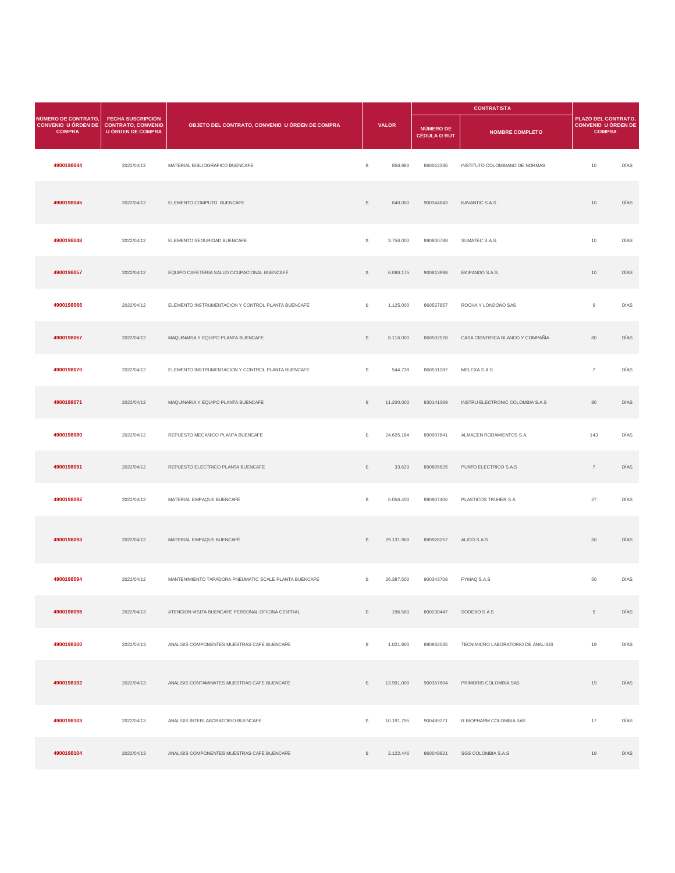|                                                             |                                                                                   |                                                        |              |              | <b>CONTRATISTA</b>                      |                                    |                                                                    |      |
|-------------------------------------------------------------|-----------------------------------------------------------------------------------|--------------------------------------------------------|--------------|--------------|-----------------------------------------|------------------------------------|--------------------------------------------------------------------|------|
| NÚMERO DE CONTRATO,<br>CONVENIO U ÓRDEN DE<br><b>COMPRA</b> | <b>FECHA SUSCRIPCIÓN</b><br><b>CONTRATO, CONVENIO</b><br><b>U ÓRDEN DE COMPRA</b> | OBJETO DEL CONTRATO, CONVENIO U ÓRDEN DE COMPRA        |              | <b>VALOR</b> | <b>NÚMERO DE</b><br><b>CÉDULA O RUT</b> | <b>NOMBRE COMPLETO</b>             | PLAZO DEL CONTRATO,<br><b>CONVENIO U ÓRDEN DE</b><br><b>COMPRA</b> |      |
| 4900198044                                                  | 2022/04/12                                                                        | MATERIAL BIBLIOGRAFICO BUENCAFE                        | s            | 856.980      | 860012336                               | INSTITUTO COLOMBIANO DE NORMAS     | 10                                                                 | DÍAS |
| 4900198045                                                  | 2022/04/12                                                                        | ELEMENTO COMPUTO BUENCAFE                              | $\mathbb{S}$ | 640.000      | 900344843                               | KAVANTIC S.A.S                     | 10                                                                 | DÍAS |
| 4900198048                                                  | 2022/04/12                                                                        | ELEMENTO SEGURIDAD BUENCAFE                            | $\mathbb S$  | 3.756.000    | 890800788                               | SUMATEC S.A.S.                     | 10                                                                 | DÍAS |
| 4900198057                                                  | 2022/04/12                                                                        | EQUIPO CAFETERIA SALUD OCUPACIONAL BUENCAFÉ            | $\mathbb{S}$ | 6.086.175    | 900813998                               | EKIPANDO S.A.S.                    | 10                                                                 | DÍAS |
| 4900198066                                                  | 2022/04/12                                                                        | ELEMENTO INSTRUMENTACION Y CONTROL PLANTA BUENCAFE     | $\mathbb{S}$ | 1.125.000    | 860527857                               | ROCHA Y LONDOÑO SAS                | $\overline{9}$                                                     | DÍAS |
| 4900198067                                                  | 2022/04/12                                                                        | MAQUINARIA Y EQUIPO PLANTA BUENCAFE                    | $\mathbb{S}$ | 8.116.000    | 860502528                               | CASA CIENTIFICA BLANCO Y COMPAÑIA  | 80                                                                 | DÍAS |
| 4900198070                                                  | 2022/04/12                                                                        | ELEMENTO INSTRUMENTACION Y CONTROL PLANTA BUENCAFE     | $\mathbb{S}$ | 544.738      | 860531287                               | MELEXA S.A.S                       | $\overline{7}$                                                     | DÍAS |
| 4900198071                                                  | 2022/04/12                                                                        | MAQUINARIA Y EQUIPO PLANTA BUENCAFE                    | $\mathbb{S}$ | 11,200,000   | 830141369                               | INSTRU ELECTRONIC COLOMBIA S.A.S   | 80                                                                 | DÍAS |
| 4900198080                                                  | 2022/04/12                                                                        | REPUESTO MECANICO PLANTA BUENCAFE                      | \$           | 24.625.164   | 890907841                               | ALMACEN RODAMIENTOS S.A.           | 143                                                                | DÍAS |
| 4900198091                                                  | 2022/04/12                                                                        | REPUESTO ELECTRICO PLANTA BUENCAFE                     | $\mathbb{S}$ | 33.620       | 890805825                               | PUNTO ELECTRICO S.A.S              | $\,7$                                                              | DÍAS |
| 4900198092                                                  | 2022/04/12                                                                        | MATERIAL EMPAQUE BUENCAFÉ                              | \$           | 6.056.400    | 890907406                               | PLASTICOS TRUHER S.A               | 27                                                                 | DÍAS |
| 4900198093                                                  | 2022/04/12                                                                        | MATERIAL EMPAQUE BUENCAFÉ                              | $\mathbb{S}$ | 29,131,900   | 890928257                               | ALICO S.A.S                        | 50                                                                 | DÍAS |
| 4900198094                                                  | 2022/04/12                                                                        | MANTENIMIENTO TAPADORA PNEUMATIC SCALE PLANTA BUENCAFE | s            | 26.387.500   | 900343708                               | FYMAQ S.A.S                        | 50                                                                 | DÍAS |
| 4900198095                                                  | 2022/04/13                                                                        | ATENCION VISITA BUENCAFE PERSONAL OFICINA CENTRAL      | $\mathbb{S}$ | 196.560      | 800230447                               | SODEXO S A S                       | $\,$ 5 $\,$                                                        | DÍAS |
| 4900198100                                                  | 2022/04/13                                                                        | ANALISIS COMPONENTES MUESTRAS CAFE BUENCAFE            | $\mathbb{S}$ | 1.021.900    | 890932535                               | TECNIMICRO LABORATORIO DE ANALISIS | 19                                                                 | DÍAS |
| 4900198102                                                  | 2022/04/13                                                                        | ANALISIS CONTAMINATES MUESTRAS CAFE BUENCAFE           | $\mathbb{S}$ | 13.991.000   | 900357604                               | PRIMORIS COLOMBIA SAS              | 19                                                                 | DÍAS |
| 4900198103                                                  | 2022/04/13                                                                        | ANALISIS INTERLABORATORIO BUENCAFE                     | \$           | 10.191.795   | 900489271                               | R BIOPHARM COLOMBIA SAS            | 17                                                                 | DÍAS |
| 4900198104                                                  | 2022/04/13                                                                        | ANALISIS COMPONENTES MUESTRAS CAFE BUENCAFE            | s            | 2.122.446    | 860049921                               | SGS COLOMBIA S.A.S                 | 19                                                                 | DÍAS |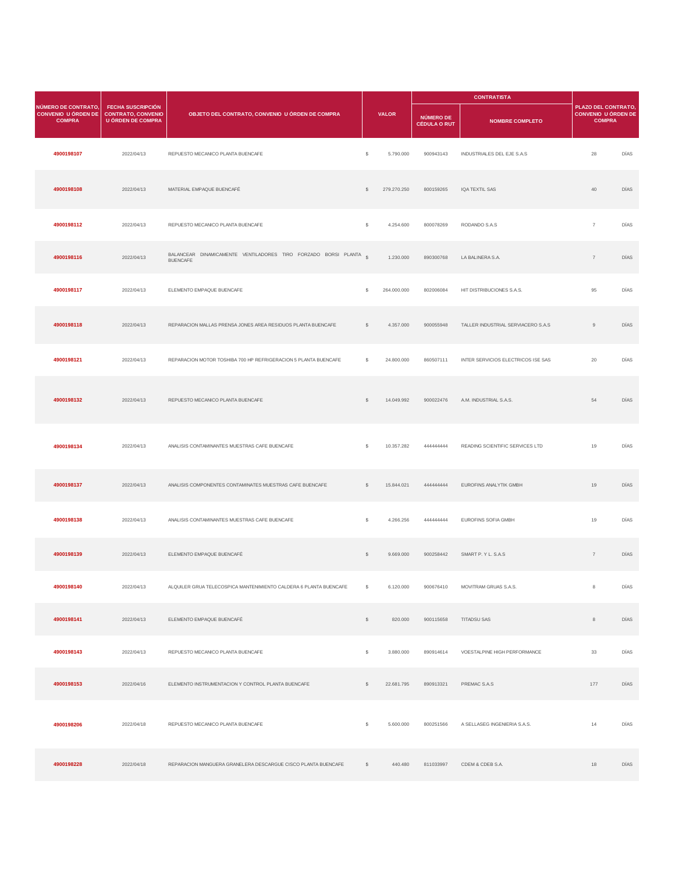|                                                                    |                                                                                   |                                                                                     |              |              |                                         | <b>CONTRATISTA</b>                 |                                                                    |      |  |
|--------------------------------------------------------------------|-----------------------------------------------------------------------------------|-------------------------------------------------------------------------------------|--------------|--------------|-----------------------------------------|------------------------------------|--------------------------------------------------------------------|------|--|
| NÚMERO DE CONTRATO,<br><b>CONVENIO U ÓRDEN DE</b><br><b>COMPRA</b> | <b>FECHA SUSCRIPCIÓN</b><br><b>CONTRATO, CONVENIO</b><br><b>U ÓRDEN DE COMPRA</b> | OBJETO DEL CONTRATO, CONVENIO U ÓRDEN DE COMPRA                                     |              | <b>VALOR</b> | <b>NÚMERO DE</b><br><b>CÉDULA O RUT</b> | <b>NOMBRE COMPLETO</b>             | PLAZO DEL CONTRATO,<br><b>CONVENIO U ÓRDEN DE</b><br><b>COMPRA</b> |      |  |
| 4900198107                                                         | 2022/04/13                                                                        | REPUESTO MECANICO PLANTA BUENCAFE                                                   | s            | 5.790.000    | 900943143                               | INDUSTRIALES DEL EJE S.A.S         | 28                                                                 | DÍAS |  |
| 4900198108                                                         | 2022/04/13                                                                        | MATERIAL EMPAQUE BUENCAFÉ                                                           | s            | 279.270.250  | 800159265                               | IQA TEXTIL SAS                     | 40                                                                 | DÍAS |  |
| 4900198112                                                         | 2022/04/13                                                                        | REPUESTO MECANICO PLANTA BUENCAFE                                                   | s            | 4.254.600    | 800078269                               | RODANDO S.A.S                      | $\overline{7}$                                                     | DÍAS |  |
| 4900198116                                                         | 2022/04/13                                                                        | BALANCEAR DINAMICAMENTE VENTILADORES TIRO FORZADO BORSI PLANTA S<br><b>BUENCAFE</b> |              | 1.230.000    | 890300768                               | LA BALINERA S.A.                   | $\boldsymbol{7}$                                                   | DÍAS |  |
| 4900198117                                                         | 2022/04/13                                                                        | ELEMENTO EMPAQUE BUENCAFE                                                           | s            | 264.000.000  | 802006084                               | HIT DISTRIBUCIONES S.A.S.          | 95                                                                 | DÍAS |  |
| 4900198118                                                         | 2022/04/13                                                                        | REPARACION MALLAS PRENSA JONES AREA RESIDUOS PLANTA BUENCAFE                        | s            | 4.357.000    | 900055948                               | TALLER INDUSTRIAL SERVIACERO S.A.S | $9\,$                                                              | DÍAS |  |
| 4900198121                                                         | 2022/04/13                                                                        | REPARACION MOTOR TOSHIBA 700 HP REFRIGERACION 5 PLANTA BUENCAFE                     | s            | 24.800.000   | 860507111                               | INTER SERVICIOS ELECTRICOS ISE SAS | 20                                                                 | DÍAS |  |
| 4900198132                                                         | 2022/04/13                                                                        | REPUESTO MECANICO PLANTA BUENCAFE                                                   | s            | 14.049.992   | 900022476                               | A.M. INDUSTRIAL S.A.S.             | 54                                                                 | DÍAS |  |
| 4900198134                                                         | 2022/04/13                                                                        | ANALISIS CONTAMINANTES MUESTRAS CAFE BUENCAFE                                       | s            | 10.357.282   | 44444444                                | READING SCIENTIFIC SERVICES LTD    | 19                                                                 | DÍAS |  |
| 4900198137                                                         | 2022/04/13                                                                        | ANALISIS COMPONENTES CONTAMINATES MUESTRAS CAFE BUENCAFE                            | $\mathbb{S}$ | 15.844.021   | 44444444                                | EUROFINS ANALYTIK GMBH             | 19                                                                 | DÍAS |  |
| 4900198138                                                         | 2022/04/13                                                                        | ANALISIS CONTAMINANTES MUESTRAS CAFE BUENCAFE                                       | s            | 4.266.256    | 444444444                               | EUROFINS SOFIA GMBH                | 19                                                                 | DÍAS |  |
| 4900198139                                                         | 2022/04/13                                                                        | ELEMENTO EMPAQUE BUENCAFÉ                                                           | $\mathbb{S}$ | 9.669.000    | 900258442                               | SMART P. Y L. S.A.S                | $\overline{7}$                                                     | DÍAS |  |
| 4900198140                                                         | 2022/04/13                                                                        | ALQUILER GRUA TELECOSPICA MANTENIMIENTO CALDERA 6 PLANTA BUENCAFE                   | \$           | 6.120.000    | 900676410                               | MOVITRAM GRUAS S.A.S.              | $^{\rm 8}$                                                         | DÍAS |  |
| 4900198141                                                         | 2022/04/13                                                                        | ELEMENTO EMPAQUE BUENCAFÉ                                                           | $\mathbb{S}$ | 820.000      | 900115658                               | <b>TITADSU SAS</b>                 | $\,$ 8 $\,$                                                        | DÍAS |  |
| 4900198143                                                         | 2022/04/13                                                                        | REPUESTO MECANICO PLANTA BUENCAFE                                                   | s            | 3.880.000    | 890914614                               | VOESTALPINE HIGH PERFORMANCE       | 33                                                                 | DÍAS |  |
| 4900198153                                                         | 2022/04/16                                                                        | ELEMENTO INSTRUMENTACION Y CONTROL PLANTA BUENCAFE                                  | s            | 22.681.795   | 890913321                               | PREMAC S.A.S                       | 177                                                                | DÍAS |  |
| 4900198206                                                         | 2022/04/18                                                                        | REPUESTO MECANICO PLANTA BUENCAFE                                                   | s            | 5.600.000    | 800251566                               | A SELLASEG INGENIERIA S.A.S.       | 14                                                                 | DÍAS |  |
| 4900198228                                                         | 2022/04/18                                                                        | REPARACION MANGUERA GRANELERA DESCARGUE CISCO PLANTA BUENCAFE                       | $\mathbb{S}$ | 440.480      | 811033997                               | CDEM & CDEB S.A.                   | 18                                                                 | DÍAS |  |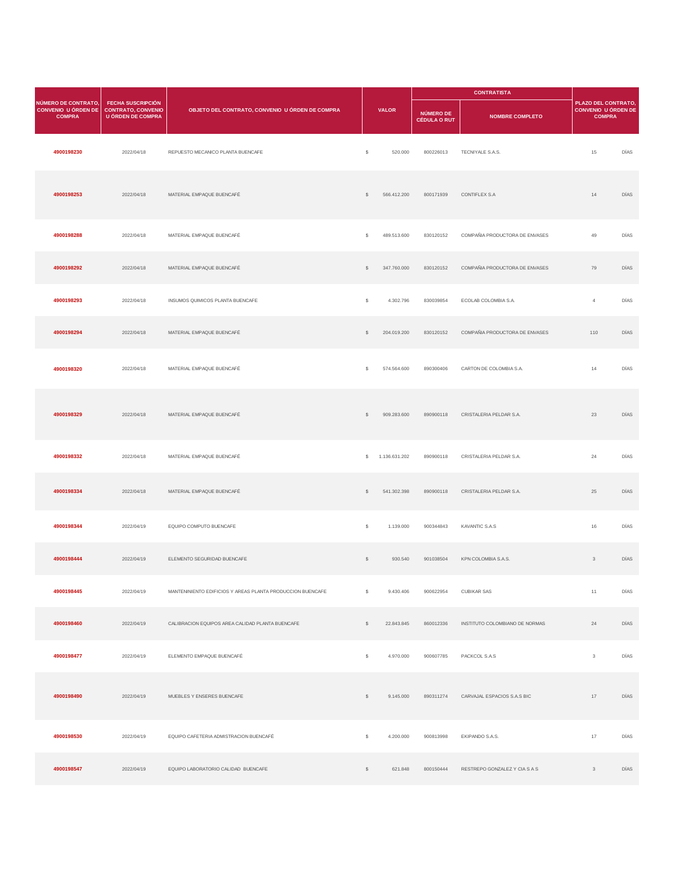|                                                                    |                                                                                   |                                                            |                |                  |                                         | <b>CONTRATISTA</b>             |                                                             |      |
|--------------------------------------------------------------------|-----------------------------------------------------------------------------------|------------------------------------------------------------|----------------|------------------|-----------------------------------------|--------------------------------|-------------------------------------------------------------|------|
| NÚMERO DE CONTRATO,<br><b>CONVENIO U ÓRDEN DE</b><br><b>COMPRA</b> | <b>FECHA SUSCRIPCIÓN</b><br><b>CONTRATO, CONVENIO</b><br><b>U ÓRDEN DE COMPRA</b> | OBJETO DEL CONTRATO, CONVENIO U ÓRDEN DE COMPRA            |                | <b>VALOR</b>     | <b>NÚMERO DE</b><br><b>CÉDULA O RUT</b> | <b>NOMBRE COMPLETO</b>         | PLAZO DEL CONTRATO,<br>CONVENIO U ÓRDEN DE<br><b>COMPRA</b> |      |
| 4900198230                                                         | 2022/04/18                                                                        | REPUESTO MECANICO PLANTA BUENCAFE                          | s              | 520.000          | 800226013                               | TECNIYALE S.A.S.               | 15                                                          | DÍAS |
| 4900198253                                                         | 2022/04/18                                                                        | MATERIAL EMPAQUE BUENCAFÉ                                  | $\mathbb{S}$   | 566.412.200      | 800171939                               | CONTIFLEX S.A                  | 14                                                          | DÍAS |
| 4900198288                                                         | 2022/04/18                                                                        | MATERIAL EMPAQUE BUENCAFÉ                                  | \$             | 489.513.600      | 830120152                               | COMPAÑIA PRODUCTORA DE ENVASES | 49                                                          | DÍAS |
| 4900198292                                                         | 2022/04/18                                                                        | MATERIAL EMPAQUE BUENCAFÉ                                  | $\mathbb{S}$   | 347.760.000      | 830120152                               | COMPAÑIA PRODUCTORA DE ENVASES | 79                                                          | DÍAS |
| 4900198293                                                         | 2022/04/18                                                                        | INSUMOS QUIMICOS PLANTA BUENCAFE                           | \$             | 4.302.796        | 830039854                               | ECOLAB COLOMBIA S.A.           | $\overline{4}$                                              | DÍAS |
| 4900198294                                                         | 2022/04/18                                                                        | MATERIAL EMPAQUE BUENCAFÉ                                  | \$             | 204.019.200      | 830120152                               | COMPAÑIA PRODUCTORA DE ENVASES | 110                                                         | DÍAS |
| 4900198320                                                         | 2022/04/18                                                                        | MATERIAL EMPAQUE BUENCAFÉ                                  | \$             | 574.564.600      | 890300406                               | CARTON DE COLOMBIA S.A.        | 14                                                          | DÍAS |
| 4900198329                                                         | 2022/04/18                                                                        | MATERIAL EMPAQUE BUENCAFÉ                                  | $\mathbb{S}$   | 909.283.600      | 890900118                               | CRISTALERIA PELDAR S.A.        | 23                                                          | DÍAS |
| 4900198332                                                         | 2022/04/18                                                                        | MATERIAL EMPAQUE BUENCAFÉ                                  |                | \$ 1.136.631.202 | 890900118                               | CRISTALERIA PELDAR S.A.        | 24                                                          | DÍAS |
| 4900198334                                                         | 2022/04/18                                                                        | MATERIAL EMPAQUE BUENCAFÉ                                  | \$             | 541.302.398      | 890900118                               | CRISTALERIA PELDAR S.A.        | 25                                                          | DÍAS |
| 4900198344                                                         | 2022/04/19                                                                        | EQUIPO COMPUTO BUENCAFE                                    | \$             | 1.139.000        | 900344843                               | KAVANTIC S.A.S                 | 16                                                          | DÍAS |
| 4900198444                                                         | 2022/04/19                                                                        | ELEMENTO SEGURIDAD BUENCAFE                                | $\mathbb{S}$   | 930.540          | 901038504                               | KPN COLOMBIA S.A.S.            | $\mathbf{3}$                                                | DÍAS |
| 4900198445                                                         | 2022/04/19                                                                        | MANTENINIENTO EDIFICIOS Y AREAS PLANTA PRODUCCION BUENCAFE | \$             | 9.430.406        | 900622954                               | <b>CUBIKAR SAS</b>             | 11                                                          | DÍAS |
| 4900198460                                                         | 2022/04/19                                                                        | CALIBRACION EQUIPOS AREA CALIDAD PLANTA BUENCAFE           | S              | 22.843.845       | 860012336                               | INSTITUTO COLOMBIANO DE NORMAS | 24                                                          | DÍAS |
| 4900198477                                                         | 2022/04/19                                                                        | ELEMENTO EMPAQUE BUENCAFÉ                                  | \$             | 4.970.000        | 900607785                               | PACKCOL S.A.S                  | $_{3}$                                                      | DÍAS |
| 4900198490                                                         | 2022/04/19                                                                        | MUEBLES Y ENSERES BUENCAFE                                 | \$             | 9.145.000        | 890311274                               | CARVAJAL ESPACIOS S.A.S BIC    | 17                                                          | DÍAS |
| 4900198530                                                         | 2022/04/19                                                                        | EQUIPO CAFETERIA ADMISTRACION BUENCAFÉ                     | \$             | 4.200.000        | 900813998                               | EKIPANDO S.A.S.                | 17                                                          | DÍAS |
| 4900198547                                                         | 2022/04/19                                                                        | EQUIPO LABORATORIO CALIDAD BUENCAFE                        | $\mathbb{S}^-$ | 621.848          | 800150444                               | RESTREPO GONZALEZ Y CIA S A S  | $\mathbf{3}$                                                | DÍAS |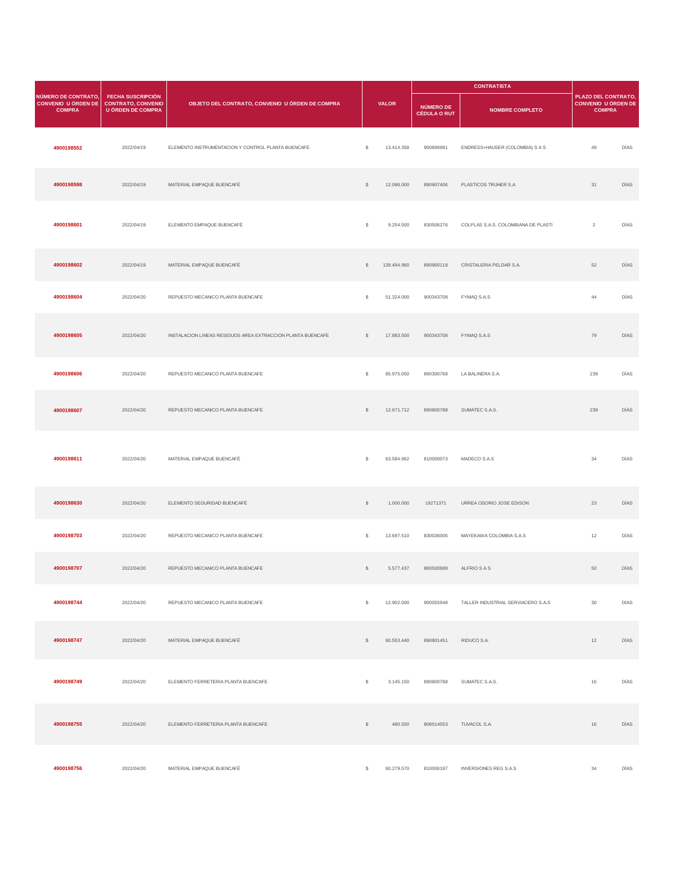|                                                                    |                                                                                   |                                                             |              |              |                                         |                                     | <b>CONTRATISTA</b>                                          |      |  |
|--------------------------------------------------------------------|-----------------------------------------------------------------------------------|-------------------------------------------------------------|--------------|--------------|-----------------------------------------|-------------------------------------|-------------------------------------------------------------|------|--|
| NÚMERO DE CONTRATO,<br><b>CONVENIO U ÓRDEN DE</b><br><b>COMPRA</b> | <b>FECHA SUSCRIPCIÓN</b><br><b>CONTRATO, CONVENIO</b><br><b>U ÓRDEN DE COMPRA</b> | OBJETO DEL CONTRATO, CONVENIO U ÓRDEN DE COMPRA             |              | <b>VALOR</b> | <b>NÚMERO DE</b><br><b>CÉDULA O RUT</b> | <b>NOMBRE COMPLETO</b>              | PLAZO DEL CONTRATO,<br>CONVENIO U ÓRDEN DE<br><b>COMPRA</b> |      |  |
| 4900198552                                                         | 2022/04/19                                                                        | ELEMENTO INSTRUMENTACION Y CONTROL PLANTA BUENCAFE          | $\mathsf{s}$ | 13.414.358   | 900896981                               | ENDRESS+HAUSER (COLOMBIA) S A S     | 49                                                          | DÍAS |  |
| 4900198598                                                         | 2022/04/19                                                                        | MATERIAL EMPAQUE BUENCAFÉ                                   | $\mathbb{S}$ | 12.096.000   | 890907406                               | PLASTICOS TRUHER S.A                | 31                                                          | DÍAS |  |
| 4900198601                                                         | 2022/04/19                                                                        | ELEMENTO EMPAQUE BUENCAFÉ                                   | \$           | 9.254.500    | 830506276                               | COLPLAS S.A.S. COLOMBIANA DE PLASTI | $\overline{2}$                                              | DÍAS |  |
| 4900198602                                                         | 2022/04/19                                                                        | MATERIAL EMPAQUE BUENCAFÉ                                   | $\mathbb{S}$ | 139.494.960  | 890900118                               | CRISTALERIA PELDAR S.A.             | 52                                                          | DÍAS |  |
| 4900198604                                                         | 2022/04/20                                                                        | REPUESTO MECANICO PLANTA BUENCAFE                           | \$           | 51.324.000   | 900343708                               | FYMAQ S.A.S                         | 44                                                          | DÍAS |  |
| 4900198605                                                         | 2022/04/20                                                                        | INSTALACION LINEAS RESIDUOS AREA EXTRACCION PLANTA BUENCAFE | \$           | 17.883.500   | 900343708                               | FYMAQ S.A.S                         | 79                                                          | DÍAS |  |
| 4900198606                                                         | 2022/04/20                                                                        | REPUESTO MECANICO PLANTA BUENCAFE                           | \$           | 85.975.050   | 890300768                               | LA BALINERA S.A.                    | 239                                                         | DÍAS |  |
| 4900198607                                                         | 2022/04/20                                                                        | REPUESTO MECANICO PLANTA BUENCAFE                           | $\mathbb{S}$ | 12.671.712   | 890800788                               | SUMATEC S.A.S.                      | 239                                                         | DÍAS |  |
| 4900198611                                                         | 2022/04/20                                                                        | MATERIAL EMPAQUE BUENCAFÉ                                   | s            | 63.584.962   | 810000073                               | MADECO S.A.S                        | 34                                                          | DÍAS |  |
| 4900198630                                                         | 2022/04/20                                                                        | ELEMENTO SEGURIDAD BUENCAFÉ                                 | $\mathbb{S}$ | 1.000.000    | 19271371                                | URREA OSORIO JOSE EDISON            | 23                                                          | DÍAS |  |
| 4900198703                                                         | 2022/04/20                                                                        | REPUESTO MECANICO PLANTA BUENCAFE                           | \$           | 13.697.510   | 830036006                               | MAYEKAWA COLOMBIA S.A.S             | 12                                                          | DÍAS |  |
| 4900198707                                                         | 2022/04/20                                                                        | REPUESTO MECANICO PLANTA BUENCAFE                           | s            | 5.577.437    | 860500689                               | ALFRIO S A S                        | 50                                                          | DÍAS |  |
| 4900198744                                                         | 2022/04/20                                                                        | REPUESTO MECANICO PLANTA BUENCAFE                           | \$           | 12.902.000   | 900055948                               | TALLER INDUSTRIAL SERVIACERO S.A.S  | $30\,$                                                      | DÍAS |  |
| 4900198747                                                         | 2022/04/20                                                                        | MATERIAL EMPAQUE BUENCAFÉ                                   | $\mathbb{S}$ | 60.553.440   | 890801451                               | RIDUCO S.A.                         | 12                                                          | DÍAS |  |
| 4900198749                                                         | 2022/04/20                                                                        | ELEMENTO FERRETERIA PLANTA BUENCAFE                         | \$           | 3.145.150    | 890800788                               | SUMATEC S.A.S.                      | 16                                                          | DÍAS |  |
| 4900198755                                                         | 2022/04/20                                                                        | ELEMENTO FERRETERIA PLANTA BUENCAFE                         | $\mathbb{S}$ | 480.550      | 806014553                               | TUVACOL S.A.                        | 16                                                          | DÍAS |  |
| 4900198756                                                         | 2022/04/20                                                                        | MATERIAL EMPAQUE BUENCAFÉ                                   | $\mathbb{S}$ | 60.279.570   | 810006197                               | <b>INVERSIONES REG S.A.S</b>        | 34                                                          | DÍAS |  |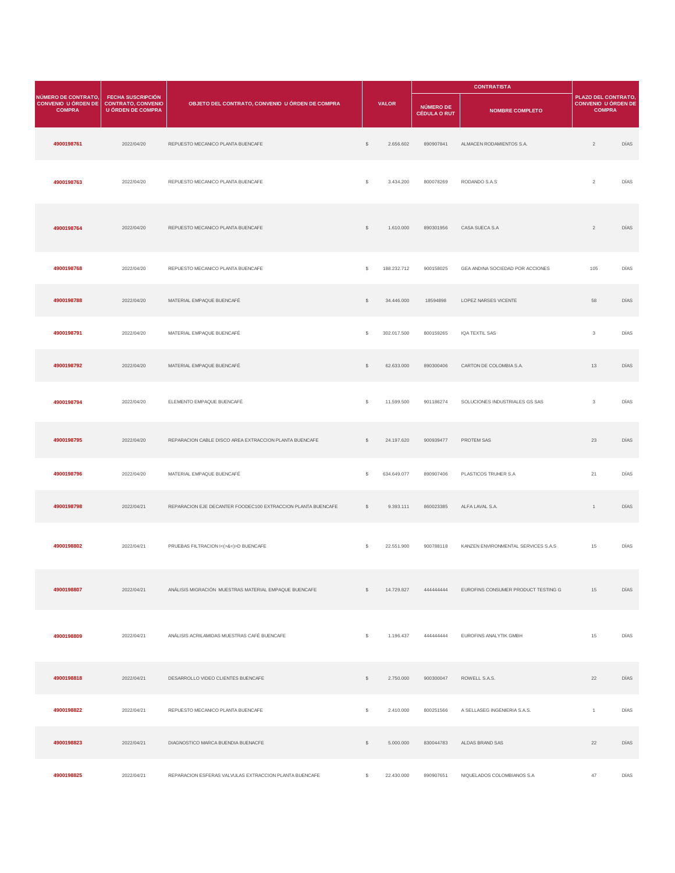|                                                                    |                                                                                   |                                                              |              |              |                                         | <b>CONTRATISTA</b>                  |                                                             |      |
|--------------------------------------------------------------------|-----------------------------------------------------------------------------------|--------------------------------------------------------------|--------------|--------------|-----------------------------------------|-------------------------------------|-------------------------------------------------------------|------|
| NÚMERO DE CONTRATO,<br><b>CONVENIO U ÓRDEN DE</b><br><b>COMPRA</b> | <b>FECHA SUSCRIPCIÓN</b><br><b>CONTRATO, CONVENIO</b><br><b>U ÓRDEN DE COMPRA</b> | OBJETO DEL CONTRATO, CONVENIO U ÓRDEN DE COMPRA              |              | <b>VALOR</b> | <b>NÚMERO DE</b><br><b>CÉDULA O RUT</b> | <b>NOMBRE COMPLETO</b>              | PLAZO DEL CONTRATO,<br>CONVENIO U ÓRDEN DE<br><b>COMPRA</b> |      |
| 4900198761                                                         | 2022/04/20                                                                        | REPUESTO MECANICO PLANTA BUENCAFE                            | $\mathbb{S}$ | 2.656.602    | 890907841                               | ALMACEN RODAMIENTOS S.A.            | $\overline{2}$                                              | DÍAS |
| 4900198763                                                         | 2022/04/20                                                                        | REPUESTO MECANICO PLANTA BUENCAFE                            | s            | 3.434.200    | 800078269                               | RODANDO S.A.S                       | $\overline{2}$                                              | DÍAS |
| 4900198764                                                         | 2022/04/20                                                                        | REPUESTO MECANICO PLANTA BUENCAFE                            | $\mathbb{S}$ | 1.610.000    | 890301956                               | CASA SUECA S.A                      | $\overline{2}$                                              | DÍAS |
| 4900198768                                                         | 2022/04/20                                                                        | REPUESTO MECANICO PLANTA BUENCAFE                            | s            | 188.232.712  | 900158025                               | GEA ANDINA SOCIEDAD POR ACCIONES    | 105                                                         | DÍAS |
| 4900198788                                                         | 2022/04/20                                                                        | MATERIAL EMPAQUE BUENCAFÉ                                    | $\mathbb{S}$ | 34.446.000   | 18594898                                | LOPEZ NARSES VICENTE                | 58                                                          | DÍAS |
| 4900198791                                                         | 2022/04/20                                                                        | MATERIAL EMPAQUE BUENCAFÉ                                    | \$           | 302.017.500  | 800159265                               | IQA TEXTIL SAS                      | $_{3}$                                                      | DÍAS |
| 4900198792                                                         | 2022/04/20                                                                        | MATERIAL EMPAQUE BUENCAFÉ                                    | \$           | 62.633.000   | 890300406                               | CARTON DE COLOMBIA S.A.             | 13                                                          | DÍAS |
| 4900198794                                                         | 2022/04/20                                                                        | ELEMENTO EMPAQUE BUENCAFÉ                                    | \$           | 11.599.500   | 901186274                               | SOLUCIONES INDUSTRIALES GS SAS      | $_{3}$                                                      | DÍAS |
| 4900198795                                                         | 2022/04/20                                                                        | REPARACION CABLE DISCO AREA EXTRACCION PLANTA BUENCAFE       | \$           | 24.197.620   | 900939477                               | PROTEM SAS                          | 23                                                          | DÍAS |
| 4900198796                                                         | 2022/04/20                                                                        | MATERIAL EMPAQUE BUENCAFÉ                                    | s            | 634.649.077  | 890907406                               | PLASTICOS TRUHER S.A.               | 21                                                          | DÍAS |
| 4900198798                                                         | 2022/04/21                                                                        | REPARACION EJE DECANTER FOODEC100 EXTRACCION PLANTA BUENCAFE | s            | 9.393.111    | 860023385                               | ALFA LAVAL S.A.                     | $\mathbf{1}$                                                | DÍAS |
| 4900198802                                                         | 2022/04/21                                                                        | PRUEBAS FILTRACION I<(>&<)>D BUENCAFE                        | s            | 22.551.900   | 900788118                               | KANZEN ENVIRONMENTAL SERVICES S.A.S | 15                                                          | DÍAS |
| 4900198807                                                         | 2022/04/21                                                                        | ANÁLISIS MIGRACIÓN MUESTRAS MATERIAL EMPAQUE BUENCAFE        | $\mathsf{S}$ | 14.729.827   | 444444444                               | EUROFINS CONSUMER PRODUCT TESTING G | 15                                                          | DÍAS |
| 4900198809                                                         | 2022/04/21                                                                        | ANÁLISIS ACRILAMIDAS MUESTRAS CAFÉ BUENCAFE                  | $\mathbb{S}$ | 1.196.437    | 44444444                                | EUROFINS ANALYTIK GMBH              | 15                                                          | DÍAS |
| 4900198818                                                         | 2022/04/21                                                                        | DESARROLLO VIDEO CLIENTES BUENCAFE                           | \$           | 2.750.000    | 900300047                               | ROWELL S.A.S.                       | $22\,$                                                      | DÍAS |
| 4900198822                                                         | 2022/04/21                                                                        | REPUESTO MECANICO PLANTA BUENCAFE                            | \$           | 2.410.000    | 800251566                               | A SELLASEG INGENIERIA S.A.S.        | $\mathbf{1}$                                                | DÍAS |
| 4900198823                                                         | 2022/04/21                                                                        | DIAGNOSTICO MARCA BUENDIA BUENACFE                           | \$           | 5.000.000    | 830044783                               | ALDAS BRAND SAS                     | 22                                                          | DÍAS |
| 4900198825                                                         | 2022/04/21                                                                        | REPARACION ESFERAS VALVULAS EXTRACCION PLANTA BUENCAFE       | $\mathbb S$  | 22.430.000   | 890907651                               | NIQUELADOS COLOMBIANOS S.A          | 47                                                          | DÍAS |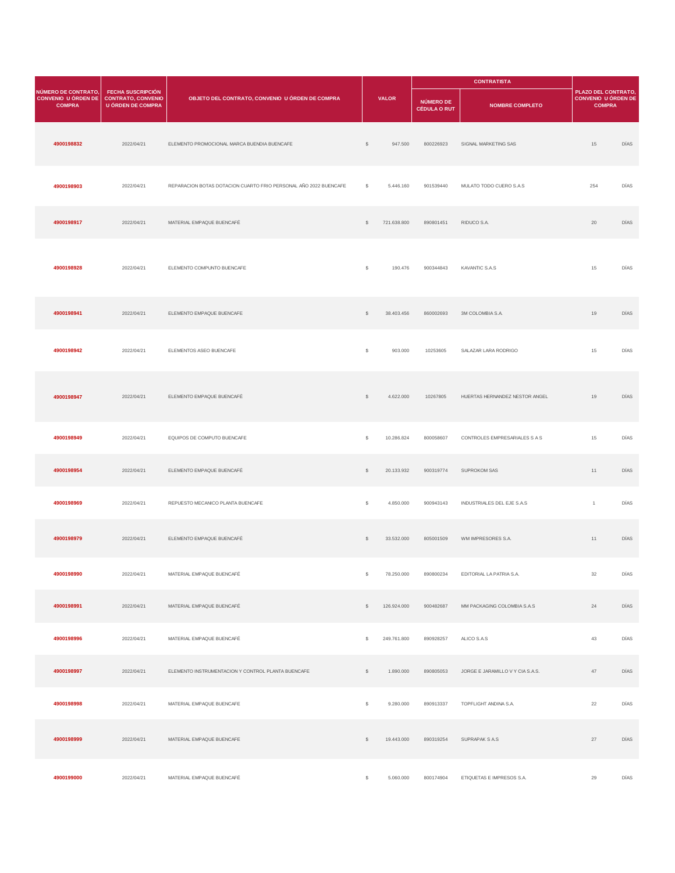|                                                                    |                                                                                   |                                                                  |              |              |                                  | <b>CONTRATISTA</b>                  |                                                                    |      |
|--------------------------------------------------------------------|-----------------------------------------------------------------------------------|------------------------------------------------------------------|--------------|--------------|----------------------------------|-------------------------------------|--------------------------------------------------------------------|------|
| NÚMERO DE CONTRATO,<br><b>CONVENIO U ÓRDEN DE</b><br><b>COMPRA</b> | <b>FECHA SUSCRIPCIÓN</b><br><b>CONTRATO, CONVENIO</b><br><b>U ÓRDEN DE COMPRA</b> | OBJETO DEL CONTRATO, CONVENIO U ÓRDEN DE COMPRA                  |              | <b>VALOR</b> | NÚMERO DE<br><b>CÉDULA O RUT</b> | <b>NOMBRE COMPLETO</b>              | PLAZO DEL CONTRATO,<br><b>CONVENIO U ÓRDEN DE</b><br><b>COMPRA</b> |      |
| 4900198832                                                         | 2022/04/21                                                                        | ELEMENTO PROMOCIONAL MARCA BUENDIA BUENCAFE                      | $\mathbb{S}$ | 947.500      | 800226923                        | SIGNAL MARKETING SAS                | 15                                                                 | DÍAS |
| 4900198903                                                         | 2022/04/21                                                                        | REPARACION BOTAS DOTACION CUARTO FRIO PERSONAL AÑO 2022 BUENCAFE | s            | 5.446.160    | 901539440                        | MULATO TODO CUERO S.A.S             | 254                                                                | DÍAS |
| 4900198917                                                         | 2022/04/21                                                                        | MATERIAL EMPAQUE BUENCAFÉ                                        | \$           | 721.638.800  | 890801451                        | RIDUCO S.A.                         | 20                                                                 | DÍAS |
| 4900198928                                                         | 2022/04/21                                                                        | ELEMENTO COMPUNTO BUENCAFE                                       | s            | 190.476      | 900344843                        | KAVANTIC S.A.S                      | 15                                                                 | DÍAS |
| 4900198941                                                         | 2022/04/21                                                                        | ELEMENTO EMPAQUE BUENCAFE                                        | $\mathbb{S}$ | 38.403.456   | 860002693                        | 3M COLOMBIA S.A.                    | 19                                                                 | DÍAS |
| 4900198942                                                         | 2022/04/21                                                                        | ELEMENTOS ASEO BUENCAFE                                          | s            | 903.000      | 10253605                         | SALAZAR LARA RODRIGO                | 15                                                                 | DÍAS |
| 4900198947                                                         | 2022/04/21                                                                        | ELEMENTO EMPAQUE BUENCAFÉ                                        | $\mathbb{S}$ | 4.622.000    | 10267805                         | HUERTAS HERNANDEZ NESTOR ANGEL      | 19                                                                 | DÍAS |
| 4900198949                                                         | 2022/04/21                                                                        | EQUIPOS DE COMPUTO BUENCAFE                                      | s            | 10.286.824   | 800058607                        | CONTROLES EMPRESARIALES S A S       | 15                                                                 | DÍAS |
| 4900198954                                                         | 2022/04/21                                                                        | ELEMENTO EMPAQUE BUENCAFÉ                                        | s            | 20.133.932   | 900319774                        | <b>SUPROKOM SAS</b>                 | 11                                                                 | DÍAS |
| 4900198969                                                         | 2022/04/21                                                                        | REPUESTO MECANICO PLANTA BUENCAFE                                | s            | 4.850.000    | 900943143                        | INDUSTRIALES DEL EJE S.A.S          | $\mathbf{1}$                                                       | DÍAS |
| 4900198979                                                         | 2022/04/21                                                                        | ELEMENTO EMPAQUE BUENCAFÉ                                        | s            | 33.532.000   | 805001509                        | WM IMPRESORES S.A.                  | 11                                                                 | DÍAS |
| 4900198990                                                         | 2022/04/21                                                                        | MATERIAL EMPAQUE BUENCAFÉ                                        | S            | 78.250.000   | 890800234                        | EDITORIAL LA PATRIA S.A.            | 32                                                                 | DÍAS |
| 4900198991                                                         | 2022/04/21                                                                        | MATERIAL EMPAQUE BUENCAFÉ                                        | $\mathbb{S}$ | 126.924.000  | 900482687                        | MM PACKAGING COLOMBIA S.A.S         | 24                                                                 | DÍAS |
| 4900198996                                                         | 2022/04/21                                                                        | MATERIAL EMPAQUE BUENCAFÉ                                        | S            | 249.761.800  | 890928257                        | ALICO S.A.S                         | 43                                                                 | DÍAS |
| 4900198997                                                         | 2022/04/21                                                                        | ELEMENTO INSTRUMENTACION Y CONTROL PLANTA BUENCAFE               | $\mathbb{S}$ | 1.890.000    | 890805053                        | JORGE E JARAMILLO V Y CIA S.A.S.    | 47                                                                 | DÍAS |
| 4900198998                                                         | 2022/04/21                                                                        | MATERIAL EMPAQUE BUENCAFE                                        | $\mathbb{S}$ | 9.280.000    | 890913337                        | TOPFLIGHT ANDINA S.A.               | 22                                                                 | DÍAS |
| 4900198999                                                         | 2022/04/21                                                                        | MATERIAL EMPAQUE BUENCAFE                                        | $\mathbb{S}$ | 19.443.000   | 890319254                        | SUPRAPAK S A.S                      | 27                                                                 | DÍAS |
| 4900199000                                                         | 2022/04/21                                                                        | MATERIAL EMPAQUE BUENCAFÉ                                        | $\mathbb{S}$ | 5.060.000    |                                  | 800174904 ETIQUETAS E IMPRESOS S.A. | 29                                                                 | DÍAS |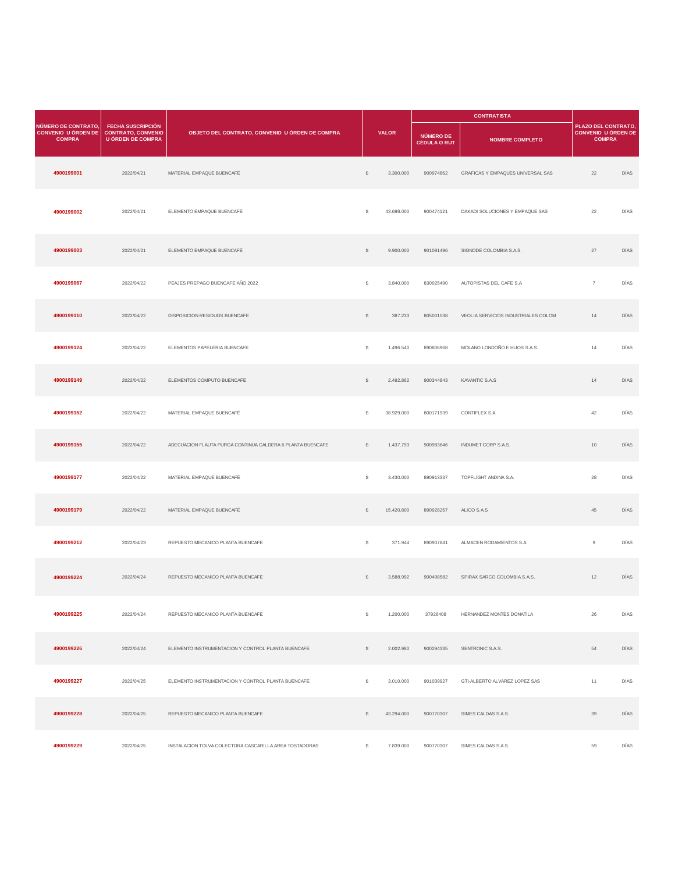|                                                                    |                                                                                   |                                                            |              |              |                                         | <b>CONTRATISTA</b>                  |                                                                    |      |
|--------------------------------------------------------------------|-----------------------------------------------------------------------------------|------------------------------------------------------------|--------------|--------------|-----------------------------------------|-------------------------------------|--------------------------------------------------------------------|------|
| NÚMERO DE CONTRATO.<br><b>CONVENIO U ÓRDEN DE</b><br><b>COMPRA</b> | <b>FECHA SUSCRIPCIÓN</b><br><b>CONTRATO, CONVENIO</b><br><b>U ÓRDEN DE COMPRA</b> | OBJETO DEL CONTRATO, CONVENIO U ÓRDEN DE COMPRA            |              | <b>VALOR</b> | <b>NÚMERO DE</b><br><b>CÉDULA O RUT</b> | <b>NOMBRE COMPLETO</b>              | PLAZO DEL CONTRATO.<br><b>CONVENIO U ÓRDEN DE</b><br><b>COMPRA</b> |      |
| 4900199001                                                         | 2022/04/21                                                                        | MATERIAL EMPAQUE BUENCAFÉ                                  | $\mathbb{S}$ | 3.300.000    | 900974862                               | GRAFICAS Y EMPAQUES UNIVERSAL SAS   | 22                                                                 | DÍAS |
| 4900199002                                                         | 2022/04/21                                                                        | ELEMENTO EMPAQUE BUENCAFÉ                                  | \$           | 43.698.000   | 900474121                               | DAKADI SOLUCIONES Y EMPAQUE SAS     | 22                                                                 | DÍAS |
| 4900199003                                                         | 2022/04/21                                                                        | ELEMENTO EMPAQUE BUENCAFÉ                                  | $\mathbb{S}$ | 9.900.000    | 901091496                               | SIGNODE COLOMBIA S.A.S.             | 27                                                                 | DÍAS |
| 4900199067                                                         | 2022/04/22                                                                        | PEAJES PREPAGO BUENCAFE AÑO 2022                           | \$           | 3.840.000    | 830025490                               | AUTOPISTAS DEL CAFE S.A             | $\overline{7}$                                                     | DÍAS |
| 4900199110                                                         | 2022/04/22                                                                        | DISPOSICION RESIDUOS BUENCAFE                              | $\mathbb{S}$ | 387.233      | 805001538                               | VEOLIA SERVICIOS INDUSTRIALES COLOM | 14                                                                 | DÍAS |
| 4900199124                                                         | 2022/04/22                                                                        | ELEMENTOS PAPELERIA BUENCAFE                               | $\mathbb{S}$ | 1.496.540    | 890806968                               | MOLANO LONDOÑO E HIJOS S.A.S.       | 14                                                                 | DÍAS |
| 4900199149                                                         | 2022/04/22                                                                        | ELEMENTOS COMPUTO BUENCAFE                                 | $\mathbb{S}$ | 2.492.862    | 900344843                               | KAVANTIC S.A.S                      | 14                                                                 | DÍAS |
| 4900199152                                                         | 2022/04/22                                                                        | MATERIAL EMPAQUE BUENCAFÉ                                  | s            | 38.929.000   | 800171939                               | CONTIFLEX S.A                       | 42                                                                 | DÍAS |
| 4900199155                                                         | 2022/04/22                                                                        | ADECUACION FLAUTA PURGA CONTINUA CALDERA 6 PLANTA BUENCAFE | $\mathbb{S}$ | 1.437.793    | 900983646                               | INDUMET CORP S.A.S.                 | 10                                                                 | DÍAS |
| 4900199177                                                         | 2022/04/22                                                                        | MATERIAL EMPAQUE BUENCAFÉ                                  | \$           | 3.430.000    | 890913337                               | TOPFLIGHT ANDINA S.A.               | 28                                                                 | DÍAS |
| 4900199179                                                         | 2022/04/22                                                                        | MATERIAL EMPAQUE BUENCAFÉ                                  | $\mathbb{S}$ | 15.420.800   | 890928257                               | ALICO S.A.S                         | 45                                                                 | DÍAS |
| 4900199212                                                         | 2022/04/23                                                                        | REPUESTO MECANICO PLANTA BUENCAFE                          | \$           | 371.944      | 890907841                               | ALMACEN RODAMIENTOS S.A.            | $\,9$                                                              | DÍAS |
| 4900199224                                                         | 2022/04/24                                                                        | REPUESTO MECANICO PLANTA BUENCAFE                          | $\mathbb{S}$ | 3.588.992    | 900498582                               | SPIRAX SARCO COLOMBIA S.A.S.        | 12                                                                 | DÍAS |
| 4900199225                                                         | 2022/04/24                                                                        | REPUESTO MECANICO PLANTA BUENCAFE                          | s            | 1.200.000    | 37926408                                | HERNANDEZ MONTES DONATILA           | 26                                                                 | DÍAS |
| 4900199226                                                         | 2022/04/24                                                                        | ELEMENTO INSTRUMENTACION Y CONTROL PLANTA BUENCAFE         | $\mathsf{S}$ | 2.002.980    | 900294335                               | SENTRONIC S.A.S.                    | 54                                                                 | DÍAS |
| 4900199227                                                         | 2022/04/25                                                                        | ELEMENTO INSTRUMENTACION Y CONTROL PLANTA BUENCAFE         | \$           | 3.010.000    | 901039927                               | GTI-ALBERTO ALVAREZ LOPEZ SAS       | 11                                                                 | DÍAS |
| 4900199228                                                         | 2022/04/25                                                                        | REPUESTO MECANICO PLANTA BUENCAFE                          | $\mathbb{S}$ | 43.294.000   | 900770307                               | SIMES CALDAS S.A.S.                 | 39                                                                 | DÍAS |
| 4900199229                                                         | 2022/04/25                                                                        | INSTALACION TOLVA COLECTORA CASCARILLA AREA TOSTADORAS     | \$           | 7.839.000    | 900770307                               | SIMES CALDAS S.A.S.                 | 59                                                                 | DÍAS |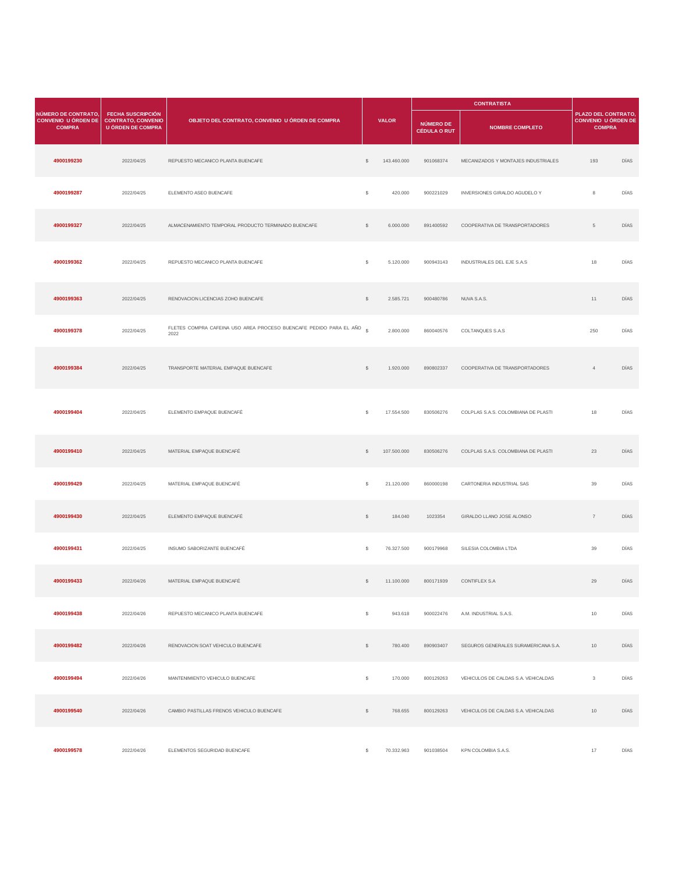|                                                                    |                                                                                   |                                                                               |              |              |                                         | <b>CONTRATISTA</b>                  |                                                                    |      |
|--------------------------------------------------------------------|-----------------------------------------------------------------------------------|-------------------------------------------------------------------------------|--------------|--------------|-----------------------------------------|-------------------------------------|--------------------------------------------------------------------|------|
| NÚMERO DE CONTRATO,<br><b>CONVENIO U ÓRDEN DE</b><br><b>COMPRA</b> | <b>FECHA SUSCRIPCIÓN</b><br><b>CONTRATO, CONVENIO</b><br><b>U ÓRDEN DE COMPRA</b> | OBJETO DEL CONTRATO, CONVENIO U ÓRDEN DE COMPRA                               |              | <b>VALOR</b> | <b>NÚMERO DE</b><br><b>CÉDULA O RUT</b> | <b>NOMBRE COMPLETO</b>              | PLAZO DEL CONTRATO,<br><b>CONVENIO U ÓRDEN DE</b><br><b>COMPRA</b> |      |
| 4900199230                                                         | 2022/04/25                                                                        | REPUESTO MECANICO PLANTA BUENCAFE                                             | $\mathbb{S}$ | 143.460.000  | 901068374                               | MECANIZADOS Y MONTAJES INDUSTRIALES | 193                                                                | DÍAS |
| 4900199287                                                         | 2022/04/25                                                                        | ELEMENTO ASEO BUENCAFE                                                        | \$           | 420.000      | 900221029                               | INVERSIONES GIRALDO AGUDELO Y       | $\,$ 8                                                             | DÍAS |
| 4900199327                                                         | 2022/04/25                                                                        | ALMACENAMIENTO TEMPORAL PRODUCTO TERMINADO BUENCAFE                           | $\mathbb{S}$ | 6.000.000    | 891400592                               | COOPERATIVA DE TRANSPORTADORES      | $5\phantom{.0}$                                                    | DÍAS |
| 4900199362                                                         | 2022/04/25                                                                        | REPUESTO MECANICO PLANTA BUENCAFE                                             | \$           | 5.120.000    | 900943143                               | INDUSTRIALES DEL EJE S.A.S          | 18                                                                 | DÍAS |
| 4900199363                                                         | 2022/04/25                                                                        | RENOVACION LICENCIAS ZOHO BUENCAFE                                            | $\mathbb{S}$ | 2.585.721    | 900480786                               | NUVA S.A.S.                         | 11                                                                 | DÍAS |
| 4900199378                                                         | 2022/04/25                                                                        | FLETES COMPRA CAFEINA USO AREA PROCESO BUENCAFE PEDIDO PARA EL AÑO \$<br>2022 |              | 2.800.000    | 860040576                               | COLTANQUES S.A.S                    | 250                                                                | DÍAS |
| 4900199384                                                         | 2022/04/25                                                                        | TRANSPORTE MATERIAL EMPAQUE BUENCAFE                                          | $\mathbb{S}$ | 1.920.000    | 890802337                               | COOPERATIVA DE TRANSPORTADORES      | $\sqrt{4}$                                                         | DÍAS |
| 4900199404                                                         | 2022/04/25                                                                        | ELEMENTO EMPAQUE BUENCAFÉ                                                     | \$           | 17.554.500   | 830506276                               | COLPLAS S.A.S. COLOMBIANA DE PLASTI | 18                                                                 | DÍAS |
| 4900199410                                                         | 2022/04/25                                                                        | MATERIAL EMPAQUE BUENCAFÉ                                                     | $\mathbb{S}$ | 107.500.000  | 830506276                               | COLPLAS S.A.S. COLOMBIANA DE PLASTI | 23                                                                 | DÍAS |
| 4900199429                                                         | 2022/04/25                                                                        | MATERIAL EMPAQUE BUENCAFÉ                                                     | \$           | 21.120.000   | 860000198                               | CARTONERIA INDUSTRIAL SAS           | 39                                                                 | DÍAS |
| 4900199430                                                         | 2022/04/25                                                                        | ELEMENTO EMPAQUE BUENCAFÉ                                                     | $\mathbb{S}$ | 184.040      | 1023354                                 | GIRALDO LLANO JOSE ALONSO           | $7\overline{ }$                                                    | DÍAS |
| 4900199431                                                         | 2022/04/25                                                                        | INSUMO SABORIZANTE BUENCAFÉ                                                   | \$           | 76.327.500   | 900179968                               | SILESIA COLOMBIA LTDA               | 39                                                                 | DÍAS |
| 4900199433                                                         | 2022/04/26                                                                        | MATERIAL EMPAQUE BUENCAFÉ                                                     | \$           | 11.100.000   | 800171939                               | CONTIFLEX S.A                       | 29                                                                 | DÍAS |
| 4900199438                                                         | 2022/04/26                                                                        | REPUESTO MECANICO PLANTA BUENCAFE                                             | \$           | 943.618      | 900022476                               | A.M. INDUSTRIAL S.A.S.              | 10                                                                 | DÍAS |
| 4900199482                                                         | 2022/04/26                                                                        | RENOVACION SOAT VEHICULO BUENCAFE                                             | $\mathbb{S}$ | 780.400      | 890903407                               | SEGUROS GENERALES SURAMERICANA S.A. | 10                                                                 | DÍAS |
| 4900199494                                                         | 2022/04/26                                                                        | MANTENIMIENTO VEHICULO BUENCAFE                                               | $\mathbb{S}$ | 170.000      | 800129263                               | VEHICULOS DE CALDAS S.A. VEHICALDAS | $\overline{\mathbf{3}}$                                            | DÍAS |
| 4900199540                                                         | 2022/04/26                                                                        | CAMBIO PASTILLAS FRENOS VEHICULO BUENCAFE                                     | $\mathbb{S}$ | 768.655      | 800129263                               | VEHICULOS DE CALDAS S.A. VEHICALDAS | 10                                                                 | DÍAS |
| 4900199578                                                         | 2022/04/26                                                                        | ELEMENTOS SEGURIDAD BUENCAFE                                                  | \$           | 70.332.963   | 901038504                               | KPN COLOMBIA S.A.S.                 | 17                                                                 | DÍAS |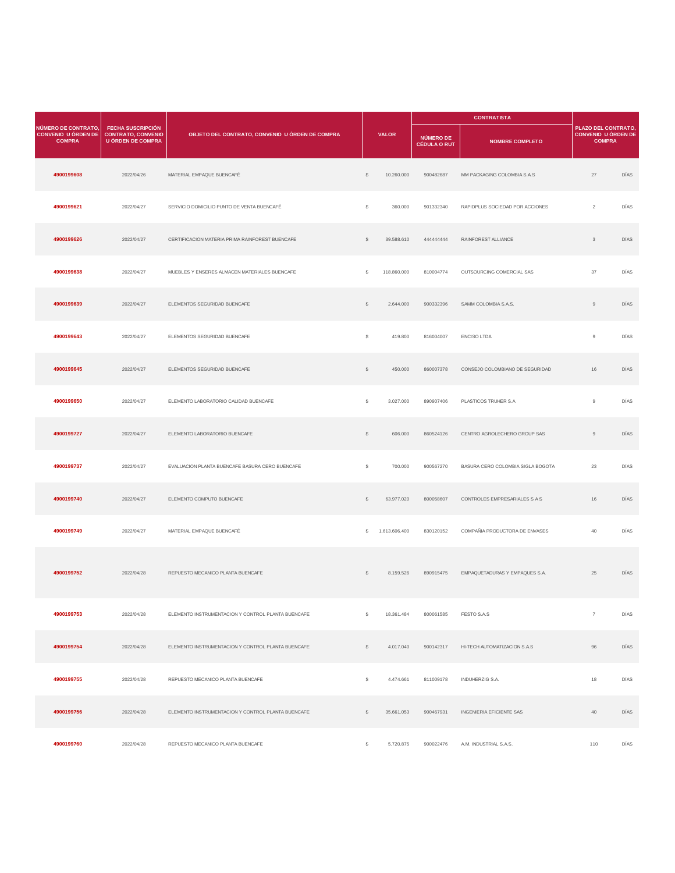|                                                                    |                                                                                   |                                                    |              |               |                                         | <b>CONTRATISTA</b>                |                                                                    |             |
|--------------------------------------------------------------------|-----------------------------------------------------------------------------------|----------------------------------------------------|--------------|---------------|-----------------------------------------|-----------------------------------|--------------------------------------------------------------------|-------------|
| NÚMERO DE CONTRATO,<br><b>CONVENIO U ÓRDEN DE</b><br><b>COMPRA</b> | <b>FECHA SUSCRIPCIÓN</b><br><b>CONTRATO, CONVENIO</b><br><b>U ÓRDEN DE COMPRA</b> | OBJETO DEL CONTRATO, CONVENIO U ÓRDEN DE COMPRA    |              | <b>VALOR</b>  | <b>NÚMERO DE</b><br><b>CÉDULA O RUT</b> | <b>NOMBRE COMPLETO</b>            | PLAZO DEL CONTRATO,<br><b>CONVENIO U ÓRDEN DE</b><br><b>COMPRA</b> |             |
| 4900199608                                                         | 2022/04/26                                                                        | MATERIAL EMPAQUE BUENCAFÉ                          | $\mathbb{S}$ | 10.260.000    | 900482687                               | MM PACKAGING COLOMBIA S.A.S       | 27                                                                 | DÍAS        |
| 4900199621                                                         | 2022/04/27                                                                        | SERVICIO DOMICILIO PUNTO DE VENTA BUENCAFÉ         | $\mathsf{s}$ | 360.000       | 901332340                               | RAPIDPLUS SOCIEDAD POR ACCIONES   | $\overline{2}$                                                     | DÍAS        |
| 4900199626                                                         | 2022/04/27                                                                        | CERTIFICACION MATERIA PRIMA RAINFOREST BUENCAFE    | $\mathbb{S}$ | 39.588.610    | 44444444                                | RAINFOREST ALLIANCE               | 3                                                                  | <b>DÍAS</b> |
| 4900199638                                                         | 2022/04/27                                                                        | MUEBLES Y ENSERES ALMACEN MATERIALES BUENCAFE      | s            | 118.860.000   | 810004774                               | OUTSOURCING COMERCIAL SAS         | 37                                                                 | DÍAS        |
| 4900199639                                                         | 2022/04/27                                                                        | ELEMENTOS SEGURIDAD BUENCAFE                       | $\mathbb{S}$ | 2.644.000     | 900332396                               | SAMM COLOMBIA S.A.S.              | $\overline{9}$                                                     | <b>DÍAS</b> |
| 4900199643                                                         | 2022/04/27                                                                        | ELEMENTOS SEGURIDAD BUENCAFE                       | \$           | 419.800       | 816004007                               | <b>ENCISO LTDA</b>                | $\overline{9}$                                                     | DÍAS        |
| 4900199645                                                         | 2022/04/27                                                                        | ELEMENTOS SEGURIDAD BUENCAFE                       | $\mathbb{S}$ | 450.000       | 860007378                               | CONSEJO COLOMBIANO DE SEGURIDAD   | 16                                                                 | <b>DÍAS</b> |
| 4900199650                                                         | 2022/04/27                                                                        | ELEMENTO LABORATORIO CALIDAD BUENCAFE              | s            | 3.027.000     | 890907406                               | PLASTICOS TRUHER S.A.             | $\overline{9}$                                                     | DÍAS        |
| 4900199727                                                         | 2022/04/27                                                                        | ELEMENTO LABORATORIO BUENCAFE                      | $\mathbb{S}$ | 606.000       | 860524126                               | CENTRO AGROLECHERO GROUP SAS      | $\,9$                                                              | DÍAS        |
| 4900199737                                                         | 2022/04/27                                                                        | EVALUACION PLANTA BUENCAFE BASURA CERO BUENCAFE    | \$           | 700.000       | 900567270                               | BASURA CERO COLOMBIA SIGLA BOGOTA | 23                                                                 | DÍAS        |
| 4900199740                                                         | 2022/04/27                                                                        | ELEMENTO COMPUTO BUENCAFE                          | $\mathbb{S}$ | 63.977.020    | 800058607                               | CONTROLES EMPRESARIALES S A S     | 16                                                                 | DÍAS        |
| 4900199749                                                         | 2022/04/27                                                                        | MATERIAL EMPAQUE BUENCAFÉ                          | s.           | 1.613.606.400 | 830120152                               | COMPAÑIA PRODUCTORA DE ENVASES    | 40                                                                 | DÍAS        |
| 4900199752                                                         | 2022/04/28                                                                        | REPUESTO MECANICO PLANTA BUENCAFE                  | \$           | 8.159.526     | 890915475                               | EMPAQUETADURAS Y EMPAQUES S.A.    | 25                                                                 | DÍAS        |
| 4900199753                                                         | 2022/04/28                                                                        | ELEMENTO INSTRUMENTACION Y CONTROL PLANTA BUENCAFE | \$           | 18.361.484    | 800061585                               | FESTO S.A.S                       | $\overline{7}$                                                     | DÍAS        |
| 4900199754                                                         | 2022/04/28                                                                        | ELEMENTO INSTRUMENTACION Y CONTROL PLANTA BUENCAFE | $\mathbb{S}$ | 4.017.040     | 900142317                               | HI-TECH AUTOMATIZACION S.A.S      | 96                                                                 | <b>DÍAS</b> |
| 4900199755                                                         | 2022/04/28                                                                        | REPUESTO MECANICO PLANTA BUENCAFE                  | $\mathsf{s}$ | 4.474.661     | 811009178                               | INDUHERZIG S.A.                   | 18                                                                 | DÍAS        |
| 4900199756                                                         | 2022/04/28                                                                        | ELEMENTO INSTRUMENTACION Y CONTROL PLANTA BUENCAFE | $\mathbb{S}$ | 35.661.053    | 900467931                               | INGENIERIA EFICIENTE SAS          | $40\,$                                                             | DÍAS        |
| 4900199760                                                         | 2022/04/28                                                                        | REPUESTO MECANICO PLANTA BUENCAFE                  | s            | 5.720.875     | 900022476                               | A.M. INDUSTRIAL S.A.S.            | 110                                                                | DÍAS        |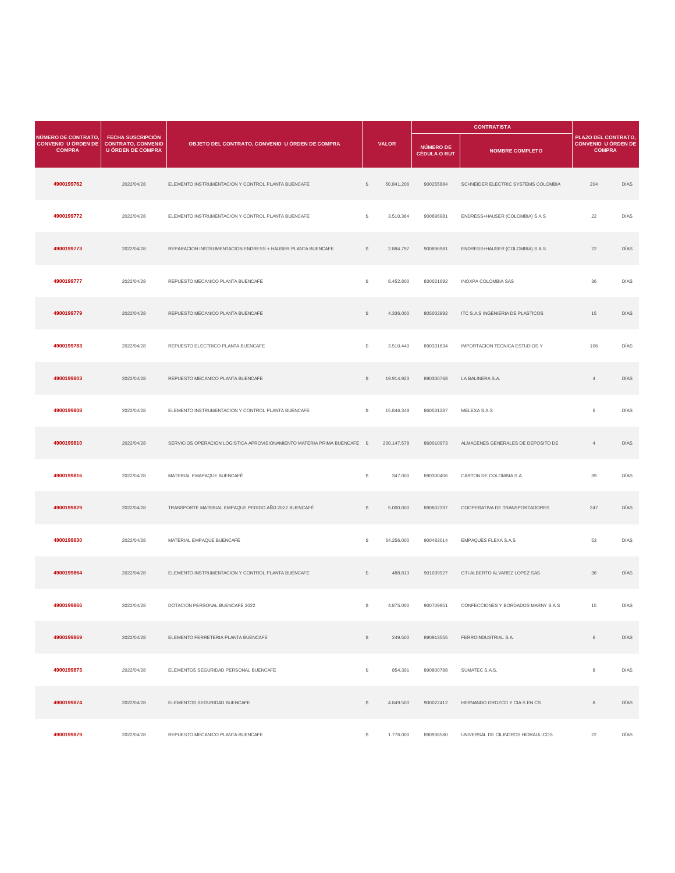|                                                                    |                                                                                   |                                                                           |              |              |                                         | <b>CONTRATISTA</b>                    |                                                                           |             |
|--------------------------------------------------------------------|-----------------------------------------------------------------------------------|---------------------------------------------------------------------------|--------------|--------------|-----------------------------------------|---------------------------------------|---------------------------------------------------------------------------|-------------|
| NÚMERO DE CONTRATO,<br><b>CONVENIO U ÓRDEN DE</b><br><b>COMPRA</b> | <b>FECHA SUSCRIPCIÓN</b><br><b>CONTRATO, CONVENIO</b><br><b>U ÓRDEN DE COMPRA</b> | OBJETO DEL CONTRATO, CONVENIO U ÓRDEN DE COMPRA                           |              | <b>VALOR</b> | <b>NÚMERO DE</b><br><b>CÉDULA O RUT</b> | <b>NOMBRE COMPLETO</b>                | <b>PLAZO DEL CONTRATO.</b><br><b>CONVENIO U ÓRDEN DE</b><br><b>COMPRA</b> |             |
| 4900199762                                                         | 2022/04/28                                                                        | ELEMENTO INSTRUMENTACION Y CONTROL PLANTA BUENCAFE                        | \$           | 50.841.206   | 900255884                               | SCHNEIDER ELECTRIC SYSTEMS COLOMBIA   | 204                                                                       | DÍAS        |
| 4900199772                                                         | 2022/04/28                                                                        | ELEMENTO INSTRUMENTACION Y CONTROL PLANTA BUENCAFE                        | s            | 3.510.364    | 900896981                               | ENDRESS+HAUSER (COLOMBIA) S A S       | 22                                                                        | DÍAS        |
| 4900199773                                                         | 2022/04/28                                                                        | REPARACION INSTRUMENTACION ENDRESS + HAUSER PLANTA BUENCAFE               | \$           | 2.884.797    | 900896981                               | ENDRESS+HAUSER (COLOMBIA) S A S       | 22                                                                        | DÍAS        |
| 4900199777                                                         | 2022/04/28                                                                        | REPUESTO MECANICO PLANTA BUENCAFE                                         | \$           | 8.452.800    | 830021692                               | INOXPA COLOMBIA SAS                   | 36                                                                        | DÍAS        |
| 4900199779                                                         | 2022/04/28                                                                        | REPUESTO MECANICO PLANTA BUENCAFE                                         | $\mathbb{S}$ | 4.336.000    | 805002992                               | ITC S.A.S INGENIERIA DE PLASTICOS     | 15                                                                        | DÍAS        |
| 4900199783                                                         | 2022/04/28                                                                        | REPUESTO ELECTRICO PLANTA BUENCAFE                                        | \$           | 3.510.440    | 890331634                               | <b>IMPORTACION TECNICA ESTUDIOS Y</b> | 106                                                                       | DÍAS        |
| 4900199803                                                         | 2022/04/28                                                                        | REPUESTO MECANICO PLANTA BUENCAFE                                         | $\mathbb{S}$ | 19.914.923   | 890300768                               | LA BALINERA S.A.                      | $\overline{4}$                                                            | DÍAS        |
| 4900199808                                                         | 2022/04/28                                                                        | ELEMENTO INSTRUMENTACION Y CONTROL PLANTA BUENCAFE                        | \$           | 15.846.349   | 860531287                               | MELEXA S.A.S                          | $\,6\,$                                                                   | DÍAS        |
| 4900199810                                                         | 2022/04/28                                                                        | SERVICIOS OPERACION LOGISTICA APROVISIONAMIENTO MATERIA PRIMA BUENCAFE \$ |              | 200.147.578  | 860010973                               | ALMACENES GENERALES DE DEPOSITO DE    | $\overline{4}$                                                            | DÍAS        |
| 4900199816                                                         | 2022/04/28                                                                        | MATERIAL EMAPAQUE BUENCAFÉ                                                | \$           | 347.000      | 890300406                               | CARTON DE COLOMBIA S.A.               | 39                                                                        | DÍAS        |
| 4900199829                                                         | 2022/04/28                                                                        | TRANSPORTE MATERIAL EMPAQUE PEDIDO AÑO 2022 BUENCAFÉ                      | $\mathbb{S}$ | 5.000.000    | 890802337                               | COOPERATIVA DE TRANSPORTADORES        | 247                                                                       | DÍAS        |
| 4900199830                                                         | 2022/04/28                                                                        | MATERIAL EMPAQUE BUENCAFÉ                                                 | s            | 64.256.000   | 900483014                               | EMPAQUES FLEXA S.A.S                  | 53                                                                        | DÍAS        |
| 4900199864                                                         | 2022/04/28                                                                        | ELEMENTO INSTRUMENTACION Y CONTROL PLANTA BUENCAFE                        | \$           | 488.813      | 901039927                               | GTI-ALBERTO ALVAREZ LOPEZ SAS         | 36                                                                        | DÍAS        |
| 4900199866                                                         | 2022/04/28                                                                        | DOTACION PERSONAL BUENCAFE 2022                                           | \$           | 4.875.000    | 900709951                               | CONFECCIONES Y BORDADOS MARNY S.A.S   | 15                                                                        | DÍAS        |
| 4900199869                                                         | 2022/04/28                                                                        | ELEMENTO FERRETERIA PLANTA BUENCAFE                                       | $\mathbb{S}$ | 249.500      | 890913555                               | FERROINDUSTRIAL S.A.                  | $\,6\,$                                                                   | DÍAS        |
| 4900199873                                                         | 2022/04/28                                                                        | ELEMENTOS SEGURIDAD PERSONAL BUENCAFE                                     | \$           | 854.391      | 890800788                               | SUMATEC S.A.S.                        | 8                                                                         | DÍAS        |
| 4900199874                                                         | 2022/04/28                                                                        | ELEMENTOS SEGURIDAD BUENCAFE                                              | $\mathbb{S}$ | 4.849.500    | 900022412                               | HERNANDO OROZCO Y CIA S EN CS         | $^8$                                                                      | <b>DÍAS</b> |
| 4900199879                                                         | 2022/04/28                                                                        | REPUESTO MECANICO PLANTA BUENCAFE                                         | \$           | 1.776.000    | 890938580                               | UNIVERSAL DE CILINDROS HIDRAULICOS    | 22                                                                        | DÍAS        |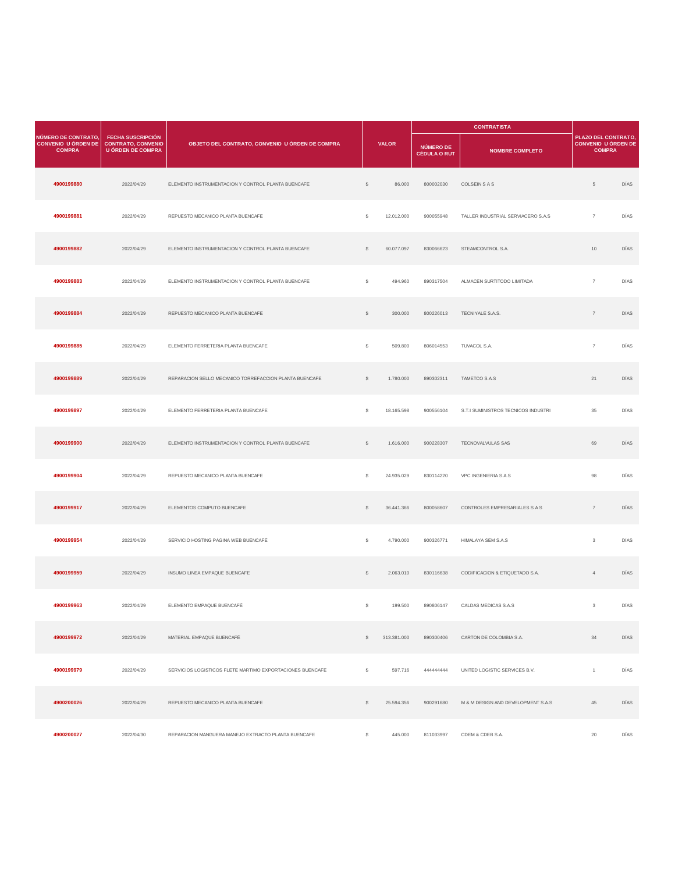|                                                                    |                                                                                   |                                                           |              |              |                                  | <b>CONTRATISTA</b>                  |                                                                          |      |
|--------------------------------------------------------------------|-----------------------------------------------------------------------------------|-----------------------------------------------------------|--------------|--------------|----------------------------------|-------------------------------------|--------------------------------------------------------------------------|------|
| NÚMERO DE CONTRATO.<br><b>CONVENIO U ÓRDEN DE</b><br><b>COMPRA</b> | <b>FECHA SUSCRIPCIÓN</b><br><b>CONTRATO, CONVENIO</b><br><b>U ÓRDEN DE COMPRA</b> | OBJETO DEL CONTRATO, CONVENIO U ÓRDEN DE COMPRA           |              | <b>VALOR</b> | NÚMERO DE<br><b>CÉDULA O RUT</b> | <b>NOMBRE COMPLETO</b>              | <b>PLAZO DEL CONTRATO</b><br><b>CONVENIO U ÓRDEN DE</b><br><b>COMPRA</b> |      |
| 4900199880                                                         | 2022/04/29                                                                        | ELEMENTO INSTRUMENTACION Y CONTROL PLANTA BUENCAFE        | $\mathbb{S}$ | 86.000       | 800002030                        | COLSEIN S A S                       | $\,$ 5                                                                   | DÍAS |
| 4900199881                                                         | 2022/04/29                                                                        | REPUESTO MECANICO PLANTA BUENCAFE                         | \$           | 12.012.000   | 900055948                        | TALLER INDUSTRIAL SERVIACERO S.A.S  | $\overline{7}$                                                           | DÍAS |
| 4900199882                                                         | 2022/04/29                                                                        | ELEMENTO INSTRUMENTACION Y CONTROL PLANTA BUENCAFE        | $\mathbb{S}$ | 60.077.097   | 830066623                        | STEAMCONTROL S.A.                   | 10                                                                       | DÍAS |
| 4900199883                                                         | 2022/04/29                                                                        | ELEMENTO INSTRUMENTACION Y CONTROL PLANTA BUENCAFE        | \$           | 494.960      | 890317504                        | ALMACEN SURTITODO LIMITADA          | $\overline{7}$                                                           | DÍAS |
| 4900199884                                                         | 2022/04/29                                                                        | REPUESTO MECANICO PLANTA BUENCAFE                         | $\mathbb{S}$ | 300.000      | 800226013                        | TECNIYALE S.A.S.                    | $\overline{7}$                                                           | DÍAS |
| 4900199885                                                         | 2022/04/29                                                                        | ELEMENTO FERRETERIA PLANTA BUENCAFE                       | \$           | 509.800      | 806014553                        | TUVACOL S.A.                        | $\overline{7}$                                                           | DÍAS |
| 4900199889                                                         | 2022/04/29                                                                        | REPARACION SELLO MECANICO TORREFACCION PLANTA BUENCAFE    | $\mathbb{S}$ | 1.780.000    | 890302311                        | TAMETCO S.A.S                       | 21                                                                       | DÍAS |
| 4900199897                                                         | 2022/04/29                                                                        | ELEMENTO FERRETERIA PLANTA BUENCAFE                       | \$           | 18.165.598   | 900556104                        | S.T.I SUMINISTROS TECNICOS INDUSTRI | 35                                                                       | DÍAS |
| 4900199900                                                         | 2022/04/29                                                                        | ELEMENTO INSTRUMENTACION Y CONTROL PLANTA BUENCAFE        | $\mathbb{S}$ | 1.616.000    | 900228307                        | TECNOVALVULAS SAS                   | 69                                                                       | DÍAS |
| 4900199904                                                         | 2022/04/29                                                                        | REPUESTO MECANICO PLANTA BUENCAFE                         | \$           | 24.935.029   | 830114220                        | VPC INGENIERIA S.A.S                | 98                                                                       | DÍAS |
| 4900199917                                                         | 2022/04/29                                                                        | ELEMENTOS COMPUTO BUENCAFE                                | s            | 36.441.366   | 800058607                        | CONTROLES EMPRESARIALES S A S       | $\overline{7}$                                                           | DÍAS |
| 4900199954                                                         | 2022/04/29                                                                        | SERVICIO HOSTING PÁGINA WEB BUENCAFÉ                      | s            | 4.790.000    | 900326771                        | HIMALAYA SEM S.A.S                  | $\mathbf{3}$                                                             | DÍAS |
| 4900199959                                                         | 2022/04/29                                                                        | INSUMO LINEA EMPAQUE BUENCAFE                             | $\mathbb{S}$ | 2.063.010    | 830116638                        | CODIFICACION & ETIQUETADO S.A.      | $\overline{4}$                                                           | DÍAS |
| 4900199963                                                         | 2022/04/29                                                                        | ELEMENTO EMPAQUE BUENCAFÉ                                 | \$           | 199.500      | 890806147                        | CALDAS MEDICAS S.A.S                | $\mathbf{3}$                                                             | DÍAS |
| 4900199972                                                         | 2022/04/29                                                                        | MATERIAL EMPAQUE BUENCAFÉ                                 | \$           | 313.381.000  | 890300406                        | CARTON DE COLOMBIA S.A.             | 34                                                                       | DÍAS |
| 4900199979                                                         | 2022/04/29                                                                        | SERVICIOS LOGISTICOS FLETE MARTIMO EXPORTACIONES BUENCAFE | \$           | 597.716      | 444444444                        | UNITED LOGISTIC SERVICES B.V.       | $\overline{1}$                                                           | DÍAS |
| 4900200026                                                         | 2022/04/29                                                                        | REPUESTO MECANICO PLANTA BUENCAFE                         | $\mathbb{S}$ | 25.594.356   | 900291680                        | M & M DESIGN AND DEVELOPMENT S.A.S  | 45                                                                       | DÍAS |
| 4900200027                                                         | 2022/04/30                                                                        | REPARACION MANGUERA MANEJO EXTRACTO PLANTA BUENCAFE       | \$           | 445.000      | 811033997                        | CDEM & CDEB S.A.                    | 20                                                                       | DÍAS |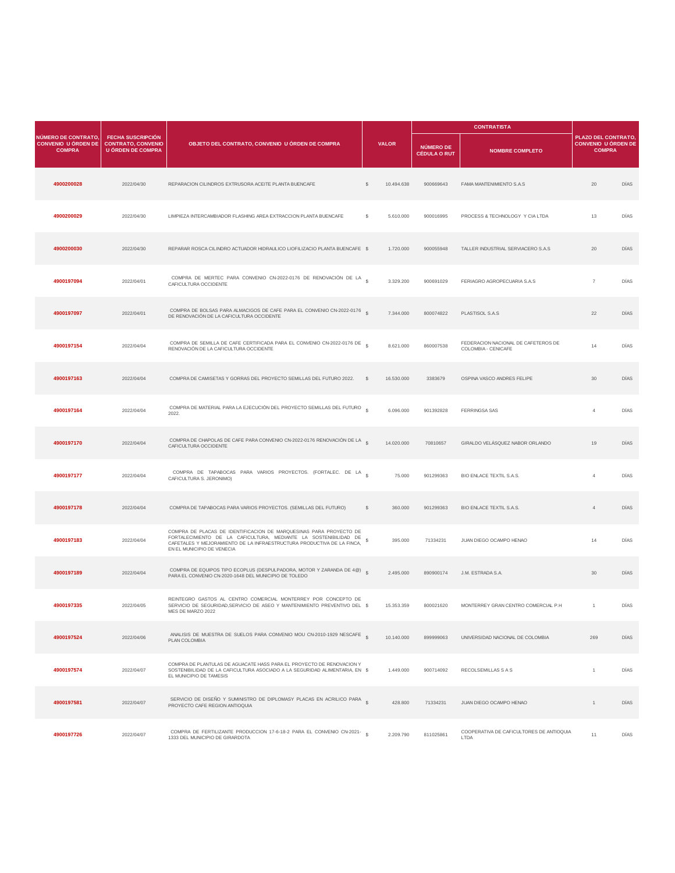|                                                                    |                                                                                   |                                                                                                                                                                                                                                                |    |              |                                  | <b>CONTRATISTA</b>                                         |                                                                    |      |
|--------------------------------------------------------------------|-----------------------------------------------------------------------------------|------------------------------------------------------------------------------------------------------------------------------------------------------------------------------------------------------------------------------------------------|----|--------------|----------------------------------|------------------------------------------------------------|--------------------------------------------------------------------|------|
| NÚMERO DE CONTRATO,<br><b>CONVENIO U ÓRDEN DE</b><br><b>COMPRA</b> | <b>FECHA SUSCRIPCIÓN</b><br><b>CONTRATO, CONVENIO</b><br><b>U ÓRDEN DE COMPRA</b> | OBJETO DEL CONTRATO, CONVENIO U ÓRDEN DE COMPRA                                                                                                                                                                                                |    | <b>VALOR</b> | NÚMERO DE<br><b>CÉDULA O RUT</b> | <b>NOMBRE COMPLETO</b>                                     | PLAZO DEL CONTRATO,<br><b>CONVENIO U ÓRDEN DE</b><br><b>COMPRA</b> |      |
| 4900200028                                                         | 2022/04/30                                                                        | REPARACION CILINDROS EXTRUSORA ACEITE PLANTA BUENCAFE                                                                                                                                                                                          | s  | 10.494.638   | 900669643                        | FAMA MANTENIMIENTO S.A.S.                                  | 20                                                                 | DÍAS |
| 4900200029                                                         | 2022/04/30                                                                        | LIMPIEZA INTERCAMBIADOR FLASHING AREA EXTRACCION PLANTA BUENCAFE                                                                                                                                                                               | s  | 5.610.000    | 900016995                        | PROCESS & TECHNOLOGY Y CIA LTDA                            | 13                                                                 | DÍAS |
| 4900200030                                                         | 2022/04/30                                                                        | REPARAR ROSCA CILINDRO ACTUADOR HIDRAULICO LIOFILIZACIO PLANTA BUENCAFE \$                                                                                                                                                                     |    | 1.720.000    | 900055948                        | TALLER INDUSTRIAL SERVIACERO S.A.S                         | 20                                                                 | DIAS |
| 4900197094                                                         | 2022/04/01                                                                        | COMPRA DE MERTEC PARA CONVENIO CN-2022-0176 DE RENOVACIÓN DE LA §<br>CAFICULTURA OCCIDENTE                                                                                                                                                     |    | 3.329.200    | 900691029                        | FERIAGRO AGROPECUARIA S.A.S                                | $\overline{7}$                                                     | DÍAS |
| 4900197097                                                         | 2022/04/01                                                                        | COMPRA DE BOLSAS PARA ALMACIGOS DE CAFE PARA EL CONVENIO CN-2022-0176 \$<br>DE RENOVACIÓN DE LA CAFICULTURA OCCIDENTE                                                                                                                          |    | 7.344.000    | 800074822                        | PLASTISOL S.A.S                                            | 22                                                                 | DÍAS |
| 4900197154                                                         | 2022/04/04                                                                        | COMPRA DE SEMILLA DE CAFE CERTIFICADA PARA EL CONVENIO CN-2022-0176 DE §<br>RENOVACIÓN DE LA CAFICULTURA OCCIDENTE                                                                                                                             |    | 8.621.000    | 860007538                        | FEDERACION NACIONAL DE CAFETEROS DE<br>COLOMBIA - CENICAFE | 14                                                                 | DÍAS |
| 4900197163                                                         | 2022/04/04                                                                        | COMPRA DE CAMISETAS Y GORRAS DEL PROYECTO SEMILLAS DEL FUTURO 2022.                                                                                                                                                                            | -S | 16.530.000   | 3383679                          | OSPINA VASCO ANDRES FELIPE                                 | 30                                                                 | DÍAS |
| 4900197164                                                         | 2022/04/04                                                                        | COMPRA DE MATERIAL PARA LA EJECUCIÓN DEL PROYECTO SEMILLAS DEL FUTURO $_{\circ}$<br>2022.                                                                                                                                                      |    | 6.096.000    | 901392828                        | FERRINGSA SAS                                              | $\overline{4}$                                                     | DIAS |
| 4900197170                                                         | 2022/04/04                                                                        | COMPRA DE CHAPOLAS DE CAFE PARA CONVENIO CN-2022-0176 RENOVACIÓN DE LA<br>CAFICULTURA OCCIDENTE                                                                                                                                                |    | 14.020.000   | 70810657                         | GIRALDO VELÁSQUEZ NABOR ORLANDO                            | 19                                                                 | DÍAS |
| 4900197177                                                         | 2022/04/04                                                                        | COMPRA DE TAPABOCAS PARA VARIOS PROYECTOS. (FORTALEC. DE LA S<br>CAFICULTURA S. JERONIMO)                                                                                                                                                      |    | 75.000       | 901299363                        | BIO ENLACE TEXTIL S.A.S.                                   | $\overline{4}$                                                     | DÍAS |
| 4900197178                                                         | 2022/04/04                                                                        | COMPRA DE TAPABOCAS PARA VARIOS PROYECTOS. (SEMILLAS DEL FUTURO)                                                                                                                                                                               | s  | 360,000      | 901299363                        | BIO ENLACE TEXTIL S.A.S.                                   | $\overline{4}$                                                     | DÍAS |
| 4900197183                                                         | 2022/04/04                                                                        | COMPRA DE PLACAS DE IDENTIFICACION DE MARQUESINAS PARA PROYECTO DE<br>FORTALECIMIENTO DE LA CAFICULTURA, MEDIANTE LA SOSTENIBILIDAD DE<br>CAFETALES Y MEJORAMIENTO DE LA INFRAESTRUCTURA PRODUCTIVA DE LA FINCA,<br>EN EL MUNICIPIO DE VENECIA | s  | 395.000      | 71334231                         | JUAN DIEGO OCAMPO HENAO                                    | 14                                                                 | DÍAS |
| 4900197189                                                         | 2022/04/04                                                                        | COMPRA DE EQUIPOS TIPO ECOPLUS (DESPULPADORA, MOTOR Y ZARANDA DE 4@)<br>PARA EL CONVENIO CN-2020-1648 DEL MUNICIPIO DE TOLEDO                                                                                                                  |    | 2.495.000    | 890900174                        | J.M. ESTRADA S.A.                                          | 30                                                                 | DIAS |
| 4900197335                                                         | 2022/04/05                                                                        | REINTEGRO GASTOS AL CENTRO COMERCIAL MONTERREY POR CONCEPTO DE<br>SERVICIO DE SEGURIDAD, SERVICIO DE ASEO Y MANTENIMIENTO PREVENTIVO DEL \$<br>MES DE MARZO 2022                                                                               |    | 15.353.359   | 800021620                        | MONTERREY GRAN CENTRO COMERCIAL P.H.                       | $\overline{1}$                                                     | DÍAS |
| 4900197524                                                         | 2022/04/06                                                                        | ANALISIS DE MUESTRA DE SUELOS PARA CONVENIO MOU CN-2010-1929 NESCAFE \$<br>PLAN COLOMBIA                                                                                                                                                       |    | 10.140.000   | 899999063                        | UNIVERSIDAD NACIONAL DE COLOMBIA                           | 269                                                                | DÍAS |
| 4900197574                                                         | 2022/04/07                                                                        | COMPRA DE PLANTULAS DE AGUACATE HASS PARA EL PROYECTO DE RENOVACION Y<br>SOSTENIBILIDAD DE LA CAFICULTURA ASOCIADO A LA SEGURIDAD ALIMENTARIA, EN \$<br>EL MUNICIPIO DE TAMESIS                                                                |    | 1.449.000    | 900714092                        | RECOLSEMILLAS S A S                                        | $\overline{1}$                                                     | DÍAS |
| 4900197581                                                         | 2022/04/07                                                                        | SERVICIO DE DISEÑO Y SUMINISTRO DE DIPLOMASY PLACAS EN ACRILICO PARA \$<br>PROYECTO CAFE REGION ANTIOQUIA                                                                                                                                      |    | 428.800      | 71334231                         | JUAN DIEGO OCAMPO HENAO                                    | $\overline{1}$                                                     | DÍAS |
| 4900197726                                                         | 2022/04/07                                                                        | COMPRA DE FERTILIZANTE PRODUCCION 17-6-18-2 PARA EL CONVENIO CN-2021- \$<br>1333 DEL MUNICIPIO DE GIRARDOTA                                                                                                                                    |    | 2.209.790    | 811025861                        | COOPERATIVA DE CAFICULTORES DE ANTIOQUIA<br>LTDA           | 11                                                                 | DIAS |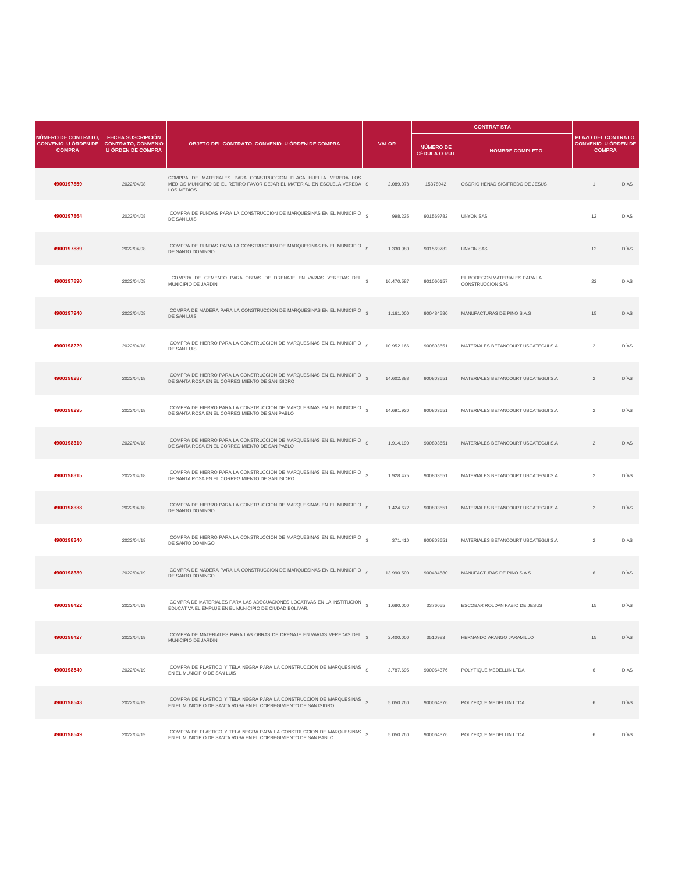|                                                                    |                                                                                   |                                                                                                                                                            |              |              |                                         | <b>CONTRATISTA</b>                                       |                                                                   |      |
|--------------------------------------------------------------------|-----------------------------------------------------------------------------------|------------------------------------------------------------------------------------------------------------------------------------------------------------|--------------|--------------|-----------------------------------------|----------------------------------------------------------|-------------------------------------------------------------------|------|
| NÚMERO DE CONTRATO,<br><b>CONVENIO U ÓRDEN DE</b><br><b>COMPRA</b> | <b>FECHA SUSCRIPCIÓN</b><br><b>CONTRATO, CONVENIO</b><br><b>U ÓRDEN DE COMPRA</b> | OBJETO DEL CONTRATO, CONVENIO U ÓRDEN DE COMPRA                                                                                                            |              | <b>VALOR</b> | <b>NÚMERO DE</b><br><b>CÉDULA O RUT</b> | <b>NOMBRE COMPLETO</b>                                   | PLAZO DEL CONTRATO<br><b>CONVENIO U ÓRDEN DE</b><br><b>COMPRA</b> |      |
| 4900197859                                                         | 2022/04/08                                                                        | COMPRA DE MATERIALES PARA CONSTRUCCION PLACA HUELLA VEREDA LOS<br>MEDIOS MUNICIPIO DE EL RETIRO FAVOR DEJAR EL MATERIAL EN ESCUELA VEREDA \$<br>LOS MEDIOS |              | 2.089.078    | 15378042                                | OSORIO HENAO SIGIFREDO DE JESUS                          | $\mathbf{1}$                                                      | DÍAS |
| 4900197864                                                         | 2022/04/08                                                                        | COMPRA DE FUNDAS PARA LA CONSTRUCCION DE MARQUESINAS EN EL MUNICIPIO<br>DE SAN LUIS                                                                        | s            | 998.235      | 901569782                               | <b>UNYON SAS</b>                                         | 12                                                                | DIAS |
| 4900197889                                                         | 2022/04/08                                                                        | COMPRA DE FUNDAS PARA LA CONSTRUCCION DE MARQUESINAS EN EL MUNICIPIO<br>DE SANTO DOMINGO                                                                   | $\mathbb{S}$ | 1.330.980    | 901569782                               | <b>UNYON SAS</b>                                         | 12                                                                | DÍAS |
| 4900197890                                                         | 2022/04/08                                                                        | COMPRA DE CEMENTO PARA OBRAS DE DRENAJE EN VARIAS VEREDAS DEL 5<br>MUNICIPIO DE JARDIN                                                                     |              | 16.470.587   | 901060157                               | EL BODEGON MATERIALES PARA LA<br><b>CONSTRUCCION SAS</b> | 22                                                                | DIAS |
| 4900197940                                                         | 2022/04/08                                                                        | COMPRA DE MADERA PARA LA CONSTRUCCION DE MARQUESINAS EN EL MUNICIPIO<br>DE SAN LUIS                                                                        | s            | 1.161.000    | 900484580                               | MANUFACTURAS DE PINO S.A.S.                              | 15                                                                | DÍAS |
| 4900198229                                                         | 2022/04/18                                                                        | COMPRA DE HIERRO PARA LA CONSTRUCCION DE MARQUESINAS EN EL MUNICIPIO<br>DE SAN LUIS                                                                        | s            | 10.952.166   | 900803651                               | MATERIALES BETANCOURT USCATEGUI S.A                      | $\overline{2}$                                                    | DÍAS |
| 4900198287                                                         | 2022/04/18                                                                        | COMPRA DE HIERRO PARA LA CONSTRUCCION DE MARQUESINAS EN EL MUNICIPIO<br>DE SANTA ROSA EN EL CORREGIMIENTO DE SAN ISIDRO                                    | s            | 14.602.888   | 900803651                               | MATERIALES BETANCOURT USCATEGUI S.A                      | $\overline{2}$                                                    | DIAS |
| 4900198295                                                         | 2022/04/18                                                                        | COMPRA DE HIERRO PARA LA CONSTRUCCION DE MARQUESINAS EN EL MUNICIPIO<br>DE SANTA ROSA EN EL CORREGIMIENTO DE SAN PABLO                                     |              | 14.691.930   | 900803651                               | MATERIALES BETANCOURT USCATEGUI S.A                      | $\overline{2}$                                                    | DÍAS |
| 4900198310                                                         | 2022/04/18                                                                        | COMPRA DE HIERRO PARA LA CONSTRUCCION DE MARQUESINAS EN EL MUNICIPIO<br>DE SANTA ROSA EN EL CORREGIMIENTO DE SAN PABLO                                     | s            | 1.914.190    | 900803651                               | MATERIALES BETANCOURT USCATEGUI S.A                      | $\overline{2}$                                                    | DÍAS |
| 4900198315                                                         | 2022/04/18                                                                        | COMPRA DE HIERRO PARA LA CONSTRUCCION DE MARQUESINAS EN EL MUNICIPIO<br>DE SANTA ROSA EN EL CORREGIMIENTO DE SAN ISIDRO                                    |              | 1.928.475    | 900803651                               | MATERIALES BETANCOURT USCATEGUI S.A                      | $\overline{2}$                                                    | DÍAS |
| 4900198338                                                         | 2022/04/18                                                                        | COMPRA DE HIERRO PARA LA CONSTRUCCION DE MARQUESINAS EN EL MUNICIPIO<br>DE SANTO DOMINGO                                                                   | $\mathbf{s}$ | 1.424.672    | 900803651                               | MATERIALES BETANCOURT USCATEGUI S.A                      | $\overline{2}$                                                    | DÍAS |
| 4900198340                                                         | 2022/04/18                                                                        | COMPRA DE HIERRO PARA LA CONSTRUCCION DE MARQUESINAS EN EL MUNICIPIO<br>DE SANTO DOMINGO                                                                   |              | 371.410      | 900803651                               | MATERIALES BETANCOURT USCATEGUI S.A                      | $\overline{2}$                                                    | DIAS |
| 4900198389                                                         | 2022/04/19                                                                        | COMPRA DE MADERA PARA LA CONSTRUCCION DE MARQUESINAS EN EL MUNICIPIO<br>DE SANTO DOMINGO                                                                   | s            | 13.990.500   | 900484580                               | MANUFACTURAS DE PINO S.A.S                               | $_{\rm 6}$                                                        | DÍAS |
| 4900198422                                                         | 2022/04/19                                                                        | COMPRA DE MATERIALES PARA LAS ADECUACIONES LOCATIVAS EN LA INSTITUCION<br>EDUCATIVA EL EMPUJE EN EL MUNICIPIO DE CIUDAD BOLIVAR.                           |              | 1.680.000    | 3376055                                 | ESCOBAR ROLDAN FABIO DE JESUS                            | 15                                                                | DÍAS |
| 4900198427                                                         | 2022/04/19                                                                        | COMPRA DE MATERIALES PARA LAS OBRAS DE DRENAJE EN VARIAS VEREDAS DEL $_{\text{S}}$<br>MUNICIPIO DE JARDIN.                                                 |              | 2.400.000    | 3510983                                 | HERNANDO ARANGO JARAMILLO                                | 15                                                                | DÍAS |
| 4900198540                                                         | 2022/04/19                                                                        | COMPRA DE PLASTICO Y TELA NEGRA PARA LA CONSTRUCCION DE MARQUESINAS<br>EN EL MUNICIPIO DE SAN LUIS                                                         | s            | 3.787.695    | 900064376                               | POLYFIQUE MEDELLIN LTDA                                  | 6                                                                 | DÍAS |
| 4900198543                                                         | 2022/04/19                                                                        | COMPRA DE PLASTICO Y TELA NEGRA PARA LA CONSTRUCCION DE MARQUESINAS<br>EN EL MUNICIPIO DE SANTA ROSA EN EL CORREGIMIENTO DE SAN ISIDRO                     | $\mathbf{s}$ | 5.050.260    | 900064376                               | POLYFIQUE MEDELLIN LTDA                                  | 6                                                                 | DIAS |
| 4900198549                                                         | 2022/04/19                                                                        | COMPRA DE PLASTICO Y TELA NEGRA PARA LA CONSTRUCCION DE MARQUESINAS<br>EN EL MUNICIPIO DE SANTA ROSA EN EL CORREGIMIENTO DE SAN PABLO                      | s            | 5.050.260    | 900064376                               | POLYFIQUE MEDELLIN LTDA                                  | 6                                                                 | DÍAS |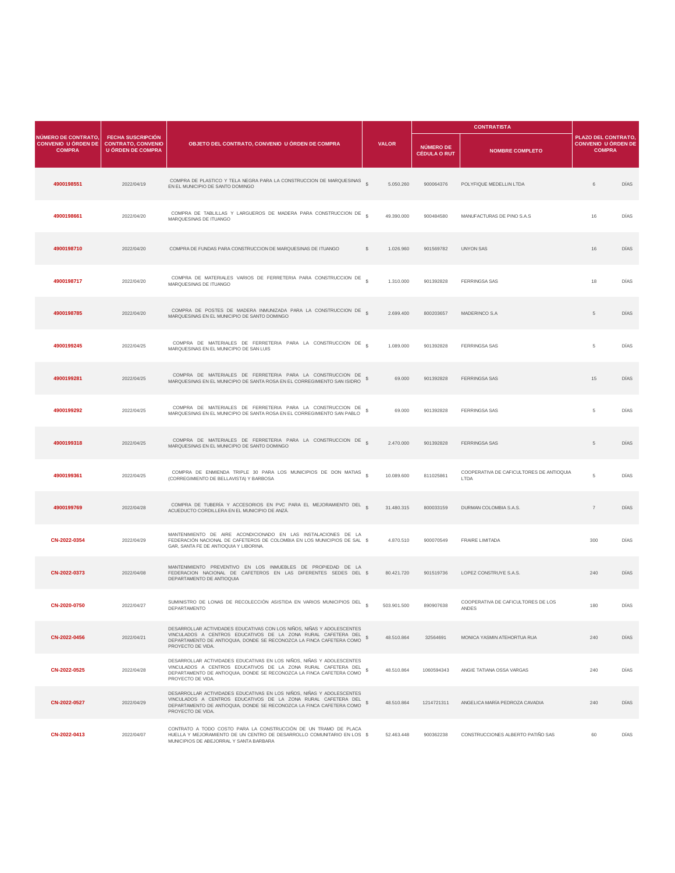|                                                                    |                                                                                   |                                                                                                                                                                                                                                        |                    |              |                                  | <b>CONTRATISTA</b>                                 |                                                                   |      |  |
|--------------------------------------------------------------------|-----------------------------------------------------------------------------------|----------------------------------------------------------------------------------------------------------------------------------------------------------------------------------------------------------------------------------------|--------------------|--------------|----------------------------------|----------------------------------------------------|-------------------------------------------------------------------|------|--|
| NÚMERO DE CONTRATO.<br><b>CONVENIO U ÓRDEN DE</b><br><b>COMPRA</b> | <b>FECHA SUSCRIPCIÓN</b><br><b>CONTRATO, CONVENIO</b><br><b>U ÓRDEN DE COMPRA</b> | OBJETO DEL CONTRATO, CONVENIO U ÓRDEN DE COMPRA                                                                                                                                                                                        |                    | <b>VALOR</b> | NÚMERO DE<br><b>CÉDULA O RUT</b> | <b>NOMBRE COMPLETO</b>                             | PLAZO DEL CONTRATO<br><b>CONVENIO U ÓRDEN DE</b><br><b>COMPRA</b> |      |  |
| 4900198551                                                         | 2022/04/19                                                                        | COMPRA DE PLASTICO Y TELA NEGRA PARA LA CONSTRUCCION DE MARQUESINAS \$<br>EN EL MUNICIPIO DE SANTO DOMINGO                                                                                                                             |                    | 5.050.260    | 900064376                        | POLYFIQUE MEDELLIN LTDA                            | 6                                                                 | DÍAS |  |
| 4900198661                                                         | 2022/04/20                                                                        | COMPRA DE TABLILLAS Y LARGUEROS DE MADERA PARA CONSTRUCCION DE \$<br>MARQUESINAS DE ITUANGO                                                                                                                                            |                    | 49.390.000   | 900484580                        | MANUFACTURAS DE PINO S.A.S                         | 16                                                                | DÍAS |  |
| 4900198710                                                         | 2022/04/20                                                                        | COMPRA DE FUNDAS PARA CONSTRUCCION DE MARQUESINAS DE ITUANGO                                                                                                                                                                           | s                  | 1.026.960    | 901569782                        | <b>UNYON SAS</b>                                   | 16                                                                | DÍAS |  |
| 4900198717                                                         | 2022/04/20                                                                        | COMPRA DE MATERIALES VARIOS DE FERRETERIA PARA CONSTRUCCION DE \$<br>MARQUESINAS DE ITUANGO                                                                                                                                            |                    | 1.310.000    | 901392828                        | FERRINGSA SAS                                      | 18                                                                | DÍAS |  |
| 4900198785                                                         | 2022/04/20                                                                        | COMPRA DE POSTES DE MADERA INMUNIZADA PARA LA CONSTRUCCION DE S<br>MARQUESINAS EN EL MUNICIPIO DE SANTO DOMINGO                                                                                                                        |                    | 2.699.400    | 800203657                        | MADERINCO S.A                                      | $\overline{5}$                                                    | DÍAS |  |
| 4900199245                                                         | 2022/04/25                                                                        | COMPRA DE MATERIALES DE FERRETERIA PARA LA CONSTRUCCION DE 5<br>MARQUESINAS EN EL MUNICIPIO DE SAN LUIS                                                                                                                                |                    | 1.089.000    | 901392828                        | <b>FERRINGSA SAS</b>                               | 5                                                                 | DÍAS |  |
| 4900199281                                                         | 2022/04/25                                                                        | COMPRA DE MATERIALES DE FERRETERIA PARA LA CONSTRUCCION DE<br>MARQUESINAS EN EL MUNICIPIO DE SANTA ROSA EN EL CORREGIMIENTO SAN ISIDRO                                                                                                 |                    | 69,000       | 901392828                        | FERRINGSA SAS                                      | 15                                                                | DÍAS |  |
| 4900199292                                                         | 2022/04/25                                                                        | COMPRA DE MATERIALES DE FERRETERIA PARA LA CONSTRUCCION DE<br>MARQUESINAS EN EL MUNICIPIO DE SANTA ROSA EN EL CORREGIMIENTO SAN PABLO                                                                                                  | s                  | 69,000       | 901392828                        | <b>FERRINGSA SAS</b>                               | 5                                                                 | DÍAS |  |
| 4900199318                                                         | 2022/04/25                                                                        | COMPRA DE MATERIALES DE FERRETERIA PARA LA CONSTRUCCION DE<br>MARQUESINAS EN EL MUNICIPIO DE SANTO DOMINGO                                                                                                                             | $\hat{\mathbf{x}}$ | 2.470.000    | 901392828                        | <b>FERRINGSA SAS</b>                               | $\,$ 5                                                            | DÍAS |  |
| 4900199361                                                         | 2022/04/25                                                                        | COMPRA DE ENMIENDA TRIPLE 30 PARA LOS MUNICIPIOS DE DON MATIAS \$<br>(CORREGIMIENTO DE BELLAVISTA) Y BARBOSA                                                                                                                           |                    | 10.089.600   | 811025861                        | COOPERATIVA DE CAFICULTORES DE ANTIOQUIA<br>I TDA  | 5                                                                 | DÍAS |  |
| 4900199769                                                         | 2022/04/28                                                                        | COMPRA DE TUBERÍA Y ACCESORIOS EN PVC PARA EL MEJORAMIENTO DEL 5<br>ACUEDUCTO CORDILLERA EN EL MUNICIPIO DE ANZÁ.                                                                                                                      |                    | 31.480.315   | 800033159                        | DURMAN COLOMBIA S.A.S.                             | $\overline{7}$                                                    | DÍAS |  |
| CN-2022-0354                                                       | 2022/04/29                                                                        | MANTENIMIENTO DE AIRE ACONDICIONADO EN LAS INSTALACIONES DE LA<br>FEDERACIÓN NACIONAL DE CAFETEROS DE COLOMBIA EN LOS MUNICIPIOS DE SAL \$<br>GAR, SANTA FE DE ANTIOQUIA Y LIBORINA.                                                   |                    | 4.870.510    | 900070549                        | FRAIRE LIMITADA                                    | 300                                                               | DÍAS |  |
| CN-2022-0373                                                       | 2022/04/08                                                                        | MANTENIMIENTO PREVENTIVO EN LOS INMUEBLES DE PROPIEDAD DE LA<br>FEDERACION NACIONAL DE CAFETEROS EN LAS DIFERENTES SEDES DEL \$<br>DEPARTAMENTO DE ANTIOQUIA                                                                           |                    | 80.421.720   | 901519736                        | LOPEZ CONSTRUYE S.A.S.                             | 240                                                               | DÍAS |  |
| CN-2020-0750                                                       | 2022/04/27                                                                        | SUMINISTRO DE LONAS DE RECOLECCIÓN ASISTIDA EN VARIOS MUNICIPIOS DEL<br>DEPARTAMENTO                                                                                                                                                   |                    | 503.901.500  | 890907638                        | COOPERATIVA DE CAFICULTORES DE LOS<br><b>ANDES</b> | 180                                                               | DÍAS |  |
| CN-2022-0456                                                       | 2022/04/21                                                                        | DESARROLLAR ACTIVIDADES EDUCATIVAS CON LOS NIÑOS, NIÑAS Y ADOLESCENTES<br>VINCULADOS A CENTROS EDUCATIVOS DE LA ZONA RURAL CAFETERA DEL S<br>DEPARTAMENTO DE ANTIOQUIA, DONDE SE RECONOZCA LA FINCA CAFETERA COMO<br>PROYECTO DE VIDA. |                    | 48.510.864   | 32564691                         | MONICA YASMIN ATEHORTUA RUA                        | 240                                                               | DIAS |  |
| CN-2022-0525                                                       | 2022/04/28                                                                        | DESARROLLAR ACTIVIDADES EDUCATIVAS EN LOS NIÑOS, NIÑAS Y ADOLESCENTES<br>VINCULADOS A CENTROS EDUCATIVOS DE LA ZONA RURAL CAFETERA DEL<br>DEPARTAMENTO DE ANTIOQUIA, DONDE SE RECONOZCA LA FINCA CAFETERA COMO<br>PROYECTO DE VIDA.    |                    | 48.510.864   | 1060594343                       | ANGIE TATIANA OSSA VARGAS                          | 240                                                               | DÍAS |  |
| CN-2022-0527                                                       | 2022/04/29                                                                        | DESARROLLAR ACTIVIDADES EDUCATIVAS EN LOS NIÑOS, NIÑAS Y ADOLESCENTES<br>VINCULADOS A CENTROS EDUCATIVOS DE LA ZONA RURAL CAFETERA DEL<br>DEPARTAMENTO DE ANTIOQUIA, DONDE SE RECONOZCA LA FINCA CAFETERA COMO \$<br>PROYECTO DE VIDA. |                    | 48.510.864   | 1214721311                       | ANGELICA MARÍA PEDROZA CAVADIA                     | 240                                                               | DÍAS |  |
| CN-2022-0413                                                       | 2022/04/07                                                                        | CONTRATO A TODO COSTO PARA LA CONSTRUCCIÓN DE UN TRAMO DE PLACA<br>HUELLA Y MEJORAMIENTO DE UN CENTRO DE DESARROLLO COMUNITARIO EN LOS \$<br>MUNICIPIOS DE ABEJORRAL Y SANTA BARBARA                                                   |                    | 52.463.448   | 900362238                        | CONSTRUCCIONES ALBERTO PATIÑO SAS                  | 60                                                                | DÍAS |  |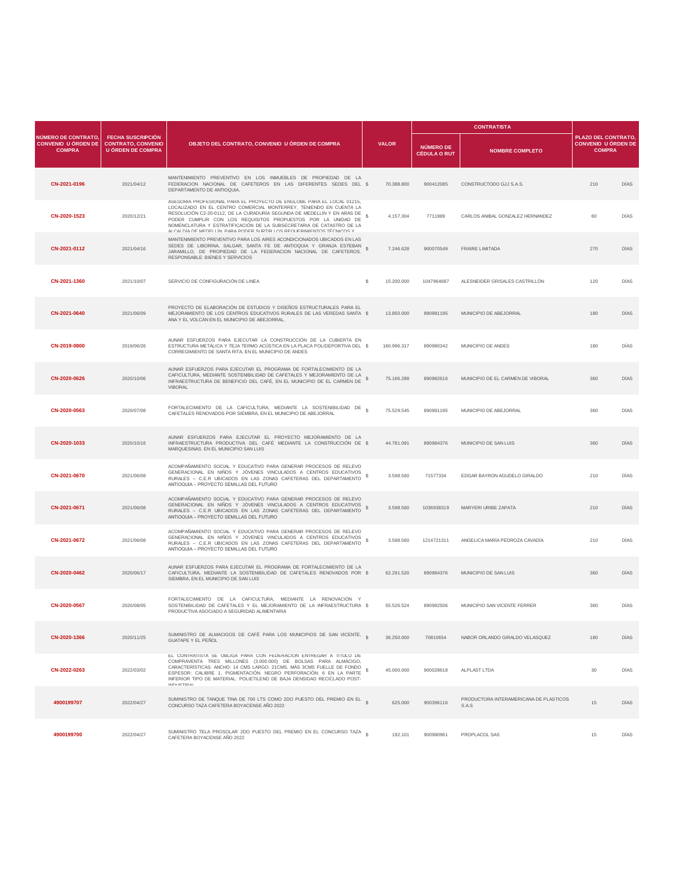|                                                                    |                                                                                   |                                                                                                                                                                                                                                                                                                                                                                                                                                          |                                  |                                  | <b>CONTRATISTA</b>                              |                                                                   |      |
|--------------------------------------------------------------------|-----------------------------------------------------------------------------------|------------------------------------------------------------------------------------------------------------------------------------------------------------------------------------------------------------------------------------------------------------------------------------------------------------------------------------------------------------------------------------------------------------------------------------------|----------------------------------|----------------------------------|-------------------------------------------------|-------------------------------------------------------------------|------|
| NÚMERO DE CONTRATO,<br><b>CONVENIO U ÓRDEN DE</b><br><b>COMPRA</b> | <b>FECHA SUSCRIPCIÓN</b><br><b>CONTRATO, CONVENIO</b><br><b>U ÓRDEN DE COMPRA</b> | OBJETO DEL CONTRATO, CONVENIO U ÓRDEN DE COMPRA                                                                                                                                                                                                                                                                                                                                                                                          | <b>VALOR</b>                     | NÚMERO DE<br><b>CÉDULA O RUT</b> | <b>NOMBRE COMPLETO</b>                          | PLAZO DEL CONTRATO<br><b>CONVENIO U ÓRDEN DE</b><br><b>COMPRA</b> |      |
| CN-2021-0196                                                       | 2021/04/12                                                                        | MANTENIMIENTO PREVENTIVO EN LOS INMUEBLES DE PROPIEDAD DE LA<br>FEDERACION NACIONAL DE CAFETEROS EN LAS DIFERENTES SEDES DEL \$<br>DEPARTAMENTO DE ANTIOQUIA.                                                                                                                                                                                                                                                                            | 70.388.800                       | 900412085                        | CONSTRUCTODO GJJ S.A.S.                         | 210                                                               | DÍAS |
| CN-2020-1523                                                       | 2020/12/21                                                                        | ASESORIA PROFESIONAL PARA EL PROYECTO DE ENGLOBE PARA EL LOCAL 01215,<br>LOCALIZADO EN EL CENTRO COMERCIAL MONTERREY, TENIENDO EN CUENTA LA<br>RESOLUCIÓN C2-20-0112, DE LA CURADURÍA SEGUNDA DE MEDELLÍN Y EN ARAS DE<br>PODER CUMPLIR CON LOS REQUISITOS PROPUESTOS POR LA UNIDAD DE<br>NOMENCLATURA Y ESTRATIFICACIÓN DE LA SUBSECRETARIA DE CATASTRO DE LA<br>ALOALDÍA DE MEDELLÍN, DARA RODER SURTIR LOS REOLIERIMIENTOS TÉONIOOS V | 4.157.304<br>-S                  | 7711989                          | CARLOS ANIBAL GONZALEZ HERNANDEZ                | 60                                                                | DÍAS |
| CN-2021-0112                                                       | 2021/04/16                                                                        | MANTENIMIENTO PREVENTIVO PARA LOS AIRES ACONDICIONADOS UBICADOS EN LAS<br>SEDES DE LIBORINA, SALGAR, SANTA FE DE ANTIOQUIA Y GRANJA ESTEBAN<br>JARAMILLO, DE PROPIEDAD DE LA FEDERACION NACIONAL DE CAFETEROS.<br>RESPONSABLE: BIENES Y SERVICIOS                                                                                                                                                                                        | s<br>7.246.628                   | 900070549                        | <b>FRAIRE LIMITADA</b>                          | 270                                                               | DIAS |
| CN-2021-1360                                                       | 2021/10/07                                                                        | SERVICIO DE CONFIGURACIÓN DE LINEA                                                                                                                                                                                                                                                                                                                                                                                                       | s<br>15,200,000                  | 1047964687                       | ALESNEIDER GRISALES CASTRILLÓN                  | 120                                                               | DÍAS |
| CN-2021-0640                                                       | 2021/06/09                                                                        | PROYECTO DE ELABORACIÓN DE ESTUDIOS Y DISEÑOS ESTRUCTURALES PARA EL<br>MEJORAMIENTO DE LOS CENTROS EDUCATIVOS RURALES DE LAS VEREDAS SANTA \$<br>ANA Y EL VOLCÁN EN EL MUNICIPIO DE ABEJORRAL.                                                                                                                                                                                                                                           | 13.850.000                       | 890981195                        | MUNICIPIO DE ABEJORRAL                          | 180                                                               | DIAS |
| CN-2019-0800                                                       | 2019/06/26                                                                        | AUNAR ESFUERZOS PARA EJECUTAR LA CONSTRUCCIÓN DE LA CUBIERTA EN<br>ESTRUCTURA METÁLICA Y TEJA TERMO ACÚSTICA EN LA PLACA POLIDEPORTIVA DEL \$<br>CORREGIMIENTO DE SANTA RITA. EN EL MUNICIPIO DE ANDES                                                                                                                                                                                                                                   | 160.996.317                      | 890980342                        | MUNICIPIO DE ANDES                              | 180                                                               | DÍAS |
| CN-2020-0626                                                       | 2020/10/06                                                                        | AUNAR ESFUERZOS PARA EJECUTAR EL PROGRAMA DE FORTALECIMIENTO DE LA<br>CAFICULTURA, MEDIANTE SOSTENIBILIDAD DE CAFETALES Y MEJORAMIENTO DE LA<br>INFRAESTRUCTURA DE BENEFICIO DEL CAFÉ, EN EL MUNICIPIO DE EL CARMEN DE<br><b>VIBORAL</b>                                                                                                                                                                                                 | 75.166.288                       | 890982616                        | MUNICIPIO DE EL CARMEN DE VIBORAL               | 360                                                               | DÍAS |
| CN-2020-0563                                                       | 2020/07/08                                                                        | FORTALECIMIENTO DE LA CAFICULTURA, MEDIANTE LA SOSTENIBILIDAD DE<br>CAFETALES RENOVADOS POR SIEMBRA, EN EL MUNICIPIO DE ABEJORRAL                                                                                                                                                                                                                                                                                                        | $\hat{\mathbf{S}}$<br>75.529.545 | 890981195                        | MUNICIPIO DE ABEJORRAL                          | 360                                                               | DIAS |
| CN-2020-1033                                                       | 2020/10/16                                                                        | AUNAR ESFUERZOS PARA EJECUTAR EL PROYECTO MEJORAMIENTO DE LA<br>INFRAESTRUCTURA PRODUCTIVA DEL CAFÉ MEDIANTE LA CONSTRUCCIÓN DE \$<br>MARQUESINAS. EN EL MUNICIPIO SAN LUIS                                                                                                                                                                                                                                                              | 44.781.091                       | 890984376                        | MUNICIPIO DE SAN LUIS                           | 360                                                               | DÍAS |
| CN-2021-0670                                                       | 2021/06/08                                                                        | ACOMPAÑAMIENTO SOCIAL Y EDUCATIVO PARA GENERAR PROCESOS DE RELEVO<br>GENERACIONAL EN NIÑOS Y JÓVENES VINCULADOS A CENTROS EDUCATIVOS<br>RURALES - C.E.R UBICADOS EN LAS ZONAS CAFETERAS DEL DEPARTAMENTO<br>ANTIOQUIA - PROYECTO SEMILLAS DEL FUTURO                                                                                                                                                                                     | 3.598.560<br>s                   | 71577334                         | EDGAR BAYRON AGUDELO GIRALDO                    | 210                                                               | DÍAS |
| CN-2021-0671                                                       | 2021/06/08                                                                        | ACOMPAÑAMIENTO SOCIAL Y EDUCATIVO PARA GENERAR PROCESOS DE RELEVO<br>GENERACIONAL EN NIÑOS Y JÓVENES VINCULADOS A CENTROS EDUCATIVOS<br>RURALES - C.E.R UBICADOS EN LAS ZONAS CAFETERAS DEL DEPARTAMENTO<br>ANTIOQUIA - PROYECTO SEMILLAS DEL FUTURO                                                                                                                                                                                     | s<br>3.598.560                   | 1036938319                       | MARYERI URIBE ZAPATA                            | 210                                                               | DÍAS |
| CN-2021-0672                                                       | 2021/06/08                                                                        | ACOMPAÑAMIENTO SOCIAL Y EDUCATIVO PARA GENERAR PROCESOS DE RELEVO<br>GENERACIONAL EN NIÑOS Y JÓVENES VINCULADOS A CENTROS EDUCATIVOS<br>RURALES - C.E.R UBICADOS EN LAS ZONAS CAFETERAS DEL DEPARTAMENTO<br>ANTIOQUIA - PROYECTO SEMILLAS DEL FUTURO                                                                                                                                                                                     | 3.598.560                        | 1214721311                       | ANGELICA MARÍA PEDROZA CAVADÍA                  | 210                                                               | DÍAS |
| CN-2020-0462                                                       | 2020/06/17                                                                        | AUNAR ESFUERZOS PARA EJECUTAR EL PROGRAMA DE FORTALECIMIENTO DE LA<br>CAFICULTURA, MEDIANTE LA SOSTENIBILIDAD DE CAFETALES RENOVADOS POR \$<br>SIEMBRA, EN EL MUNICIPIO DE SAN LUIS                                                                                                                                                                                                                                                      | 62.291.520                       | 890984376                        | MUNICIPIO DE SAN LUIS                           | 360                                                               | DIAS |
| CN-2020-0567                                                       | 2020/08/05                                                                        | FORTALECIMIENTO DE LA CAFICULTURA, MEDIANTE LA RENOVACIÓN Y<br>SOSTENIBILIDAD DE CAFETALES Y EL MEJORAMIENTO DE LA INFRAESTRUCTURA \$<br>PRODUCTIVA ASOCIADO A SEGURIDAD ALIMENTARIA                                                                                                                                                                                                                                                     | 55.526.524                       | 890982506                        | MUNICIPIO SAN VICENTE FERRER                    | 360                                                               | DÍAS |
| CN-2020-1366                                                       | 2020/11/25                                                                        | SUMINISTRO DE ALMACIGOS DE CAFÉ PARA LOS MUNICIPIOS DE SAN VICENTE,<br><b>GUATAPE Y EL PEÑOL</b>                                                                                                                                                                                                                                                                                                                                         | 36.250.000                       | 70810654                         | NABOR ORLANDO GIRALDO VELASQUEZ                 | 180                                                               | DÍAS |
| CN-2022-0263                                                       | 2022/03/02                                                                        | EL CONTRATISTA SE OBLIGA PARA CON FEDERACION ENTREGAR A TITULO DE<br>COMPRAVENTA TRES MILLONES (3.000.000) DE BOLSAS PARA ALMÁCIGO,<br>CARACTERÍSTICAS: ANCHO: 14 CMS LARGO: 21CMS, MÁS 3CMS FUELLE DE FONDO<br>ESPESOR: CALIBRE 1, PIGMENTACIÓN: NEGRO PERFORACIÓN: 6 EN LA PARTE<br>INFERIOR TIPO DE MATERIAL: POLIETILENO DE BAJA DENSIDAD RECICLADO POST-<br>ININI ISTRIAL                                                           | 45.000.000<br>s                  | 900028618                        | ALPLAST LTDA                                    | 30                                                                | DÍAS |
| 4900199707                                                         | 2022/04/27                                                                        | SUMINISTRO DE TANQUE TINA DE 700 LTS COMO 2DO PUESTO DEL PREMIO EN EL \$<br>CONCURSO TAZA CAFETERA BOYACENSE AÑO 2022                                                                                                                                                                                                                                                                                                                    | 625.000                          | 900396116                        | PRODUCTORA INTERAMERICANA DE PLASTICOS<br>S.A.S | 15                                                                | DÍAS |
| 4900199700                                                         | 2022/04/27                                                                        | SUMINISTRO TELA PROSOLAR 2DO PUESTO DEL PREMIO EN EL CONCURSO TAZA e<br>CAFETERA BOYACENSE ANO 2022                                                                                                                                                                                                                                                                                                                                      | 192.101                          | 900980961                        | PROPLACOL SAS                                   | 15                                                                | DÍAS |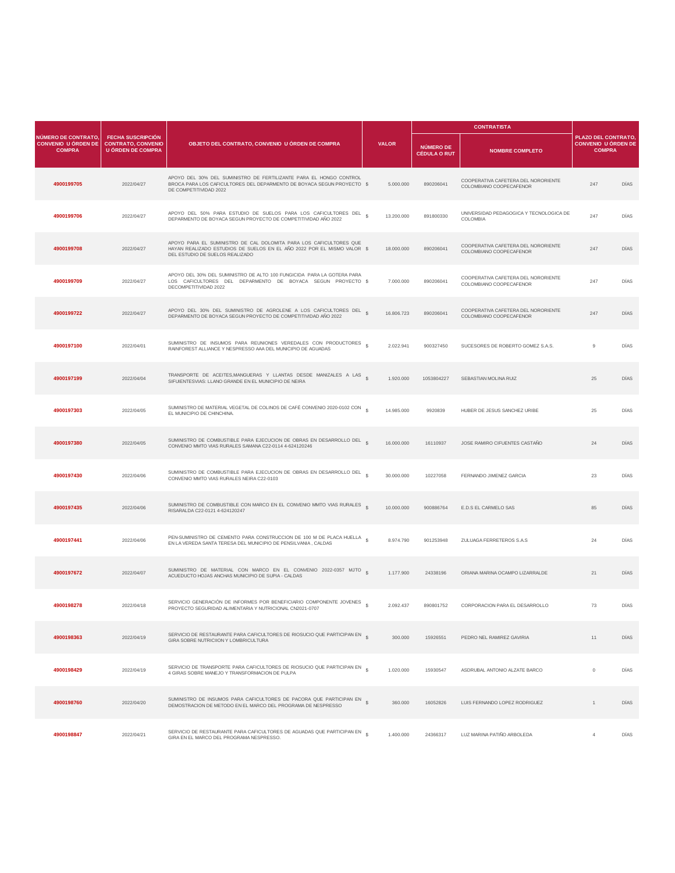|                                                                    |                                                                                   |                                                                                                                                                                                  |                 |                                  | <b>CONTRATISTA</b>                                             |                                                                   |      |
|--------------------------------------------------------------------|-----------------------------------------------------------------------------------|----------------------------------------------------------------------------------------------------------------------------------------------------------------------------------|-----------------|----------------------------------|----------------------------------------------------------------|-------------------------------------------------------------------|------|
| NÚMERO DE CONTRATO,<br><b>CONVENIO U ÓRDEN DE</b><br><b>COMPRA</b> | <b>FECHA SUSCRIPCIÓN</b><br><b>CONTRATO, CONVENIO</b><br><b>U ÓRDEN DE COMPRA</b> | OBJETO DEL CONTRATO, CONVENIO U ÓRDEN DE COMPRA                                                                                                                                  | <b>VALOR</b>    | NÚMERO DE<br><b>CÉDULA O RUT</b> | <b>NOMBRE COMPLETO</b>                                         | PLAZO DEL CONTRATO<br><b>CONVENIO U ÓRDEN DE</b><br><b>COMPRA</b> |      |
| 4900199705                                                         | 2022/04/27                                                                        | APOYO DEL 30% DEL SUMINISTRO DE FERTILIZANTE PARA EL HONGO CONTROL<br>BROCA PARA LOS CAFICULTORES DEL DEPARMENTO DE BOYACA SEGUN PROYECTO \$<br>DE COMPETITIVIDAD 2022           | 5.000.000       | 890206041                        | COOPERATIVA CAFETERA DEL NORORIENTE<br>COLOMBIANO COOPECAFENOR | 247                                                               | DÍAS |
| 4900199706                                                         | 2022/04/27                                                                        | APOYO DEL 50% PARA ESTUDIO DE SUELOS PARA LOS CAFICULTORES DEL<br>DEPARMENTO DE BOYACA SEGUN PROYECTO DE COMPETITIVIDAD AÑO 2022                                                 | s<br>13.200.000 | 891800330                        | UNIVERSIDAD PEDAGOGICA Y TECNOLOGICA DE<br>COLOMBIA            | 247                                                               | DÍAS |
| 4900199708                                                         | 2022/04/27                                                                        | APOYO PARA EL SUMINISTRO DE CAL DOLOMITA PARA LOS CAFICULTORES QUE<br>HAYAN REALIZADO ESTUDIOS DE SUELOS EN EL AÑO 2022 POR EL MISMO VALOR \$<br>DEL ESTUDIO DE SUELOS REALIZADO | 18,000,000      | 890206041                        | COOPERATIVA CAFETERA DEL NORORIENTE<br>COLOMBIANO COOPECAFENOR | 247                                                               | DÍAS |
| 4900199709                                                         | 2022/04/27                                                                        | APOYO DEL 30% DEL SUMINISTRO DE ALTO 100 FUNGICIDA PARA LA GOTERA PARA<br>LOS CAFICULTORES DEL DEPARMENTO DE BOYACA SEGUN PROYECTO \$<br>DECOMPETITIVIDAD 2022                   | 7.000.000       | 890206041                        | COOPERATIVA CAFETERA DEL NORORIENTE<br>COLOMBIANO COOPECAFENOR | 247                                                               | DÍAS |
| 4900199722                                                         | 2022/04/27                                                                        | APOYO DEL 30% DEL SUMINISTRO DE AGROLENE A LOS CAFICULTORES DEL \$<br>DEPARMENTO DE BOYACA SEGUN PROYECTO DE COMPETITIVIDAD AÑO 2022                                             | 16.806.723      | 890206041                        | COOPERATIVA CAFETERA DEL NORORIENTE<br>COLOMBIANO COOPECAFENOR | 247                                                               | DIAS |
| 4900197100                                                         | 2022/04/01                                                                        | SUMINISTRO DE INSUMOS PARA REUNIONES VEREDALES CON PRODUCTORES \$<br>RAINFOREST ALLIANCE Y NESPRESSO AAA DEL MUNICIPIO DE AGUADAS                                                | 2.022.941       | 900327450                        | SUCESORES DE ROBERTO GOMEZ S.A.S.                              | $\overline{9}$                                                    | DÍAS |
| 4900197199                                                         | 2022/04/04                                                                        | TRANSPORTE DE ACEITES, MANGUERAS Y LLANTAS DESDE MANIZALES A LAS \$<br>SIFUIENTESVIAS: LLANO GRANDE EN EL MUNICIPIO DE NEIRA                                                     | 1.920.000       | 1053804227                       | SEBASTIAN MOLINA RUIZ                                          | 25                                                                | DÍAS |
| 4900197303                                                         | 2022/04/05                                                                        | SUMINISTRO DE MATERIAL VEGETAL DE COLINOS DE CAFÉ CONVENIO 2020-0102 CON §<br>EL MUNICIPIO DE CHINCHINA.                                                                         | 14.985.000      | 9920839                          | HUBER DE JESUS SANCHEZ URIBE                                   | 25                                                                | DÍAS |
| 4900197380                                                         | 2022/04/05                                                                        | SUMINISTRO DE COMBUSTIBLE PARA EJECUCION DE OBRAS EN DESARROLLO DEL<br>CONVENIO MMTO VIAS RURALES SAMANA C22-0114 4-624120246                                                    | 16.000.000      | 16110937                         | JOSE RAMIRO CIFUENTES CASTAÑO                                  | 24                                                                | DÍAS |
| 4900197430                                                         | 2022/04/06                                                                        | SUMINISTRO DE COMBUSTIBLE PARA EJECUCION DE OBRAS EN DESARROLLO DEL<br>CONVENIO MMTO VIAS RURALES NEIRA C22-0103                                                                 | 30.000.000      | 10227058                         | FERNANDO JIMENEZ GARCIA                                        | 23                                                                | DIAS |
| 4900197435                                                         | 2022/04/06                                                                        | SUMINISTRO DE COMBUSTIBLE CON MARCO EN EL CONVENIO MMTO VIAS RURALES §<br>RISARALDA C22-0121 4-624120247                                                                         | 10.000.000      | 900886764                        | E.D.S EL CARMELO SAS                                           | 85                                                                | DÍAS |
| 4900197441                                                         | 2022/04/06                                                                        | PEN-SUMINISTRO DE CEMENTO PARA CONSTRUCCION DE 100 M DE PLACA HUELLA<br>EN LA VEREDA SANTA TERESA DEL MUNICIPIO DE PENSILVANIA, CALDAS                                           | 8.974.790       | 901253948                        | ZULUAGA FERRETEROS S.A.S                                       | 24                                                                | DÍAS |
| 4900197672                                                         | 2022/04/07                                                                        | SUMINISTRO DE MATERIAL CON MARCO EN EL CONVENIO 2022-0357 MJTO \$<br>ACUEDUCTO HOJAS ANCHAS MUNICIPIO DE SUPIA - CALDAS                                                          | 1.177.900       | 24338196                         | ORIANA MARINA OCAMPO LIZARRALDE                                | 21                                                                | DÍAS |
| 4900198278                                                         | 2022/04/18                                                                        | SERVICIO GENERACIÓN DE INFORMES POR BENEFICIARIO COMPONENTE JOVENES<br>PROYECTO SEGURIDAD ALIMENTARIA Y NUTRICIONAL CN2021-0707                                                  | 2.092.437       | 890801752                        | CORPORACION PARA EL DESARROLLO                                 | 73                                                                | DÍAS |
| 4900198363                                                         | 2022/04/19                                                                        | SERVICIO DE RESTAURANTE PARA CAFICULTORES DE RIOSUCIO QUE PARTICIPAN EN S<br>GIRA SOBRE NUTRICIION Y LOMBRICULTURA                                                               | 300.000         | 15926551                         | PEDRO NEL RAMIREZ GAVIRIA                                      | 11                                                                | DIAS |
| 4900198429                                                         | 2022/04/19                                                                        | SERVICIO DE TRANSPORTE PARA CAFICULTORES DE RIOSUCIO QUE PARTICIPAN EN \$<br>4 GIRAS SOBRE MANEJO Y TRANSFORMACION DE PULPA                                                      | 1.020.000       | 15930547                         | ASDRUBAL ANTONIO ALZATE BARCO                                  | $\mathbb O$                                                       | DÍAS |
| 4900198760                                                         | 2022/04/20                                                                        | SUMINISTRO DE INSUMOS PARA CAFICULTORES DE PACORA QUE PARTICIPAN EN \$<br>DEMOSTRACION DE METODO EN EL MARCO DEL PROGRAMA DE NESPRESSO                                           | 360.000         | 16052826                         | LUIS FERNANDO LOPEZ RODRIGUEZ                                  | $\mathbf{1}$                                                      | DÍAS |
| 4900198847                                                         | 2022/04/21                                                                        | SERVICIO DE RESTAURANTE PARA CAFICULTORES DE AGUADAS QUE PARTICIPAN EN §<br>GIRA EN EL MARCO DEL PROGRAMA NESPRESSO.                                                             | 1.400.000       | 24366317                         | LUZ MARINA PATIÑO ARBOLEDA                                     | $\overline{4}$                                                    | DÍAS |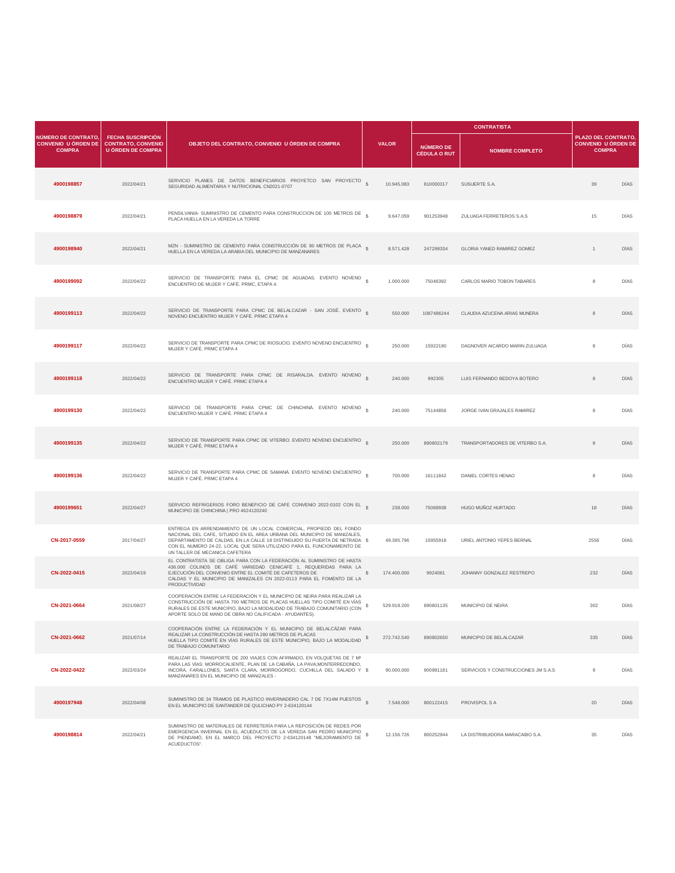|                                                                    |                                                                                   |                                                                                                                                                                                                                                                                                                                                           |                   |             |                                         | <b>CONTRATISTA</b>                  |                                                                   |      |
|--------------------------------------------------------------------|-----------------------------------------------------------------------------------|-------------------------------------------------------------------------------------------------------------------------------------------------------------------------------------------------------------------------------------------------------------------------------------------------------------------------------------------|-------------------|-------------|-----------------------------------------|-------------------------------------|-------------------------------------------------------------------|------|
| NÚMERO DE CONTRATO,<br><b>CONVENIO U ÓRDEN DE</b><br><b>COMPRA</b> | <b>FECHA SUSCRIPCIÓN</b><br><b>CONTRATO, CONVENIO</b><br><b>U ÓRDEN DE COMPRA</b> | OBJETO DEL CONTRATO, CONVENIO U ÓRDEN DE COMPRA                                                                                                                                                                                                                                                                                           | <b>VALOR</b>      |             | <b>NÚMERO DE</b><br><b>CÉDULA O RUT</b> | <b>NOMBRE COMPLETO</b>              | PLAZO DEL CONTRATO<br><b>CONVENIO U ÓRDEN DE</b><br><b>COMPRA</b> |      |
| 4900198857                                                         | 2022/04/21                                                                        | SERVICIO PLANES DE DATOS BENEFICIARIOS PROYETCO SAN PROYECTO \$<br>SEGURIDAD ALIMENTARIA Y NUTRICIONAL CN2021-0707                                                                                                                                                                                                                        |                   | 10.945.083  | 810000317                               | SUSUERTE S.A.                       | 39                                                                | DÍAS |
| 4900198879                                                         | 2022/04/21                                                                        | PENSILVANIA- SUMINISTRO DE CEMENTO PARA CONSTRUCCION DE 100 METROS DE \$<br>PLACA HUELLA EN LA VEREDA LA TORRE                                                                                                                                                                                                                            |                   | 9.647.059   | 901253948                               | ZULUAGA FERRETEROS S.A.S            | 15                                                                | DÍAS |
| 4900198940                                                         | 2022/04/21                                                                        | MZN - SUMINISTRO DE CEMENTO PARA CONSTRUCCIÓN DE 80 METROS DE PLACA §<br>HUELLA EN LA VEREDA LA ARABIA DEL MUNICIPIO DE MANZANARES                                                                                                                                                                                                        |                   | 8.571.428   | 247299334                               | <b>GLORIA YANED RAMIREZ GOMEZ</b>   | $\mathbf{1}$                                                      | DÍAS |
| 4900199092                                                         | 2022/04/22                                                                        | SERVICIO DE TRANSPORTE PARA EL CPMC DE AGUADAS. EVENTO NOVENO \$<br>ENCUENTRO DE MUJER Y CAFÉ. PRMC, ETAPA 4.                                                                                                                                                                                                                             |                   | 1.000.000   | 75046392                                | CARLOS MARIO TOBON TABARES          | 8                                                                 | DÍAS |
| 4900199113                                                         | 2022/04/22                                                                        | SERVICIO DE TRANSPORTE PARA CPMC DE BELALCAZAR - SAN JOSÉ. EVENTO S<br>NOVENO ENCUENTRO MUJER Y CAFÉ. PRMC ETAPA 4                                                                                                                                                                                                                        |                   | 550.000     | 1087486244                              | CLAUDIA AZUCENA ARIAS MUNERA        | 8                                                                 | DIAS |
| 4900199117                                                         | 2022/04/22                                                                        | SERVICIO DE TRANSPORTE PARA CPMC DE RIOSUCIO. EVENTO NOVENO ENCUENTRO \$<br>MUJER Y CAFÉ. PRMC ETAPA 4                                                                                                                                                                                                                                    |                   | 250.000     | 15922190                                | DAGNOVER AICARDO MARIN ZULUAGA      | 8                                                                 | DÍAS |
| 4900199118                                                         | 2022/04/22                                                                        | SERVICIO DE TRANSPORTE PARA CPMC DE RISARALDA. EVENTO NOVENO \$<br>ENCUENTRO MUJER Y CAFÉ. PRMC ETAPA 4                                                                                                                                                                                                                                   |                   | 240,000     | 992305                                  | LUIS FERNANDO BEDOYA BOTERO         | 8                                                                 | DÍAS |
| 4900199130                                                         | 2022/04/22                                                                        | SERVICIO DE TRANSPORTE PARA CPMC DE CHINCHINÁ. EVENTO NOVENO \$<br>ENCUENTRO MUJER Y CAFÉ, PRMC ETAPA 4                                                                                                                                                                                                                                   |                   | 240,000     | 75144856                                | JORGE IVAN GRAJALES RAMIREZ         | 8                                                                 | DÍAS |
| 4900199135                                                         | 2022/04/22                                                                        | SERVICIO DE TRANSPORTE PARA CPMC DE VITERBO. EVENTO NOVENO ENCUENTRO<br>MUJER Y CAFÉ. PRMC ETAPA 4                                                                                                                                                                                                                                        |                   | 250.000     | 890802179                               | TRANSPORTADORES DE VITERBO S.A.     | 8                                                                 | DÍAS |
| 4900199136                                                         | 2022/04/22                                                                        | SERVICIO DE TRANSPORTE PARA CPMC DE SAMANÁ. EVENTO NOVENO ENCUENTRO \$<br>MUJER Y CAFÉ. PRMC ETAPA 4                                                                                                                                                                                                                                      |                   | 700.000     | 16111842                                | DANIEL CORTES HENAO                 | 8                                                                 | DIAS |
| 4900199651                                                         | 2022/04/27                                                                        | SERVICIO REFRIGERIOS FORO BENEFICIO DE CAFE CONVENIO 2022-0102 CON EL S<br>MUNICIPIO DE CHINCHINA   PRO 4624120240                                                                                                                                                                                                                        |                   | 238.000     | 75068938                                | HUGO MUÑOZ HURTADO                  | 18                                                                | DÍAS |
| CN-2017-0559                                                       | 2017/04/27                                                                        | ENTREGA EN ARRENDAMIENTO DE UN LOCAL COMERCIAL, PROPIEDD DEL FONDO<br>NACIONAL DEL CAFE, SITUADO EN EL AREA URBANA DEL MUNICIPIO DE MANIZALES,<br>DEPARTAMENTO DE CALDAS, EN LA CALLE 18 DISTINGUIDO SU PUERTA DE NETRADA \$<br>CON EL NUMERO 24-22, LOCAL QUE SERA UTILIZADO PARA EL FUNCIONAMEINTO DE<br>UN TALLER DE MECANICA CAFETERA |                   | 49.395.796  | 15955918                                | URIEL ANTONIO YEPES BERNAL          | 2556                                                              | DÍAS |
| CN-2022-0415                                                       | 2022/04/19                                                                        | EL CONTRATISTA SE OBLIGA PARA CON LA FEDERACIÓN AL SUMINISTRO DE HASTA<br>436.000 COLINOS DE CAFÉ VARIEDAD CENICAFÉ 1, REQUERIDAS PARA LA<br>EJECUCIÓN DEL CONVENIO ENTRE EL COMITÉ DE CAFETEROS DE<br>CALDAS Y EL MUNICIPIO DE MANIZALES CN 2022-0113 PARA EL FOMENTO DE LA<br>PRODUCTIVIDAD                                             | S.<br>174.400.000 |             | 9924081                                 | JOHANNY GONZALEZ RESTREPO           | 232                                                               | DÍAS |
| CN-2021-0664                                                       | 2021/08/27                                                                        | COOPERACIÓN ENTRE LA FEDERACIÓN Y EL MUNICIPIO DE NEIRA PARA REALIZAR LA<br>CONSTRUCCIÓN DE HASTA 700 METROS DE PLACAS HUELLAS TIPO COMITÉ EN VÍAS<br>RURALES DE ESTE MUNICIPIO, BAJO LA MODALIDAD DE TRABAJO COMUNITARIO (CON<br>APORTE SOLO DE MANO DE OBRA NO CALIFICADA - AYUDANTES).                                                 | s                 | 529.918.200 | 890801135                               | MUNICIPIO DE NEIRA                  | 302                                                               | DÍAS |
| CN-2021-0662                                                       | 2021/07/14                                                                        | COOPERACIÓN ENTRE LA FEDERACIÓN Y EL MUNICIPIO DE BELALCÁZAR PARA<br>REALIZAR LA CONSTRUCCIÓN DE HASTA 280 METROS DE PLACAS<br>HUELLA TIPO COMITÉ EN VÍAS RURALES DE ESTE MUNICIPIO, BAJO LA MODALIDAD \$<br>DE TRABAJO COMUNITARIO                                                                                                       | 272.742.540       |             | 890802650                               | MUNICIPIO DE BELALCAZAR             | 335                                                               | DÍAS |
| CN-2022-0422                                                       | 2022/03/24                                                                        | REALIZAR EL TRANSPORTE DE 200 VIAJES CON AFIRMADO, EN VOLQUETAS DE 7 M <sup>3</sup><br>PARA LAS VÍAS: MORROCALIENTE, PLAN DE LA CABAÑA, LA PAVA, MONTERREDONDO,<br>INCORA, FARALLONES, SANTA CLARA, MORROGORDO, CUCHILLA DEL SALADO Y \$<br>MANZANARES EN EL MUNICIPIO DE MANIZALES -                                                     |                   | 90,000,000  | 900981181                               | SERVICIOS Y CONSTRUCCIONES JM S.A.S | $9\,$                                                             | DÍAS |
| 4900197948                                                         | 2022/04/08                                                                        | SUMINISTRO DE 34 TRAMOS DE PLASTICO INVERNADERO CAL 7 DE 7X14M PUESTOS \$<br>EN EL MUNICIPIO DE SANTANDER DE QULICHAO PY 2-634120144                                                                                                                                                                                                      |                   | 7.548.000   | 800122415                               | PROVISPOL S A                       | 20                                                                | DÍAS |
| 4900198814                                                         | 2022/04/21                                                                        | SUMINISTRO DE MATERIALES DE FERRETERÍA PARA LA REPOSICIÓN DE REDES POR<br>EMERGENCIA INVERNAL EN EL ACUEDUCTO DE LA VEREDA SAN PEDRO MUNICIPIO<br>DE PIENDAMÓ, EN EL MARCO DEL PROYECTO 2-634120148 "MEJORAMIENTO DE<br>ACUEDUCTOS".                                                                                                      | $\mathbf{s}$      | 12.156.726  | 800252944                               | LA DISTRIBUIDORA MARACAIBO S.A.     | 35                                                                | DÍAS |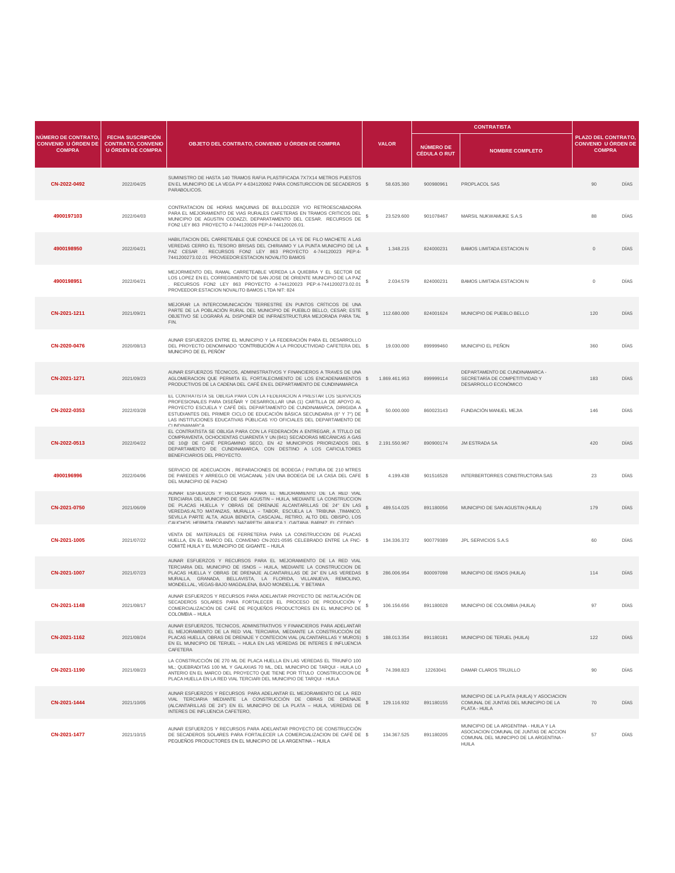|                                                                    |                                                                                   |                                                                                                                                                                                                                                                                                                                                                                                                                                         |                  |                                         | <b>CONTRATISTA</b>                                                                                                                          |                                                                   |             |
|--------------------------------------------------------------------|-----------------------------------------------------------------------------------|-----------------------------------------------------------------------------------------------------------------------------------------------------------------------------------------------------------------------------------------------------------------------------------------------------------------------------------------------------------------------------------------------------------------------------------------|------------------|-----------------------------------------|---------------------------------------------------------------------------------------------------------------------------------------------|-------------------------------------------------------------------|-------------|
| NÚMERO DE CONTRATO,<br><b>CONVENIO U ÓRDEN DE</b><br><b>COMPRA</b> | <b>FECHA SUSCRIPCIÓN</b><br><b>CONTRATO, CONVENIO</b><br><b>U ÓRDEN DE COMPRA</b> | OBJETO DEL CONTRATO, CONVENIO U ÓRDEN DE COMPRA                                                                                                                                                                                                                                                                                                                                                                                         | <b>VALOR</b>     | <b>NÚMERO DE</b><br><b>CÉDULA O RUT</b> | <b>NOMBRE COMPLETO</b>                                                                                                                      | PLAZO DEL CONTRATO<br><b>CONVENIO U ÓRDEN DE</b><br><b>COMPRA</b> |             |
| CN-2022-0492                                                       | 2022/04/25                                                                        | SUMINISTRO DE HASTA 140 TRAMOS RAFIA PLASTIFICADA 7X7X14 METROS PUESTOS<br>EN EL MUNICIPIO DE LA VEGA PY 4-634120062 PARA CONSTURCCION DE SECADEROS \$<br>PARABOLICOS.                                                                                                                                                                                                                                                                  | 58.635.360       | 900980961                               | PROPLACOL SAS                                                                                                                               | 90                                                                | DÍAS        |
| 4900197103                                                         | 2022/04/03                                                                        | CONTRATACION DE HORAS MAQUINAS DE BULLDOZER Y/O RETROESCABADORA<br>PARA EL MEJORAMIENTO DE VIAS RURALES CAFETERAS EN TRAMOS CRITICOS DEL<br>MUNICIPIO DE AGUSTIN CODAZZI, DEPARATAMENTO DEL CESAR, RECURSOS DE<br>FON2 LEY 863 PROYECTO 4-744120026 PEP:4-744120026.01.                                                                                                                                                                 | 23,529,600<br>s  | 901078467                               | MARSIL NUKWAMUKE S.A.S                                                                                                                      | 88                                                                | DÍAS        |
| 4900198950                                                         | 2022/04/21                                                                        | HABILITACION DEL CARRETEABLE QUE CONDUCE DE LA YE DE FILO MACHETE A LAS<br>VEREDAS CERRO EL TESORO BRISAS DEL CHIRIAIMO Y LA PUNTA MUNICIPIO DE LA<br>PAZ CESAR . RECURSOS FON2 LEY 863 PROYECTO 4-744120023 PEP:4-<br>7441200273.02.01 PROVEEDOR:ESTACION NOVALITO BAMOS                                                                                                                                                               | 1.348.215        | 824000231                               | <b>BAMOS LIMITADA ESTACION N</b>                                                                                                            | $\circ$                                                           | <b>DIAS</b> |
| 4900198951                                                         | 2022/04/21                                                                        | MEJORMIENTO DEL RAMAL CARRETEABLE VEREDA LA QUIEBRA Y EL SECTOR DE<br>LOS LOPEZ EN EL CORREGIMIENTO DE SAN JOSE DE ORIENTE MUNICIPIO DE LA PAZ<br>. RECURSOS FON2 LEY 863 PROYECTO 4-744120023 PEP:4-7441200273.02.01<br>PROVEEDOR: ESTACION NOVALITO BAMOS LTDA NIT: 824                                                                                                                                                               | 2.034.579<br>s   | 824000231                               | BAMOS LIMITADA ESTACION N                                                                                                                   | $\mathbb O$                                                       | DÍAS        |
| CN-2021-1211                                                       | 2021/09/21                                                                        | MEJORAR LA INTERCOMUNICACIÓN TERRESTRE EN PUNTOS CRÍTICOS DE UNA<br>PARTE DE LA POBLACIÓN RURAL DEL MUNICIPIO DE PUEBLO BELLO, CESAR; ESTE<br>OBJETIVO SE LOGRARÁ AL DISPONER DE INFRAESTRUCTURA MEJORADA PARA TAL<br>FIN.                                                                                                                                                                                                              | s<br>112.680.000 | 824001624                               | MUNICIPIO DE PUEBLO BELLO                                                                                                                   | 120                                                               | DÍAS        |
| CN-2020-0476                                                       | 2020/08/13                                                                        | AUNAR ESFUERZOS ENTRE EL MUNICIPIO Y LA FEDERACIÓN PARA EL DESARROLLO<br>DEL PROYECTO DENOMINADO "CONTRIBUCIÓN A LA PRODUCTIVIDAD CAFETERA DEL \$<br>MUNICIPIO DE EL PEÑÓN"                                                                                                                                                                                                                                                             | 19.030.000       | 899999460                               | MUNICIPIO EL PEÑON                                                                                                                          | 360                                                               | DÍAS        |
| CN-2021-1271                                                       | 2021/09/23                                                                        | AUNAR ESFUERZOS TÉCNICOS, ADMINISTRATIVOS Y FINANCIEROS A TRAVES DE UNA<br>AGLOMERACION QUE PERMITA EL FORTALECIMIENTO DE LOS ENCADENAMIENTOS \$<br>PRODUCTIVOS DE LA CADENA DEL CAFÉ EN EL DEPARTAMENTO DE CUNDINAMARCA                                                                                                                                                                                                                | 1.869.461.953    | 899999114                               | DEPARTAMENTO DE CUNDINAMARCA -<br>SECRETARÍA DE COMPETITIVIDAD Y<br>DESARROLLO ECONÓMICO                                                    | 183                                                               | DÍAS        |
| CN-2022-0353                                                       | 2022/03/28                                                                        | EL CONTRATISTA SE OBLIGA PARA CON LA FEDERACION A PRESTAR LOS SERVICIOS<br>PROFESIONALES PARA DISEÑAR Y DESARROLLAR UNA (1) CARTILLA DE APOYO AL<br>PROYECTO ESCUELA Y CAFÉ DEL DEPARTAMENTO DE CUNDINAMARCA, DIRIGIDA A<br>ESTUDIANTES DEL PRIMER CICLO DE EDUCACIÓN BÁSICA SECUNDARIA (6° Y 7°) DE<br>LAS INSTITUCIONES EDUCATIVAS PÚBLICAS Y/O OFICIALES DEL DEPARTAMENTO DE<br>CLINDINAMARCA                                        | 50.000.000       | 860023143                               | FUNDACIÓN MANUEL MEJIA                                                                                                                      | 146                                                               | DIAS        |
| CN-2022-0513                                                       | 2022/04/22                                                                        | EL CONTRATISTA SE OBLIGA PARA CON LA FEDERACIÓN A ENTREGAR, A TÍTULO DE<br>COMPRAVENTA, OCHOCIENTAS CUARENTA Y UN (841) SECADORAS MECÁNICAS A GAS<br>DE 10@ DE CAFÉ PERGAMINO SECO, EN 42 MUNICIPIOS PRIORIZADOS DEL \$ 2.191.550.967<br>DEPARTAMENTO DE CUNDINAMARCA, CON DESTINO A LOS CAFICULTORES<br>BENEFICIARIOS DEL PROYECTO.                                                                                                    |                  | 890900174                               | <b>JM ESTRADA SA</b>                                                                                                                        | 420                                                               | DÍAS        |
| 4900196996                                                         | 2022/04/06                                                                        | SERVICIO DE ADECUACION, REPARACIONES DE BODEGA ( PINTURA DE 210 MTRES<br>DE PAREDES Y ARREGLO DE VIGACANAL )-EN UNA BODEGA DE LA CASA DEL CAFE \$<br>DEL MUNICIPIO DE PACHO                                                                                                                                                                                                                                                             | 4.199.438        | 901516528                               | INTERBERTORRES CONSTRUCTORA SAS                                                                                                             | 23                                                                | DÍAS        |
| CN-2021-0750                                                       | 2021/06/09                                                                        | AUNAR ESFUERZOS Y RECURSOS PARA EL MEJORAMIENTO DE LA RED VIAL<br>TERCIARIA DEL MUNICIPIO DE SAN AGUSTIN - HUILA, MEDIANTE LA CONSTRUCCION<br>DE PLACAS HUELLA Y OBRAS DE DRENAJE ALCANTARILLAS DE 24" EN LAS<br>VEREDAS: ALTO MATANZAS, MURALLA - TABOR, ESCUELA LA TRIBUNA TIMANCO,<br>SEVILLA PARTE ALTA, AGUA BENDITA, CASCAJAL, RETIRO, ALTO DEL OBISPO, LOS<br>CALICHOS HEDMITA ORANDO NAZADETH ADALICA 1 CAITANA RADNIZ EL CEDDO | s<br>489.514.025 | 891180056                               | MUNICIPIO DE SAN AGUSTIN (HUILA)                                                                                                            | 179                                                               | DÍAS        |
| CN-2021-1005                                                       | 2021/07/22                                                                        | VENTA DE MATERIALES DE FERRETERIA PARA LA CONSTRUCCION DE PLACAS<br>HUELLA, EN EL MARCO DEL CONVENIO CN-2021-0595 CELEBRADO ENTRE LA FNC- \$<br>COMITÉ HUILA Y EL MUNICIPIO DE GIGANTE - HUILA                                                                                                                                                                                                                                          | 134.336.372      | 900779389                               | JPL SERVICIOS S.A.S                                                                                                                         | 60                                                                | DÍAS        |
| CN-2021-1007                                                       | 2021/07/23                                                                        | AUNAR ESFUERZOS Y RECURSOS PARA EL MEJORAMIENTO DE LA RED VIAL<br>TERCIARIA DEL MUNICIPIO DE ISNOS - HUILA, MEDIANTE LA CONSTRUCCION DE<br>PLACAS HUELLA Y OBRAS DE DRENAJE ALCANTARILLAS DE 24" EN LAS VEREDAS \$<br>MURALLA, GRANADA, BELLAVISTA, LA FLORIDA, VILLANUEVA, REMOLINO,<br>MONDELLAL, VEGAS-BAJO MAGDALENA, BAJO MONDELLAL Y BETANIA                                                                                      | 286.006.954      | 800097098                               | MUNICIPIO DE ISNOS (HUILA)                                                                                                                  | 114                                                               | DIAS        |
| CN-2021-1148                                                       | 2021/08/17                                                                        | AUNAR ESFUERZOS Y RECURSOS PARA ADELANTAR PROYECTO DE INSTALACIÓN DE<br>SECADEROS SOLARES PARA FORTALECER EL PROCESO DE PRODUCCIÓN Y<br>COMERCIALIZACIÓN DE CAFÉ DE PEQUEÑOS PRODUCTORES EN EL MUNICIPIO DE<br>COLOMBIA - HUILA                                                                                                                                                                                                         | 106.156.656<br>s | 891180028                               | MUNICIPIO DE COLOMBIA (HUILA)                                                                                                               | 97                                                                | DÍAS        |
| CN-2021-1162                                                       | 2021/08/24                                                                        | AUNAR ESFUERZOS, TECNICOS, ADMINSTRATIVOS Y FINANCIEROS PARA ADELANTAR<br>EL MEJORAMIENTO DE LA RED VIAL TERCIARIA. MEDIANTE LA CONSTRUCCIÓN DE<br>PLACAS HUELLA, OBRAS DE DRENAJE Y CONTECION VIAL (ALCANTARILLAS Y MUROS) \$<br>EN EL MUNICIPIO DE TERUEL - HUILA EN LAS VEREDAS DE INTERES E INFLUENCIA<br>CAFETERA                                                                                                                  | 188,013,354      | 891180181                               | MUNICIPIO DE TERUEL (HUILA)                                                                                                                 | 122                                                               | DÍAS        |
| CN-2021-1190                                                       | 2021/08/23                                                                        | LA CONSTRUCCIÓN DE 270 ML DE PLACA HUELLA EN LAS VEREDAS EL TRIUNFO 100<br>ML; QUEBRADITAS 100 ML Y GALAXIAS 70 ML, DEL MUNICIPIO DE TARQUI - HUILA LO<br>ANTERIO EN EL MARCO DEL PROYECTO QUE TIENE POR TÍTULO CONSTRUCCION DE<br>PLACA HUELLA EN LA RED VIAL TERCIARI DEL MUNICIPIO DE TARQUI - HUILA                                                                                                                                 | 74.398.823       | 12263041                                | DAMAR CLAROS TRUJILLO                                                                                                                       | 90                                                                | DÍAS        |
| CN-2021-1444                                                       | 2021/10/05                                                                        | AUNAR ESFUERZOS Y RECURSOS PARA ADELANTAR EL MEJORAMIENTO DE LA RED<br>VIAL TERCIARIA MEDIANTE LA CONSTRUCCIÓN DE OBRAS DE DRENAJE<br>(ALCANTARILLAS DE 24") EN EL MUNICIPIO DE LA PLATA - HUILA, VEREDAS DE \$<br>INTERES DE INFLUENCIA CAFETERO.                                                                                                                                                                                      | 129.116.932      | 891180155                               | MUNICIPIO DE LA PLATA (HUILA) Y ASOCIACION<br>COMUNAL DE JUNTAS DEL MUNICIPIO DE LA<br>PLATA - HUILA                                        | 70                                                                | DÍAS        |
| CN-2021-1477                                                       | 2021/10/15                                                                        | AUNAR ESFUERZOS Y RECURSOS PARA ADELANTAR PROYECTO DE CONSTRUCCIÓN<br>DE SECADEROS SOLARES PARA FORTALECER LA COMERCIALIZACION DE CAFÉ DE \$<br>PEQUEÑOS PRODUCTORES EN EL MUNICIPIO DE LA ARGENTINA - HUILA                                                                                                                                                                                                                            | 134.367.525      | 891180205                               | MUNICIPIO DE LA ARGENTINA - HUILA Y LA<br>ASOCIACION COMUNAL DE JUNTAS DE ACCION<br>COMUNAL DEL MUNICIPIO DE LA ARGENTINA -<br><b>HUILA</b> | 57                                                                | DÍAS        |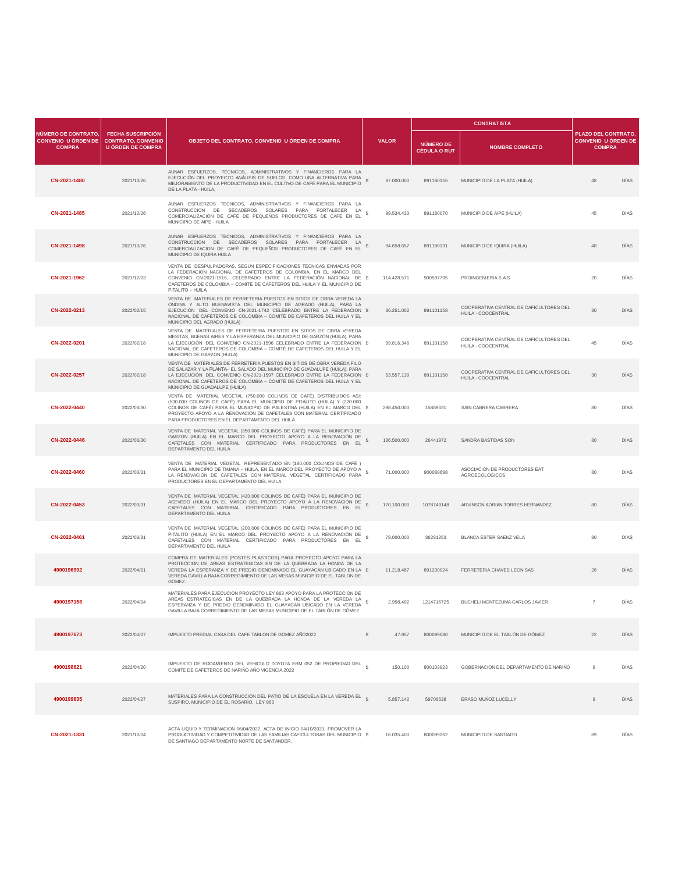|                                                                           |                                                                                   |                                                                                                                                                                                                                                                                                                                                                            |                  |                                         | <b>CONTRATISTA</b>                                            |                                                                           |             |
|---------------------------------------------------------------------------|-----------------------------------------------------------------------------------|------------------------------------------------------------------------------------------------------------------------------------------------------------------------------------------------------------------------------------------------------------------------------------------------------------------------------------------------------------|------------------|-----------------------------------------|---------------------------------------------------------------|---------------------------------------------------------------------------|-------------|
| <b>NÚMERO DE CONTRATO,</b><br><b>CONVENIO U ÓRDEN DE</b><br><b>COMPRA</b> | <b>FECHA SUSCRIPCIÓN</b><br><b>CONTRATO, CONVENIO</b><br><b>U ÓRDEN DE COMPRA</b> | OBJETO DEL CONTRATO, CONVENIO U ÓRDEN DE COMPRA                                                                                                                                                                                                                                                                                                            | <b>VALOR</b>     | <b>NÚMERO DE</b><br><b>CÉDULA O RUT</b> | <b>NOMBRE COMPLETO</b>                                        | <b>PLAZO DEL CONTRATO.</b><br><b>CONVENIO U ÓRDEN DE</b><br><b>COMPRA</b> |             |
| CN-2021-1480                                                              | 2021/10/26                                                                        | AUNAR ESFUERZOS, TÉCNICOS, ADMINISTRATIVOS Y FINANCIEROS PARA LA<br>EJECUCIÓN DEL PROYECTO ANÁLISIS DE SUELOS, COMO UNA ALTERNATIVA PARA<br>MEJORAMIENTO DE LA PRODUCTIVIDAD EN EL CULTIVO DE CAFÉ PARA EL MUNICIPIO<br>DE LA PLATA - HUILA,                                                                                                               | s<br>87.000.000  | 891180155                               | MUNICIPIO DE LA PLATA (HUILA)                                 | 48                                                                        | <b>DÍAS</b> |
| CN-2021-1485                                                              | 2021/10/26                                                                        | AUNAR ESFUERZOS TECNICOS, ADMINISTRATIVOS Y FINANCIEROS PARA LA<br>CONSTRUCCION DE SECADEROS SOLARES PARA FORTALECER LA<br>COMERCIALIZACION DE CAFÉ DE PEQUEÑOS PRODUCTORES DE CAFÉ EN EL<br>MUNICIPIO DE AIPE - HUILA                                                                                                                                     | s<br>99.534.433  | 891180070                               | MUNICIPIO DE AIPE (HUILA)                                     | 45                                                                        | DÍAS        |
| CN-2021-1498                                                              | 2021/10/26                                                                        | AUNAR ESFUERZOS TECNICOS, ADMINISTRATIVOS Y FINANCIEROS PARA LA<br>CONSTRUCCION DE SECADEROS SOLARES PARA FORTALECER LA<br>COMERCIALIZACION DE CAFÉ DE PEQUEÑOS PRODUCTORES DE CAFÉ EN EL<br>MUNICIPIO DE IOURA HUILA                                                                                                                                      | \$<br>94.658.657 | 891180131                               | MUNICIPIO DE IQUIRA (HUILA)                                   | 48                                                                        | DÍAS        |
| CN-2021-1962                                                              | 2021/12/03                                                                        | VENTA DE DESPULPADORAS, SEGÚN ESPECIFICACIONES TECNICAS ENVIADAS POR<br>LA FEDERACION NACIONAL DE CAFETEROS DE COLOMBIA, EN EL MARCO DEL<br>CONVENIO CN-2021-1516, CELEBRADO ENTRE LA FEDERACIÓN NACIONAL DE \$<br>CAFETEROS DE COLOMBIA - COMITÉ DE CAFETEROS DEL HUILA Y EL MUNICIPIO DE<br>PITALITO - HUILA                                             | 114.428.571      | 900597795                               | PROINGENIERIA S.A.S                                           | 20                                                                        | DÍAS        |
| CN-2022-0213                                                              | 2022/02/15                                                                        | VENTA DE MATERIALES DE FERRETERIA PUESTOS EN SITIOS DE OBRA VEREDA LA<br>ONDINA Y ALTO BUENAVISTA DEL MUNICIPIO DE AGRADO (HUILA), PARA LA<br>EJECUCIÓN DEL CONVENIO CN-2021-1742 CELEBRADO ENTRE LA FEDERACION \$<br>NACIONAL DE CAFETEROS DE COLOMBIA - COMITÉ DE CAFETEROS DEL HUILA Y EL<br>MUNICIPIO DEL AGRADO (HUILA)                               | 36.251.002       | 891101158                               | COOPERATIVA CENTRAL DE CAFICULTORES DEL<br>HUILA - COOCENTRAL | 30                                                                        | <b>DIAS</b> |
| CN-2022-0201                                                              | 2022/02/18                                                                        | VENTA DE MATERIALES DE FERRETERIA PUESTOS EN SITIOS DE OBRA VEREDA<br>MESITAS, BUENAS AIRES Y LA ESPERANZA DEL MUNICIPIO DE GARZON (HUILA), PARA<br>LA EJECUCIÓN DEL CONVENIO CN-2021-1596 CELEBRADO ENTRE LA FEDERACION \$<br>NACIONAL DE CAFETEROS DE COLOMBIA - COMITÉ DE CAFETEROS DEL HUILA Y EL<br>MUNICIPIO DE GARZON (HUILA)                       | 99.816.346       | 891101158                               | COOPERATIVA CENTRAL DE CAFICULTORES DEL<br>HUILA - COOCENTRAL | 45                                                                        | DÍAS        |
| CN-2022-0257                                                              | 2022/02/18                                                                        | VENTA DE MATERIALES DE FERRETERIA PUESTOS EN SITIOS DE OBRA VEREDA FILO<br>DE SALAZAR Y LA PLANTA- EL SALADO DEL MUNICIPIO DE GUADALUPE (HUILA), PARA<br>LA EJECUCIÓN DEL CONVENIO CN-2021-1597 CELEBRADO ENTRE LA FEDERACION \$<br>NACIONAL DE CAFETEROS DE COLOMBIA - COMITÉ DE CAFETEROS DEL HUILA Y EL<br>MUNICIPIO DE GUADALUPE (HUILA)               | 53.557.139       | 891101158                               | COOPERATIVA CENTRAL DE CAFICULTORES DEL<br>HUILA - COOCENTRAL | 30                                                                        | DÍAS        |
| CN-2022-0440                                                              | 2022/03/30                                                                        | VENTA DE MATERIAL VEGETAL (750.000 COLINOS DE CAFÉ) DISTRIBUIDOS ASI:<br>(530.000 COLINOS DE CAFÉ) PARA EL MUNICIPIO DE PITALITO (HUILA) Y (220.000<br>COLINOS DE CAFÉ) PARA EL MUNICIPIO DE PALESTINA (HUILA) EN EL MARCO DEL \$<br>PROYECTO APOYO A LA RENOVACIÓN DE CAFETALES CON MATERIAL CERTIFICADO<br>PARA PRODUCTORES EN EL DEPARTAMENTO DEL HUILA | 298.450.000      | 15889631                                | SAIN CABRERA CABRERA                                          | 80                                                                        | DÍAS        |
| CN-2022-0446                                                              | 2022/03/30                                                                        | VENTA DE MATERIAL VEGETAL (350.000 COLINOS DE CAFÉ) PARA EL MUNICIPIO DE<br>GARZON (HUILA) EN EL MARCO DEL PROYECTO APOYO A LA RENOVACIÓN DE<br>CAFETALES CON MATERIAL CERTIFICADO PARA PRODUCTORES EN EL<br>DEPARTAMENTO DEL HUILA                                                                                                                        | 136.500.000<br>s | 26441972                                | SANDRA BASTIDAS SON                                           | 80                                                                        | <b>DÍAS</b> |
| CN-2022-0460                                                              | 2022/03/31                                                                        | VENTA DE MATERIAL VEGETAL REPRESENTADO EN (180.000 COLINOS DE CAFÉ)<br>PARA EL MUNICIPIO DE TIMANA - HUILA, EN EL MARCO DEL PROYECTO DE APOYO A<br>LA RENOVACIÓN DE CAFETALES CON MATERIAL VEGETAL CERTIFICADO PARA<br>PRODUCTORES EN EL DEPARTAMENTO DEL HUILA                                                                                            | s<br>71.000.000  | 900089698                               | ASOCIACIÓN DE PRODUCTORES EAT<br>AGROECOLÓGICOS               | 80                                                                        | DÍAS        |
| CN-2022-0453                                                              | 2022/03/31                                                                        | VENTA DE MATERIAL VEGETAL (420.000 COLINOS DE CAFÉ) PARA EL MUNICIPIO DE<br>ACEVEDO (HUILA) EN EL MARCO DEL PROYECTO APOYO A LA RENOVACIÓN DE<br>CAFETALES CON MATERIAL CERTIFICADO PARA PRODUCTORES EN EL<br>DEPARTAMENTO DEL HUILA                                                                                                                       | s<br>170.100.000 | 1078749148                              | ARVINSON ADRIAN TORRES HERNANDEZ                              | 80                                                                        | <b>DÍAS</b> |
| CN-2022-0461                                                              | 2022/03/31                                                                        | VENTA DE MATERIAL VEGETAL (200.000 COLINOS DE CAFÉ) PARA EL MUNICIPIO DE<br>PITALITO (HUILA) EN EL MARCO DEL PROYECTO APOYO A LA RENOVACIÓN DE<br>CAFETALES CON MATERIAL CERTIFICADO PARA PRODUCTORES EN EL<br>DEPARTAMENTO DEL HUILA                                                                                                                      | s<br>78,000,000  | 36281253                                | BLANCA ESTER SAENZ VELA                                       | 80                                                                        | DÍAS        |
| 4900196992                                                                | 2022/04/01                                                                        | COMPRA DE MATERIALES (POSTES PLASTICOS) PARA PROYECTO APOYO PARA LA<br>PROTECCION DE AREAS ESTRATEGICAS EN DE LA QUEBRADA LA HONDA DE LA<br>VEREDA LA ESPERANZA Y DE PREDIO DENOMINADO EL GUAYACAN UBICADO EN LA \$<br>VEREDA GAVILLA BAJA CORREGIMIENTO DE LAS MESAS MUNICIPIO DE EL TABLON DE<br>GOMEZ.                                                  | 11.218.487       | 891200024                               | FERRETERIA CHAVES LEON SAS                                    | 28                                                                        | DÍAS        |
| 4900197158                                                                | 2022/04/04                                                                        | MATERIALES PARA EJECUCION PROYECTO LEY 863 APOYO PARA LA PROTECCION DE<br>AREAS ESTRATEGICAS EN DE LA QUEBRADA LA HONDA DE LA VEREDA LA<br>ESPERANZA Y DE PREDIO DENOMINADO EL GUAYACAN UBICADO EN LA VEREDA<br>GAVILLA BAJA CORREGIMIENTO DE LAS MESAS MUNICIPIO DE EL TABLON DE GÓMEZ                                                                    | 2.958.402        | 1214716725                              | BUCHELI MONTEZUMA CARLOS JAVIER                               | $\overline{7}$                                                            | DÍAS        |
| 4900197673                                                                | 2022/04/07                                                                        | IMPUESTO PREDIAL CASA DEL CAFE TABLON DE GOMEZ AÑO2022                                                                                                                                                                                                                                                                                                     | s<br>47.957      | 800099080                               | MUNICIPIO DE EL TABLÓN DE GÓMEZ                               | 22                                                                        | <b>DÍAS</b> |
| 4900198621                                                                | 2022/04/20                                                                        | IMPUESTO DE RODAMIENTO DEL VEHICULO TOYOTA ERM 052 DE PROPIEDAD DEL §<br>COMITE DE CAFETEROS DE NARIÑO AÑO VIGENCIA 2022                                                                                                                                                                                                                                   | 150,100          | 800103923                               | GOBERNACION DEL DEPARTAMENTO DE NARIÑO                        | $\,9$                                                                     | DÍAS        |
| 4900199635                                                                | 2022/04/27                                                                        | MATERIALES PARA LA CONSTRUCCIÓN DEL PATIO DE LA ESCUELA EN LA VEREDA EL «<br>SUSPIRO, MUNICIPIO DE EL ROSARIO. LEY 863                                                                                                                                                                                                                                     | 5.857.142        | 59706638                                | ERASO MUÑOZ LUCELLY                                           | 9                                                                         | <b>DÍAS</b> |
| CN-2021-1331                                                              | 2021/10/04                                                                        | ACTA LIQUID Y TERMINACION 06/04/2022, ACTA DE INICIO 04/10/2021, PROMOVER LA<br>PRODUCTIVIDAD Y COMPETITIVIDAD DE LAS FAMILIAS CAFICULTORAS DEL MUNICIPIO \$<br>DE SANTIAGO DEPARTAMENTO NORTE DE SANTANDER.                                                                                                                                               | 16.035.400       | 800099262                               | MUNICIPIO DE SANTIAGO                                         | 89                                                                        | DÍAS        |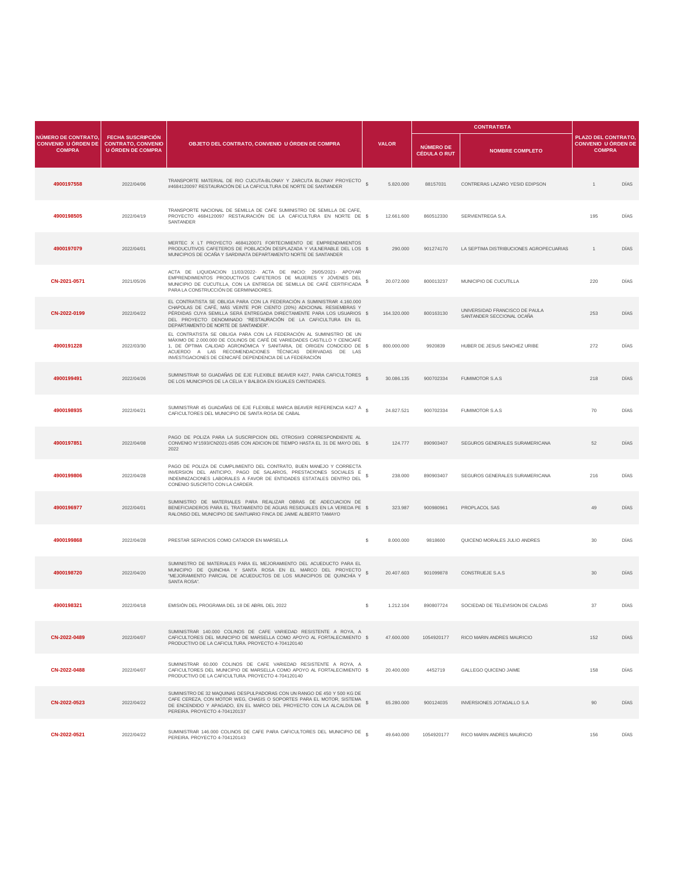|                                                                    |                                                                                   |                                                                                                                                                                                                                                                                                                                                                 |                  |           |                                         | <b>CONTRATISTA</b>                                          |                                                                   |      |
|--------------------------------------------------------------------|-----------------------------------------------------------------------------------|-------------------------------------------------------------------------------------------------------------------------------------------------------------------------------------------------------------------------------------------------------------------------------------------------------------------------------------------------|------------------|-----------|-----------------------------------------|-------------------------------------------------------------|-------------------------------------------------------------------|------|
| NÚMERO DE CONTRATO,<br><b>CONVENIO U ÓRDEN DE</b><br><b>COMPRA</b> | <b>FECHA SUSCRIPCIÓN</b><br><b>CONTRATO, CONVENIO</b><br><b>U ÓRDEN DE COMPRA</b> | OBJETO DEL CONTRATO, CONVENIO U ÓRDEN DE COMPRA                                                                                                                                                                                                                                                                                                 | <b>VALOR</b>     |           | <b>NÚMERO DE</b><br><b>CÉDULA O RUT</b> | <b>NOMBRE COMPLETO</b>                                      | PLAZO DEL CONTRATO<br><b>CONVENIO U ÓRDEN DE</b><br><b>COMPRA</b> |      |
| 4900197558                                                         | 2022/04/06                                                                        | TRANSPORTE MATERIAL DE RIO CUCUTA-BLONAY Y ZARCUTA BLONAY PROYECTO<br>#4684120097 RESTAURACIÓN DE LA CAFICULTURA DE NORTE DE SANTANDER                                                                                                                                                                                                          | 5.820.000        |           | 88157031                                | CONTRERAS LAZARO YESID EDIPSON                              | $\mathbf{1}$                                                      | DÍAS |
| 4900198505                                                         | 2022/04/19                                                                        | TRANSPORTE NACIONAL DE SEMILLA DE CAFE SUMINISTRO DE SEMILLA DE CAFE,<br>PROYECTO 4684120097 RESTAURACIÓN DE LA CAFICULTURA EN NORTE DE \$<br>SANTANDER                                                                                                                                                                                         | 12.661.600       |           | 860512330                               | SERVIENTREGA S.A.                                           | 195                                                               | DÍAS |
| 4900197079                                                         | 2022/04/01                                                                        | MERTEC X LT PROYECTO 4684120071 FORTECIMIENTO DE EMPRENDIMIENTOS<br>PRODUCUTIVOS CAFETEROS DE POBLACIÓN DESPLAZADA Y VULNERABLE DEL LOS \$<br>MUNICIPIOS DE OCAÑA Y SARDINATA DEPARTAMENTO NORTE DE SANTANDER                                                                                                                                   |                  | 290,000   | 901274170                               | LA SEPTIMA DISTRIBUCIONES AGROPECUARIAS                     | $\overline{1}$                                                    | DÍAS |
| CN-2021-0571                                                       | 2021/05/26                                                                        | ACTA DE LIQUIDACION 11/03/2022- ACTA DE INICIO: 26/05/2021- APOYAR<br>EMPRENDIMIENTOS PRODUCTIVOS CAFETEROS DE MUJERES Y JÓVENES DEL<br>MUNICIPIO DE CUCUTILLA, CON LA ENTREGA DE SEMILLA DE CAFÉ CERTIFICADA<br>PARA LA CONSTRUCCIÓN DE GERMINADORES.                                                                                          | \$<br>20.072.000 |           | 800013237                               | MUNICIPIO DE CUCUTILLA                                      | 220                                                               | DÍAS |
| CN-2022-0199                                                       | 2022/04/22                                                                        | EL CONTRATISTA SE OBLIGA PARA CON LA FEDERACIÓN A SUMINISTRAR 4.160.000<br>CHAPOLAS DE CAFÉ, MÁS VEINTE POR CIENTO (20%) ADICIONAL RESIEMBRAS Y<br>PÉRDIDAS CUYA SEMILLA SERÁ ENTREGADA DIRECTAMENTE PARA LOS USUARIOS \$<br>DEL PROYECTO DENOMINADO "RESTAURACIÓN DE LA CAFICULTURA EN EL<br>DEPARTAMENTO DE NORTE DE SANTANDER".              | 164.320.000      |           | 800163130                               | UNIVERSIDAD FRANCISCO DE PAULA<br>SANTANDER SECCIONAL OCANA | 253                                                               | DIAS |
| 4900191228                                                         | 2022/03/30                                                                        | EL CONTRATISTA SE OBLIGA PARA CON LA FEDERACIÓN AL SUMINISTRO DE UN<br>MÁXIMO DE 2.000.000 DE COLINOS DE CAFÉ DE VARIEDADES CASTILLO Y CENICAFÉ<br>1, DE ÓPTIMA CALIDAD AGRONÓMICA Y SANITARIA, DE ORIGEN CONOCIDO DE \$<br>ACUERDO A LAS RECOMENDACIONES TÉCNICAS DERIVADAS DE LAS<br>INVESTIGACIONES DE CENICAFÉ DEPENDENCIA DE LA FEDERACIÓN | 800.000.000      |           | 9920839                                 | HUBER DE JESUS SANCHEZ URIBE                                | 272                                                               | DÍAS |
| 4900199491                                                         | 2022/04/26                                                                        | SUMINISTRAR 50 GUADAÑAS DE EJE FLEXIBLE BEAVER K427, PARA CAFICULTORES<br>DE LOS MUNICIPIOS DE LA CELIA Y BALBOA EN IGUALES CANTIDADES.                                                                                                                                                                                                         | 30.086.135       |           | 900702334                               | FUMIMOTOR S.A.S                                             | 218                                                               | DÍAS |
| 4900198935                                                         | 2022/04/21                                                                        | SUMINISTRAR 45 GUADAÑAS DE EJE FLEXIBLE MARCA BEAVER REFERENCIA K427 A $_{\circ}$<br>CAFICULTORES DEL MUNICIPIO DE SANTA ROSA DE CABAL                                                                                                                                                                                                          | 24.827.521       |           | 900702334                               | <b>FUMIMOTOR S.A.S</b>                                      | 70                                                                | DIAS |
| 4900197851                                                         | 2022/04/08                                                                        | PAGO DE POLIZA PARA LA SUSCRIPCION DEL OTROSI#3 CORRESPONDIENTE AL<br>CONVENIO Nº1593/CN2021-0585 CON ADICION DE TIEMPO HASTA EL 31 DE MAYO DEL \$<br>2022                                                                                                                                                                                      |                  | 124.777   | 890903407                               | SEGUROS GENERALES SURAMERICANA                              | 52                                                                | DÍAS |
| 4900199806                                                         | 2022/04/28                                                                        | PAGO DE POLIZA DE CUMPLIMIENTO DEL CONTRATO, BUEN MANEJO Y CORRECTA<br>INVERSION DEL ANTICIPO, PAGO DE SALARIOS, PRESTACIONES SOCIALES E<br>INDEMNIZACIONES LABORALES A FAVOR DE ENTIDADES ESTATALES DENTRO DEL<br>CONENIO SUSCRITO CON LA CARDER.                                                                                              | s                | 238.000   | 890903407                               | SEGUROS GENERALES SURAMERICANA                              | 216                                                               | DIAS |
| 4900196977                                                         | 2022/04/01                                                                        | SUMINISTRO DE MATERIALES PARA REALIZAR OBRAS DE ADECUACION DE<br>BENEFICIADEROS PARA EL TRATAMIENTO DE AGUAS RESIDUALES EN LA VEREDA PE \$<br>RALONSO DEL MUNICIPIO DE SANTUARIO FINCA DE JAIME ALBERTO TAMAYO                                                                                                                                  |                  | 323.987   | 900980961                               | PROPLACOL SAS                                               | 49                                                                | DÍAS |
| 4900199868                                                         | 2022/04/28                                                                        | PRESTAR SERVICIOS COMO CATADOR EN MARSELLA                                                                                                                                                                                                                                                                                                      | s                | 8.000.000 | 9818600                                 | QUICENO MORALES JULIO ANDRES                                | 30                                                                | DÍAS |
| 4900198720                                                         | 2022/04/20                                                                        | SUMINISTRO DE MATERIALES PARA EL MEJORAMIENTO DEL ACUEDUCTO PARA EL<br>MUNICIPIO DE QUINCHIA Y SANTA ROSA EN EL MARCO DEL PROYECTO<br>"MEJORAMIENTO PARCIAL DE ACUEDUCTOS DE LOS MUNICIPIOS DE QUINCHÍA Y<br>SANTA ROSA".                                                                                                                       | s<br>20.407.603  |           | 901099878                               | CONSTRUEJE S.A.S                                            | 30                                                                | DÍAS |
| 4900198321                                                         | 2022/04/18                                                                        | EMISIÓN DEL PROGRAMA DEL 18 DE ABRIL DEL 2022                                                                                                                                                                                                                                                                                                   | s                | 1.212.104 | 890807724                               | SOCIEDAD DE TELEVISION DE CALDAS                            | 37                                                                | DÍAS |
| CN-2022-0489                                                       | 2022/04/07                                                                        | SUMINISTRAR 140.000 COLINOS DE CAFE VARIEDAD RESISTENTE A ROYA, A<br>CAFICULTORES DEL MUNICIPIO DE MARSELLA COMO APOYO AL FORTALECIMIENTO \$<br>PRODUCTIVO DE LA CAFICULTURA. PROYECTO 4-704120140                                                                                                                                              | 47.600.000       |           | 1054920177                              | RICO MARIN ANDRES MAURICIO                                  | 152                                                               | DIAS |
| CN-2022-0488                                                       | 2022/04/07                                                                        | SUMINISTRAR 60.000 COLINOS DE CAFE VARIEDAD RESISTENTE A ROYA, A<br>CAFICULTORES DEL MUNICIPIO DE MARSELLA COMO APOYO AL FORTALECIMIENTO \$<br>PRODUCTIVO DE LA CAFICULTURA. PROYECTO 4-704120140                                                                                                                                               | 20.400.000       |           | 4452719                                 | GALLEGO QUICENO JAIME                                       | 158                                                               | DÍAS |
| CN-2022-0523                                                       | 2022/04/22                                                                        | SUMINISTRO DE 32 MAQUINAS DESPULPADORAS CON UN RANGO DE 450 Y 500 KG DE<br>CAFE CEREZA, CON MOTOR WEG, CHASIS O SOPORTES PARA EL MOTOR, SISTEMA<br>DE ENCENDIDO Y APAGADO, EN EL MARCO DEL PROYECTO CON LA ALCALDIA DE<br>PEREIRA. PROYECTO 4-704120137                                                                                         | 65.280.000       |           | 900124035                               | INVERSIONES JOTAGALLO S.A                                   | 90                                                                | DÍAS |
| CN-2022-0521                                                       | 2022/04/22                                                                        | SUMINISTRAR 146.000 COLINOS DE CAFE PARA CAFICULTORES DEL MUNICIPIO DE<br>PEREIRA, PROYECTO 4-704120143                                                                                                                                                                                                                                         | 49.640.000       |           | 1054920177                              | RICO MARIN ANDRES MAURICIO                                  | 156                                                               | DÍAS |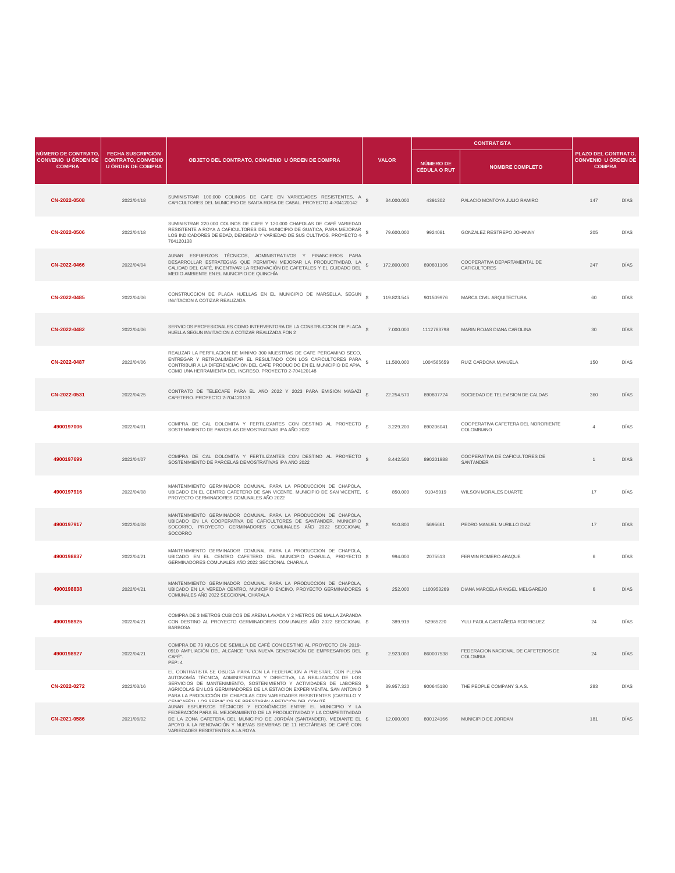|                                                                    |                                                                                   |                                                                                                                                                                                                                                                                                                                                                                                                                                      |                 |                                         | <b>CONTRATISTA</b>                                  |                                                                    |             |
|--------------------------------------------------------------------|-----------------------------------------------------------------------------------|--------------------------------------------------------------------------------------------------------------------------------------------------------------------------------------------------------------------------------------------------------------------------------------------------------------------------------------------------------------------------------------------------------------------------------------|-----------------|-----------------------------------------|-----------------------------------------------------|--------------------------------------------------------------------|-------------|
| NÚMERO DE CONTRATO,<br><b>CONVENIO U ÓRDEN DE</b><br><b>COMPRA</b> | <b>FECHA SUSCRIPCIÓN</b><br><b>CONTRATO, CONVENIO</b><br><b>U ÓRDEN DE COMPRA</b> | OBJETO DEL CONTRATO, CONVENIO U ÓRDEN DE COMPRA                                                                                                                                                                                                                                                                                                                                                                                      | <b>VALOR</b>    | <b>NÚMERO DE</b><br><b>CÉDULA O RUT</b> | <b>NOMBRE COMPLETO</b>                              | PLAZO DEL CONTRATO,<br><b>CONVENIO U ÓRDEN DE</b><br><b>COMPRA</b> |             |
| CN-2022-0508                                                       | 2022/04/18                                                                        | SUMINISTRAR 100.000 COLINOS DE CAFE EN VARIEDADES RESISTENTES, A<br>CAFICULTORES DEL MUNICIPIO DE SANTA ROSA DE CABAL. PROYECTO 4-704120142                                                                                                                                                                                                                                                                                          | 34.000.000      | 4391302                                 | PALACIO MONTOYA JULIO RAMIRO                        | 147                                                                | <b>DÍAS</b> |
| CN-2022-0506                                                       | 2022/04/18                                                                        | SUMINISTRAR 220.000 COLINOS DE CAFE Y 120.000 CHAPOLAS DE CAFÉ VARIEDAD<br>RESISTENTE A ROYA A CAFICULTORES DEL MUNICIPIO DE GUATICA, PARA MEJORAR<br>LOS INDICADORES DE EDAD, DENSIDAD Y VARIEDAD DE SUS CULTIVOS. PROYECTO 4-<br>704120138                                                                                                                                                                                         | 79,600,000      | 9924081                                 | GONZALEZ RESTREPO JOHANNY                           | 205                                                                | DÍAS        |
| CN-2022-0466                                                       | 2022/04/04                                                                        | AUNAR ESFUERZOS TÉCNICOS, ADMINISTRATIVOS Y FINANCIEROS PARA<br>DESARROLLAR ESTRATEGIAS QUE PERMITAN MEJORAR LA PRODUCTIVIDAD, LA<br>CALIDAD DEL CAFÉ, INCENTIVAR LA RENOVACIÓN DE CAFETALES Y EL CUIDADO DEL<br>MEDIO AMBIENTE EN EL MUNICIPIO DE QUINCHÍA                                                                                                                                                                          | 172.800.000     | 890801106                               | COOPERATIVA DEPARTAMENTAL DE<br><b>CAFICULTORES</b> | 247                                                                | <b>DÍAS</b> |
| CN-2022-0485                                                       | 2022/04/06                                                                        | CONSTRUCCION DE PLACA HUELLAS EN EL MUNICIPIO DE MARSELLA, SEGUN<br>INVITACION A COTIZAR REALIZADA                                                                                                                                                                                                                                                                                                                                   | 119.823.545     | 901509976                               | MARCA CIVIL ARQUITECTURA                            | 60                                                                 | DÍAS        |
| CN-2022-0482                                                       | 2022/04/06                                                                        | SERVICIOS PROFESIONALES COMO INTERVENTORA DE LA CONSTRUCCION DE PLACA §<br>HUELLA SEGUN INVITACION A COTIZAR REALIZADA FON 2                                                                                                                                                                                                                                                                                                         | 7.000.000       | 1112783798                              | MARIN ROJAS DIANA CAROLINA                          | 30                                                                 | <b>DÍAS</b> |
| CN-2022-0487                                                       | 2022/04/06                                                                        | REALIZAR LA PERFILACION DE MINIMO 300 MUESTRAS DE CAFE PERGAMINO SECO,<br>ENTREGAR Y RETROALIMENTAR EL RESULTADO CON LOS CAFICULTORES PARA<br>CONTRIBUIR A LA DIFERENCIACION DEL CAFE PRODUCIDO EN EL MUNICIPIO DE APIA,<br>COMO UNA HERRAMIENTA DEL INGRESO. PROYECTO 2-704120148                                                                                                                                                   | 11.500.000      | 1004565659                              | RUIZ CARDONA MANUELA                                | 150                                                                | DÍAS        |
| CN-2022-0531                                                       | 2022/04/25                                                                        | CONTRATO DE TELECAFE PARA EL AÑO 2022 Y 2023 PARA EMISIÓN MAGAZI §<br>CAFETERO. PROYECTO 2-704120133                                                                                                                                                                                                                                                                                                                                 | 22.254.570      | 890807724                               | SOCIEDAD DE TELEVISION DE CALDAS                    | 360                                                                | <b>DÍAS</b> |
| 4900197006                                                         | 2022/04/01                                                                        | COMPRA DE CAL DOLOMITA Y FERTILIZANTES CON DESTINO AL PROYECTO<br>SOSTENIMIENTO DE PARCELAS DEMOSTRATIVAS IPA AÑO 2022                                                                                                                                                                                                                                                                                                               | 3.229.200       | 890206041                               | COOPERATIVA CAFETERA DEL NORORIENTE<br>COLOMBIANO   | $\overline{4}$                                                     | DÍAS        |
| 4900197699                                                         | 2022/04/07                                                                        | COMPRA DE CAL DOLOMITA Y FERTILIZANTES CON DESTINO AL PROYECTO S<br>SOSTENIMIENTO DE PARCELAS DEMOSTRATIVAS IPA AÑO 2022                                                                                                                                                                                                                                                                                                             | 8.442.500       | 890201988                               | COOPERATIVA DE CAFICULTORES DE<br>SANTANDER         | $\overline{1}$                                                     | <b>DÍAS</b> |
| 4900197916                                                         | 2022/04/08                                                                        | MANTENIMIENTO GERMINADOR COMUNAL PARA LA PRODUCCION DE CHAPOLA,<br>UBICADO EN EL CENTRO CAFETERO DE SAN VICENTE, MUNICIPIO DE SAN VICENTE, \$<br>PROYECTO GERMINADORES COMUNALES ANO 2022                                                                                                                                                                                                                                            | 850.000         | 91045919                                | WILSON MORALES DUARTE                               | 17                                                                 | DÍAS        |
| 4900197917                                                         | 2022/04/08                                                                        | MANTENIMIENTO GERMINADOR COMUNAL PARA LA PRODUCCION DE CHAPOLA,<br>UBICADO EN LA COOPERATIVA DE CAFICULTORES DE SANTANDER, MUNICIPIO<br>SOCORRO, PROYECTO GERMINADORES COMUNALES AÑO 2022 SECCIONAL<br>SOCORRO                                                                                                                                                                                                                       | 910.800<br>s    | 5695661                                 | PEDRO MANUEL MURILLO DIAZ                           | 17                                                                 | <b>DÍAS</b> |
| 4900198837                                                         | 2022/04/21                                                                        | MANTENIMIENTO GERMINADOR COMUNAL PARA LA PRODUCCION DE CHAPOLA,<br>UBICADO EN EL CENTRO CAFETERO DEL MUNICIPIO CHARALA, PROYECTO \$<br>GERMINADORES COMUNALES AÑO 2022 SECCIONAL CHARALA                                                                                                                                                                                                                                             | 994.000         | 2075513                                 | FERMIN ROMERO ARAQUE                                | 6                                                                  | DÍAS        |
| 4900198838                                                         | 2022/04/21                                                                        | MANTENIMIENTO GERMINADOR COMUNAL PARA LA PRODUCCION DE CHAPOLA,<br>UBICADO EN LA VEREDA CENTRO, MUNICIPIO ENCINO, PROYECTO GERMINADORES \$<br>COMUNALES AÑO 2022 SECCIONAL CHARALA                                                                                                                                                                                                                                                   | 252.000         | 1100953269                              | DIANA MARCELA RANGEL MELGAREJO                      | 6                                                                  | <b>DÍAS</b> |
| 4900198925                                                         | 2022/04/21                                                                        | COMPRA DE 3 METROS CUBICOS DE ARENA LAVADA Y 2 METROS DE MALLA ZARANDA<br>CON DESTINO AL PROYECTO GERMINADORES COMUNALES AÑO 2022 SECCIONAL \$<br><b>BARBOSA</b>                                                                                                                                                                                                                                                                     | 389,919         | 52965220                                | YULI PAOLA CASTAÑEDA RODRIGUEZ                      | 24                                                                 | DÍAS        |
| 4900198927                                                         | 2022/04/21                                                                        | COMPRA DE 79 KILOS DE SEMILLA DE CAFÉ CON DESTINO AL PROYECTO CN- 2019-<br>0910 AMPLIACIÓN DEL ALCANCE "UNA NUEVA GENERACIÓN DE EMPRESARIOS DEL \$<br>CAFÉ".<br>PFP: 4                                                                                                                                                                                                                                                               | 2.923.000       | 860007538                               | FEDERACION NACIONAL DE CAFETEROS DE<br>COLOMBIA     | 24                                                                 | <b>DÍAS</b> |
| CN-2022-0272                                                       | 2022/03/16                                                                        | EL CONTRATISTA SE OBLIGA PARA CON LA FEDERACION A PRESTAR, CON PLENA<br>AUTONOMÍA TÉCNICA. ADMINISTRATIVA Y DIRECTIVA. LA REALIZACIÓN DE LOS<br>SERVICIOS DE MANTENIMIENTO, SOSTENIMIENTO Y ACTIVIDADES DE LABORES<br>AGRÍCOLAS EN LOS GERMINADORES DE LA ESTACIÓN EXPERIMENTAL SAN ANTONIO<br>PARA LA PRODUCCIÓN DE CHAPOLAS CON VARIEDADES RESISTENTES (CASTILLO Y<br>CENICAEÉ1) I OS SERVICIOS SE DRESTARÁN A RETICIÓN DEL COMITÉ | 39.957.320<br>s | 900645180                               | THE PEOPLE COMPANY S.A.S.                           | 283                                                                | DÍAS        |
| CN-2021-0586                                                       | 2021/06/02                                                                        | AUNAR ESFUERZOS TÉCNICOS Y ECONÓMICOS ENTRE EL MUNICIPIO Y LA<br>FEDERACIÓN PARA EL MEJORAMIENTO DE LA PRODUCTIVIDAD Y LA COMPETITIVIDAD<br>DE LA ZONA CAFETERA DEL MUNICIPIO DE JORDÁN (SANTANDER), MEDIANTE EL \$<br>APOYO A LA RENOVACIÓN Y NUEVAS SIEMBRAS DE 11 HECTÁREAS DE CAFÉ CON<br>VARIEDADES RESISTENTES A LA ROYA                                                                                                       | 12.000.000      | 800124166                               | MUNICIPIO DE JORDAN                                 | 181                                                                | <b>DÍAS</b> |
|                                                                    |                                                                                   |                                                                                                                                                                                                                                                                                                                                                                                                                                      |                 |                                         |                                                     |                                                                    |             |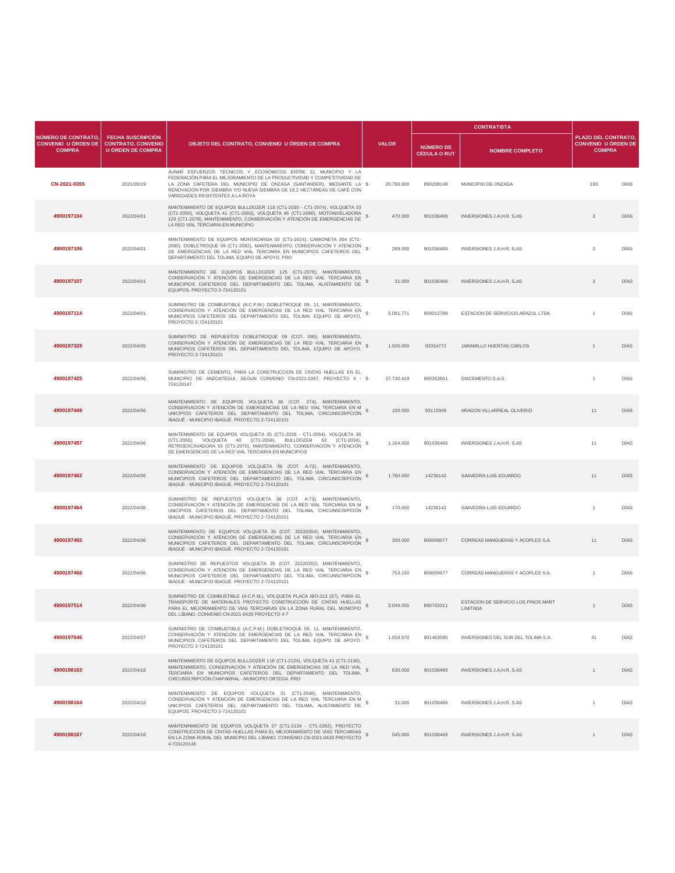|                                                                    |                                                                                   |                                                                                                                                                                                                                                                                                                                                |                         |                                         | <b>CONTRATISTA</b>                                      |                                                                   |      |
|--------------------------------------------------------------------|-----------------------------------------------------------------------------------|--------------------------------------------------------------------------------------------------------------------------------------------------------------------------------------------------------------------------------------------------------------------------------------------------------------------------------|-------------------------|-----------------------------------------|---------------------------------------------------------|-------------------------------------------------------------------|------|
| NÚMERO DE CONTRATO,<br><b>CONVENIO U ÓRDEN DE</b><br><b>COMPRA</b> | <b>FECHA SUSCRIPCIÓN</b><br><b>CONTRATO, CONVENIO</b><br><b>U ÓRDEN DE COMPRA</b> | OBJETO DEL CONTRATO, CONVENIO U ÓRDEN DE COMPRA                                                                                                                                                                                                                                                                                | <b>VALOR</b>            | <b>NÚMERO DE</b><br><b>CÉDULA O RUT</b> | <b>NOMBRE COMPLETO</b>                                  | PLAZO DEL CONTRATO<br><b>CONVENIO U ÓRDEN DE</b><br><b>COMPRA</b> |      |
| CN-2021-0355                                                       | 2021/05/19                                                                        | AUNAR ESFUERZOS TÉCNICOS Y ECONÓMICOS ENTRE EL MUNICIPIO Y LA<br>FEDERACIÓN PARA EL MEJORAMIENTO DE LA PRODUCTIVIDAD Y COMPETITIVIDAD DE<br>LA ZONA CAFETERA DEL MUNICIPIO DE ONZAGA (SANTANDER), MEDIANTE LA \$<br>RENOVACIÓN POR SIEMBRA Y/O NUEVA SIEMBRA DE 18,2 HECTÁREAS DE CAFÉ CON<br>VARIEDADES RESISTENTES A LA ROYA | 20.780.000              | 890208148                               | MUNICIPIO DE ONZAGA                                     | 193                                                               | DÍAS |
| 4900197104                                                         | 2022/04/01                                                                        | MANTENIMIENTO DE EQUIPOS BULLDOZER 118 (CT1-2030 - CT1-2074), VOLQUETA 33<br>(CT1-2050), VOLQUETA 41 (CT1-2060), VOLQUETA 46 (CT1-2066), MOTONIVELADORA<br>129 (CT1-2078), MANTENIMIENTO, CONSERVACIÓN Y ATENCIÓN DE EMERGENCIAS DE<br>LA RED VIAL TERCIARIA EN MUNICIPIO                                                      | 470.000<br><sub>S</sub> | 901036466                               | INVERSIONES J.A.H.R. S.AS                               | $_{\rm 3}$                                                        | DÍAS |
| 4900197106                                                         | 2022/04/01                                                                        | MANTENIMIENTO DE EQUIPOS MONTACARGA 50 (CT1-2024), CAMIONETA 304 (CT1-<br>2080), DOBLETROQUE 09 (CT1-2082), MANTENIMIENTO, CONSERVACIÓN Y ATENCIÓN<br>DE EMERGENCIAS DE LA RED VIAL TERCIARIA EN MUNICIPIOS CAFETEROS DEL<br>DEPARTAMENTO DEL TOLIMA, EQUIPO DE APOYO, PRO                                                     | 289,000                 | 901036466                               | INVERSIONES J.A.H.R. S.AS                               | 3                                                                 | DÍAS |
| 4900197107                                                         | 2022/04/01                                                                        | MANTENIMIENTO DE EQUIPOS BULLDOZER 125 (CT1-2076), MANTENIMIENTO,<br>CONSERVACIÓN Y ATENCIÓN DE EMERGENCIAS DE LA RED VIAL TERCIARIA EN<br>MUNICIPIOS CAFETEROS DEL DEPARTAMENTO DEL TOLIMA, ALISTAMIENTO DE<br>EQUIPOS. PROYECTO 2-724120101                                                                                  | s<br>31,000             | 901036466                               | <b>INVERSIONES J.A.H.R. S.AS</b>                        | $_{\rm 3}$                                                        | DÍAS |
| 4900197114                                                         | 2022/04/01                                                                        | SUMINISTRO DE COMBUSTIBLE (A.C.P.M.) DOBLETROQUE 09, 11, MANTENIMIENTO,<br>CONSERVACIÓN Y ATENCIÓN DE EMERGENCIAS DE LA RED VIAL TERCIARIA EN<br>MUNICIPIOS CAFETEROS DEL DEPARTAMENTO DEL TOLIMA, EQUIPO DE APOYO.<br>PROYECTO 2-724120101                                                                                    | s<br>5.081.771          | 809012788                               | ESTACION DE SERVICIOS ARAZUL LTDA                       | $\mathbf{1}$                                                      | DÍAS |
| 4900197329                                                         | 2022/04/05                                                                        | SUMINISTRO DE REPUESTOS DOBLETROQUE 09 (COT. 095), MANTENIMIENTO,<br>CONSERVACIÓN Y ATENCIÓN DE EMERGENCIAS DE LA RED VIAL TERCIARIA EN<br>MUNICIPIOS CAFETEROS DEL DEPARTAMENTO DEL TOLIMA, EQUIPO DE APOYO.<br>PROYECTO 2-724120101                                                                                          | s<br>1.500.000          | 93354772                                | JARAMILLO HUERTAS CARLOS                                | $\mathbf{1}$                                                      | DÍAS |
| 4900197425                                                         | 2022/04/06                                                                        | SUMINISTRO DE CEMENTO, PARA LA CONSTRUCCION DE CINTAS HUELLAS EN EL<br>MUNICIPIO DE ANZOATEGUI, SEGUN CONVENIO CN-2021-0397. PROYECTO 4 - \$<br>724120147                                                                                                                                                                      | 37.730.419              | 900353601                               | DIACEMENTO S.A.S                                        | $\overline{1}$                                                    | DÍAS |
| 4900197449                                                         | 2022/04/06                                                                        | MANTENIMIENTO DE EQUIPOS VOLQUETA 36 (COT. 274), MANTENIMIENTO,<br>CONSERVACIÓN Y ATENCIÓN DE EMERGENCIAS DE LA RED VIAL TERCIARIA EN M<br>UNICIPIOS CAFETEROS DEL DEPARTAMENTO DEL TOLIMA, CIRCUNSCRIPCIÓN<br>IBAGUÉ - MUNICIPIO IBAGUÉ, PROYECTO 2-724120101                                                                 | 150.000                 | 93115949                                | ARAGON VILLARREAL OLIVERIO                              | 11                                                                | DÍAS |
| 4900197457                                                         | 2022/04/06                                                                        | MANTENIMIENTO DE EQUIPOS VOLQUETA 35 (CT1-2026 - CT1-2054), VOLQUETA 36<br>(CT1-2056), VOLQUETA 40 (CT1-2058), BULLDOZER 62 (CT1-2034),<br>RETROEXCAVADORA 55 (CT1-2070), MANTENIMIENTO, CONSERVACIÓN Y ATENCIÓN \$<br>DE EMERGENCIAS DE LA RED VIAL TERCIARIA EN MUNICIPIOS                                                   | 1.164.000               | 901036466                               | INVERSIONES J.A.H.R. S.AS                               | 11                                                                | DIAS |
| 4900197462                                                         | 2022/04/06                                                                        | MANTENIMIENTO DE EQUIPOS VOLQUETA 36 (COT. A-72), MANTENIMIENTO,<br>CONSERVACIÓN Y ATENCIÓN DE EMERGENCIAS DE LA RED VIAL TERCIARIA EN<br>MUNICIPIOS CAFETEROS DEL DEPARTAMENTO DEL TOLIMA, CIRCUNSCRIPCIÓN<br>IBAGUÉ - MUNICIPIO IBAGUÉ. PROYECTO 2-724120101                                                                 | s<br>1.760.000          | 14236142                                | SAAVEDRA LUIS EDUARDO                                   | 11                                                                | DÍAS |
| 4900197464                                                         | 2022/04/06                                                                        | SUMINISTRO DE REPUESTOS VOLQUETA 36 (COT. A-73), MANTENIMIENTO,<br>CONSERVACIÓN Y ATENCIÓN DE EMERGENCIAS DE LA RED VIAL TERCIARIA EN M<br>UNICIPIOS CAFETEROS DEL DEPARTAMENTO DEL TOLIMA, CIRCUNSCRIPCIÓN<br>IBAGUÉ - MUNICIPIO IBAGUÉ. PROYECTO 2-724120101                                                                 | 170.000                 | 14236142                                | SAAVEDRA LUIS EDUARDO                                   | $\mathbf{1}$                                                      | DÍAS |
| 4900197465                                                         | 2022/04/06                                                                        | MANTENIMIENTO DE EQUIPOS VOLQUETA 35 (COT. 20220354), MANTENIMIENTO,<br>CONSERVACIÓN Y ATENCIÓN DE EMERGENCIAS DE LA RED VIAL TERCIARIA EN<br>MUNICIPIOS CAFETEROS DEL DEPARTAMENTO DEL TOLIMA, CIRCUNSCRIPCIÓN<br>IBAGUÉ - MUNICIPIO IBAGUÉ. PROYECTO 2-724120101                                                             | 300.000                 | 809009677                               | CORREAS MANGUERAS Y ACOPLES S.A.                        | 11                                                                | DÍAS |
| 4900197466                                                         | 2022/04/06                                                                        | SUMINISTRO DE REPUESTOS VOLQUETA 35 (COT. 20220352), MANTENIMIENTO,<br>CONSERVACIÓN Y ATENCIÓN DE EMERGENCIAS DE LA RED VIAL TERCIARIA EN<br>MUNICIPIOS CAFETEROS DEL DEPARTAMENTO DEL TOLIMA, CIRCUNSCRIPCIÓN<br>IBAGUÉ - MUNICIPIO IBAGUÉ. PROYECTO 2-724120101                                                              | 753.150                 | 809009677                               | CORREAS MANGUERAS Y ACOPLES S.A.                        |                                                                   | DÍAS |
| 4900197514                                                         | 2022/04/06                                                                        | SUMINISTRO DE COMBUSTIBLE (A.C.P.M.), VOLQUETA PLACA IBO-213 (37), PARA EL<br>TRANSPORTE DE MATERIALES PROYECTO CONSTRUCCIÓN DE CINTAS HUELLAS<br>PARA EL MEJORAMIENTO DE VÍAS TERCIARIAS EN LA ZONA RURAL DEL MUNICPIO<br>DEL LÍBANO. CONVENIO CN-2021-0426 PROYECTO 4-7                                                      | 3.049.055               | 890703311                               | ESTACION DE SERVICIO LOS PINOS MART<br><b>I IMITADA</b> | $\mathbf{1}$                                                      | DIAS |
| 4900197646                                                         | 2022/04/07                                                                        | SUMINISTRO DE COMBUSTIBLE (A.C.P.M.) DOBLETROQUE 09, 11, MANTENIMIENTO,<br>CONSERVACIÓN Y ATENCIÓN DE EMERGENCIAS DE LA RED VIAL TERCIARIA EN<br>MUNICIPIOS CAFETEROS DEL DEPARTAMENTO DEL TOLIMA, EQUIPO DE APOYO.<br>PROYECTO 2-724120101                                                                                    | 1.058.970               | 901463590                               | INVERSIONES DEL SUR DEL TOLIMA S.A.                     | 41                                                                | DÍAS |
| 4900198163                                                         | 2022/04/18                                                                        | MANTENIMIENTO DE EQUIPOS BULLDOZER 118 (CT1-2124), VOLQUETA 41 (CT1-2130),<br>MANTENIMIENTO, CONSERVACIÓN Y ATENCIÓN DE LA RED VIAL \$<br>TERCIARIA EN MUNICIPIOS CAFETEROS DEL DEPARTAMENTO DEL TOLIMA,<br>CIRCUNSCRIPCIÓN CHAPARRAL - MUNICIPIO ORTEGA, PRO                                                                  | 630.000                 | 901036466                               | INVERSIONES J.A.H.R. S.AS                               | $\mathbf{1}$                                                      | DIAS |
| 4900198164                                                         | 2022/04/18                                                                        | MANTENIMIENTO DE EQUIPOS VOLQUETA 31 (CT1-2048), MANTENIMIENTO,<br>CONSERVACIÓN Y ATENCIÓN DE EMERGENCIAS DE LA RED VIAL TERCIARIA EN M<br>UNICIPIOS CAFETEROS DEL DEPARTAMENTO DEL TOLIMA, ALISTAMIENTO DE \$<br>EQUIPOS. PROYECTO 2-724120101                                                                                | 31,000                  | 901036466                               | INVERSIONES J.A.H.R. S.AS                               | $\overline{1}$                                                    | DÍAS |
| 4900198167                                                         | 2022/04/18                                                                        | MANTENINMIENTO DE EQUIPOS VOLQUETA 37 (CT1-2134 - CT1-2282), PROYECTO<br>CONSTRUCCIÓN DE CINTAS HUELLAS PARA EL MEJORAMIENTO DE VÍAS TERCIARIAS<br>EN LA ZONA RURAL DEL MUNICPIO DEL LÍBANO. CONVENIO CN-2021-0426 PROYECTO<br>4-724120146                                                                                     | 545.000                 | 901036466                               | INVERSIONES J.A.H.R. S.AS                               | $\overline{1}$                                                    | DÍAS |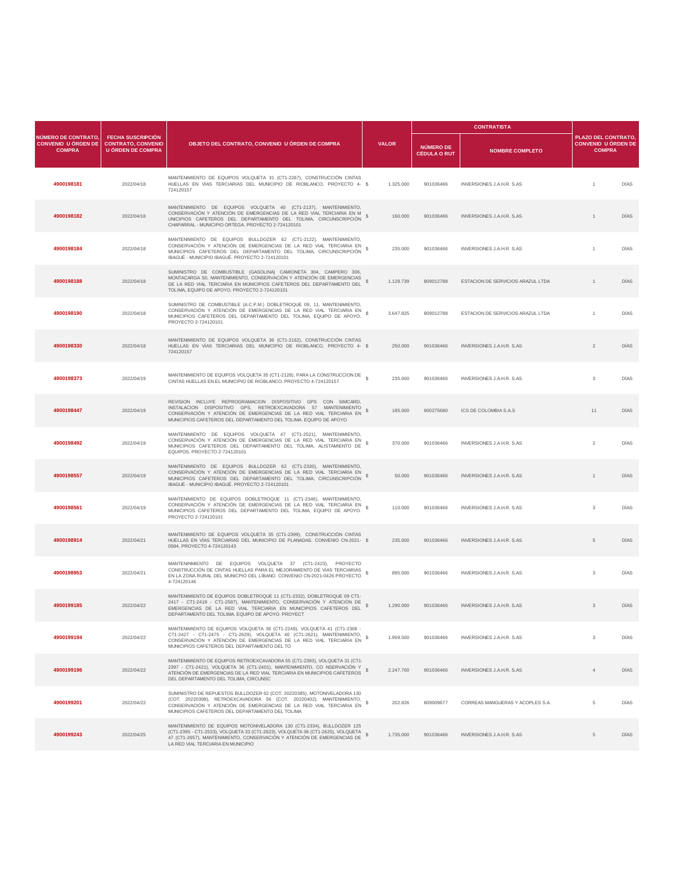|                                                                    |                                                                                   |                                                                                                                                                                                                                                                                                |                           |                                         | <b>CONTRATISTA</b>                |                                                                    |             |
|--------------------------------------------------------------------|-----------------------------------------------------------------------------------|--------------------------------------------------------------------------------------------------------------------------------------------------------------------------------------------------------------------------------------------------------------------------------|---------------------------|-----------------------------------------|-----------------------------------|--------------------------------------------------------------------|-------------|
| NÚMERO DE CONTRATO,<br><b>CONVENIO U ÓRDEN DE</b><br><b>COMPRA</b> | <b>FECHA SUSCRIPCIÓN</b><br><b>CONTRATO, CONVENIO</b><br><b>U ÓRDEN DE COMPRA</b> | OBJETO DEL CONTRATO, CONVENIO U ÓRDEN DE COMPRA                                                                                                                                                                                                                                | <b>VALOR</b>              | <b>NÚMERO DE</b><br><b>CÉDULA O RUT</b> | <b>NOMBRE COMPLETO</b>            | PLAZO DEL CONTRATO,<br><b>CONVENIO U ÓRDEN DE</b><br><b>COMPRA</b> |             |
| 4900198181                                                         | 2022/04/18                                                                        | MANTENIMIENTO DE EQUIPOS VOLQUETA 31 (CT1-2267), CONSTRUCCIÓN CINTAS<br>HUELLAS EN VÍAS TERCIARIAS DEL MUNICIPIO DE RIOBLANCO, PROYECTO 4- \$<br>724120157                                                                                                                     | 1.325.000                 | 901036466                               | INVERSIONES J.A.H.R. S.AS         | $\overline{1}$                                                     | DÍAS        |
| 4900198182                                                         | 2022/04/18                                                                        | MANTENIMIENTO DE EQUIPOS VOLQUETA 40 (CT1-2137), MANTENIMIENTO,<br>CONSERVACIÓN Y ATENCIÓN DE EMERGENCIAS DE LA RED VIAL TERCIARIA EN M<br>UNICIPIOS CAFETEROS DEL DEPARTAMENTO DEL TOLIMA, CIRCUNSCRIPCIÓN \$<br>CHAPARRAL - MUNICIPIO ORTEGA. PROYECTO 2-724120101           | 160.000                   | 901036466                               | INVERSIONES J.A.H.R. S.AS         | $\mathbf{1}$                                                       | DÍAS        |
| 4900198184                                                         | 2022/04/18                                                                        | MANTENIMIENTO DE EQUIPOS BULLDOZER 62 (CT1-2122), MANTENIMIENTO,<br>CONSERVACIÓN Y ATENCIÓN DE EMERGENCIAS DE LA RED VIAL TERCIARIA EN<br>MUNICIPIOS CAFETEROS DEL DEPARTAMENTO DEL TOLIMA, CIRCUNSCRIPCIÓN<br>IBAGUÉ - MUNICIPIO IBAGUÉ. PROYECTO 2-724120101                 | -S<br>235.000             | 901036466                               | INVERSIONES J.A.H.R. S.AS         | $\mathbf{1}$                                                       | DÍAS        |
| 4900198188                                                         | 2022/04/18                                                                        | SUMINISTRO DE COMBUSTIBLE (GASOLINA) CAMIONETA 304, CAMPERO 306,<br>MONTACARGA 50, MANTENIMIENTO, CONSERVACIÓN Y ATENCIÓN DE EMERGENCIAS<br>DE LA RED VIAL TERCIARIA EN MUNICIPIOS CAFETEROS DEL DEPARTAMENTO DEL<br>TOLIMA, EQUIPO DE APOYO. PROYECTO 2-724120101             | $\mathbb{S}$<br>1.128.739 | 809012788                               | ESTACION DE SERVICIOS ARAZUL LTDA | $\overline{1}$                                                     | DÍAS        |
| 4900198190                                                         | 2022/04/18                                                                        | SUMINISTRO DE COMBUSTIBLE (A.C.P.M.) DOBLETROQUE 09, 11, MANTENIMIENTO,<br>CONSERVACIÓN Y ATENCIÓN DE EMERGENCIAS DE LA RED VIAL TERCIARIA EN<br>MUNICIPIOS CAFETEROS DEL DEPARTAMENTO DEL TOLIMA, EQUIPO DE APOYO.<br>PROYECTO 2-724120101                                    | s<br>3.647.825            | 809012788                               | ESTACION DE SERVICIOS ARAZUL LTDA |                                                                    | DÍAS        |
| 4900198330                                                         | 2022/04/18                                                                        | MANTENIMIENTO DE EQUIPOS VOLQUETA 36 (CT1-2162), CONSTRUCCIÓN CINTAS<br>HUELLAS EN VÍAS TERCIARIAS DEL MUNICIPIO DE RIOBLANCO, PROYECTO 4- \$<br>724120157                                                                                                                     | 250.000                   | 901036466                               | <b>INVERSIONES J.A.H.R. S.AS</b>  | $\overline{2}$                                                     | DÍAS        |
| 4900198373                                                         | 2022/04/19                                                                        | MANTENIMIENTO DE EQUIPOS VOLQUETA 35 (CT1-2128), PARA LA CONSTRUCCION DE<br>CINTAS HUELLAS EN EL MUNICIPIO DE RIOBLANCO. PROYECTO 4-724120157                                                                                                                                  | 235.000                   | 901036466                               | INVERSIONES J.A.H.R. S.AS         | 3                                                                  | DÍAS        |
| 4900198447                                                         | 2022/04/19                                                                        | REVISION INCLUYE REPROGRAMACION DISPOSITIVO GPS CON SIMCARD,<br>INSTALACION DISPOSITIVO GPS, RETROEXCAVADORA 57 MANTENIMIENTO<br>CONSERVACIÓN Y ATENCIÓN DE EMERGENCIAS DE LA RED VIAL TERCIARIA EN<br>MUNICIPIOS CAFETEROS DEL DEPARTAMENTO DEL TOLIMA. EQUIPO DE APOYO       | 185.000                   | 900275680                               | ICS DE COLOMBIA S.A.S             | 11                                                                 | <b>DIAS</b> |
| 4900198492                                                         | 2022/04/19                                                                        | MANTENIMIENTO DE EQUIPOS VOLQUETA 47 (CT1-2521), MANTENIMIENTO,<br>CONSERVACIÓN Y ATENCIÓN DE EMERGENCIAS DE LA RED VIAL TERCIARIA EN<br>MUNICIPIOS CAFETEROS DEL DEPARTAMENTO DEL TOLIMA, ALISTAMIENTO DE \$<br>EQUIPOS. PROYECTO 2-724120101                                 | 370,000                   | 901036466                               | <b>INVERSIONES J.A.H.R. S.AS</b>  | $\overline{2}$                                                     | DÍAS        |
| 4900198557                                                         | 2022/04/19                                                                        | MANTENIMIENTO DE EQUIPOS BULLDOZER 62 (CT1-2330), MANTENIMIENTO,<br>CONSERVACIÓN Y ATENCIÓN DE EMERGENCIAS DE LA RED VIAL TERCIARIA EN<br>MUNICIPIOS CAFETEROS DEL DEPARTAMENTO DEL TOLIMA, CIRCUNSCRIPCIÓN<br>IBAGUÉ - MUNICIPIO IBAGUÉ. PROYECTO 2-724120101                 | 50.000                    | 901036466                               | INVERSIONES J.A.H.R. S.AS         |                                                                    | DÍAS        |
| 4900198561                                                         | 2022/04/19                                                                        | MANTENIMIENTO DE EQUIPOS DOBLETROQUE 11 (CT1-2346), MANTENIMIENTO,<br>CONSERVACIÓN Y ATENCIÓN DE EMERGENCIAS DE LA RED VIAL TERCIARIA EN<br>MUNICIPIOS CAFETEROS DEL DEPARTAMENTO DEL TOLIMA, EQUIPO DE APOYO.<br>PROYECTO 2-724120101                                         | 110,000                   | 901036466                               | INVERSIONES J.A.H.R. S.AS         | 3                                                                  | DÍAS        |
| 4900198914                                                         | 2022/04/21                                                                        | MANTENIMIENTO DE EQUIPOS VOLQUETA 35 (CT1-2399), CONSTRUCCIÓN CINTAS<br>HUELLAS EN VÍAS TERCIARIAS DEL MUNICIPIO DE PLANADAS. CONVENIO CN-2021- \$<br>0584, PROYECTO 4-724120143                                                                                               | 235.000                   | 901036466                               | INVERSIONES J.A.H.R. S.AS         | $\,$ 5                                                             | DÍAS        |
| 4900198953                                                         | 2022/04/21                                                                        | MANTENINMIENTO DE EQUIPOS VOLQUETA 37 (CT1-2423), PROYECTO<br>CONSTRUCCIÓN DE CINTAS HUELLAS PARA EL MEJORAMIENTO DE VÍAS TERCIARIAS<br>EN LA ZONA RURAL DEL MUNICPIO DEL LÍBANO. CONVENIO CN-2021-0426 PROYECTO<br>4-724120146                                                | 895.000                   | 901036466                               | INVERSIONES J.A.H.R. S.AS         | 3                                                                  | DIAS        |
| 4900199185                                                         | 2022/04/22                                                                        | MANTENIMIENTO DE EQUIPOS DOBLETROQUE 11 (CT1-2332), DOBLETROQUE 09 CT1-<br>2417 - CT1-2419 - CT1-2587), MANTENIMIENTO, CONSERVACIÓN Y ATENCIÓN DE<br>EMERGENCIAS DE LA RED VIAL TERCIARIA EN MUNICIPIOS CAFETEROS DEL<br>DEPARTAMENTO DEL TOLIMA, EQUIPO DE APOYO. PROYECT     | $\mathbf{s}$<br>1.290.000 | 901036466                               | INVERSIONES LAHR SAS              | 3                                                                  | DÍAS        |
| 4900199194                                                         | 2022/04/22                                                                        | MANTENIMIENTO DE EQUIPOS VOLQUETA 36 (CT1-2248), VOLQUETA 41 (CT1-2306 -<br>CT1-2427 - CT1-2475 - CT1-2629), VOLQUETA 40 (CT1-2621), MANTENIMIENTO,<br>CONSERVACIÓN Y ATENCIÓN DE EMERGENCIAS DE LA RED VIAL TERCIARIA EN<br>MUNICIPIOS CAFETEROS DEL DEPARTAMENTO DEL TO      | 1.959.500                 | 901036466                               | INVERSIONES J.A.H.R. S.AS         | 3                                                                  | DÍAS        |
| 4900199196                                                         | 2022/04/22                                                                        | MANTENIMIENTO DE EQUIPOS RETROEXCAVADORA 55 (CT1-2393), VOLQUETA 31 (CT1-<br>$2397$ - CT1-2421), VOLQUETA 36 (CT1-2401), MANTENIMIENTO, CO NSERVACIÓN Y $\$$ ATENCIÓN DE EMERGENCIAS DE LA RED VIAL TERCIARIA EN MUNICIPIOS CAFETEROS<br>DEL DEPARTAMENTO DEL TOLIMA, CIRCUNSC | 2.247.700                 | 901036466                               | INVERSIONES J.A.H.R. S.AS         | $\overline{4}$                                                     | DÍAS        |
| 4900199201                                                         | 2022/04/22                                                                        | SUMINISTRO DE REPUESTOS BULLDOZER 62 (COT. 20220385), MOTONIVELADORA 130<br>(COT. 20220398), RETROEXCAVADORA 56 (COT. 20220402), MANTENIMIENTO,<br>CONSERVACIÓN Y ATENCIÓN DE EMERGENCIAS DE LA RED VIAL TERCIARIA EN \$<br>MUNICIPIOS CAFFTEROS DEL DEPARTAMENTO DEL TOLIMA   | 202.826                   | 809009677                               | CORREAS MANGUERAS Y ACOPLES S.A.  | 5                                                                  | DÍAS        |
| 4900199243                                                         | 2022/04/25                                                                        | MANTENIMIENTO DE EQUIPOS MOTONIVELADORA 130 (CT1-2334), BULLDOZER 125<br>(CT1-2395 - CT1-2533), VOLQUETA 33 (CT1-2623), VOLQUETA 36 (CT1-2625), VOLQUETA<br>47 (CT1-2657), MANTENIMIENTO, CONSERVACIÓN Y ATENCIÓN DE EMERGENCIAS DE<br>LA RED VIAL TERCIARIA EN MUNICIPIO      | 1.735.000                 | 901036466                               | INVERSIONES J.A.H.R. S.AS         | 5                                                                  | DIAS        |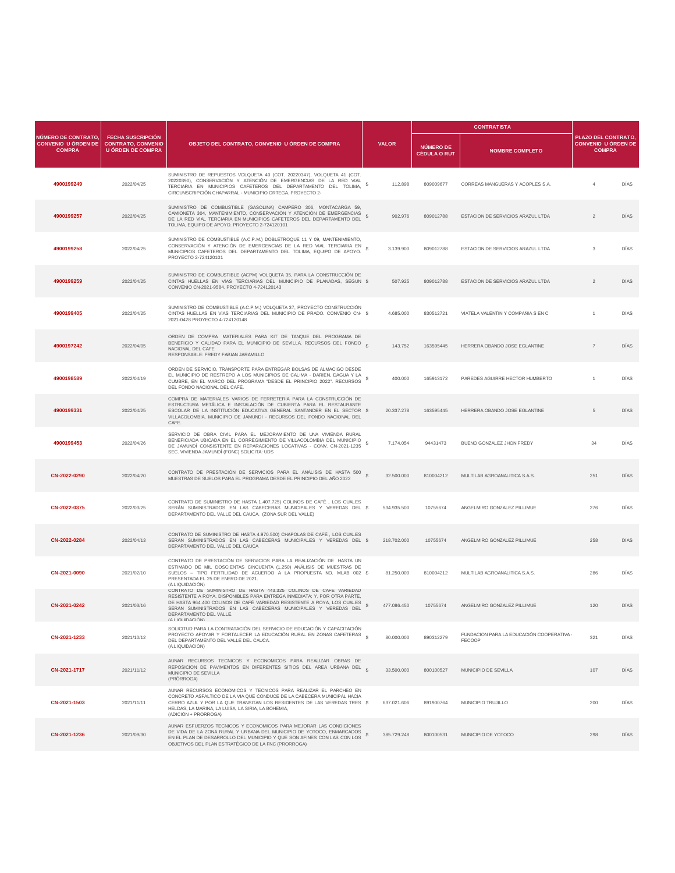|                                                                    |                                                                                   |                                                                                                                                                                                                                                                                                                                                                 |                             |                                         | <b>CONTRATISTA</b>                                  |                                                                   |      |
|--------------------------------------------------------------------|-----------------------------------------------------------------------------------|-------------------------------------------------------------------------------------------------------------------------------------------------------------------------------------------------------------------------------------------------------------------------------------------------------------------------------------------------|-----------------------------|-----------------------------------------|-----------------------------------------------------|-------------------------------------------------------------------|------|
| NÚMERO DE CONTRATO,<br><b>CONVENIO U ÓRDEN DE</b><br><b>COMPRA</b> | <b>FECHA SUSCRIPCIÓN</b><br><b>CONTRATO, CONVENIO</b><br><b>U ÓRDEN DE COMPRA</b> | OBJETO DEL CONTRATO, CONVENIO U ÓRDEN DE COMPRA                                                                                                                                                                                                                                                                                                 | <b>VALOR</b>                | <b>NÚMERO DE</b><br><b>CÉDULA O RUT</b> | <b>NOMBRE COMPLETO</b>                              | PLAZO DEL CONTRATO<br><b>CONVENIO U ÓRDEN DE</b><br><b>COMPRA</b> |      |
| 4900199249                                                         | 2022/04/25                                                                        | SUMINISTRO DE REPUESTOS VOLQUETA 40 (COT. 20220347), VOLQUETA 41 (COT.<br>20220390), CONSERVACIÓN Y ATENCIÓN DE EMERGENCIAS DE LA RED VIAL<br>TERCIARIA EN MUNICIPIOS CAFETEROS DEL DEPARTAMENTO DEL TOLIMA,<br>CIRCUNSCRIPCIÓN CHAPARRAL - MUNICIPIO ORTEGA. PROYECTO 2-                                                                       | s<br>112,898                | 809009677                               | CORREAS MANGUERAS Y ACOPLES S.A.                    | $\overline{4}$                                                    | DÍAS |
| 4900199257                                                         | 2022/04/25                                                                        | SUMINISTRO DE COMBUSTIBLE (GASOLINA) CAMPERO 306, MONTACARGA 59,<br>CAMIONETA 304, MANTENIMIENTO, CONSERVACIÓN Y ATENCIÓN DE EMERGENCIAS<br>DE LA RED VIAL TERCIARIA EN MUNICIPIOS CAFETEROS DEL DEPARTAMENTO DEL \$<br>TOLIMA, EQUIPO DE APOYO. PROYECTO 2-724120101                                                                           | 902.976                     | 809012788                               | ESTACION DE SERVICIOS ARAZUL LTDA                   | $\overline{2}$                                                    | DÍAS |
| 4900199258                                                         | 2022/04/25                                                                        | SUMINISTRO DE COMBUSTIBLE (A.C.P.M.) DOBLETROQUE 11 Y 09, MANTENIMIENTO,<br>CONSERVACIÓN Y ATENCIÓN DE EMERGENCIAS DE LA RED VIAL TERCIARIA EN<br>MUNICIPIOS CAFETEROS DEL DEPARTAMENTO DEL TOLIMA, EQUIPO DE APOYO.<br>PROYECTO 2-724120101                                                                                                    | s<br>3.139.900              | 809012788                               | ESTACION DE SERVICIOS ARAZUL LTDA                   | 3                                                                 | DÍAS |
| 4900199259                                                         | 2022/04/25                                                                        | SUMINISTRO DE COMBUSTIBLE (ACPM) VOLQUETA 35, PARA LA CONSTRUCCIÓN DE<br>CINTAS HUELLAS EN VÍAS TERCIARIAS DEL MUNICIPIO DE PLANADAS, SEGUN \$<br>CONVENIO CN-2021-9584. PROYECTO 4-724120143                                                                                                                                                   | 507.925                     | 809012788                               | ESTACION DE SERVICIOS ARAZUL LTDA                   | $\overline{2}$                                                    | DÍAS |
| 4900199405                                                         | 2022/04/25                                                                        | SUMINISTRO DE COMBUSTIBLE (A.C.P.M.) VOLQUETA 37, PROYECTO CONSTRUCCIÓN<br>CINTAS HUELLAS EN VÍAS TERCIARIAS DEL MUNICIPIO DE PRADO. CONVENIO CN- \$<br>2021-0428 PROYECTO 4-724120148                                                                                                                                                          | 4.685.000                   | 830512721                               | VIATELA VALENTIN Y COMPAÑIA S EN C                  |                                                                   | DÍAS |
| 4900197242                                                         | 2022/04/05                                                                        | ORDEN DE COMPRA MATERIALES PARA KIT DE TANQUE DEL PROGRAMA DE<br>BENEFICIO Y CALIDAD PARA EL MUNICIPIO DE SEVILLA. RECURSOS DEL FONDO §<br>NACIONAL DEL CAFE<br>RESPONSABLE: FREDY FABIAN JARAMILLO                                                                                                                                             | 143,752                     | 163595445                               | HERRERA OBANDO JOSE EGI ANTINE                      | $\overline{7}$                                                    | DÍAS |
| 4900198589                                                         | 2022/04/19                                                                        | ORDEN DE SERVICIO, TRANSPORTE PARA ENTREGAR BOLSAS DE ALMACIGO DESDE<br>EL MUNICIPIO DE RESTREPO A LOS MUNICIPIOS DE CALIMA - DARIEN. DAGUA Y LA<br>CUMBRE, EN EL MARCO DEL PROGRAMA "DESDE EL PRINCIPIO 2022". RECURSOS<br>DEL FONDO NACIONAL DEL CAFÉ.                                                                                        | 400,000                     | 165913172                               | PAREDES AGUIRRE HECTOR HUMBERTO                     | $\overline{1}$                                                    | DÍAS |
| 4900199331                                                         | 2022/04/25                                                                        | COMPRA DE MATERIALES VARIOS DE FERRETERIA PARA LA CONSTRUCCIÓN DE<br>ESTRUCTURA METÁLICA E INSTALACIÓN DE CUBIERTA PARA EL RESTAURANTE<br>ESCOLAR DE LA INSTITUCIÓN EDUCATIVA GENERAL SANTANDER EN EL SECTOR \$<br>VILLACOLOMBIA, MUNICIPIO DE JAMUNDI - RECURSOS DEL FONDO NACIONAL DEL<br>CAFE.                                               | 20.337.278                  | 163595445                               | HERRERA OBANDO JOSE EGLANTINE                       | $\overline{5}$                                                    | DIAS |
| 4900199453                                                         | 2022/04/26                                                                        | SERVICIO DE OBRA CIVIL PARA EL MEJORAMIENTO DE UNA VIVIENDA RURAL<br>BENEFICIADA UBICADA EN EL CORREGIMIENTO DE VILLACOLOMBIA DEL MUNICIPIO<br>DE JAMUNDÍ CONSISTENTE EN REPARACIONES LOCATIVAS - CONV. CN-2021-1235 \$<br>SEC. VIVIENDA JAMUNDI (FONC) SOLICITA: UDS                                                                           | 7.174.054                   | 94431473                                | BUENO GONZALEZ JHON FREDY                           | 34                                                                | DÍAS |
| CN-2022-0290                                                       | 2022/04/20                                                                        | CONTRATO DE PRESTACIÓN DE SERVICIOS PARA EL ANÁLISIS DE HASTA 500<br>MUESTRAS DE SUELOS PARA EL PROGRAMA DESDE EL PRINCIPIO DEL AÑO 2022                                                                                                                                                                                                        | $\mathbf{s}$<br>32.500.000  | 810004212                               | MULTILAB AGROANALITICA S.A.S.                       | 251                                                               | DÍAS |
| CN-2022-0375                                                       | 2022/03/25                                                                        | CONTRATO DE SUMINISTRO DE HASTA 1.407.725) COLINOS DE CAFÉ, LOS CUALES<br>SERÁN SUMINISTRADOS EN LAS CABECERAS MUNICIPALES Y VEREDAS DEL \$<br>DEPARTAMENTO DEL VALLE DEL CAUCA, (ZONA SUR DEL VALLE)                                                                                                                                           | 534.935.500                 | 10755674                                | ANGELMIRO GONZALEZ PILLIMUE                         | 276                                                               | DÍAS |
| CN-2022-0284                                                       | 2022/04/13                                                                        | CONTRATO DE SUMINISTRO DE HASTA 4.970.500) CHAPOLAS DE CAFÉ, LOS CUALES<br>SERÁN SUMINISTRADOS EN LAS CABECERAS MUNICIPALES Y VEREDAS DEL \$<br>DEPARTAMENTO DEL VALLE DEL CAUCA                                                                                                                                                                | 218,702,000                 | 10755674                                | ANGELMIRO GONZALEZ PILLIMUE                         | 258                                                               | DÍAS |
| CN-2021-0090                                                       | 2021/02/10                                                                        | CONTRATO DE PRESTACIÓN DE SERVICIOS PARA LA REALIZACIÓN DE HASTA UN<br>ESTIMADO DE MIL DOSCIENTAS CINCUENTA (1.250) ANÁLISIS DE MUESTRAS DE<br>SUELOS - TIPO FERTILIDAD DE ACUERDO A LA PROPUESTA NO. MLAB 002 \$<br>PRESENTADA EL 25 DE ENERO DE 2021.<br>(A.LIQUIDACIÓN)                                                                      | 81.250.000                  | 810004212                               | MULTILAB AGROANALITICA S.A.S.                       | 286                                                               | DIAS |
| CN-2021-0242                                                       | 2021/03/16                                                                        | CONTRATO DE SUMINISTRO DE HASTA 443.325 COLINOS DE CAFE VARIEDAD<br>RESISTENTE A ROYA, DISPONIBLES PARA ENTREGA INMEDIATA; Y, POR OTRA PARTE,<br>DE HASTA 964.400 COLINOS DE CAFÉ VARIEDAD RESISTENTE A ROYA, LOS CUALES<br>SERÁN SUMINISTRADOS EN LAS CABECERAS MUNICIPALES Y VEREDAS DEL<br>DEPARTAMENTO DEL VALLE.<br><b>IA LIOLIDACIÓNS</b> | $\mathbf{s}$<br>477.086.450 | 10755674                                | ANGELMIRO GONZALEZ PILLIMUE                         | 120                                                               | DÍAS |
| CN-2021-1233                                                       | 2021/10/12                                                                        | SOLICITUD PARA LA CONTRATACIÓN DEL SERVICIO DE EDUCACIÓN Y CAPACITACIÓN<br>PROYECTO APOYAR Y FORTALECER LA EDUCACIÓN RURAL EN ZONAS CAFETERAS S<br>DEL DEPARTAMENTO DEL VALLE DEL CAUCA.<br>(A.LIQUIDACIÓN)                                                                                                                                     | 80.000.000                  | 890312279                               | FUNDACION PARA LA EDUCACIÓN COOPERATIVA ·<br>FECOOP | 321                                                               | DÍAS |
| CN-2021-1717                                                       | 2021/11/12                                                                        | AUNAR RECURSOS TECNICOS Y ECONOMICOS PARA REALIZAR OBRAS DE<br>REPOSICION DE PAVIMENTOS EN DIFERENTES SITIOS DEL AREA URBANA DEL §<br>MUNICIPIO DE SEVILLA<br>(PRÓRROGA)                                                                                                                                                                        | 33,500,000                  | 800100527                               | MUNICIPIO DE SEVILLA                                | 107                                                               | DÍAS |
| CN-2021-1503                                                       | 2021/11/11                                                                        | AUNAR RECURSOS ECONOMICOS Y TECNICOS PARA REALIZAR EL PARCHEO EN<br>CONCRETO ASFALTICO DE LA VIA QUE CONDUCE DE LA CABECERA MUNICIPAL HACIA<br>CERRO AZUL Y POR LA QUE TRANSITAN LOS RESIDENTES DE LAS VEREDAS TRES \$<br>HELDAS, LA MARINA, LA LUISA, LA SIRIA, LA BOHEMIA,<br>(ADICIÓN + PRORROGA)                                            | 637.021.606                 | 891900764                               | MUNICIPIO TRUJILLO                                  | 200                                                               | DÍAS |
| CN-2021-1236                                                       | 2021/09/30                                                                        | AUNAR ESFUERZOS TECNICOS Y ECONOMICOS PARA MEJORAR LAS CONDICIONES<br>DE VIDA DE LA ZONA RURAL Y URBANA DEL MUNICIPIO DE YOTOCO, ENMARCADOS<br>EN EL PLAN DE DESARROLLO DEL MUNICIPIO Y QUE SON AFINES CON LAS CON LOS<br>OBJETIVOS DEL PLAN ESTRATÉGICO DE LA FNC (PRORROGA)                                                                   | 385.729.248                 | 800100531                               | MUNICIPIO DE YOTOCO                                 | 298                                                               | DIAS |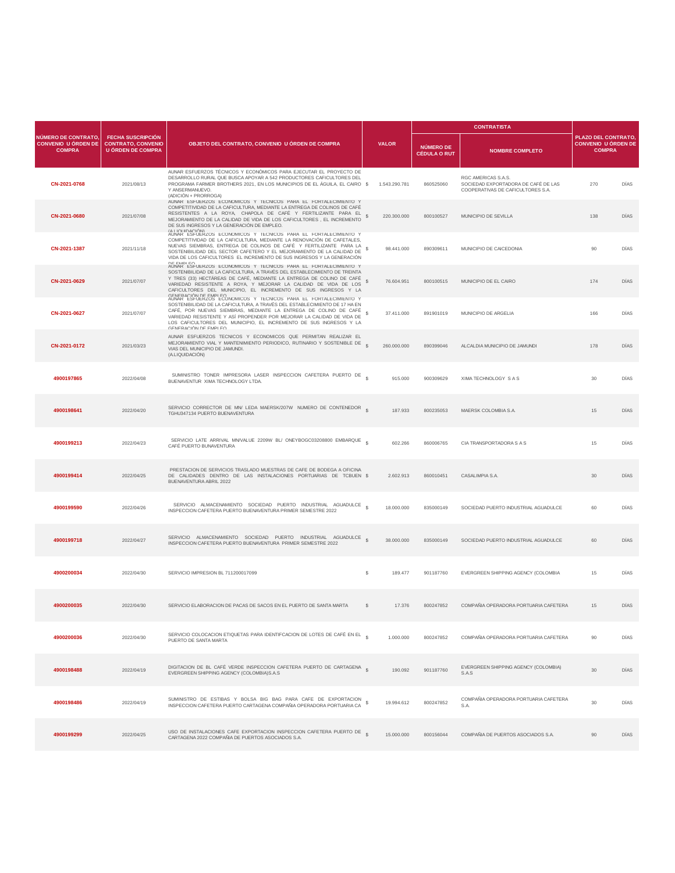|                                                                    |                                                                                   |                                                                                                                                                                                                                                                                                                                                                                                                                   | <b>VALOR</b> |               |                                         | <b>CONTRATISTA</b>                                                                              |                                                                   |      |
|--------------------------------------------------------------------|-----------------------------------------------------------------------------------|-------------------------------------------------------------------------------------------------------------------------------------------------------------------------------------------------------------------------------------------------------------------------------------------------------------------------------------------------------------------------------------------------------------------|--------------|---------------|-----------------------------------------|-------------------------------------------------------------------------------------------------|-------------------------------------------------------------------|------|
| NÚMERO DE CONTRATO.<br><b>CONVENIO U ÓRDEN DE</b><br><b>COMPRA</b> | <b>FECHA SUSCRIPCIÓN</b><br><b>CONTRATO, CONVENIO</b><br><b>U ÓRDEN DE COMPRA</b> | OBJETO DEL CONTRATO, CONVENIO U ÓRDEN DE COMPRA                                                                                                                                                                                                                                                                                                                                                                   |              |               | <b>NÚMERO DE</b><br><b>CÉDULA O RUT</b> | <b>NOMBRE COMPLETO</b>                                                                          | PLAZO DEL CONTRATO<br><b>CONVENIO U ÓRDEN DE</b><br><b>COMPRA</b> |      |
| CN-2021-0768                                                       | 2021/08/13                                                                        | AUNAR ESFUERZOS TÉCNICOS Y ECONÓMICOS PARA EJECUTAR EL PROYECTO DE<br>DESARROLLO RURAL QUE BUSCA APOYAR A 542 PRODUCTORES CAFICULTORES DEL<br>PROGRAMA FARMER BROTHERS 2021, EN LOS MUNICIPIOS DE EL ÁGUILA, EL CAIRO \$<br>Y ANSERMANUEVO.<br>(ADICIÓN + PRORROGA)                                                                                                                                               |              | 1.543.290.781 | 860525060                               | RGC AMERICAS S.A.S.<br>SOCIEDAD EXPORTADORA DE CAFÉ DE LAS<br>COOPERATIVAS DE CAFICULTORES S.A. | 270                                                               | DÍAS |
| CN-2021-0680                                                       | 2021/07/08                                                                        | AUNAR ESFUERZOS ECONOMICOS Y TECNICOS PARA EL FORTALECIMIENTO Y<br>COMPETITIVIDAD DE LA CAFICULTURA, MEDIANTE LA ENTREGA DE COLINOS DE CAFÉ<br>RESISTENTES A LA ROYA, CHAPOLA DE CAFÉ Y FERTILIZANTE PARA EL<br>MEJORAMIENTO DE LA CALIDAD DE VIDA DE LOS CAFICULTORES, EL INCREMENTO<br>DE SUS INGRESOS Y LA GENERACIÓN DE EMPLEO.                                                                               | s            | 220.300.000   | 800100527                               | MUNICIPIO DE SEVILLA                                                                            | 138                                                               | DÍAS |
| CN-2021-1387                                                       | 2021/11/18                                                                        | ALLIOLIDACIÓN<br>AUNAR ESFUERZOS ECONOMICOS Y TECNICOS PARA EL FORTALECIMIENTO Y<br>COMPETITIVIDAD DE LA CAFICULTURA. MEDIANTE LA RENOVACIÓN DE CAFETALES.<br>NUEVAS SIEMBRAS, ENTREGA DE COLINOS DE CAFÉ Y FERTILIZANTE PARA LA<br>SOSTENIBILIDAD DEL SECTOR CAFETERO Y EL MEJORAMIENTO DE LA CALIDAD DE<br>VIDA DE LOS CAFICULTORES EL INCREMENTO DE SUS INGRESOS Y LA GENERACIÓN                               |              | 98.441.000    | 890309611                               | MUNICIPIO DE CAICEDONIA                                                                         | 90                                                                | DIAS |
| CN-2021-0629                                                       | 2021/07/07                                                                        | DE EMPLEO<br>AUNAR ESFUERZOS ECONOMICOS Y TECNICOS PARA EL FORTALECIMIENTO Y<br>SOSTENIBILIDAD DE LA CAFICULTURA, A TRAVÉS DEL ESTABLECIMIENTO DE TREINTA<br>Y TRES (33) HECTÂREAS DE CAFÉ, MEDIANTE LA ENTREGA DE COLINO DE CAFÉ<br>VARIEDAD RESISTENTE A ROYA, Y MEJORAR LA CALIDAD DE VIDA DE LOS<br>CAFICULTORES DEL MUNICIPIO, EL INCREMENTO DE SUS INGRESOS Y LA                                            | s            | 76.604.951    | 800100515                               | MUNICIPIO DE EL CAIRO                                                                           | 174                                                               | DÍAS |
| CN-2021-0627                                                       | 2021/07/07                                                                        | GENERACIÓN DE EMPLEO.<br>AUNAR ESFUERZOS ECONOMICOS Y TECNICOS PARA EL FORTALECIMIENTO Y<br>SOSTENIBILIDAD DE LA CAFICULTURA, A TRAVÉS DEL ESTABLECIMIENTO DE 17 HA EN<br>CAFÉ, POR NUEVAS SIEMBRAS, MEDIANTE LA ENTREGA DE COLINO DE CAFÉ<br>VARIEDAD RESISTENTE Y ASÍ PROPENDER POR MEJORAR LA CALIDAD DE VIDA DE<br>LOS CAFICULTORES DEL MUNICIPIO, EL INCREMENTO DE SUS INGRESOS Y LA<br>CENERACIÓN DE EMPLEO | s            | 37.411.000    | 891901019                               | MUNICIPIO DE ARGELIA                                                                            | 166                                                               | DÍAS |
| CN-2021-0172                                                       | 2021/03/23                                                                        | AUNAR ESFUERZOS TECNICOS Y ECONOMICOS QUE PERMITAN REALIZAR EL<br>MEJORAMIENTO VIAL Y MANTENIMIENTO PERIODICO, RUTINARIO Y SOSTENIBLE DE<br>VIAS DEL MUNICIPIO DE JAMUNDI.<br>(A.LIQUIDACIÓN)                                                                                                                                                                                                                     |              | 260,000,000   | 890399046                               | ALCALDIA MUNICIPIO DE JAMUNDI                                                                   | 178                                                               | DÍAS |
| 4900197865                                                         | 2022/04/08                                                                        | SUMINISTRO TONER IMPRESORA LASER INSPECCION CAFETERA PUERTO DE<br>BUENAVENTUR XIMA TECHNOLOGY LTDA.                                                                                                                                                                                                                                                                                                               |              | 915.000       | 900309629                               | XIMA TECHNOLOGY S A S                                                                           | 30                                                                | DÍAS |
| 4900198641                                                         | 2022/04/20                                                                        | SERVICIO CORRECTOR DE MN/ LEDA MAERSK/207W NUMERO DE CONTENEDOR §<br>TGHU347134 PUERTO BUENAVENTURA                                                                                                                                                                                                                                                                                                               |              | 187.933       | 800235053                               | MAERSK COLOMBIA S.A.                                                                            | 15                                                                | DIAS |
| 4900199213                                                         | 2022/04/23                                                                        | SERVICIO LATE ARRIVAL MN/VALUE 2209W BL/ ONEYBOGC03208800 EMBARQUE<br>CAFÉ PUERTO BUNAVENTURA                                                                                                                                                                                                                                                                                                                     |              | 602.266       | 860006765                               | CIA TRANSPORTADORA S A S                                                                        | 15                                                                | DÍAS |
| 4900199414                                                         | 2022/04/25                                                                        | PRESTACION DE SERVICIOS TRASLADO MUESTRAS DE CAFE DE BODEGA A OFICINA<br>DE CALIDADES DENTRO DE LAS INSTALACIONES PORTUARIAS DE TCBUEN \$<br>BUENAVENTURA ABRIL 2022                                                                                                                                                                                                                                              |              | 2.602.913     | 860010451                               | CASALIMPIA S.A.                                                                                 | 30                                                                | DÍAS |
| 4900199590                                                         | 2022/04/26                                                                        | SERVICIO ALMACENAMIENTO SOCIEDAD PUERTO INDUSTRIAL AGUADULCE \$<br>INSPECCION CAFETERA PUERTO BUENAVENTURA PRIMER SEMESTRE 2022                                                                                                                                                                                                                                                                                   |              | 18,000,000    | 835000149                               | SOCIEDAD PUERTO INDUSTRIAL AGUADULCE                                                            | 60                                                                | DÍAS |
| 4900199718                                                         | 2022/04/27                                                                        | SERVICIO ALMACENAMIENTO SOCIEDAD PUERTO INDUSTRIAL AGUADULCE<br>INSPECCION CAFETERA PUERTO BUENAVENTURA PRIMER SEMESTRE 2022                                                                                                                                                                                                                                                                                      |              | 38.000.000    | 835000149                               | SOCIEDAD PUERTO INDUSTRIAL AGUADULCE                                                            | 60                                                                | DÍAS |
| 4900200034                                                         | 2022/04/30                                                                        | SERVICIO IMPRESION BL 711200017099                                                                                                                                                                                                                                                                                                                                                                                | s            | 189.477       | 901187760                               | EVERGREEN SHIPPING AGENCY (COLOMBIA                                                             | 15                                                                | DIAS |
| 4900200035                                                         | 2022/04/30                                                                        | SERVICIO ELABORACION DE PACAS DE SACOS EN EL PUERTO DE SANTA MARTA                                                                                                                                                                                                                                                                                                                                                | s            | 17,376        | 800247852                               | COMPAÑIA OPERADORA PORTUARIA CAFETERA                                                           | 15                                                                | DÍAS |
| 4900200036                                                         | 2022/04/30                                                                        | SERVICIO COLOCACION ETIQUETAS PARA IDENTIFCACION DE LOTES DE CAFÉ EN EL §<br>PUERTO DE SANTA MARTA                                                                                                                                                                                                                                                                                                                |              | 1.000.000     | 800247852                               | COMPAÑIA OPERADORA PORTUARIA CAFETERA                                                           | 90                                                                | DÍAS |
| 4900198488                                                         | 2022/04/19                                                                        | DIGITACION DE BL CAFÉ VERDE INSPECCION CAFETERA PUERTO DE CARTAGENA §<br>EVERGREEN SHIPPING AGENCY (COLOMBIA)S.A.S                                                                                                                                                                                                                                                                                                |              | 190.092       | 901187760                               | EVERGREEN SHIPPING AGENCY (COLOMBIA)<br>S.A.S                                                   | 30                                                                | DÍAS |
| 4900198486                                                         | 2022/04/19                                                                        | SUMINISTRO DE ESTIBAS Y BOLSA BIG BAG PARA CAFE DE EXPORTACION<br>INSPECCION CAFETERA PUERTO CARTAGENA COMPAÑIA OPERADORA PORTUARIA CA                                                                                                                                                                                                                                                                            |              | 19.994.612    | 800247852                               | COMPAÑIA OPERADORA PORTUARIA CAFETERA<br>S.A                                                    | 30                                                                | DÍAS |
| 4900199299                                                         | 2022/04/25                                                                        | USO DE INSTALACIONES CAFE EXPORTACION INSPECCION CAFETERA PUERTO DE<br>CARTAGENA 2022 COMPAÑIA DE PUERTOS ASOCIADOS S.A.                                                                                                                                                                                                                                                                                          |              | 15.000.000    | 800156044                               | COMPAÑIA DE PUERTOS ASOCIADOS S.A.                                                              | 90                                                                | DIAS |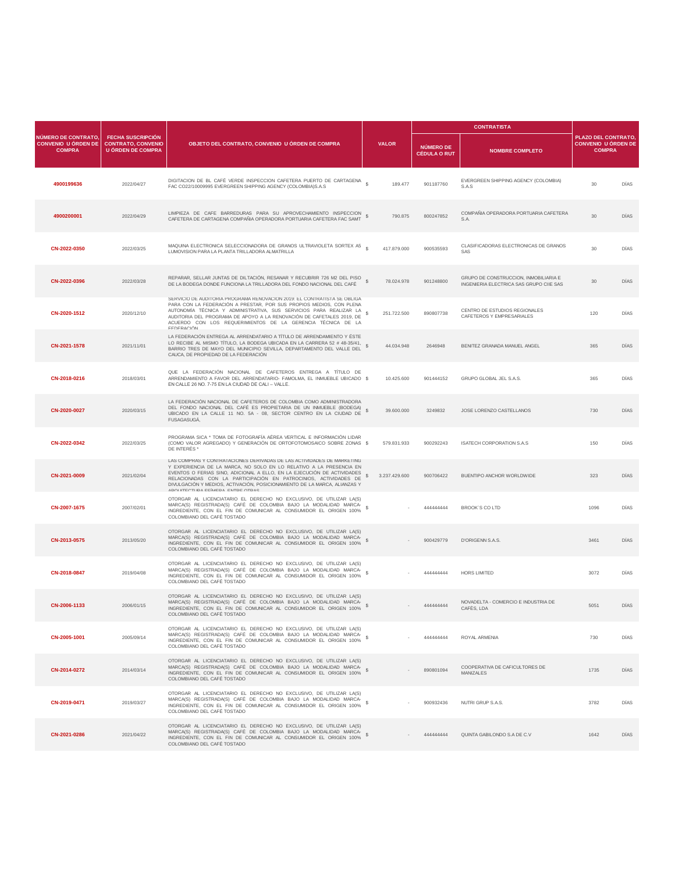|                                                                    |                                                                                   |                                                                                                                                                                                                                                                                                                                                                                                                                   |                            |                                         | <b>CONTRATISTA</b>                                                               |                                                                   |      |
|--------------------------------------------------------------------|-----------------------------------------------------------------------------------|-------------------------------------------------------------------------------------------------------------------------------------------------------------------------------------------------------------------------------------------------------------------------------------------------------------------------------------------------------------------------------------------------------------------|----------------------------|-----------------------------------------|----------------------------------------------------------------------------------|-------------------------------------------------------------------|------|
| NÚMERO DE CONTRATO,<br><b>CONVENIO U ÓRDEN DE</b><br><b>COMPRA</b> | <b>FECHA SUSCRIPCIÓN</b><br><b>CONTRATO, CONVENIO</b><br><b>U ÓRDEN DE COMPRA</b> | OBJETO DEL CONTRATO, CONVENIO U ÓRDEN DE COMPRA                                                                                                                                                                                                                                                                                                                                                                   | <b>VALOR</b>               | <b>NÚMERO DE</b><br><b>CÉDULA O RUT</b> | <b>NOMBRE COMPLETO</b>                                                           | PLAZO DEL CONTRATO<br><b>CONVENIO U ÓRDEN DE</b><br><b>COMPRA</b> |      |
| 4900199636                                                         | 2022/04/27                                                                        | DIGITACION DE BL CAFÉ VERDE INSPECCION CAFETERA PUERTO DE CARTAGENA<br>FAC CO22/10009995 EVERGREEN SHIPPING AGENCY (COLOMBIA)S.A.S                                                                                                                                                                                                                                                                                | 189.477                    | 901187760                               | EVERGREEN SHIPPING AGENCY (COLOMBIA)<br>S.A.S                                    | $30^{\circ}$                                                      | DÍAS |
| 4900200001                                                         | 2022/04/29                                                                        | LIMPIEZA DE CAFE BARREDURAS PARA SU APROVECHAMIENTO INSPECCION<br>CAFETERA DE CARTAGENA COMPAÑIA OPERADORA PORTUARIA CAFETERA FAC SAMT                                                                                                                                                                                                                                                                            | 790.875<br>s               | 800247852                               | COMPAÑIA OPERADORA PORTUARIA CAFETERA<br>S.A.                                    | 30                                                                | DÍAS |
| CN-2022-0350                                                       | 2022/03/25                                                                        | MAQUINA ELECTRONICA SELECCIONADORA DE GRANOS ULTRAVIOLETA SORTEX A5<br>LUMOVISION PARA LA PLANTA TRILLADORA ALMATRILLA                                                                                                                                                                                                                                                                                            | 417.879.000                | 900535593                               | CLASIFICADORAS ELECTRONICAS DE GRANOS<br>SAS                                     | $30^{\circ}$                                                      | DIAS |
| CN-2022-0396                                                       | 2022/03/28                                                                        | REPARAR, SELLAR JUNTAS DE DILTACIÓN, RESANAR Y RECUBRIR 726 M2 DEL PISO<br>DE LA BODEGA DONDE FUNCIONA LA TRILLADORA DEL FONDO NACIONAL DEL CAFÉ                                                                                                                                                                                                                                                                  | $\mathbb{S}$<br>78.024.978 | 901248800                               | GRUPO DE CONSTRUCCION. INMOBILIARIA E<br>INGENIERIA ELECTRICA SAS GRUPO CIIE SAS | 30                                                                | DÍAS |
| CN-2020-1512                                                       | 2020/12/10                                                                        | SERVICIO DE AUDITORIA PROGRAMA RENOVACION 2019: EL CONTRATISTA SE OBLIGA<br>PARA CON LA FEDERACIÓN A PRESTAR, POR SUS PROPIOS MEDIOS, CON PLENA<br>AUTONOMÍA TÉCNICA Y ADMINISTRATIVA, SUS SERVICIOS PARA REALIZAR LA<br>AUDITORIA DEL PROGRAMA DE APOYO A LA RENOVACIÓN DE CAFETALES 2019, DE<br>ACUERDO CON LOS REQUERIMIENTOS DE LA GERENCIA TÉCNICA DE LA<br><b>EEDERACIÓN</b>                                | s<br>251.722.500           | 890807738                               | CENTRO DE ESTUDIOS REGIONALES<br>CAFETEROS Y EMPRESARIALES                       | 120                                                               | DÍAS |
| CN-2021-1578                                                       | 2021/11/01                                                                        | LA FEDERACIÓN ENTREGA AL ARRENDATARIO A TÍTULO DE ARRENDAMIENTO Y ÉSTE<br>LO RECIBE AL MISMO TÍTULO, LA BODEGA UBICADA EN LA CARRERA 52 # 48-35/41,<br>BARRIO TRES DE MAYO DEL MUNICIPIO SEVILLA, DEPARTAMENTO DEL VALLE DEL<br>CAUCA, DE PROPIEDAD DE LA FEDERACIÓN                                                                                                                                              | \$<br>44.034.948           | 2646948                                 | BENITEZ GRANADA MANUEL ANGEL                                                     | 365                                                               | DÍAS |
| CN-2018-0216                                                       | 2018/03/01                                                                        | QUE LA FEDERACIÓN NACIONAL DE CAFETEROS ENTREGA A TÍTULO DE<br>ARRENDAMIENTO A FAVOR DEL ARRENDATARIO- FAMOLMA, EL INMUEBLE UBICADO \$<br>EN CALLE 26 NO. 7-75 EN LA CIUDAD DE CALI - VALLE.                                                                                                                                                                                                                      | 10.425.600                 | 901444152                               | GRUPO GLOBAL JEL S.A.S.                                                          | 365                                                               | DÍAS |
| CN-2020-0027                                                       | 2020/03/15                                                                        | LA FEDERACIÓN NACIONAL DE CAFETEROS DE COLOMBIA COMO ADMINISTRADORA<br>DEL FONDO NACIONAL DEL CAFÉ ES PROPIETARIA DE UN INMUEBLE (BODEGA)<br>UBICADO EN LA CALLE 11 NO. 5A - 08, SECTOR CENTRO EN LA CIUDAD DE<br>FUSAGASUGÁ,                                                                                                                                                                                     | <sub>S</sub><br>39.600.000 | 3249832                                 | JOSE LORENZO CASTELLANOS                                                         | 730                                                               | DIAS |
| CN-2022-0342                                                       | 2022/03/25                                                                        | PROGRAMA SICA * TOMA DE FOTOGRAFÍA AÉREA VERTICAL E INFORMACIÓN LIDAR<br>(COMO VALOR AGREGADO) Y GENERACIÓN DE ORTOFOTOMOSAICO SOBRE ZONAS \$<br>DE INTERÉS <sup>*</sup>                                                                                                                                                                                                                                          | 579.831.933                | 900292243                               | <b>ISATECH CORPORATION S.A.S</b>                                                 | 150                                                               | DÍAS |
| CN-2021-0009                                                       | 2021/02/04                                                                        | LAS COMPRAS Y CONTRATACIONES DERIVADAS DE LAS ACTIVIDADES DE MARKETING<br>Y EXPERIENCIA DE LA MARCA, NO SOLO EN LO RELATIVO A LA PRESENCIA EN<br>EVENTOS O FERIAS SINO, ADICIONAL A ELLO, EN LA EJECUCIÓN DE ACTIVIDADES<br>RELACIONADAS CON LA PARTICIPACIÓN EN PATROCINIOS, ACTIVIDADES DE<br>DIVULGACIÓN Y MEDIOS, ACTIVACIÓN, POSICIONAMIENTO DE LA MARCA, ALIANZAS Y<br>ADOI IITECTI IDA EFÍMEDA ENTOE OTDAS | s<br>3.237.429.600         | 900706422                               | BUENTIPO ANCHOR WORLDWIDE                                                        | 323                                                               | DÍAS |
| CN-2007-1675                                                       | 2007/02/01                                                                        | OTORGAR AL LICENCIATARIO EL DERECHO NO EXCLUSIVO, DE UTILIZAR LA(S)<br>MARCA(S) REGISTRADA(S) CAFÉ DE COLOMBIA BAJO LA MODALIDAD MARCA-<br>INGREDIENTE, CON EL FIN DE COMUNICAR AL CONSUMIDOR EL ORIGEN 100%<br>COLOMBIANO DEL CAFÉ TOSTADO                                                                                                                                                                       | s                          | 44444444                                | <b>BROOK'S CO LTD</b>                                                            | 1096                                                              | DÍAS |
| CN-2013-0575                                                       | 2013/05/20                                                                        | OTORGAR AL LICENCIATARIO EL DERECHO NO EXCLUSIVO, DE UTILIZAR LA(S)<br>MARCA(S) REGISTRADA(S) CAFÉ DE COLOMBIA BAJO LA MODALIDAD MARCA-<br>INGREDIENTE, CON EL FIN DE COMUNICAR AL CONSUMIDOR EL ORIGEN 100%<br>COLOMBIANO DEL CAFÉ TOSTADO                                                                                                                                                                       |                            | 900429779                               | D'ORIGENN S.A.S                                                                  | 3461                                                              | DÍAS |
| CN-2018-0847                                                       | 2019/04/08                                                                        | OTORGAR AL LICENCIATARIO EL DERECHO NO EXCLUSIVO, DE UTILIZAR LA(S)<br>MARCA(S) REGISTRADA(S) CAFÉ DE COLOMBIA BAJO LA MODALIDAD MARCA-<br>INGREDIENTE, CON EL FIN DE COMUNICAR AL CONSUMIDOR EL ORIGEN 100%<br>COLOMBIANO DEL CAFÉ TOSTADO                                                                                                                                                                       | s                          | 444444444                               | HORS LIMITED                                                                     | 3072                                                              | DIAS |
| CN-2006-1133                                                       | 2006/01/15                                                                        | OTORGAR AL LICENCIATARIO EL DERECHO NO EXCLUSIVO, DE UTILIZAR LA(S)<br>MARCA(S) REGISTRADA(S) CAFÉ DE COLOMBIA BAJO LA MODALIDAD MARCA-<br>INGREDIENTE, CON EL FIN DE COMUNICAR AL CONSUMIDOR EL ORIGEN 100%<br>COLOMBIANO DEL CAFÉ TOSTADO                                                                                                                                                                       | $\mathbb{S}$               | 444444444                               | NOVADELTA - COMERCIO E INDUSTRIA DE<br>CAFÈS, LDA                                | 5051                                                              | DÍAS |
| CN-2005-1001                                                       | 2005/09/14                                                                        | OTORGAR AL LICENCIATARIO EL DERECHO NO EXCLUSIVO, DE UTILIZAR LA(S)<br>MARCA(S) REGISTRADA(S) CAFÉ DE COLOMBIA BAJO LA MODALIDAD MARCA- \$<br>INGREDIENTE, CON EL FIN DE COMUNICAR AL CONSUMIDOR EL ORIGEN 100%<br>COLOMBIANO DEL CAFÉ TOSTADO                                                                                                                                                                    |                            | 44444444                                | ROYAL ARMENIA                                                                    | 730                                                               | DÍAS |
| CN-2014-0272                                                       | 2014/03/14                                                                        | OTORGAR AL LICENCIATARIO EL DERECHO NO EXCLUSIVO, DE UTILIZAR LA(S)<br>MARCA(S) REGISTRADA(S) CAFÉ DE COLOMBIA BAJO LA MODALIDAD MARCA- \$<br>INGREDIENTE, CON EL FIN DE COMUNICAR AL CONSUMIDOR EL ORIGEN 100%<br>COLOMBIANO DEL CAFÉ TOSTADO                                                                                                                                                                    |                            | 890801094                               | COOPERATIVA DE CAFICULTORES DE<br><b>MANIZALES</b>                               | 1735                                                              | DÍAS |
| CN-2019-0471                                                       | 2019/03/27                                                                        | OTORGAR AL LICENCIATARIO EL DERECHO NO EXCLUSIVO, DE UTILIZAR LA(S)<br>MARCA(S) REGISTRADA(S) CAFÉ DE COLOMBIA BAJO LA MODALIDAD MARCA-<br>INGREDIENTE, CON EL FIN DE COMUNICAR AL CONSUMIDOR EL ORIGEN 100%<br>COLOMBIANO DEL CAFÉ TOSTADO                                                                                                                                                                       |                            | 900932436                               | NUTRI GRUP S.A.S.                                                                | 3782                                                              | DÍAS |
| CN-2021-0286                                                       | 2021/04/22                                                                        | OTORGAR AL LICENCIATARIO EL DERECHO NO EXCLUSIVO, DE UTILIZAR LA(S)<br>MARCA(S) REGISTRADA(S) CAFÉ DE COLOMBIA BAJO LA MODALIDAD MARCA-<br>INGREDIENTE, CON EL FIN DE COMUNICAR AL CONSUMIDOR EL ORIGEN 100%<br>COLOMBIANO DEL CAFÉ TOSTADO                                                                                                                                                                       |                            | 44444444                                | QUINTA GABILONDO S.A DE C.V                                                      | 1642                                                              | DIAS |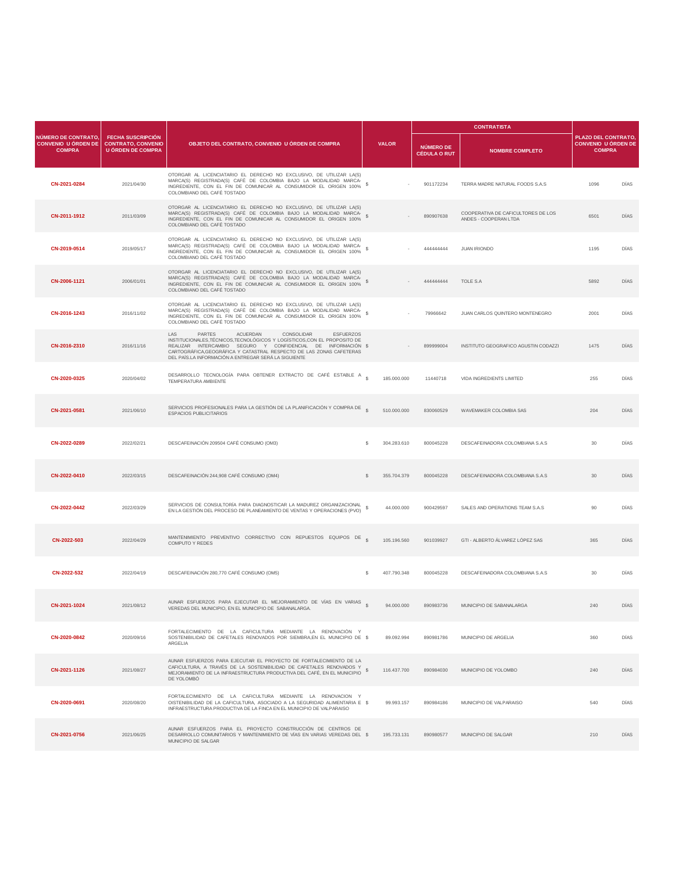|                                                                    |                                                                                   |                                                                                                                                                                                                                                                                                                                                         |                   |                                         |           | <b>CONTRATISTA</b>                                          |                                                                   |      |
|--------------------------------------------------------------------|-----------------------------------------------------------------------------------|-----------------------------------------------------------------------------------------------------------------------------------------------------------------------------------------------------------------------------------------------------------------------------------------------------------------------------------------|-------------------|-----------------------------------------|-----------|-------------------------------------------------------------|-------------------------------------------------------------------|------|
| NÚMERO DE CONTRATO,<br><b>CONVENIO U ÓRDEN DE</b><br><b>COMPRA</b> | <b>FECHA SUSCRIPCIÓN</b><br><b>CONTRATO, CONVENIO</b><br><b>U ÓRDEN DE COMPRA</b> | <b>OBJETO DEL CONTRATO, CONVENIO U ÓRDEN DE COMPRA</b>                                                                                                                                                                                                                                                                                  | <b>VALOR</b>      | <b>NÚMERO DE</b><br><b>CÉDULA O RUT</b> |           | <b>NOMBRE COMPLETO</b>                                      | PLAZO DEL CONTRATO<br><b>CONVENIO U ÓRDEN DE</b><br><b>COMPRA</b> |      |
| CN-2021-0284                                                       | 2021/04/30                                                                        | OTORGAR AL LICENCIATARIO EL DERECHO NO EXCLUSIVO, DE UTILIZAR LA(S)<br>MARCA(S) REGISTRADA(S) CAFÉ DE COLOMBIA BAJO LA MODALIDAD MARCA-<br>INGREDIENTE, CON EL FIN DE COMUNICAR AL CONSUMIDOR EL ORIGEN 100%<br>COLOMBIANO DEL CAFÉ TOSTADO                                                                                             | s                 |                                         | 901172234 | TERRA MADRE NATURAL FOODS S.A.S                             | 1096                                                              | DÍAS |
| CN-2011-1912                                                       | 2011/03/09                                                                        | OTORGAR AL LICENCIATARIO EL DERECHO NO EXCLUSIVO, DE UTILIZAR LA(S)<br>MARCA(S) REGISTRADA(S) CAFÉ DE COLOMBIA BAJO LA MODALIDAD MARCA-<br>INGREDIENTE, CON EL FIN DE COMUNICAR AL CONSUMIDOR EL ORIGEN 100%<br>COLOMBIANO DEL CAFÉ TOSTADO                                                                                             |                   |                                         | 890907638 | COOPERATIVA DE CAFICULTORES DE LOS<br>ANDES - COOPERAN LTDA | 6501                                                              | DÍAS |
| CN-2019-0514                                                       | 2019/05/17                                                                        | OTORGAR AL LICENCIATARIO EL DERECHO NO EXCLUSIVO, DE UTILIZAR LA(S)<br>MARCA(S) REGISTRADA(S) CAFÉ DE COLOMBIA BAJO LA MODALIDAD MARCA-<br>INGREDIENTE, CON EL FIN DE COMUNICAR AL CONSUMIDOR EL ORIGEN 100%<br>COLOMBIANO DEL CAFÉ TOSTADO                                                                                             | s                 |                                         | 444444444 | <b>JUAN IRIONDO</b>                                         | 1195                                                              | DIAS |
| CN-2006-1121                                                       | 2006/01/01                                                                        | OTORGAR AL LICENCIATARIO EL DERECHO NO EXCLUSIVO, DE UTILIZAR LA(S)<br>MARCA(S) REGISTRADA(S) CAFÉ DE COLOMBIA BAJO LA MODALIDAD MARCA-<br>INGREDIENTE, CON EL FIN DE COMUNICAR AL CONSUMIDOR EL ORIGEN 100%<br>COLOMBIANO DEL CAFÉ TOSTADO                                                                                             | s.                |                                         | 44444444  | TOLE S.A                                                    | 5892                                                              | DÍAS |
| CN-2016-1243                                                       | 2016/11/02                                                                        | OTORGAR AL LICENCIATARIO EL DERECHO NO EXCLUSIVO, DE UTILIZAR LA(S)<br>MARCA(S) REGISTRADA(S) CAFÉ DE COLOMBIA BAJO LA MODALIDAD MARCA-<br>INGREDIENTE, CON EL FIN DE COMUNICAR AL CONSUMIDOR EL ORIGEN 100%<br>COLOMBIANO DEL CAFÉ TOSTADO                                                                                             | \$                |                                         | 79966642  | JUAN CARLOS QUINTERO MONTENEGRO                             | 2001                                                              | DÍAS |
| CN-2016-2310                                                       | 2016/11/16                                                                        | LAS<br>PARTES<br>ACUERDAN<br>CONSOLIDAR<br><b>ESFUERZOS</b><br>INSTITUCIONALES, TÉCNICOS, TECNOLÓGICOS Y LOGÍSTICOS, CON EL PROPOSITO DE<br>REALIZAR INTERCAMBIO SEGURO Y CONFIDENCIAL DE INFORMACIÓN \$<br>CARTOGRÁFICA.GEOGRÁFICA Y CATASTRAL RESPECTO DE LAS ZONAS CAFETERAS<br>DEL PAÍS.LA INFORMACIÓN A ENTREGAR SERÁ LA SIGUIENTE |                   |                                         | 899999004 | INSTITUTO GEOGRAFICO AGUSTIN CODAZZI                        | 1475                                                              | DÍAS |
| CN-2020-0325                                                       | 2020/04/02                                                                        | DESARROLLO TECNOLOGÍA PARA OBTENER EXTRACTO DE CAFÉ ESTABLE A S<br>TEMPERATURA AMBIENTE                                                                                                                                                                                                                                                 | 185.000.000       |                                         | 11440718  | VIDA INGREDIENTS LIMITED                                    | 255                                                               | DÍAS |
| CN-2021-0581                                                       | 2021/06/10                                                                        | SERVICIOS PROFESIONALES PARA LA GESTIÓN DE LA PLANIFICACIÓN Y COMPRA DE<br><b>ESPACIOS PUBLICITARIOS</b>                                                                                                                                                                                                                                | 510.000.000       |                                         | 830060529 | WAVEMAKER COLOMBIA SAS                                      | 204                                                               | DIAS |
| CN-2022-0289                                                       | 2022/02/21                                                                        | DESCAFEINACIÓN 209504 CAFÉ CONSUMO (OM3)                                                                                                                                                                                                                                                                                                | 304.283.610<br>s. |                                         | 800045228 | DESCAFFINADORA COLOMBIANA S.A.S.                            | 30                                                                | DÍAS |
| CN-2022-0410                                                       | 2022/03/15                                                                        | DESCAFEINACIÓN 244,908 CAFÉ CONSUMO (OM4)                                                                                                                                                                                                                                                                                               | S<br>355.704.379  |                                         | 800045228 | DESCAFEINADORA COLOMBIANA S.A.S                             | 30                                                                | DÍAS |
| CN-2022-0442                                                       | 2022/03/29                                                                        | SERVICIOS DE CONSULTORÍA PARA DIAGNOSTICAR LA MADUREZ ORGANIZACIONAL<br>EN LA GESTIÓN DEL PROCESO DE PLANEAMIENTO DE VENTAS Y OPERACIONES (PVO)                                                                                                                                                                                         | s                 | 44.000.000                              | 900429597 | SALES AND OPERATIONS TEAM S.A.S                             | 90                                                                | DÍAS |
| CN-2022-503                                                        | 2022/04/29                                                                        | MANTENIMIENTO PREVENTIVO CORRECTIVO CON REPUESTOS EQUIPOS DE<br>COMPUTO Y REDES                                                                                                                                                                                                                                                         | 105.196.560       |                                         | 901039927 | GTI - ALBERTO ÁLVAREZ LÓPEZ SAS                             | 365                                                               | DÍAS |
| CN-2022-532                                                        | 2022/04/19                                                                        | DESCAFEINACIÓN 280,770 CAFÉ CONSUMO (OM5)                                                                                                                                                                                                                                                                                               | s<br>407.790.348  |                                         | 800045228 | DESCAFEINADORA COLOMBIANA S.A.S                             | 30                                                                | DIAS |
| CN-2021-1024                                                       | 2021/08/12                                                                        | AUNAR ESFUERZOS PARA EJECUTAR EL MEJORAMIENTO DE VÍAS EN VARIAS<br>VEREDAS DEL MUNICIPIO, EN EL MUNICIPIO DE SABANALARGA.                                                                                                                                                                                                               |                   | 94,000,000                              | 890983736 | MUNICIPIO DE SABANAI ARGA                                   | 240                                                               | DÍAS |
| CN-2020-0842                                                       | 2020/09/16                                                                        | FORTALECIMIENTO DE LA CAFICULTURA MEDIANTE LA RENOVACIÓN Y<br>SOSTENIBILIDAD DE CAFETALES RENOVADOS POR SIEMBRA, EN EL MUNICIPIO DE \$<br>ARGELIA                                                                                                                                                                                       |                   | 89.092.994                              | 890981786 | MUNICIPIO DE ARGELIA                                        | 360                                                               | DÍAS |
| CN-2021-1126                                                       | 2021/08/27                                                                        | AUNAR ESFUERZOS PARA EJECUTAR EL PROYECTO DE FORTALECIMIENTO DE LA<br>CAFICULTURA, A TRAVÉS DE LA SOSTENIBILIDAD DE CAFETALES RENOVADOS Y<br>MEJORAMIENTO DE LA INFRAESTRUCTURA PRODUCTIVA DEL CAFÉ, EN EL MUNICIPIO \$<br>DE YOLOMBÓ                                                                                                   | 116,437,700       |                                         | 890984030 | MUNICIPIO DE YOLOMBO                                        | 240                                                               | DÍAS |
| CN-2020-0691                                                       | 2020/08/20                                                                        | FORTALECIMIENTO DE LA CAFICULTURA MEDIANTE LA RENOVACION Y<br>OISTENIBILIDAD DE LA CAFICULTURA, ASOCIADO A LA SEGURIDAD ALIMENTARIA E \$<br>INFRAESTRUCTURA PRODUCTIVA DE LA FINCA EN EL MUNICIPIO DE VALPARAISO                                                                                                                        |                   | 99.993.157                              | 890984186 | MUNICIPIO DE VALPARAISO                                     | 540                                                               | DÍAS |
| CN-2021-0756                                                       | 2021/06/25                                                                        | AUNAR ESFUERZOS PARA EL PROYECTO CONSTRUCCIÓN DE CENTROS DE<br>DESARROLLO COMUNITARIOS Y MANTENIMIENTO DE VÍAS EN VARIAS VEREDAS DEL \$<br>MUNICIPIO DE SALGAR                                                                                                                                                                          | 195.733.131       |                                         | 890980577 | MUNICIPIO DE SALGAR                                         | 210                                                               | DIAS |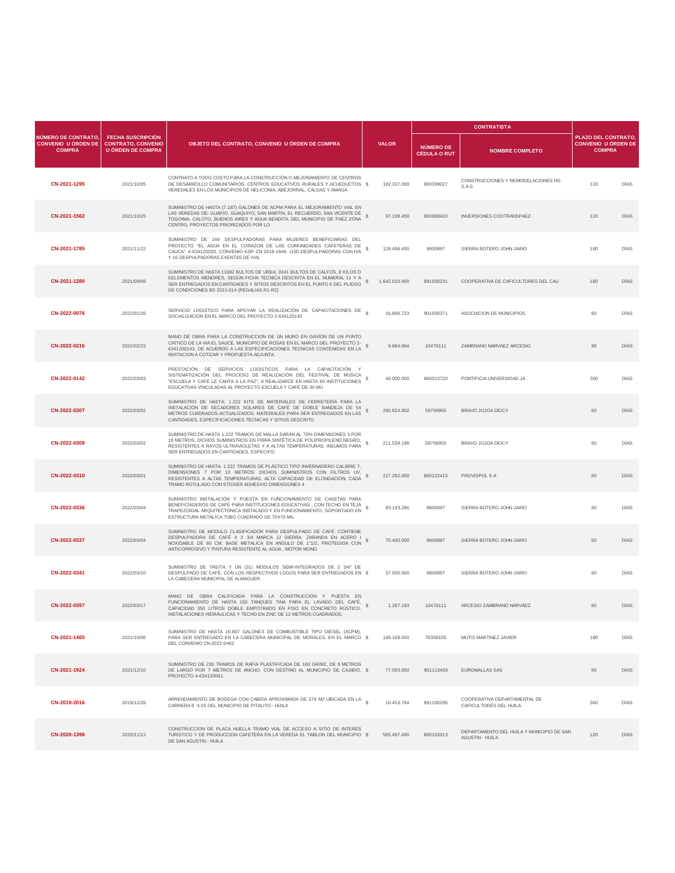|                                                                    |                                                                                   |                                                                                                                                                                                                                                                                                |                                 |                                         | <b>CONTRATISTA</b>                                                  |                                                                    |      |
|--------------------------------------------------------------------|-----------------------------------------------------------------------------------|--------------------------------------------------------------------------------------------------------------------------------------------------------------------------------------------------------------------------------------------------------------------------------|---------------------------------|-----------------------------------------|---------------------------------------------------------------------|--------------------------------------------------------------------|------|
| NÚMERO DE CONTRATO,<br><b>CONVENIO U ÓRDEN DE</b><br><b>COMPRA</b> | <b>FECHA SUSCRIPCIÓN</b><br><b>CONTRATO, CONVENIO</b><br><b>U ÓRDEN DE COMPRA</b> | OBJETO DEL CONTRATO, CONVENIO U ÓRDEN DE COMPRA                                                                                                                                                                                                                                | <b>VALOR</b>                    | <b>NÚMERO DE</b><br><b>CÉDULA O RUT</b> | <b>NOMBRE COMPLETO</b>                                              | PLAZO DEL CONTRATO,<br><b>CONVENIO U ÓRDEN DE</b><br><b>COMPRA</b> |      |
| CN-2021-1295                                                       | 2021/10/05                                                                        | CONTRATO A TODO COSTO PARA LA CONSTRUCCIÓN O MEJORAMIENTO DE CENTROS<br>DE DESARROLLO COMUNITARIOS, CENTROS EDUCATIVOS RURALES Y ACUEDUCTOS \$<br>VEREDALES EN LOS MUNICIPIOS DE HELICONIA, ABEJORRAL, CALDAS Y AMAGA                                                          | 192.337.069                     | 900399027                               | CONSTRUCCIONES Y REMODELACIONES HG<br>S.A.S                         | 120                                                                | DÍAS |
| CN-2021-1562                                                       | 2021/10/25                                                                        | SUMINISTRO DE HASTA (7.187) GALONES DE ACPM PARA EL MEJORAMIENTO VIAL EN<br>LAS VEREDAS DE: GUAPIO, GUAQUIYO, SAN MARTIN, EL RECUERDO, SAN VICENTE DE<br>TOGOIMA, CALOTO, BUENOS AIRES Y AGUA BENDITA, DEL MUNICIPIO DE PAEZ ZONA<br>CENTRO, PROYECTOS PRIORIZADOS POR LO      | 67.198.450<br>s                 | 900988420                               | INVERSIONES COOTRANSPAEZ                                            | 120                                                                | DÍAS |
| CN-2021-1785                                                       | 2021/11/22                                                                        | SUMINISTRO DE 166 DESPULPADORAS PARA MUJERES BENEFICIARIAS DEL<br>PROYECTO "EL AGUA EN EL CORAZON DE LAS COMUNIDADES CAFETERAS DE<br>CAUCA", 4-634120020, CONVENIO KDP CN 2018-1949. (150 DESPULPADORAS CON IVA<br>Y 16 DESPULPADORAS EXENTAS DE IVA)                          | 128,496,450                     | 9800897                                 | SIERRA BOTERO JOHN JAIRO                                            | 180                                                                | DÍAS |
| CN-2021-1280                                                       | 2021/09/09                                                                        | SUMINISTRO DE HASTA 11982 BULTOS DE UREA; 3341 BULTOS DE CALFOS, 8 KILOS D<br>EELEMENTOS MENORES, SEGÚN FICHA TECNICA DESCRITA EN EL NUMERAL 11 Y A<br>SER ENTREGADOS EN CANTIDADES Y SITIOS DESCRITOS EN EL PUNTO 6 DEL PLIEGO<br>DE CONDICIONES BS 2021-014 (REGALIAS R1-R2) | 1.642.610.900<br>s              | 891500231                               | COOPERATIVA DE CAFICULTORES DEL CAU                                 | 180                                                                | DÍAS |
| CN-2022-0076                                                       | 2022/01/26                                                                        | SERVICIO LOGISTICO PARA APOYAR LA REALIZACIÓN DE CAPACITACIONES DE \$<br>SOCIALIZACION EN EL MARCO DEL PROYECTO 2-634120145                                                                                                                                                    | 16,806,723                      | 901500371                               | ASOCIACION DE MUNICIPIOS                                            | 60                                                                 | DÍAS |
| CN-2022-0216                                                       | 2022/02/23                                                                        | MANO DE OBRA PARA LA CONSTRUCCION DE UN MURO EN GAVION DE UN PUNTO<br>CRITICO DE LA VIA EL SAUCE, MUNICIPIO DE ROSAS EN EL MARCO DEL PROYECTO 2-<br>6341200143, DE ACUERDO A LAS ESPECIFICACIONES TECNICAS CONTENIDAS EN LA<br>INVITACION A COTIZAR Y PROPUESTA ADJUNTA.       | s<br>9.684.864                  | 10476111                                | ZAMBRANO NARVAEZ ARCESIO                                            | 90                                                                 | DÍAS |
| CN-2022-0142                                                       | 2022/03/03                                                                        | PRESTACIÓN DE SERVICIOS LOGISTICOS PARA LA CAPACITACIÓN Y<br>SISTEMATIZACIÓN DEL PROCESO DE REALIZACIÓN DEL FESTIVAL DE MÚSICA<br>"ESCUELA Y CAFÉ LE CANTA A LA PAZ", A REALIZARCE EN HASTA 60 INSTITUCIONES<br>EDUCATIVAS VINCULADAS AL PROYECTO ESCUELA Y CAFÉ DE 30 MÚ      | 40.000.000                      | 860013720                               | PONTIFICIA UNIVERSIDAD JA                                           | 300                                                                | DÍAS |
| CN-2022-0307                                                       | 2022/03/02                                                                        | SUMINISTRO DE HASTA: 1.222 KITS DE MATERIALES DE FERRETERÍA PARA LA<br>INSTALACIÓN DE SECADORES SOLARES DE CAFÉ DE DOBLE BANDEJA DE 54<br>METROS CUADRADOS ACTUALIZADOS; MATERIALES PARA SER ENTREGADOS EN LAS<br>CANTIDADES, ESPECIFICACIONES TÉCNICAS Y SITIOS DESCRITO      | s<br>260.824.902                | 59706955                                | BRAVO JOJOA DEICY                                                   | 60                                                                 | DIAS |
| CN-2022-0309                                                       | 2022/03/02                                                                        | SUMINISTRO DE HASTA 1.222 TRAMOS DE MALLA SARÁN AL 70% DIMENSIONES 3 POR<br>19 METROS; DICHOS SUMINISTROS EN FIBRA SINTÉTICA DE POLIPROPILENO NEGRO,<br>RESISTENTES A RAYOS ULTRAVIOLETAS Y A ALTAS TEMPERATURAS; INSUMOS PARA<br>SER ENTREGADOS EN CANTIDADES, ESPECIFIC      | s<br>211.539.198                | 59706955                                | BRAVO JOJOA DEICY                                                   | 60                                                                 | DÍAS |
| CN-2022-0310                                                       | 2022/03/01                                                                        | SUMINISTRO DE HASTA: 1.222 TRAMOS DE PLÁSTICO TIPO INVERNADERO CALIBRE 7,<br>DIMENSIONES 7 POR 13 METROS; DICHOS SUMINISTROS CON FILTROS UV,<br>RESISTENTES A ALTAS TEMPERATURAS, ALTA CAPACIDAD DE ELONGACIÓN; CADA<br>TRAMO ROTULADO CON STICKER ADHESIVO DIMENSIONES 4      | 227.292.000                     | 800122415                               | PROVISPOL S A                                                       | 60                                                                 | DÍAS |
| CN-2022-0336                                                       | 2022/03/04                                                                        | SUMINISTRO INSTALACIÓN Y PUESTA EN FUNCIONAMIENTO DE CASETAS PARA<br>BENEFICIADEROS DE CAFÉ PARA INSTITUCIONES EDUCATIVAS, CON TECHO EN TEJA<br>TRAPEZOIDAL ARQUITECTÓNICA INSTALADO Y EN FUNCIONAMIENTO, SOPORTADO EN<br>ESTRUCTURA METÁLICA TUBO CUADRADO DE 70X70 MIL       | s<br>83.193.286                 | 9800897                                 | SIERRA BOTERO JOHN JAIRO                                            | 60                                                                 | DÍAS |
| CN-2022-0337                                                       | 2022/03/04                                                                        | SUMINISTRO DE MODULO CLASIFICADOR PARA DESPULPADO DE CAFÉ: CONTIENE<br>DESPULPADORA DE CAFÉ # 2 3/4 MARCA JJ SIERRA, ZARANDA EN ACERO I<br>NOXIDABLE DE 60 CM, BASE METALICA EN ANGULO DE 1"1/2, PROTEGIDA CON<br>ANTICORROSIVO Y PINTURA RESISTENTE AL AGUA, MOTOR MONO       | 70,400,000                      | 9800897                                 | SIERRA BOTERO JOHN JAIRO                                            | 60                                                                 | DÍAS |
| CN-2022-0341                                                       | 2022/03/10                                                                        | SUMINISTRO DE TREITA Y UN (31) MODULOS SEMI-INTEGRADOS DE 2 3/4" DE<br>DESPULPADO DE CAFÉ, CON LOS RESPECTIVOS LOGOS PARA SER ENTREGADOS EN \$<br>LA CABECERA MUNICIPAL DE ALMAGUER                                                                                            | 37.500.000                      | 9800897                                 | SIERRA BOTERO JOHN JAIRO                                            | 60                                                                 | DIAS |
| CN-2022-0397                                                       | 2022/03/17                                                                        | MANO DE OBRA CALIFICADA PARA LA CONSTRUCCIÓN Y PUESTA EN<br>FUNCIONAMIENTO DE HASTA 150 TANQUES TINA PARA EL LAVADO DEL CAFÉ,<br>CAPACIDAD 350 LITROS DOBLE EMPOTRADO EN PISO EN CONCRETO RÚSTICO,<br>INSTALACIONES HIDRÁULICAS Y TECHO EN ZINC DE 12 METROS CUADRADOS.        | $\mathbf{\hat{s}}$<br>1.287.193 | 10476111                                | ARCESIO ZAMBRANO NARVÁEZ                                            | 60                                                                 | DÍAS |
| CN-2021-1465                                                       | 2021/10/06                                                                        | SUMINISTRO DE HASTA 16.667 GALONES DE COMBUSTIBLE TIPO DIESEL (ACPM).<br>PARA SER ENTREGADO EN LA CABECERA MUNICIPAL DE MORALES, EN EL MARCO \$<br>DEL CONVENIO CN-2021-0462                                                                                                   | 149.169.650                     | 76358155                                | MUTIS MARTINEZ JAVIER                                               | 180                                                                | DÍAS |
| CN-2021-1924                                                       | 2021/12/10                                                                        | SUMINISTRO DE 230 TRAMOS DE RAFIA PLASTIFICADA DE 160 GR/M2, DE 9 METROS<br>DE LARGO POR 7 METROS DE ANCHO. CON DESTINO AL MUNICIPIO DE CAJIBIO. \$<br>PROYECTO 4-634120061.                                                                                                   | 77.593.950                      | 901113458                               | <b>EUROMALLAS SAS</b>                                               | 60                                                                 | DÍAS |
| CN-2019-2016                                                       | 2019/12/26                                                                        | ARRENDAMIENTO DE BODEGA CON CABIDA APROXIMADA DE 374 M2 UBICADA EN LA $_{\circ}$<br>CARRERA 6 4-25 DEL MUNICIPIO DE PITALITO - HUILA                                                                                                                                           | 10.453.764                      | 891100296                               | COOPERATIVA DEPARTAMENTAL DE<br>CAFICULTORES DEL HUILA              | 360                                                                | DÍAS |
| CN-2020-1398                                                       | 2020/11/13                                                                        | CONSTRUCCION DE PLACA HUELLA TRAMO VIAL DE ACCESO A SITIO DE INTERES<br>TURISTICO Y DE PRODUCCION CAFETERA EN LA VEREDA EL TABLON DEL MUNICIPIO \$<br>DE SAN AGUSTIN - HUILA                                                                                                   | 565.497.490                     | 800103913                               | DEPARTAMENTO DEL HUILA Y MUNICIPIO DE SAN<br><b>AGUSTIN - HUILA</b> | 120                                                                | DIAS |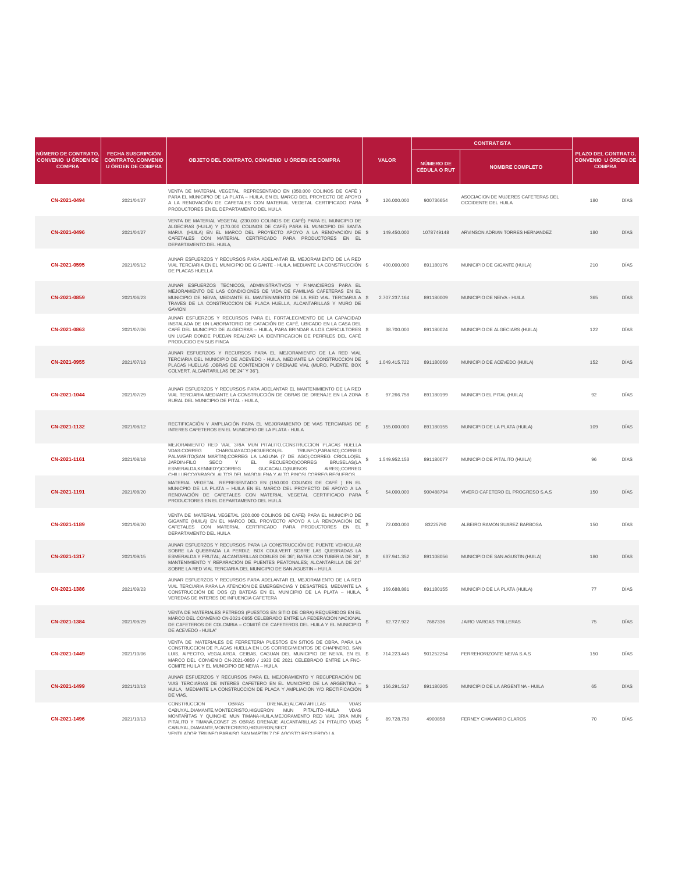|                                                                    |                                                                                   |                                                                                                                                                                                                                                                                                                                                                                                                                                          |                            |                                         | <b>CONTRATISTA</b>                                         |                                                                    |             |
|--------------------------------------------------------------------|-----------------------------------------------------------------------------------|------------------------------------------------------------------------------------------------------------------------------------------------------------------------------------------------------------------------------------------------------------------------------------------------------------------------------------------------------------------------------------------------------------------------------------------|----------------------------|-----------------------------------------|------------------------------------------------------------|--------------------------------------------------------------------|-------------|
| NÚMERO DE CONTRATO,<br><b>CONVENIO U ÓRDEN DE</b><br><b>COMPRA</b> | <b>FECHA SUSCRIPCIÓN</b><br><b>CONTRATO, CONVENIO</b><br><b>U ÓRDEN DE COMPRA</b> | OBJETO DEL CONTRATO, CONVENIO U ÓRDEN DE COMPRA                                                                                                                                                                                                                                                                                                                                                                                          | <b>VALOR</b>               | <b>NÚMERO DE</b><br><b>CÉDULA O RUT</b> | <b>NOMBRE COMPLETO</b>                                     | PLAZO DEL CONTRATO.<br><b>CONVENIO U ÓRDEN DE</b><br><b>COMPRA</b> |             |
| CN-2021-0494                                                       | 2021/04/27                                                                        | VENTA DE MATERIAL VEGETAL REPRESENTADO EN (350.000 COLINOS DE CAFÉ)<br>PARA EL MUNICIPIO DE LA PLATA - HUILA, EN EL MARCO DEL PROYECTO DE APOYO<br>A LA RENOVACIÓN DE CAFETALES CON MATERIAL VEGETAL CERTIFICADO PARA<br>PRODUCTORES EN EL DEPARTAMENTO DEL HUILA                                                                                                                                                                        | \$<br>126.000.000          | 900736654                               | ASOCIACION DE MUJERES CAFETERAS DEL<br>OCCIDENTE DEL HUILA | 180                                                                | DÍAS        |
| CN-2021-0496                                                       | 2021/04/27                                                                        | VENTA DE MATERIAL VEGETAL (230.000 COLINOS DE CAFÉ) PARA EL MUNICIPIO DE<br>ALGECIRAS (HUILA) Y (170.000 COLINOS DE CAFÉ) PARA EL MUNICIPIO DE SANTA<br>MARIA (HUILA) EN EL MARCO DEL PROYECTO APOYO A LA RENOVACIÓN DE \$<br>CAFETALES CON MATERIAL CERTIFICADO PARA PRODUCTORES EN EL<br>DEPARTAMENTO DEL HUILA,                                                                                                                       | 149,450,000                | 1078749148                              | ARVINSON ADRIAN TORRES HERNANDEZ                           | 180                                                                | <b>DÍAS</b> |
| CN-2021-0595                                                       | 2021/05/12                                                                        | AUNAR ESFUERZOS Y RECURSOS PARA ADELANTAR EL MEJORAMIENTO DE LA RED<br>VIAL TERCIARIA EN EL MUNICIPIO DE GIGANTE - HUILA, MEDIANTE LA CONSTRUCCIÓN \$<br>DE PLACAS HUELLA                                                                                                                                                                                                                                                                | 400.000.000                | 891180176                               | MUNICIPIO DE GIGANTE (HUILA)                               | 210                                                                | DÍAS        |
| CN-2021-0859                                                       | 2021/06/23                                                                        | AUNAR ESFUERZOS TECNICOS, ADMINISTRATIVOS Y FINANCIEROS PARA EL<br>MEJORAMIENTO DE LAS CONDICIONES DE VIDA DE FAMILIAS CAFETERAS EN EL<br>MUNICIPIO DE NEIVA, MEDIANTE EL MANTENIMIENTO DE LA RED VIAL TERCIARIA A \$<br>TRAVES DE LA CONSTRUCCION DE PLACA HUELLA, ALCANTARILLAS Y MURO DE<br>GAVION                                                                                                                                    | 2.707.237.164              | 891180009                               | MUNICIPIO DE NEIVA - HUILA                                 | 365                                                                | <b>DÍAS</b> |
| CN-2021-0863                                                       | 2021/07/06                                                                        | AUNAR ESFUERZOS Y RECURSOS PARA EL FORTALECIMENTO DE LA CAPACIDAD<br>INSTALADA DE UN LABORATORIO DE CATACIÓN DE CAFÉ, UBICADO EN LA CASA DEL<br>CAFÉ DEL MUNICIPIO DE ALGECIRAS - HUILA, PARA BRINDAR A LOS CAFICULTORES \$<br>UN LUGAR DONDE PUEDAN REALIZAR LA IDENTIFICACION DE PERFILES DEL CAFÉ<br>PRODUCIDO EN SUS FINCA                                                                                                           | 38.700.000                 | 891180024                               | MUNICIPIO DE ALGECIARS (HUILA)                             | 122                                                                | DÍAS        |
| CN-2021-0955                                                       | 2021/07/13                                                                        | AUNAR ESFUERZOS Y RECURSOS PARA EL MEJORAMIENTO DE LA RED VIAL<br>TERCIARIA DEL MUNICIPIO DE ACEVEDO - HUILA, MEDIANTE LA CONSTRUCCION DE<br>PLACAS HUELLAS , OBRAS DE CONTENCION Y DRENAJE VIAL (MURO, PUENTE, BOX<br>COLVERT, ALCANTARILLAS DE 24" Y 36").                                                                                                                                                                             | 1.049.415.722<br>s         | 891180069                               | MUNICIPIO DE ACEVEDO (HUILA)                               | 152                                                                | <b>DÍAS</b> |
| CN-2021-1044                                                       | 2021/07/29                                                                        | AUNAR ESFUERZOS Y RECURSOS PARA ADELANTAR EL MANTENIMIENTO DE LA RED<br>VIAL TERCIARIA MEDIANTE LA CONSTRUCCIÓN DE OBRAS DE DRENAJE EN LA ZONA \$<br>RURAL DEL MUNICIPIO DE PITAL - HUILA,                                                                                                                                                                                                                                               | 97.266.758                 | 891180199                               | MUNICIPIO EL PITAL (HUILA)                                 | 92                                                                 | DÍAS        |
| CN-2021-1132                                                       | 2021/08/12                                                                        | RECTIFICACIÓN Y AMPLIACIÓN PARA EL MEJORAMIENTO DE VIAS TERCIARIAS DE<br>INTERES CAFETEROS EN EL MUNICIPIO DE LA PLATA - HUILA                                                                                                                                                                                                                                                                                                           | 155,000,000                | 891180155                               | MUNICIPIO DE LA PLATA (HUILA)                              | 109                                                                | <b>DÍAS</b> |
| CN-2021-1161                                                       | 2021/08/18                                                                        | MEJORAMIENTO RED VIAL 3RIA MUN PITALITO.CONSTRUCCION PLACAS HUELLA<br><b>VDAS:CORREG</b><br>CHARGUAYACO(HIGUERON.EL<br>TRIUNFO, PARAISO); CORREG<br>PALMARITO(SAN MARTIN);CORREG LA LAGUNA (7 DE AGO);CORREG CRIOLLO(EL<br>JARDIN-FILO<br>SECO<br>Y EL RECUERDO)CORREG<br><b>BRUSELAS(LA</b><br>ESMERALDA, KENNEDY) CORREG<br>GUCACALLO(BUENOS<br>AIRES);CORREG<br>CHILLURCO/GIRASOL ALTOS DEL MAGDALENA Y ALTO PINOS) CORREGIREGLIEROS. | s<br>1.549.952.153         | 891180077                               | MUNICIPIO DE PITALITO (HUILA)                              | 96                                                                 | DÍAS        |
| CN-2021-1191                                                       | 2021/08/20                                                                        | MATERIAL VEGETAL REPRESENTADO EN (150.000 COLINOS DE CAFÉ ) EN EL<br>MUNICPIO DE LA PLATA - HUILA EN EL MARCO DEL PROYECTO DE APOYO A LA<br>RENOVACIÓN DE CAFETALES CON MATERIAL VEGETAL CERTIFICADO PARA<br>PRODUCTORES EN EL DEPARTAMENTO DEL HUILA                                                                                                                                                                                    | s<br>54.000.000            | 900488794                               | VIVERO CAFETERO EL PROGRESO S.A.S                          | 150                                                                | <b>DÍAS</b> |
| CN-2021-1189                                                       | 2021/08/20                                                                        | VENTA DE MATERIAL VEGETAL (200.000 COLINOS DE CAFÉ) PARA EL MUNICIPIO DE<br>GIGANTE (HUILA) EN EL MARCO DEL PROYECTO APOYO A LA RENOVACIÓN DE<br>CAFETALES CON MATERIAL CERTIFICADO PARA PRODUCTORES EN EL<br>DEPARTAMENTO DEL HUILA                                                                                                                                                                                                     | \$<br>72.000.000           | 83225790                                | ALBEIRO RAMON SUAREZ BARBOSA                               | 150                                                                | DÍAS        |
| CN-2021-1317                                                       | 2021/09/15                                                                        | AUNAR ESFUERZOS Y RECURSOS PARA LA CONSTRUCCIÓN DE PUENTE VEHICULAR<br>SOBRE LA QUEBRADA LA PERDIZ; BOX COULVERT SOBRE LAS QUEBRADAS LA<br>ESMERALDA Y FRUTAL; ALCANTARILLAS DOBLES DE 36"; BATEA CON TUBERIA DE 36", \$<br>MANTENIMIENTO Y REPARACIÓN DE PUENTES PEATONALES; ALCANTARILLA DE 24"<br>SOBRE LA RED VIAL TERCIARIA DEL MUNICIPIO DE SAN AGUSTIN - HUILA                                                                    | 637.941.352                | 891108056                               | MUNICIPIO DE SAN AGUSTIN (HUILA)                           | 180                                                                | DÍAS        |
| CN-2021-1386                                                       | 2021/09/23                                                                        | AUNAR ESFUERZOS Y RECURSOS PARA ADELANTAR EL MEJORAMIENTO DE LA RED<br>VIAL TERCIARIA PARA LA ATENCIÓN DE EMERGENCIAS Y DESASTRES, MEDIANTE LA<br>CONSTRUCCIÓN DE DOS (2) BATEAS EN EL MUNICIPIO DE LA PLATA - HUILA,<br>VEREDAS DE INTERES DE INFUENCIA CAFETERA                                                                                                                                                                        | 169.688.881                | 891180155                               | MUNICIPIO DE LA PLATA (HUILA)                              | 77                                                                 | DÍAS        |
| CN-2021-1384                                                       | 2021/09/29                                                                        | VENTA DE MATERIALES PETREOS (PUESTOS EN SITIO DE OBRA) REQUERIDOS EN EL<br>MARCO DEL CONVENIO CN-2021-0955 CELEBRADO ENTRE LA FEDERACIÓN NACIONAL<br>DE CAFETEROS DE COLOMBIA - COMITÉ DE CAFETEROS DEL HUILA Y EL MUNICIPIO<br>DE ACEVEDO - HUILA"                                                                                                                                                                                      | $\mathbf{s}$<br>62.727.922 | 7687336                                 | JAIRO VARGAS TRILLERAS                                     | 75                                                                 | <b>DÍAS</b> |
| CN-2021-1449                                                       | 2021/10/06                                                                        | VENTA DE MATERIALES DE FERRETERIA PUESTOS EN SITIOS DE OBRA, PARA LA<br>CONSTRUCCION DE PLACAS HUELLA EN LOS CORREGIMIENTOS DE CHAPINERO, SAN<br>LUIS, AIPECITO, VEGALARGA, CEIBAS, CAGUAN DEL MUNICIPIO DE NEIVA, EN EL \$<br>MARCO DEL CONVENIO CN-2021-0859 / 1923 DE 2021 CELEBRADO ENTRE LA FNC-<br>COMITE HUILA Y EL MUNICIPIO DE NEIVA - HUILA                                                                                    | 714.223.445                | 901252254                               | FERREHORIZONTE NEIVA S.A.S.                                | 150                                                                | DÍAS        |
| CN-2021-1499                                                       | 2021/10/13                                                                        | AUNAR ESFUERZOS Y RECURSOS PARA EL MEJORAMIENTO Y RECUPERACIÓN DE<br>VIAS TERCIARIAS DE INTERES CAFETERO EN EL MUNICIPIO DE LA ARGENTINA -<br>HUILA, MEDIANTE LA CONSTRUCCIÓN DE PLACA Y AMPLIACIÓN Y/O RECTIFICACIÓN<br>DE VIAS.                                                                                                                                                                                                        | 156.291.517                | 891180205                               | MUNICIPIO DE LA ARGENTINA - HUILA                          | 65                                                                 | DÍAS        |
| CN-2021-1496                                                       | 2021/10/13                                                                        | CONSTRUCCION<br>DRENAJE(ALCANTARILLAS<br>OBRAS<br><b>VDAS</b><br>CABUYAL, DIAMANTE, MONTECRISTO, HIGUERON MUN PITALITO-HUILA VDAS<br>MONTAÑITAS Y QUINCHE MUN TIMANA-HUILA, MEJORAMENTO RED VIAL 3RIA MUN<br>PITALITO Y TIMANÁ, CONST 25 OBRAS DRENAJE ALCANTARILLAS 24 PITALITO VDAS<br>CABUYAL, DIAMANTE, MONTECRISTO, HIGUERON, SECT<br>VENTIL ADOR TRILINEO RARAISO SAN MARTIN 7 DE ACOSTO RECUERDO LA                               | 89.728.750<br>s            | 4900858                                 | FERNEY CHAVARRO CLAROS                                     | 70                                                                 | DÍAS        |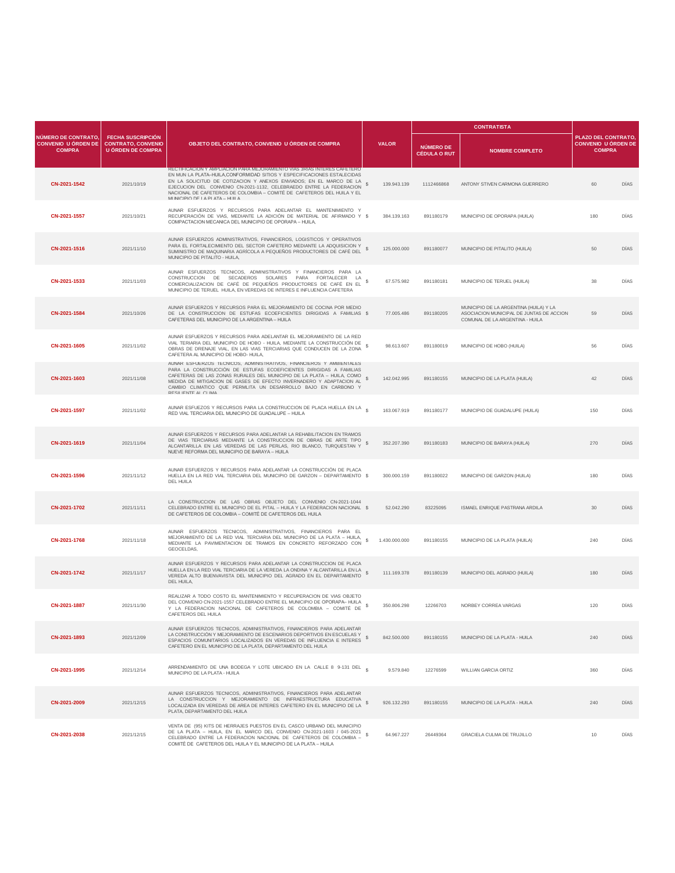|                                                                    |                                                                                   | OBJETO DEL CONTRATO, CONVENIO U ÓRDEN DE COMPRA                                                                                                                                                                                                                                                                                                                                                                         |                    |                                         | <b>CONTRATISTA</b>                                                                                                    |                                                                   |      |
|--------------------------------------------------------------------|-----------------------------------------------------------------------------------|-------------------------------------------------------------------------------------------------------------------------------------------------------------------------------------------------------------------------------------------------------------------------------------------------------------------------------------------------------------------------------------------------------------------------|--------------------|-----------------------------------------|-----------------------------------------------------------------------------------------------------------------------|-------------------------------------------------------------------|------|
| NÚMERO DE CONTRATO,<br><b>CONVENIO U ÓRDEN DE</b><br><b>COMPRA</b> | <b>FECHA SUSCRIPCIÓN</b><br><b>CONTRATO, CONVENIO</b><br><b>U ÓRDEN DE COMPRA</b> |                                                                                                                                                                                                                                                                                                                                                                                                                         | <b>VALOR</b>       | <b>NÚMERO DE</b><br><b>CÉDULA O RUT</b> | <b>NOMBRE COMPLETO</b>                                                                                                | PLAZO DEL CONTRATO<br><b>CONVENIO U ÓRDEN DE</b><br><b>COMPRA</b> |      |
| CN-2021-1542                                                       | 2021/10/19                                                                        | <u>RECHIEICACIONY AMPERACIONIPARA MEJORAMIENIO VIAS SRIAS INTERES CAFETERO</u><br>EN MUN LA PLATA-HUILA, CONFORMIDAD SITIOS Y ESPECIFICACIONES ESTALECIDAS<br>EN LA SOLICITUD DE COTIZACION Y ANEXOS ENVIADOS; EN EL MARCO DE LA<br>EJECUCION DEL CONVENIO CN-2021-1132, CELEBRAEDO ENTRE LA FEDERACION<br>NACIONAL DE CAFETEROS DE COLOMBIA - COMITÉ DE CAFETEROS DEL HUILA Y EL<br>MI INICIPIO DE LA PLATA - HI III A | s<br>139.943.139   | 1112466868                              | ANTONY STIVEN CARMONA GUERRERO                                                                                        | 60                                                                | DÍAS |
| CN-2021-1557                                                       | 2021/10/21                                                                        | AUNAR ESFUERZOS Y RECURSOS PARA ADELANTAR EL MANTENIMIENTO Y<br>RECUPERACIÓN DE VIAS, MEDIANTE LA ADICIÓN DE MATERIAL DE AFIRMADO Y \$<br>COMPACTACION MECANICA DEL MUNICIPIO DE OPORAPA - HUILA,                                                                                                                                                                                                                       | 384.139.163        | 891180179                               | MUNICIPIO DE OPORAPA (HUILA)                                                                                          | 180                                                               | DÍAS |
| CN-2021-1516                                                       | 2021/11/10                                                                        | AUNAR ESFUERZOS ADMINISTRATIVOS, FINANCIEROS, LOGISTICOS Y OPERATIVOS<br>PARA EL FORTALECIMIENTO DEL SECTOR CAFETERO MEDIANTE LA ADQUISICION Y<br>SUMINISTRO DE MAQUINARIA AGRÍCOLA A PEQUEÑOS PRODUCTORES DE CAFÉ DEL<br>MUNICIPIO DE PITALITO - HUILA,                                                                                                                                                                | 125.000.000        | 891180077                               | MUNICIPIO DE PITALITO (HUILA)                                                                                         | 50                                                                | DIAS |
| CN-2021-1533                                                       | 2021/11/03                                                                        | AUNAR ESFUERZOS TECNICOS, ADMINISTRATIVOS Y FINANCIEROS PARA LA<br>CONSTRUCCION DE SECADEROS SOLARES PARA FORTALECER LA<br>COMERCIALIZACION DE CAFÉ DE PEQUEÑOS PRODUCTORES DE CAFÉ EN EL<br>MUNICIPIO DE TERUEL HUILA, EN VEREDAS DE INTERES E INFLUENCIA CAFETERA                                                                                                                                                     | s<br>67.575.982    | 891180181                               | MUNICIPIO DE TERUEL (HUILA)                                                                                           | 38                                                                | DÍAS |
| CN-2021-1584                                                       | 2021/10/26                                                                        | AUNAR ESFUERZOS Y RECURSOS PARA EL MEJORAMIENTO DE COCINA POR MEDIO<br>DE LA CONSTRUCCION DE ESTUFAS ECOEFICIENTES DIRIGIDAS A FAMILIAS \$<br>CAFETERAS DEL MUNICIPIO DE LA ARGENTINA - HUILA                                                                                                                                                                                                                           | 77.005.486         | 891180205                               | MUNICIPIO DE LA ARGENTINA (HUILA) Y LA<br>ASOCIACION MUNICIPAL DE JUNTAS DE ACCION<br>COMUNAL DE LA ARGENTINA - HUILA | 59                                                                | DÍAS |
| CN-2021-1605                                                       | 2021/11/02                                                                        | AUNAR ESFUERZOS Y RECURSOS PARA ADELANTAR EL MEJORAMIENTO DE LA RED<br>VIAL TERIARIA DEL MUNICIPIO DE HOBO - HUILA, MEDIANTE LA CONSTRUCCIÓN DE<br>OBRAS DE DRENAJE VIAL, EN LAS VIAS TERCIARIAS QUE CONDUCEN DE LA ZONA<br>CAFETERA AL MUNICIPIO DE HOBO- HUILA                                                                                                                                                        | 98.613.607<br>s    | 891180019                               | MUNICIPIO DE HOBO (HUILA)                                                                                             | 56                                                                | DÍAS |
| CN-2021-1603                                                       | 2021/11/08                                                                        | AUNAR ESFUERZOS TECNICOS, ADMINISTRATIVOS, FINANCIEROS Y AMBIENTALES<br>PARA LA CONSTRUCCIÓN DE ESTUFAS ECOEFICIENTES DIRIGIDAS A FAMILIAS<br>CAFETERAS DE LAS ZONAS RURALES DEL MUNICIPIO DE LA PLATA - HUILA, COMO<br>MEDIDA DE MITIGACION DE GASES DE EFECTO INVERNADERO Y ADAPTACION AL<br>CAMBIO CLIMATICO QUE PERMLITA UN DESARROLLO BAJO EN CARBONO Y<br><b>PESILIENTE AL CLIMA</b>                              | s<br>142.042.995   | 891180155                               | MUNICIPIO DE LA PLATA (HUILA)                                                                                         | 42                                                                | DÍAS |
| CN-2021-1597                                                       | 2021/11/02                                                                        | AUNAR ESFUEZOS Y RECURSOS PARA LA CONSTRUCCION DE PLACA HUELLA EN LA<br>RED VIAL TERCIARIA DEL MUNICIPIO DE GUADALUPE - HUILA                                                                                                                                                                                                                                                                                           | 163.067.919        | 891180177                               | MUNICIPIO DE GUADALUPE (HUILA)                                                                                        | 150                                                               | DIAS |
| CN-2021-1619                                                       | 2021/11/04                                                                        | AUNAR ESFUERZOS Y RECURSOS PARA ADELANTAR LA REHABILITACION EN TRAMOS<br>DE VIAS TERCIARIAS MEDIANTE LA CONSTRUCCION DE OBRAS DE ARTE TIPO<br>ALCANTARILLA EN LAS VEREDAS DE LAS PERLAS, RIO BLANCO, TURQUESTAN Y \$<br>NUEVE REFORMA DEL MUNICIPIO DE BARAYA - HUILA                                                                                                                                                   | 352.207.390        | 891180183                               | MUNICIPIO DE BARAYA (HUILA)                                                                                           | 270                                                               | DÍAS |
| CN-2021-1596                                                       | 2021/11/12                                                                        | AUNAR ESFUERZOS Y RECURSOS PARA ADELANTAR LA CONSTRUCCIÓN DE PLACA<br>HUELLA EN LA RED VIAL TERCIARIA DEL MUNICIPIO DE GARZON - DEPARTAMENTO \$<br><b>DEL HUILA</b>                                                                                                                                                                                                                                                     | 300.000.159        | 891180022                               | MUNICIPIO DE GARZON (HUILA)                                                                                           | 180                                                               | DÍAS |
| CN-2021-1702                                                       | 2021/11/11                                                                        | LA CONSTRUCCION DE LAS OBRAS OBJETO DEL CONVENIO CN-2021-1044<br>CELEBRADO ENTRE EL MUNICIPIO DE EL PITAL - HUILA Y LA FEDERACION NACIONAL \$<br>DE CAFETEROS DE COLOMBIA - COMITÉ DE CAFETEROS DEL HUILA                                                                                                                                                                                                               | 52.042.290         | 83225095                                | ISMAEL ENRIQUE PASTRANA ARDILA                                                                                        | 30                                                                | DÍAS |
| CN-2021-1768                                                       | 2021/11/18                                                                        | AUNAR ESFUERZOS TECNICOS, ADMINISTRATIVOS, FINANCIEROS PARA EL<br>MEJORAMIENTO DE LA RED VIAL TERCIARIA DEL MUNICIPIO DE LA PLATA - HUILA,<br>MEDIANTE LA PAVIMENTACION DE TRAMOS EN CONCRETO REFORZADO CON<br>GEOCELDAS.                                                                                                                                                                                               | 1.430.000.000<br>s | 891180155                               | MUNICIPIO DE LA PLATA (HUILA)                                                                                         | 240                                                               | DÍAS |
| CN-2021-1742                                                       | 2021/11/17                                                                        | AUNAR ESFUERZOS Y RECURSOS PARA ADELANTAR LA CONSTRUCCION DE PLACA<br>HUELLA EN LA RED VIAL TERCIARIA DE LA VEREDA LA ONDINA Y ALCANTARILLA EN LA<br>VEREDA ALTO BUENVAVISTA DEL MUNICIPIO DEL AGRADO EN EL DEPARTAMENTO<br>DEL HUILA,                                                                                                                                                                                  | 111.169.378        | 891180139                               | MUNICIPIO DEL AGRADO (HUILA)                                                                                          | 180                                                               | DIAS |
| CN-2021-1887                                                       | 2021/11/30                                                                        | REALIZAR A TODO COSTO EL MANTENIMIENTO Y RECUPERACION DE VIAS OBJETO<br>DEL CONVENIO CN-2021-1557 CELEBRADO ENTRE EL MUNICIPIO DE OPORAPA- HUILA<br>Y LA FEDERACION NACIONAL DE CAFETEROS DE COLOMBIA - COMITÉ DE<br>CAFETEROS DEL HUILA                                                                                                                                                                                | s<br>350,806,298   | 12266703                                | NORBEY CORREA VARGAS                                                                                                  | 120                                                               | DÍAS |
| CN-2021-1893                                                       | 2021/12/09                                                                        | AUNAR ESFUERZOS TECNICOS, ADMINISTRATIVOS, FINANCIEROS PARA ADELANTAR<br>LA CONSTRUCCIÓN Y MEJORAMIENTO DE ESCENARIOS DEPORTIVOS EN ESCUELAS Y<br>ESPACIOS COMUNITARIOS LOCALIZADOS EN VEREDAS DE INFLUENCIA E INTERES \$<br>CAFETERO EN EL MUNICIPIO DE LA PLATA, DEPARTAMENTO DEL HUILA                                                                                                                               | 842.500.000        | 891180155                               | MUNICIPIO DE LA PLATA - HUILA                                                                                         | 240                                                               | DÍAS |
| CN-2021-1995                                                       | 2021/12/14                                                                        | ARRENDAMIENTO DE UNA BODEGA Y LOTE UBICADO EN LA CALLE 8 9-131 DEL §<br>MUNICIPIO DE LA PLATA - HUILA                                                                                                                                                                                                                                                                                                                   | 9,579,840          | 12276599                                | WILLIAN GARCIA ORTIZ                                                                                                  | 360                                                               | DÍAS |
| CN-2021-2009                                                       | 2021/12/15                                                                        | AUNAR ESFUERZOS TECNICOS, ADMINISTRATIVOS, FINANCIEROS PARA ADELANTAR<br>LA CONSTRUCCION Y MEJORAMIENTO DE INFRAESTRUCTURA EDUCATIVA<br>LOCALIZADA EN VEREDAS DE AREA DE INTERES CAFETERO EN EL MUNICIPIO DE LA \$<br>PLATA, DEPARTAMENTO DEL HUILA                                                                                                                                                                     | 926.132.293        | 891180155                               | MUNICIPIO DE LA PLATA - HUILA                                                                                         | 240                                                               | DÍAS |
| CN-2021-2038                                                       | 2021/12/15                                                                        | VENTA DE (95) KITS DE HERRAJES PUESTOS EN EL CASCO URBANO DEL MUNICIPIO<br>DE LA PLATA - HUILA, EN EL MARCO DEL CONVENIO CN-2021-1603 / 045-2021 \$<br>CELEBRADO ENTRE LA FEDERACION NACIONAL DE CAFETEROS DE COLOMBIA -<br>COMITÉ DE CAFETEROS DEL HUILA Y EL MUNICIPIO DE LA PLATA - HUILA                                                                                                                            | 64.967.227         | 26449364                                | GRACIELA CULMA DE TRUJILLO                                                                                            | 10                                                                | DÍAS |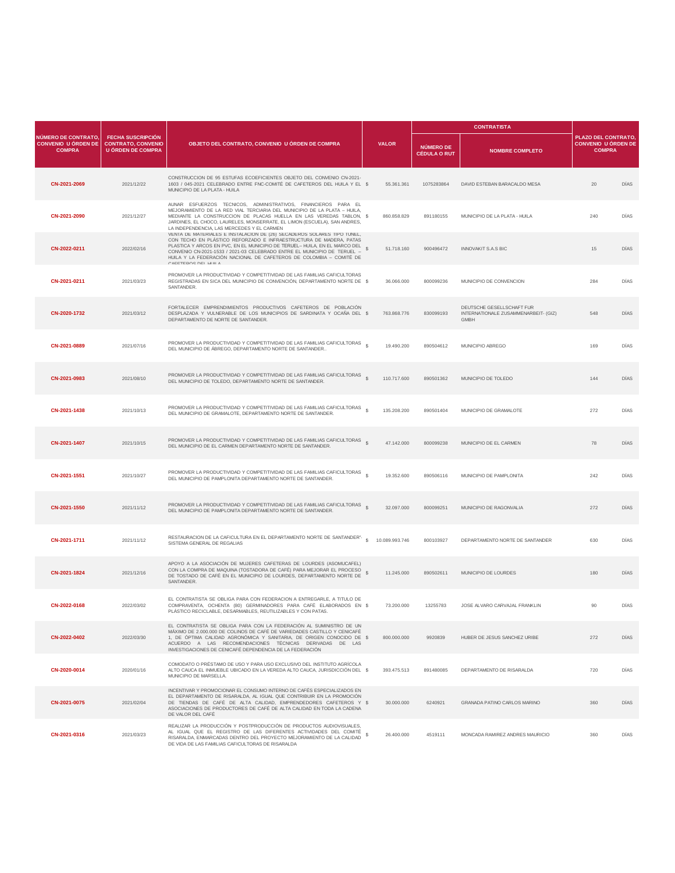|                                                                    |                                                                                   | OBJETO DEL CONTRATO, CONVENIO U ÓRDEN DE COMPRA                                                                                                                                                                                                                                                                                                                                                        |                            |                                         | <b>CONTRATISTA</b>                                                               |                                                                   |             |
|--------------------------------------------------------------------|-----------------------------------------------------------------------------------|--------------------------------------------------------------------------------------------------------------------------------------------------------------------------------------------------------------------------------------------------------------------------------------------------------------------------------------------------------------------------------------------------------|----------------------------|-----------------------------------------|----------------------------------------------------------------------------------|-------------------------------------------------------------------|-------------|
| NÚMERO DE CONTRATO,<br><b>CONVENIO U ÓRDEN DE</b><br><b>COMPRA</b> | <b>FECHA SUSCRIPCIÓN</b><br><b>CONTRATO, CONVENIO</b><br><b>U ÓRDEN DE COMPRA</b> |                                                                                                                                                                                                                                                                                                                                                                                                        | <b>VALOR</b>               | <b>NÚMERO DE</b><br><b>CÉDULA O RUT</b> | <b>NOMBRE COMPLETO</b>                                                           | PLAZO DEL CONTRATO<br><b>CONVENIO U ÓRDEN DE</b><br><b>COMPRA</b> |             |
| CN-2021-2069                                                       | 2021/12/22                                                                        | CONSTRUCCION DE 95 ESTUFAS ECOEFICIENTES OBJETO DEL CONVENIO CN-2021-<br>1603 / 045-2021 CELEBRADO ENTRE FNC-COMITÉ DE CAFETEROS DEL HUILA Y EL \$<br>MUNICIPIO DE LA PLATA - HUILA                                                                                                                                                                                                                    | 55.361.361                 | 1075283864                              | DAVID ESTEBAN BARACALDO MESA                                                     | 20                                                                | DIAS        |
| CN-2021-2090                                                       | 2021/12/27                                                                        | AUNAR ESFUERZOS TECNICOS, ADMINISTRATIVOS, FINANCIEROS PARA EL<br>MEJORAMIENTO DE LA RED VIAL TERCIARIA DEL MUNICIPIO DE LA PLATA - HUILA,<br>MEDIANTE LA CONSTRUCCION DE PLACAS HUELLA EN LAS VEREDAS TABLON, \$<br>JARDINES, EL CHOCO, LAURELES, MONSERRATE, EL LIMON (ESCUELA), SAN ANDRES,<br>LA INDEPENDENCIA, LAS MERCEDES Y EL CARMEN                                                           | 860.858.829                | 891180155                               | MUNICIPIO DE LA PLATA - HUILA                                                    | 240                                                               | DÍAS        |
| CN-2022-0211                                                       | 2022/02/16                                                                        | VENTA DE MATERIALES E INSTALACION DE (26) SECADEROS SOLARES TIPO TUNEL,<br>CON TECHO EN PLÁSTICO REFORZADO E INFRAESTRUCTURA DE MADERA, PATAS<br>PLASTICA Y ARCOS EN PVC, EN EL MUNICIPIO DE TERUEL- HUILA, EN EL MARCO DEL<br>CONVENIO CN-2021-1533 / 2021-03 CELEBRADO ENTRE EL MUNICIPIO DE TERUEL -<br>HUILA Y LA FEDERACIÓN NACIONAL DE CAFETEROS DE COLOMBIA - COMITÉ DE<br>CAFFTEROS DEL HIJI A | 51.718.160                 | 900496472                               | INNOVAKIT S.A.S BIC                                                              | 15                                                                | DIAS        |
| CN-2021-0211                                                       | 2021/03/23                                                                        | PROMOVER LA PRODUCTIVIDAD Y COMPETITIVIDAD DE LAS FAMILIAS CAFICULTORAS<br>REGISTRADAS EN SICA DEL MUNICIPIO DE CONVENCIÓN, DEPARTAMENTO NORTE DE \$<br>SANTANDER.                                                                                                                                                                                                                                     | 36,066,000                 | 800099236                               | MUNICIPIO DE CONVENCION                                                          | 284                                                               | DÍAS        |
| CN-2020-1732                                                       | 2021/03/12                                                                        | FORTALECER EMPRENDIMIENTOS PRODUCTIVOS CAFETEROS DE POBLACIÓN<br>DESPLAZADA Y VULNERABLE DE LOS MUNICIPIOS DE SARDINATA Y OCAÑA DEL \$<br>DEPARTAMENTO DE NORTE DE SANTANDER.                                                                                                                                                                                                                          | 763.868.776                | 830099193                               | DEUTSCHE GESELLSCHAFT FUR<br>INTERNATIONALE ZUSAMMENARBEIT- (GIZ)<br><b>GMBH</b> | 548                                                               | DIAS        |
| CN-2021-0889                                                       | 2021/07/16                                                                        | PROMOVER LA PRODUCTIVIDAD Y COMPETITIVIDAD DE LAS FAMILIAS CAFICULTORAS<br>DEL MUNICIPIO DE ÁBREGO, DEPARTAMENTO NORTE DE SANTANDER                                                                                                                                                                                                                                                                    | 19.490.200                 | 890504612                               | MUNICIPIO ABREGO                                                                 | 169                                                               | <b>DIAS</b> |
| CN-2021-0983                                                       | 2021/08/10                                                                        | PROMOVER LA PRODUCTIVIDAD Y COMPETITIVIDAD DE LAS FAMILIAS CAFICULTORAS<br>DEL MUNICIPIO DE TOLEDO, DEPARTAMENTO NORTE DE SANTANDER.                                                                                                                                                                                                                                                                   | 110.717.600                | 890501362                               | MUNICIPIO DE TOLEDO                                                              | 144                                                               | DÍAS        |
| CN-2021-1438                                                       | 2021/10/13                                                                        | PROMOVER LA PRODUCTIVIDAD Y COMPETITIVIDAD DE LAS FAMILIAS CAFICULTORAS<br>DEL MUNICIPIO DE GRAMALOTE, DEPARTAMENTO NORTE DE SANTANDER.                                                                                                                                                                                                                                                                | 135.208.200                | 890501404                               | MUNICIPIO DE GRAMALOTE                                                           | 272                                                               | DIAS        |
| CN-2021-1407                                                       | 2021/10/15                                                                        | PROMOVER LA PRODUCTIVIDAD Y COMPETITIVIDAD DE LAS FAMILIAS CAFICULTORAS<br>DEL MUNICIPIO DE EL CARMEN DEPARTAMENTO NORTE DE SANTANDER.                                                                                                                                                                                                                                                                 | 47.142.000                 | 800099238                               | MUNICIPIO DE EL CARMEN                                                           | 78                                                                | <b>DIAS</b> |
| CN-2021-1551                                                       | 2021/10/27                                                                        | PROMOVER LA PRODUCTIVIDAD Y COMPETITIVIDAD DE LAS FAMILIAS CAFICULTORAS<br>DEL MUNICIPIO DE PAMPLONITA DEPARTAMENTO NORTE DE SANTANDER.                                                                                                                                                                                                                                                                | 19.352.600                 | 890506116                               | MUNICIPIO DE PAMPLONITA                                                          | 242                                                               | DIAS        |
| CN-2021-1550                                                       | 2021/11/12                                                                        | PROMOVER LA PRODUCTIVIDAD Y COMPETITIVIDAD DE LAS FAMILIAS CAFICULTORAS<br>DEL MUNICIPIO DE PAMPLONITA DEPARTAMENTO NORTE DE SANTANDER.                                                                                                                                                                                                                                                                | $\mathbf{s}$<br>32.097.000 | 800099251                               | MUNICIPIO DE RAGONVALIA                                                          | 272                                                               | DÍAS        |
| CN-2021-1711                                                       | 2021/11/12                                                                        | RESTAURACION DE LA CAFICULTURA EN EL DEPARTAMENTO NORTE DE SANTANDER"<br>SISTEMA GENERAL DE REGALIAS                                                                                                                                                                                                                                                                                                   | 10.089.993.746             | 800103927                               | DEPARTAMENTO NORTE DE SANTANDER                                                  | 630                                                               | DÍAS        |
| CN-2021-1824                                                       | 2021/12/16                                                                        | APOYO A LA ASOCIACIÓN DE MUJERES CAFETERAS DE LOURDES (ASOMUCAFEL)<br>CON LA COMPRA DE MAQUINA (TOSTADORA DE CAFÉ) PARA MEJORAR EL PROCESO<br>DE TOSTADO DE CAFÉ EN EL MUNICIPIO DE LOURDES, DEPARTAMENTO NORTE DE<br>SANTANDER.                                                                                                                                                                       | 11.245.000                 | 890502611                               | MUNICIPIO DE LOURDES                                                             | 180                                                               | DIAS        |
| CN-2022-0168                                                       | 2022/03/02                                                                        | EL CONTRATISTA SE OBLIGA PARA CON FEDERACION A ENTREGARLE, A TITULO DE<br>COMPRAVENTA, OCHENTA (80) GERMINADORES PARA CAFÉ ELABORADOS EN \$<br>PLÁSTICO RECICLABLE, DESARMABLES, REUTILIZABLES Y CON PATAS.                                                                                                                                                                                            | 73,200,000                 | 13255783                                | JOSE ALVARO CARVAJAL FRANKLIN                                                    | 90                                                                | DÍAS        |
| CN-2022-0402                                                       | 2022/03/30                                                                        | EL CONTRATISTA SE OBLIGA PARA CON LA FEDERACIÓN AL SUMINISTRO DE UN<br>MÁXIMO DE 2.000.000 DE COLINOS DE CAFÉ DE VARIEDADES CASTILLO Y CENICAFÉ<br>1, DE ÓPTIMA CALIDAD AGRONÓMICA Y SANITARIA, DE ORIGEN CONOCIDO DE \$<br>ACUERDO A LAS RECOMENDACIONES TÉCNICAS DERIVADAS DE LAS<br>INVESTIGACIONES DE CENICAFÉ DEPENDENCIA DE LA FEDERACIÓN                                                        | 800.000.000                | 9920839                                 | HUBER DE JESUS SANCHEZ URIBE                                                     | 272                                                               | DÍAS        |
| CN-2020-0014                                                       | 2020/01/16                                                                        | COMODATO O PRÉSTAMO DE USO Y PARA USO EXCLUSIVO DEL INSTITUTO AGRÍCOLA<br>ALTO CAUCA EL INMUEBLE UBICADO EN LA VEREDA ALTO CAUCA, JURISDICCIÓN DEL \$<br>MUNICIPIO DE MARSELLA.                                                                                                                                                                                                                        | 393.475.513                | 891480085                               | DEPARTAMENTO DE RISARALDA                                                        | 720                                                               | DÍAS        |
| CN-2021-0075                                                       | 2021/02/04                                                                        | INCENTIVAR Y PROMOCIONAR EL CONSUMO INTERNO DE CAFÉS ESPECIALIZADOS EN<br>EL DEPARTAMENTO DE RISARALDA, AL IGUAL QUE CONTRIBUIR EN LA PROMOCIÓN<br>DE TIENDAS DE CAFÉ DE ALTA CALIDAD, EMPRENDEDORES CAFETEROS Y \$<br>ASOCIACIONES DE PRODUCTORES DE CAFÉ DE ALTA CALIDAD EN TODA LA CADENA<br>DE VALOR DEL CAFÉ                                                                                      | 30,000,000                 | 6240921                                 | <b>GRANADA PATINO CARLOS MARINO</b>                                              | 360                                                               | DÍAS        |
| CN-2021-0316                                                       | 2021/03/23                                                                        | REALIZAR LA PRODUCCIÓN Y POSTPRODUCCIÓN DE PRODUCTOS AUDIOVISUALES,<br>AL IGUAL QUE EL REGISTRO DE LAS DIFERENTES ACTIVIDADES DEL COMITÉ S<br>RISARALDA, ENMARCADAS DENTRO DEL PROYECTO MEJORAMIENTO DE LA CALIDAD<br>DE VIDA DE LAS FAMILIAS CAFICULTORAS DE RISARALDA                                                                                                                                | 26.400.000                 | 4519111                                 | MONCADA RAMIREZ ANDRES MAURICIO                                                  | 360                                                               | DÍAS        |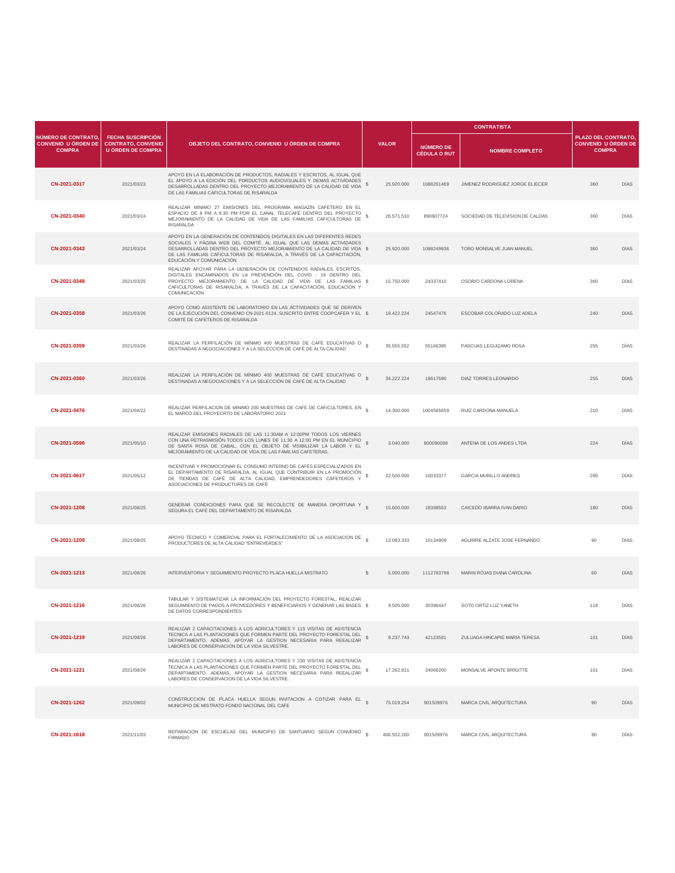|                                                                    |                                                                                   | OBJETO DEL CONTRATO, CONVENIO U ÓRDEN DE COMPRA                                                                                                                                                                                                                                                                                  |                 |                                         | <b>CONTRATISTA</b>               |                                                                   |             |
|--------------------------------------------------------------------|-----------------------------------------------------------------------------------|----------------------------------------------------------------------------------------------------------------------------------------------------------------------------------------------------------------------------------------------------------------------------------------------------------------------------------|-----------------|-----------------------------------------|----------------------------------|-------------------------------------------------------------------|-------------|
| NÚMERO DE CONTRATO,<br><b>CONVENIO U ÓRDEN DE</b><br><b>COMPRA</b> | <b>FECHA SUSCRIPCIÓN</b><br><b>CONTRATO, CONVENIO</b><br><b>U ÓRDEN DE COMPRA</b> |                                                                                                                                                                                                                                                                                                                                  | <b>VALOR</b>    | <b>NÚMERO DE</b><br><b>CÉDULA O RUT</b> | <b>NOMBRE COMPLETO</b>           | PLAZO DEL CONTRATO<br><b>CONVENIO U ÓRDEN DE</b><br><b>COMPRA</b> |             |
| CN-2021-0317                                                       | 2021/03/23                                                                        | APOYO EN LA ELABORACIÓN DE PRODUCTOS, RADIALES Y ESCRITOS, AL IGUAL QUE<br>EL APOYO A LA EDICIÓN DEL PORDUCTOS AUDIOVISUALES Y DEMAS ACTIVIDADES<br>DESARROLLADAS DENTRO DEL PROYECTO MEJORAMIENTO DE LA CALIDAD DE VIDA<br>DE LAS FAMILIAS CAFICULTORAS DE RISARALDA                                                            | s<br>25.920.000 | 1088261469                              | JIMENEZ RODRIGUEZ JORGE ELIECER  | 360                                                               | DIAS        |
| CN-2021-0340                                                       | 2021/03/24                                                                        | REALIZAR MINIMO 27 EMISIONES DEL PROGRAMA MAGAZÍN CAFETERO EN EL<br>ESPACIO DE 8 PM A 8:30 PM POR EL CANAL TELECAFÉ DENTRO DEL PROYECTO<br>MEJORAMIENTO DE LA CALIDAD DE VIDA DE LAS FAMILIAS CAFICULTORAS DE<br>RISARALDA                                                                                                       | 26.571.510<br>s | 890807724                               | SOCIEDAD DE TELEVISION DE CALDAS | 360                                                               | DÍAS        |
| CN-2021-0343                                                       | 2021/03/24                                                                        | APOYO EN LA GENERACIÓN DE CONTENIDOS DIGITALES EN LAS DIFERENTES REDES<br>SOCIALES Y PÁGINA WEB DEL COMITÉ, AL IGUAL QUE LAS DEMAS ACTIVIDADES<br>DESARROLLADAS DENTRO DEL PROYECTO MEJORAMIENTO DE LA CALIDAD DE VIDA \$<br>DE LAS FAMILIAS CAFICULTORAS DE RISARALDA, A TRAVÉS DE LA CAPACITACIÓN,<br>EDUCACIÓN Y COMUNICACIÓN | 25.920.000      | 1088249936                              | TORO MONSALVE JUAN MANUEL        | 360                                                               | DIAS        |
| CN-2021-0348                                                       | 2021/03/25                                                                        | REALIZAR APOYAR PARA LA GENERACIÓN DE CONTENIDOS RADIALES. ESCRITOS.<br>DIGITALES ENCAMINADOS EN LA PREVENCIÓN DEL COVID - 19 DENTRO DEL<br>PROYECTO MEJORAMIENTO DE LA CALIDAD DE VIDA DE LAS FAMILIAS \$<br>CAFICULTORAS DE RISARALDA, A TRAVÉS DE LA CAPACITACIÓN, EDUCACIÓN Y<br>COMUNICACIÓN                                | 15,750,000      | 24337410                                | OSORIO CARDONA LORENA            | 360                                                               | DÍAS        |
| CN-2021-0358                                                       | 2021/03/26                                                                        | APOYO COMO ASISTENTE DE LABORATORIO EN LAS ACTIVIDADES QUE SE DERIVEN<br>DE LA EJECUCIÓN DEL CONVENIO CN-2021-0124, SUSCRITO ENTRE COOPCAFER Y EL \$<br>COMITÉ DE CAFETEROS DE RISARALDA                                                                                                                                         | 19.422.224      | 24547476                                | ESCOBAR COLORADO LUZ ADELA       | 240                                                               | DIAS        |
| CN-2021-0359                                                       | 2021/03/26                                                                        | REALIZAR LA PERFILACIÓN DE MÍNIMO 400 MUESTRAS DE CAFÉ EDUCATIVAS O<br>DESTINADAS A NEGOCIACIONES Y A LA SELECCIÓN DE CAFÉ DE ALTA CALIDAD                                                                                                                                                                                       | 35.555.552      | 55166395                                | PASCUAS LEGUIZAMO ROSA           | 255                                                               | <b>DIAS</b> |
| CN-2021-0360                                                       | 2021/03/26                                                                        | REALIZAR LA PERFILACIÓN DE MÍNIMO 400 MUESTRAS DE CAFÉ EDUCATIVAS O<br>DESTINADAS A NEGOCIACIONES Y A LA SELECCIÓN DE CAFÉ DE ALTA CALIDAD                                                                                                                                                                                       | 34.222.224      | 18617590                                | DIAZ TORRES LEONARDO             | 255                                                               | DÍAS        |
| CN-2021-0476                                                       | 2021/04/22                                                                        | REALIZAR PERFILACION DE MINIMO 200 MUESTRAS DE CAFE DE CAFICULTORES, EN<br>EL MARCO DEL PROYECRTO DE LABORATORIO 2021                                                                                                                                                                                                            | 14.300.000      | 1004565659                              | RUIZ CARDONA MANUELA             | 210                                                               | DIAS        |
| CN-2021-0596                                                       | 2021/05/10                                                                        | REALIZAR EMISIONES RADIALES DE LAS 11:30AM A 12:00PM TODOS LOS VIERNES<br>CON UNA RETRASMISIÓN TODOS LOS LUNES DE 11:30 A 12:00 PM EN EL MUNICIPIO<br>DE SANTA ROSA DE CABAL, CON EL OBJETO DE VISIBILIZAR LA LABOR Y EL \$<br>MEJORAMIENTO DE LA CALIDAD DE VIDA DE LAS FAMILIAS CAFETERAS.                                     | 3.040.000       | 800090098                               | ANTENA DE LOS ANDES LTDA         | 224                                                               | <b>DIAS</b> |
| CN-2021-0617                                                       | 2021/05/12                                                                        | INCENTIVAR Y PROMOCIONAR EL CONSUMO INTERNO DE CAFÉS ESPECIALIZADOS EN<br>EL DEPARTAMENTO DE RISARALDA, AL IGUAL QUE CONTRIBUIR EN LA PROMOCIÓN<br>DE TIENDAS DE CAFÉ DE ALTA CALIDAD, EMPRENDEDORES CAFETEROS Y<br>ASOCIACIONES DE PRODUCTORES DE CAFÉ                                                                          | 22.500.000<br>s | 10033377                                | <b>GARCIA MURILLO ANDRES</b>     | 290                                                               | DIAS        |
| CN-2021-1208                                                       | 2021/08/25                                                                        | GENERAR CONDICIONES PARA QUE SE RECOLECTE DE MANERA OPORTUNA Y S<br>SEGURA EL CAFÉ DEL DEPARTAMENTO DE RISARALDA                                                                                                                                                                                                                 | 15.600.000      | 18398553                                | CAICEDO IBARRA IVAN DARIO        | 180                                                               | DÍAS        |
| CN-2021-1209                                                       | 2021/08/25                                                                        | APOYO TECNICO Y COMERCIAL PARA EL FORTALECIMIENTO DE LA ASOCIACION DE<br>PRODUCTORES DE ALTA CALIDAD "ENTREVERDES"                                                                                                                                                                                                               | 13.083.333      | 10134909                                | AGUIRRE ALZATE JOSE FERNANDO     | 90                                                                | DÍAS        |
| CN-2021-1213                                                       | 2021/08/26                                                                        | INTERVENTORIA Y SEGUIMIENTO PROYECTO PLACA HUELLA MISTRATO                                                                                                                                                                                                                                                                       | s<br>5.000.000  | 1112783798                              | MARIN ROJAS DIANA CAROLINA       | 60                                                                | DIAS        |
| CN-2021-1216                                                       | 2021/08/26                                                                        | TABULAR Y SISTEMATIZAR LA INFORMACION DEL PROYECTO FORESTAL, REALIZAR<br>SEGUIMIENTO DE PAGOS A PROVEEDORES Y BENEFICIARIOS Y GENERAR LAS BASES \$<br>DE DATOS CORRESPONDIENTES.                                                                                                                                                 | 9,500,000       | 30396447                                | SOTO ORTIZ LUZ YANETH            | 118                                                               | DÍAS        |
| CN-2021-1219                                                       | 2021/08/26                                                                        | REALIZAR 2 CAPACITACIONES A LOS AGRICULTORES Y 115 VISITAS DE ASISTENCIA<br>TECNICA A LAS PLANTACIONES QUE FORMEN PARTE DEL PROYECTO FORESTAL DEL<br>DEPARTAMENTO. ADEMAS, APOYAR LA GESTION NECESARIA PARA REEALIZAR<br>LABORES DE CONSERVACION DE LA VIDA SILVESTRE.                                                           | 9.237.743<br>\$ | 42123581                                | ZULUAGA HINCAPIE MARIA TERESA    | 101                                                               | DÍAS        |
| CN-2021-1221                                                       | 2021/08/26                                                                        | REALIZAR 2 CAPACITACIONES A LOS AGRICULTORES Y 230 VISITAS DE ASISTENCIA<br>TECNICA A LAS PLANTACIONES QUE FORMEN PARTE DEL PROYECTO FORESTAL DEL<br>DEPARTAMENTO. ADEMAS, APOYAR LA GESTION NECESARIA PARA REEALIZAR<br>LABORES DE CONSERVACION DE LA VIDA SILVESTRE.                                                           | s<br>17.262.811 | 34066200                                | MONSALVE APONTE BRIGITTE         | 101                                                               | DÍAS        |
| CN-2021-1262                                                       | 2021/09/02                                                                        | CONSTRUCCION DE PLACA HUELLA SEGUN INVITACION A COTIZAR PARA EL S<br>MUNICIPIO DE MISTRATO FONDO NACIONAL DEL CAFE                                                                                                                                                                                                               | 75.019.254      | 901509976                               | MARCA CIVIL ARQUITECTURA         | 90                                                                | DÍAS        |
| CN-2021-1618                                                       | 2021/11/03                                                                        | REPARACION DE ESCUELAS DEL MUNICIPIO DE SANTUARIO SEGUN CONVENIO<br><b>FIRMADO</b>                                                                                                                                                                                                                                               | 406.502.200     | 901509976                               | MARCA CIVIL ARQUITECTURA         | 90                                                                | DÍAS        |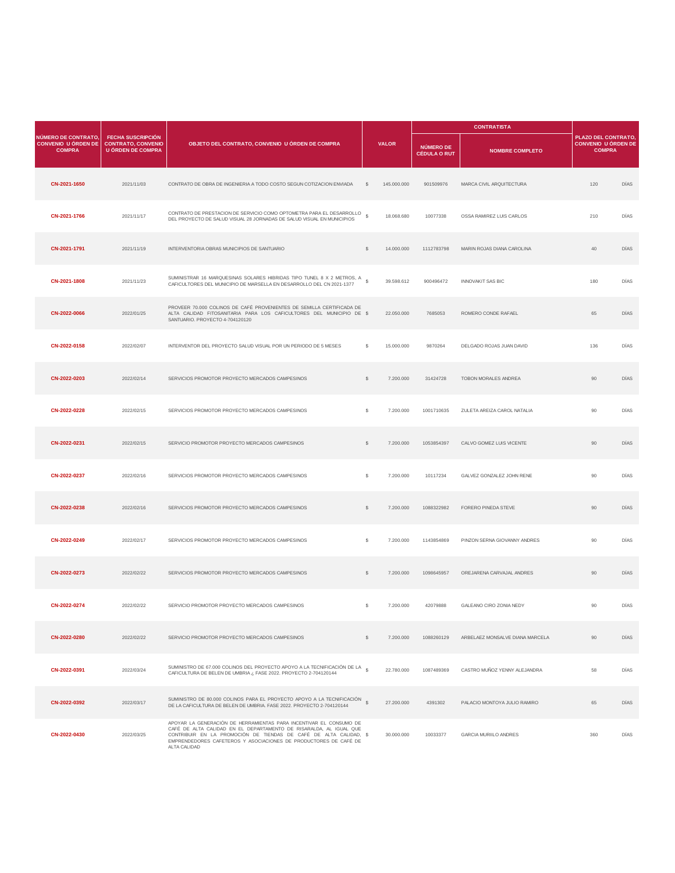|                                                                    |                                                                                   | OBJETO DEL CONTRATO, CONVENIO U ÓRDEN DE COMPRA                                                                                                                                                                                                                                                   |              |              | <b>CONTRATISTA</b>                      |                                 |                                                                    |             |
|--------------------------------------------------------------------|-----------------------------------------------------------------------------------|---------------------------------------------------------------------------------------------------------------------------------------------------------------------------------------------------------------------------------------------------------------------------------------------------|--------------|--------------|-----------------------------------------|---------------------------------|--------------------------------------------------------------------|-------------|
| NÚMERO DE CONTRATO,<br><b>CONVENIO U ÓRDEN DE</b><br><b>COMPRA</b> | <b>FECHA SUSCRIPCIÓN</b><br><b>CONTRATO, CONVENIO</b><br><b>U ÓRDEN DE COMPRA</b> |                                                                                                                                                                                                                                                                                                   |              | <b>VALOR</b> | <b>NÚMERO DE</b><br><b>CÉDULA O RUT</b> | <b>NOMBRE COMPLETO</b>          | PLAZO DEL CONTRATO.<br><b>CONVENIO U ÓRDEN DE</b><br><b>COMPRA</b> |             |
| CN-2021-1650                                                       | 2021/11/03                                                                        | CONTRATO DE OBRA DE INGENIERIA A TODO COSTO SEGUN COTIZACION ENVIADA                                                                                                                                                                                                                              | s            | 145.000.000  | 901509976                               | MARCA CIVIL ARQUITECTURA        | 120                                                                | DÍAS        |
| CN-2021-1766                                                       | 2021/11/17                                                                        | CONTRATO DE PRESTACION DE SERVICIO COMO OPTOMETRA PARA EL DESARROLLO<br>DEL PROYECTO DE SALUD VISUAL 28 JORNADAS DE SALUD VISUAL EN MUNICIPIOS                                                                                                                                                    | s            | 18.068.680   | 10077338                                | OSSA RAMIREZ LUIS CARLOS        | 210                                                                | DÍAS        |
| CN-2021-1791                                                       | 2021/11/19                                                                        | INTERVENTORIA OBRAS MUNICIPIOS DE SANTUARIO                                                                                                                                                                                                                                                       | \$           | 14,000,000   | 1112783798                              | MARIN ROJAS DIANA CAROLINA      | 40                                                                 | <b>DIAS</b> |
| CN-2021-1808                                                       | 2021/11/23                                                                        | SUMINISTRAR 16 MARQUESINAS SOLARES HIBRIDAS TIPO TUNEL 8 X 2 METROS, A<br>CAFICULTORES DEL MUNICIPIO DE MARSELLA EN DESARROLLO DEL CN 2021-1377                                                                                                                                                   |              | 39.598.612   | 900496472                               | INNOVAKIT SAS BIC               | 180                                                                | DÍAS        |
| CN-2022-0066                                                       | 2022/01/25                                                                        | PROVEER 70.000 COLINOS DE CAFÉ PROVENIENTES DE SEMILLA CERTIFICADA DE<br>ALTA CALIDAD FITOSANITARIA PARA LOS CAFICULTORES DEL MUNICIPIO DE \$<br>SANTUARIO. PROYECTO 4-704120120                                                                                                                  |              | 22.050.000   | 7685053                                 | ROMERO CONDE RAFAEL             | 65                                                                 | DIAS        |
| CN-2022-0158                                                       | 2022/02/07                                                                        | INTERVENTOR DEL PROYECTO SALUD VISUAL POR UN PERIODO DE 5 MESES                                                                                                                                                                                                                                   | s            | 15.000.000   | 9870264                                 | DELGADO ROJAS JUAN DAVID        | 136                                                                | DÍAS        |
| CN-2022-0203                                                       | 2022/02/14                                                                        | SERVICIOS PROMOTOR PROYECTO MERCADOS CAMPESINOS                                                                                                                                                                                                                                                   | s            | 7.200.000    | 31424728                                | TOBON MORALES ANDREA            | 90                                                                 | DÍAS        |
| CN-2022-0228                                                       | 2022/02/15                                                                        | SERVICIOS PROMOTOR PROYECTO MERCADOS CAMPESINOS                                                                                                                                                                                                                                                   | \$           | 7.200.000    | 1001710635                              | ZULETA AREIZA CAROL NATALIA     | 90                                                                 | DIAS        |
| CN-2022-0231                                                       | 2022/02/15                                                                        | SERVICIO PROMOTOR PROYECTO MERCADOS CAMPESINOS                                                                                                                                                                                                                                                    | s            | 7.200.000    | 1053854397                              | CALVO GOMEZ LUIS VICENTE        | 90                                                                 | DÍAS        |
| CN-2022-0237                                                       | 2022/02/16                                                                        | SERVICIOS PROMOTOR PROYECTO MERCADOS CAMPESINOS                                                                                                                                                                                                                                                   | s            | 7.200.000    | 10117234                                | GALVEZ GONZALEZ JOHN RENE       | 90                                                                 | DIAS        |
| CN-2022-0238                                                       | 2022/02/16                                                                        | SERVICIOS PROMOTOR PROYECTO MERCADOS CAMPESINOS                                                                                                                                                                                                                                                   | $\mathbb{S}$ | 7.200.000    | 1088322982                              | FORERO PINEDA STEVE             | 90                                                                 | DÍAS        |
| CN-2022-0249                                                       | 2022/02/17                                                                        | SERVICIOS PROMOTOR PROYECTO MERCADOS CAMPESINOS                                                                                                                                                                                                                                                   | s            | 7.200.000    | 1143854869                              | PINZON SERNA GIOVANNY ANDRES    | 90                                                                 | DÍAS        |
| CN-2022-0273                                                       | 2022/02/22                                                                        | SERVICIOS PROMOTOR PROYECTO MERCADOS CAMPESINOS                                                                                                                                                                                                                                                   | s            | 7.200.000    | 1098645957                              | OREJARENA CARVAJAL ANDRES       | 90                                                                 | DÍAS        |
| CN-2022-0274                                                       | 2022/02/22                                                                        | SERVICIO PROMOTOR PROYECTO MERCADOS CAMPESINOS                                                                                                                                                                                                                                                    | s            | 7.200.000    | 42079888                                | GALEANO CIRO ZONIA NEDY         | 90                                                                 | DÍAS        |
| CN-2022-0280                                                       | 2022/02/22                                                                        | SERVICIO PROMOTOR PROYECTO MERCADOS CAMPESINOS                                                                                                                                                                                                                                                    | \$           | 7.200.000    | 1088260129                              | ARBELAEZ MONSALVE DIANA MARCELA | 90                                                                 | DÍAS        |
| CN-2022-0391                                                       | 2022/03/24                                                                        | SUMINISTRO DE 67.000 COLINOS DEL PROYECTO APOYO A LA TECNIFICACIÓN DE LA §<br>CAFICULTURA DE BELEN DE UMBRIA ¿ FASE 2022. PROYECTO 2-704120144                                                                                                                                                    |              | 22.780.000   | 1087489369                              | CASTRO MUÑOZ YENNY ALEJANDRA    | 58                                                                 | DÍAS        |
| CN-2022-0392                                                       | 2022/03/17                                                                        | SUMINISTRO DE 80.000 COLINOS PARA EL PROYECTO APOYO A LA TECNIFICACIÓN \$<br>DE LA CAFICULTURA DE BELEN DE UMBRIA. FASE 2022. PROYECTO 2-704120144                                                                                                                                                |              | 27.200.000   | 4391302                                 | PALACIO MONTOYA JULIO RAMIRO    | 65                                                                 | DÍAS        |
| CN-2022-0430                                                       | 2022/03/25                                                                        | APOYAR LA GENERACIÓN DE HERRAMIENTAS PARA INCENTIVAR EL CONSUMO DE<br>CAFÉ DE ALTA CALIDAD EN EL DEPARTAMENTO DE RISARALDA, AL IGUAL QUE<br>CONTRIBUIR EN LA PROMOCIÓN DE TIENDAS DE CAFÉ DE ALTA CALIDAD, \$<br>EMPRENDEDORES CAFETEROS Y ASOCIACIONES DE PRODUCTORES DE CAFÉ DE<br>ALTA CALIDAD |              | 30.000.000   | 10033377                                | GARCIA MURIILO ANDRES           | 360                                                                | DÍAS        |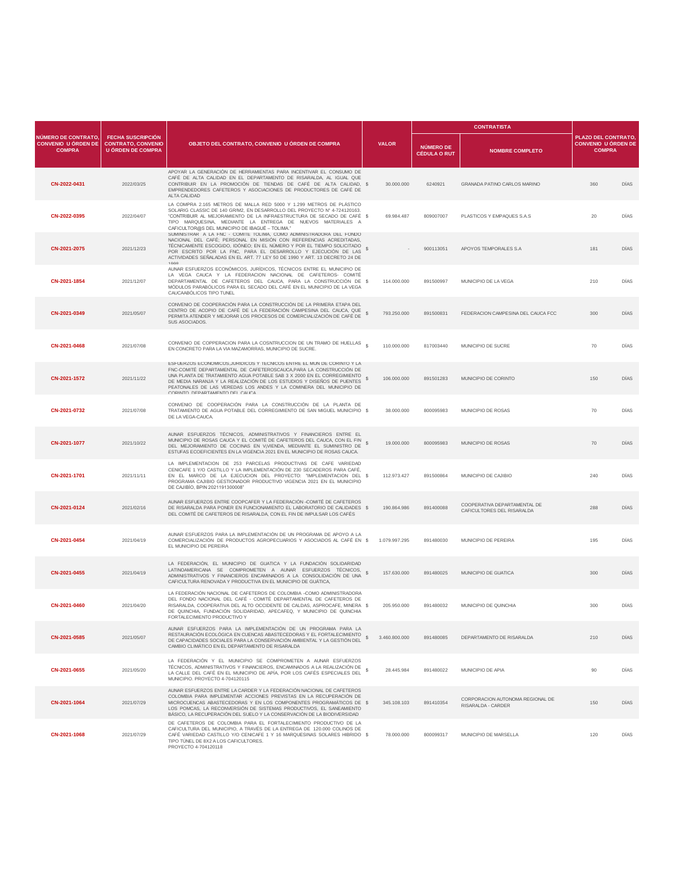|                                                                    |                                                                                   | OBJETO DEL CONTRATO, CONVENIO U ÓRDEN DE COMPRA                                                                                                                                                                                                                                                                                                                                                              |                               |                                         | <b>CONTRATISTA</b>                                         |                                                                          |             |
|--------------------------------------------------------------------|-----------------------------------------------------------------------------------|--------------------------------------------------------------------------------------------------------------------------------------------------------------------------------------------------------------------------------------------------------------------------------------------------------------------------------------------------------------------------------------------------------------|-------------------------------|-----------------------------------------|------------------------------------------------------------|--------------------------------------------------------------------------|-------------|
| NÚMERO DE CONTRATO.<br><b>CONVENIO U ÓRDEN DE</b><br><b>COMPRA</b> | <b>FECHA SUSCRIPCIÓN</b><br><b>CONTRATO, CONVENIO</b><br><b>U ÓRDEN DE COMPRA</b> |                                                                                                                                                                                                                                                                                                                                                                                                              | <b>VALOR</b>                  | <b>NÚMERO DE</b><br><b>CÉDULA O RUT</b> | <b>NOMBRE COMPLETO</b>                                     | <b>PLAZO DEL CONTRATO</b><br><b>CONVENIO U ÓRDEN DE</b><br><b>COMPRA</b> |             |
| CN-2022-0431                                                       | 2022/03/25                                                                        | APOYAR LA GENERACIÓN DE HERRAMIENTAS PARA INCENTIVAR EL CONSUMO DE<br>CAFÉ DE ALTA CALIDAD EN EL DEPARTAMENTO DE RISARALDA, AL IGUAL QUE<br>CONTRIBUIR EN LA PROMOCIÓN DE TIENDAS DE CAFÉ DE ALTA CALIDAD, \$<br>EMPRENDEDORES CAFETEROS Y ASOCIACIONES DE PRODUCTORES DE CAFÉ DE<br>ALTA CALIDAD                                                                                                            | 30.000.000                    | 6240921                                 | <b>GRANADA PATINO CARLOS MARINO</b>                        | 360                                                                      | DÍAS        |
| CN-2022-0395                                                       | 2022/04/07                                                                        | LA COMPRA 2.165 METROS DE MALLA RED 5000 Y 1.299 METROS DE PLÁSTICO<br>SOLARIG CLASSIC DE 140 GR/M2, EN DESARROLLO DEL PROYECTO Nº 4-724120163.<br>"CONTRIBUIR AL MEJORAMIENTO DE LA INFRAESTRUCTURA DE SECADO DE CAFÉ \$<br>TIPO MARQUESINA, MEDIANTE LA ENTREGA DE NUEVOS MATERIALES A<br>CAFICULTOR@S DEL MUNICIPIO DE IBAGUÉ - TOLIMA."                                                                  | 69.984.487                    | 809007007                               | PLASTICOS Y EMPAQUES S.A.S.                                | 20                                                                       | DÍAS        |
| CN-2021-2075                                                       | 2021/12/23                                                                        | SUMINISTRAR A LA FNC - COMITE TOLIMA, COMO ADMINISTRADORA DEL FONDO<br>NACIONAL DEL CAFÉ; PERSONAL EN MISIÓN CON REFERENCIAS ACREDITADAS,<br>TÉCNICAMENTE ESCOGIDO, IDÓNEO; EN EL NÚMERO Y POR EL TIEMPO SOLICITADO<br>POR ESCRITO POR LA FNC, PARA EL DESARROLLO Y EJECUCIÓN DE LAS<br>ACTIVIDADES SEÑALADAS EN EL ART, 77 LEY 50 DE 1990 Y ART, 13 DECRETO 24 DE<br>1998                                   |                               | 900113051                               | APOYOS TEMPORALES S.A                                      | 181                                                                      | <b>DIAS</b> |
| CN-2021-1854                                                       | 2021/12/07                                                                        | AUNAR ESFUERZOS ECONÓMICOS, JURÍDICOS, TÉCNICOS ENTRE EL MUNICIPIO DE<br>LA VEGA CAUCA Y LA FEDERACION NACIONAL DE CAFETEROS- COMITÉ<br>DEPARTAMENTAL DE CAFETEROS DEL CAUCA, PARA LA CONSTRUCCIÓN DE \$<br>MÓDULOS PARABÓLICOS PARA EL SECADO DEL CAFÉ EN EL MUNICIPIO DE LA VEGA<br>CAUCAABÓLICOS TIPO TUNEL                                                                                               | 114,000,000                   | 891500997                               | MUNICIPIO DE LA VEGA                                       | 210                                                                      | DÍAS        |
| CN-2021-0349                                                       | 2021/05/07                                                                        | CONVENIO DE COOPERACIÓN PARA LA CONSTRUCCIÓN DE LA PRIMERA ETAPA DEL<br>CENTRO DE ACOPIO DE CAFÉ DE LA FEDERACIÓN CAMPESINA DEL CAUCA, QUE<br>PERMITA ATENDER Y MEJORAR LOS PROCESOS DE COMERCIALIZACIÓN DE CAFÉ DE<br>SUS ASOCIADOS.                                                                                                                                                                        | s<br>793.250.000              | 891500831                               | FEDERACION CAMPESINA DEL CAUCA FCC                         | 300                                                                      | <b>DIAS</b> |
| CN-2021-0468                                                       | 2021/07/08                                                                        | CONVENIO DE COPPERACION PARA LA COSNTRUCCION DE UN TRAMO DE HUELLAS<br>EN CONCRETO PARA LA VIA MAZAMORRAS, MUNICIPIO DE SUCRE.                                                                                                                                                                                                                                                                               | 110.000.000                   | 817003440                               | MUNICIPIO DE SUCRE                                         | 70                                                                       | DÍAS        |
| CN-2021-1572                                                       | 2021/11/22                                                                        | ESFUERZOS ECONOMICOS, JURIDICOS Y TECNICOS ENTRE EL MUN DE CORINTO Y LA<br>FNC-COMITÉ DEPARTAMENTAL DE CAFETEROSCAUCA, PARA LA CONSTRUCCIÓN DE<br>UNA PLANTA DE TRATAMIENTO AGUA POTABLE SAB 3 X 2000 EN EL CORREGIMIENTO<br>DE MEDIA NARANJA Y LA REALIZACIÓN DE LOS ESTUDIOS Y DISEÑOS DE PUENTES<br>PEATONALES DE LAS VEREDAS LOS ANDES Y LA COMINERA DEL MUNICIPIO DE<br>CORINTO DERARTAMENTO DEL CALICA | 106,000,000<br>S.             | 891501283                               | MUNICIPIO DE CORINTO                                       | 150                                                                      | DÍAS        |
| CN-2021-0732                                                       | 2021/07/08                                                                        | CONVENIO DE COOPERACIÓN PARA LA CONSTRUCCIÓN DE LA PLANTA DE<br>TRATAMIENTO DE AGUA POTABLE DEL CORREGIMIENTO DE SAN MIGUEL MUNICIPIO \$<br>DE LA VEGA-CAUCA.                                                                                                                                                                                                                                                | 38.000.000                    | 800095983                               | MUNICIPIO DE ROSAS                                         | 70                                                                       | <b>DIAS</b> |
| CN-2021-1077                                                       | 2021/10/22                                                                        | AUNAR ESFUERZOS TÉCNICOS, ADMINISTRATIVOS Y FINANCIEROS ENTRE EL<br>MUNICIPIO DE ROSAS CAUCA Y EL COMITÉ DE CAFETEROS DEL CAUCA, CON EL FIN<br>DEL MEJORAMIENTO DE COCINAS EN V¡VIENDA, MEDIANTE EL SUMINISTRO DE<br>ESTUFAS ECOEFICIENTES EN LA VIGENCIA 2021 EN EL MUNICIPIO DE ROSAS CAUCA.                                                                                                               | s.<br>19,000,000              | 800095983                               | MUNICIPIO DE ROSAS                                         | 70                                                                       | DÍAS        |
| CN-2021-1701                                                       | 2021/11/11                                                                        | LA IMPLEMENTACION DE 253 PARCELAS PRODUCTIVAS DE CAFE VARIEDAD<br>CENICAFE 1 Y/O CASTILLO Y LA IMPLEMENTACIÓN DE 230 SECADEROS PARA CAFÉ,<br>EN EL MARCO DE LA EJECUCION DEL PROYECTO: "IMPLEMENTACION DEL \$<br>PROGRAMA CAJIBIO GESTIONADOR PRODUCTIVO VIGENCIA 2021 EN EL MUNICIPIO<br>DE CAJIBÍO, BPIN 2021191300008"                                                                                    | 112.973.427                   | 891500864                               | MUNICIPIO DE CAJIBIO                                       | 240                                                                      | DÍAS        |
| CN-2021-0124                                                       | 2021/02/16                                                                        | AUNAR ESFUERZOS ENTRE COOPCAFER Y LA FEDERACIÓN -COMITÉ DE CAFETEROS<br>DE RISARALDA PARA PONER EN FUNCIONAMIENTO EL LABORATORIO DE CALIDADES \$<br>DEL COMITÉ DE CAFETEROS DE RISARALDA, CON EL FIN DE IMPULSAR LOS CAFÉS                                                                                                                                                                                   | 190.864.986                   | 891400088                               | COOPERATIVA DEPARTAMENTAL DE<br>CAFICULTORES DEL RISARALDA | 288                                                                      | DÍAS        |
| CN-2021-0454                                                       | 2021/04/19                                                                        | AUNAR ESFUERZOS PARA LA IMPLEMENTACIÓN DE UN PROGRAMA DE APOYO A LA<br>COMERCIALIZACIÓN DE PRODUCTOS AGROPECUARIOS Y ASOCIADOS AL CAFÉ EN \$<br>EL MUNICIPIO DE PEREIRA                                                                                                                                                                                                                                      | 1.079.997.295                 | 891480030                               | MUNICIPIO DE PEREIRA                                       | 195                                                                      | DÍAS        |
| CN-2021-0455                                                       | 2021/04/19                                                                        | LA FEDERACIÓN, EL MUNICIPIO DE GUATICA Y LA FUNDACIÓN SOLIDARIDAD<br>LATINOAMERICANA SE COMPROMETEN A AUNAR ESFUERZOS TÉCNICOS,<br>ADMINISTRATIVOS Y FINANCIEROS ENCAMINADOS A LA CONSOLIDACIÓN DE UNA<br>CAFICULTURA RENOVADA Y PRODUCTIVA EN EL MUNICIPIO DE GUÁTICA.                                                                                                                                      | s<br>157.630.000              | 891480025                               | MUNICIPIO DE GUATICA                                       | 300                                                                      | <b>DIAS</b> |
| CN-2021-0460                                                       | 2021/04/20                                                                        | LA FEDERACIÓN NACIONAL DE CAFETEROS DE COLOMBIA -COMO ADMINISTRADORA<br>DEL FONDO NACIONAL DEL CAFÉ - COMITÉ DEPARTAMENTAL DE CAFETEROS DE<br>RISARALDA, COOPERATIVA DEL ALTO OCCIDENTE DE CALDAS, ASPROCAFE, MINERA \$<br>DE QUINCHIA, FUNDACIÓN SOLIDARIDAD, APECAFEQ, Y MUNICIPIO DE QUINCHIA<br>FORTALECIMIENTO PRODUCTIVO Y                                                                             | 205.950.000                   | 891480032                               | MUNICIPIO DE OUINCHIA                                      | 300                                                                      | DÍAS        |
| CN-2021-0585                                                       | 2021/05/07                                                                        | AUNAR ESFUERZOS PARA LA IMPLEMENTACIÓN DE UN PROGRAMA PARA LA<br>RESTAURACIÓN ECOLÓGICA EN CUENCAS ABASTECEDORAS Y EL FORTALECIMIENTO<br>DE CAPACIDADES SOCIALES PARA LA CONSERVACIÓN AMBIENTAL Y LA GESTIÓN DEL<br>CAMBIO CLIMÁTICO EN EL DEPARTAMENTO DE RISARALDA                                                                                                                                         | 3.460.800.000<br>$\mathbb{S}$ | 891480085                               | DEPARTAMENTO DE RISARALDA                                  | 210                                                                      | DÍAS        |
| CN-2021-0655                                                       | 2021/05/20                                                                        | LA FEDERACIÓN Y EL MUNICIPIO SE COMPROMETEN A AUNAR ESFUERZOS<br>TÉCNICOS, ADMINISTRATIVOS Y FINANCIEROS, ENCAMINADOS A LA REALIZACIÓN DE<br>LA CALLE DEL CAFÉ EN EL MUNICIPIO DE APÍA, POR LOS CAFÉS ESPECIALES DEL<br>MUNICIPIO, PROYECTO 4-704120115                                                                                                                                                      | 28,445,984                    | 891480022                               | MUNICIPIO DE APIA                                          | 90                                                                       | DÍAS        |
| CN-2021-1064                                                       | 2021/07/29                                                                        | AUNAR ESFUERZOS ENTRE LA CARDER Y LA FEDERACIÓN NACIONAL DE CAFETEROS<br>COLOMBIA PARA IMPLEMENTAR ACCIONES PREVISTAS EN LA RECUPERACIÓN DE<br>MICROCUENCAS ABASTECEDORAS Y EN LOS COMPONENTES PROGRAMÁTICOS DE \$<br>LOS POMCAS, LA RECONVERSIÓN DE SISTEMAS PRODUCTIVOS, EL SANEAMIENTO<br>BÁSICO, LA RECUPERACIÓN DEL SUELO Y LA CONSERVACIÓN DE LA BIODIVERSIDAD                                         | 345.108.103                   | 891410354                               | CORPORACION AUTONOMA REGIONAL DE<br>RISARALDA - CARDER     | 150                                                                      | DÍAS        |
| CN-2021-1068                                                       | 2021/07/29                                                                        | DE CAFETEROS DE COLOMBIA PARA EL FORTALECIMIENTO PRODUCTIVO DE LA<br>CAFICULTURA DEL MUNICIPIO, A TRAVÉS DE LA ENTREGA DE 120.000 COLINOS DE<br>CAFÉ VARIEDAD CASTILLO Y/O CENICAFE 1 Y 16 MARQUESINAS SOLARES HIBRIDO \$<br>TIPO TÚNEL DE 8X2 A LOS CAFICULTORES.<br>PROYECTO 4-704120118                                                                                                                   | 78.000.000                    | 800099317                               | MUNICIPIO DE MARSELLA                                      | 120                                                                      | <b>DIAS</b> |